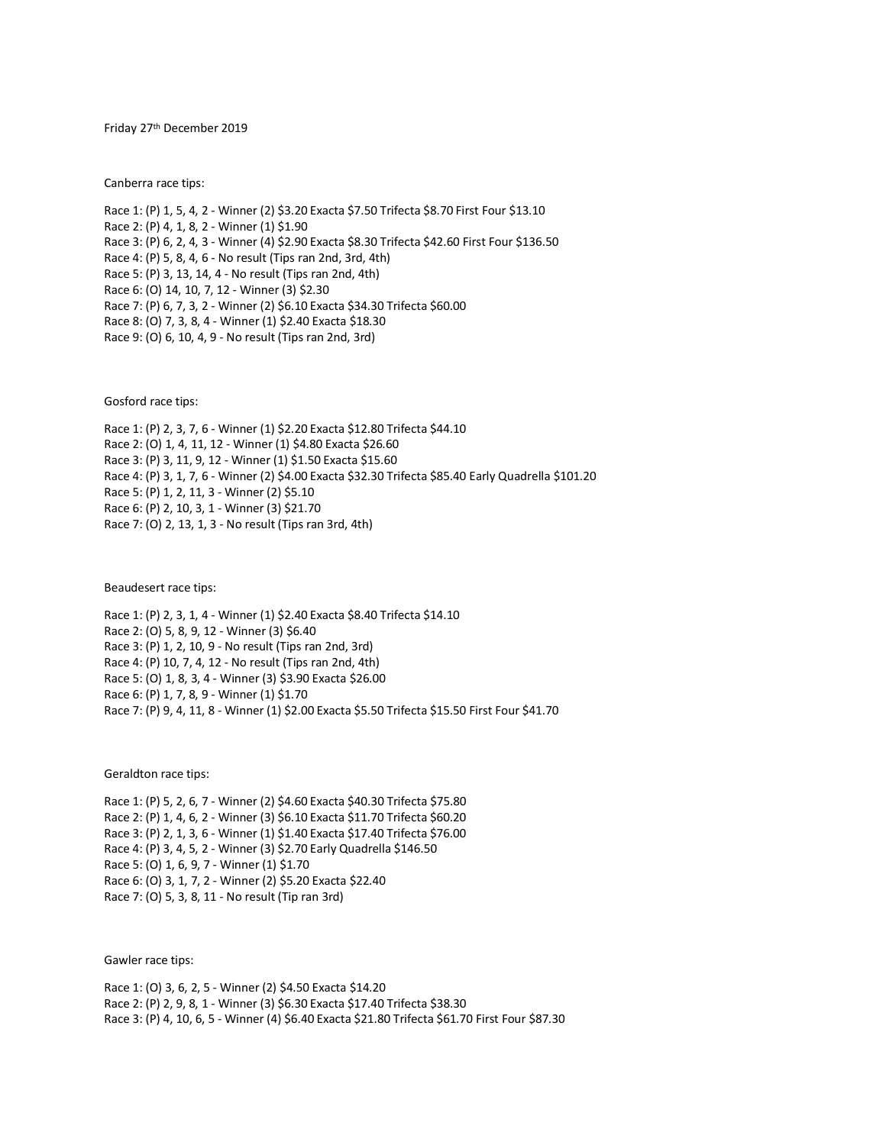Friday 27<sup>th</sup> December 2019

Canberra race tips:

Race 1: (P) 1, 5, 4, 2 - Winner (2) \$3.20 Exacta \$7.50 Trifecta \$8.70 First Four \$13.10 Race 2: (P) 4, 1, 8, 2 - Winner (1) \$1.90 Race 3: (P) 6, 2, 4, 3 - Winner (4) \$2.90 Exacta \$8.30 Trifecta \$42.60 First Four \$136.50 Race 4: (P) 5, 8, 4, 6 - No result (Tips ran 2nd, 3rd, 4th) Race 5: (P) 3, 13, 14, 4 - No result (Tips ran 2nd, 4th) Race 6: (O) 14, 10, 7, 12 - Winner (3) \$2.30 Race 7: (P) 6, 7, 3, 2 - Winner (2) \$6.10 Exacta \$34.30 Trifecta \$60.00 Race 8: (O) 7, 3, 8, 4 - Winner (1) \$2.40 Exacta \$18.30 Race 9: (O) 6, 10, 4, 9 - No result (Tips ran 2nd, 3rd)

Gosford race tips:

Race 1: (P) 2, 3, 7, 6 - Winner (1) \$2.20 Exacta \$12.80 Trifecta \$44.10 Race 2: (O) 1, 4, 11, 12 - Winner (1) \$4.80 Exacta \$26.60 Race 3: (P) 3, 11, 9, 12 - Winner (1) \$1.50 Exacta \$15.60 Race 4: (P) 3, 1, 7, 6 - Winner (2) \$4.00 Exacta \$32.30 Trifecta \$85.40 Early Quadrella \$101.20 Race 5: (P) 1, 2, 11, 3 - Winner (2) \$5.10 Race 6: (P) 2, 10, 3, 1 - Winner (3) \$21.70 Race 7: (O) 2, 13, 1, 3 - No result (Tips ran 3rd, 4th)

Beaudesert race tips:

Race 1: (P) 2, 3, 1, 4 - Winner (1) \$2.40 Exacta \$8.40 Trifecta \$14.10 Race 2: (O) 5, 8, 9, 12 - Winner (3) \$6.40 Race 3: (P) 1, 2, 10, 9 - No result (Tips ran 2nd, 3rd) Race 4: (P) 10, 7, 4, 12 - No result (Tips ran 2nd, 4th) Race 5: (O) 1, 8, 3, 4 - Winner (3) \$3.90 Exacta \$26.00 Race 6: (P) 1, 7, 8, 9 - Winner (1) \$1.70 Race 7: (P) 9, 4, 11, 8 - Winner (1) \$2.00 Exacta \$5.50 Trifecta \$15.50 First Four \$41.70

Geraldton race tips:

Race 1: (P) 5, 2, 6, 7 - Winner (2) \$4.60 Exacta \$40.30 Trifecta \$75.80 Race 2: (P) 1, 4, 6, 2 - Winner (3) \$6.10 Exacta \$11.70 Trifecta \$60.20 Race 3: (P) 2, 1, 3, 6 - Winner (1) \$1.40 Exacta \$17.40 Trifecta \$76.00 Race 4: (P) 3, 4, 5, 2 - Winner (3) \$2.70 Early Quadrella \$146.50 Race 5: (O) 1, 6, 9, 7 - Winner (1) \$1.70 Race 6: (O) 3, 1, 7, 2 - Winner (2) \$5.20 Exacta \$22.40 Race 7: (O) 5, 3, 8, 11 - No result (Tip ran 3rd)

Gawler race tips:

Race 1: (O) 3, 6, 2, 5 - Winner (2) \$4.50 Exacta \$14.20 Race 2: (P) 2, 9, 8, 1 - Winner (3) \$6.30 Exacta \$17.40 Trifecta \$38.30 Race 3: (P) 4, 10, 6, 5 - Winner (4) \$6.40 Exacta \$21.80 Trifecta \$61.70 First Four \$87.30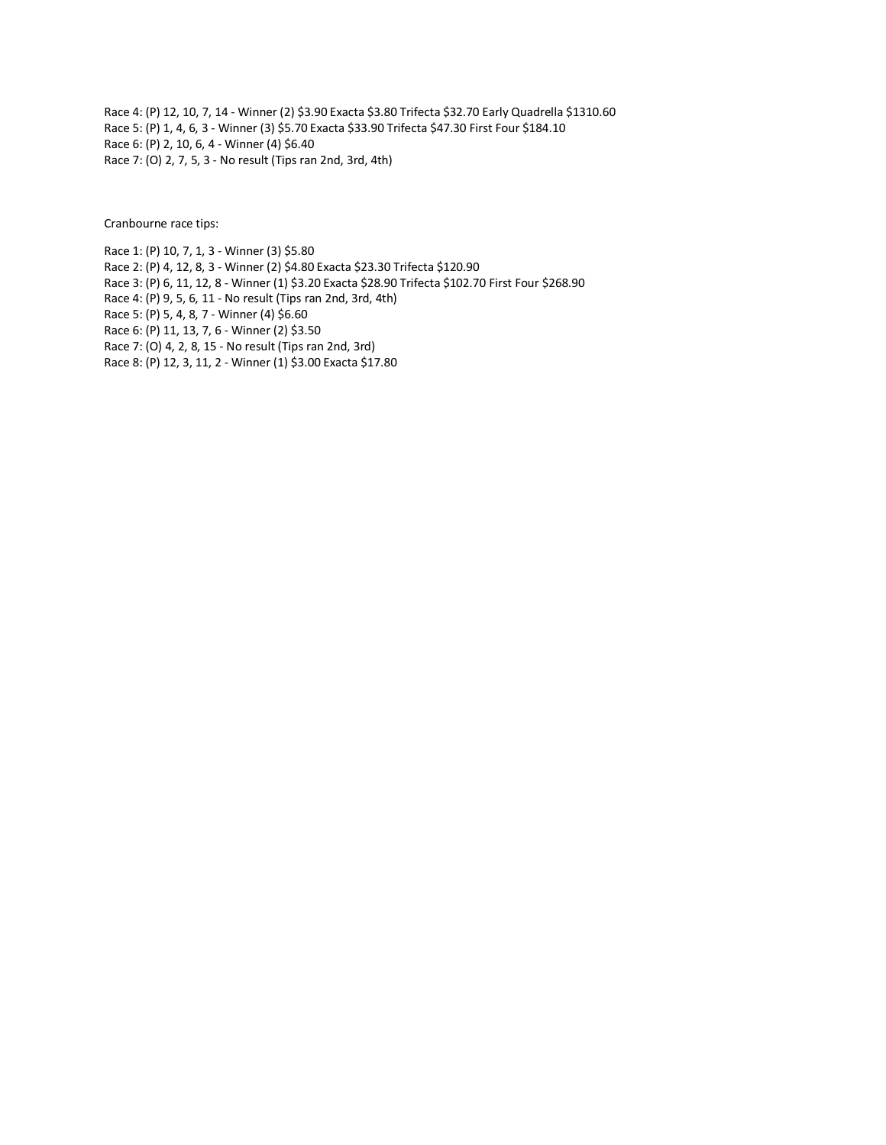Race 4: (P) 12, 10, 7, 14 - Winner (2) \$3.90 Exacta \$3.80 Trifecta \$32.70 Early Quadrella \$1310.60 Race 5: (P) 1, 4, 6, 3 - Winner (3) \$5.70 Exacta \$33.90 Trifecta \$47.30 First Four \$184.10 Race 6: (P) 2, 10, 6, 4 - Winner (4) \$6.40 Race 7: (O) 2, 7, 5, 3 - No result (Tips ran 2nd, 3rd, 4th)

Cranbourne race tips:

Race 1: (P) 10, 7, 1, 3 - Winner (3) \$5.80 Race 2: (P) 4, 12, 8, 3 - Winner (2) \$4.80 Exacta \$23.30 Trifecta \$120.90 Race 3: (P) 6, 11, 12, 8 - Winner (1) \$3.20 Exacta \$28.90 Trifecta \$102.70 First Four \$268.90 Race 4: (P) 9, 5, 6, 11 - No result (Tips ran 2nd, 3rd, 4th) Race 5: (P) 5, 4, 8, 7 - Winner (4) \$6.60 Race 6: (P) 11, 13, 7, 6 - Winner (2) \$3.50 Race 7: (O) 4, 2, 8, 15 - No result (Tips ran 2nd, 3rd) Race 8: (P) 12, 3, 11, 2 - Winner (1) \$3.00 Exacta \$17.80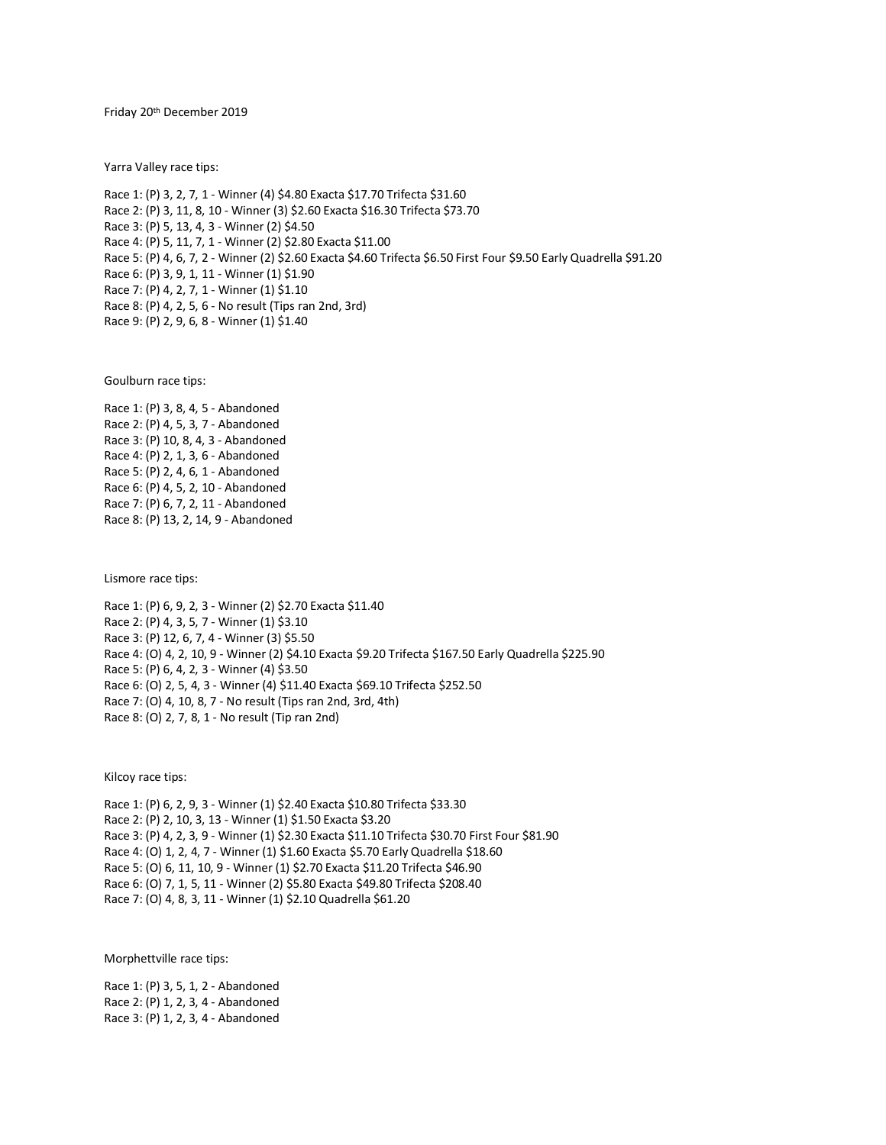Friday 20th December 2019

Yarra Valley race tips:

Race 1: (P) 3, 2, 7, 1 - Winner (4) \$4.80 Exacta \$17.70 Trifecta \$31.60 Race 2: (P) 3, 11, 8, 10 - Winner (3) \$2.60 Exacta \$16.30 Trifecta \$73.70 Race 3: (P) 5, 13, 4, 3 - Winner (2) \$4.50 Race 4: (P) 5, 11, 7, 1 - Winner (2) \$2.80 Exacta \$11.00 Race 5: (P) 4, 6, 7, 2 - Winner (2) \$2.60 Exacta \$4.60 Trifecta \$6.50 First Four \$9.50 Early Quadrella \$91.20 Race 6: (P) 3, 9, 1, 11 - Winner (1) \$1.90 Race 7: (P) 4, 2, 7, 1 - Winner (1) \$1.10 Race 8: (P) 4, 2, 5, 6 - No result (Tips ran 2nd, 3rd) Race 9: (P) 2, 9, 6, 8 - Winner (1) \$1.40

Goulburn race tips:

Race 1: (P) 3, 8, 4, 5 - Abandoned Race 2: (P) 4, 5, 3, 7 - Abandoned Race 3: (P) 10, 8, 4, 3 - Abandoned Race 4: (P) 2, 1, 3, 6 - Abandoned Race 5: (P) 2, 4, 6, 1 - Abandoned Race 6: (P) 4, 5, 2, 10 - Abandoned Race 7: (P) 6, 7, 2, 11 - Abandoned Race 8: (P) 13, 2, 14, 9 - Abandoned

Lismore race tips:

Race 1: (P) 6, 9, 2, 3 - Winner (2) \$2.70 Exacta \$11.40 Race 2: (P) 4, 3, 5, 7 - Winner (1) \$3.10 Race 3: (P) 12, 6, 7, 4 - Winner (3) \$5.50 Race 4: (O) 4, 2, 10, 9 - Winner (2) \$4.10 Exacta \$9.20 Trifecta \$167.50 Early Quadrella \$225.90 Race 5: (P) 6, 4, 2, 3 - Winner (4) \$3.50 Race 6: (O) 2, 5, 4, 3 - Winner (4) \$11.40 Exacta \$69.10 Trifecta \$252.50 Race 7: (O) 4, 10, 8, 7 - No result (Tips ran 2nd, 3rd, 4th) Race 8: (O) 2, 7, 8, 1 - No result (Tip ran 2nd)

Kilcoy race tips:

Race 1: (P) 6, 2, 9, 3 - Winner (1) \$2.40 Exacta \$10.80 Trifecta \$33.30 Race 2: (P) 2, 10, 3, 13 - Winner (1) \$1.50 Exacta \$3.20 Race 3: (P) 4, 2, 3, 9 - Winner (1) \$2.30 Exacta \$11.10 Trifecta \$30.70 First Four \$81.90 Race 4: (O) 1, 2, 4, 7 - Winner (1) \$1.60 Exacta \$5.70 Early Quadrella \$18.60 Race 5: (O) 6, 11, 10, 9 - Winner (1) \$2.70 Exacta \$11.20 Trifecta \$46.90 Race 6: (O) 7, 1, 5, 11 - Winner (2) \$5.80 Exacta \$49.80 Trifecta \$208.40 Race 7: (O) 4, 8, 3, 11 - Winner (1) \$2.10 Quadrella \$61.20

Morphettville race tips:

Race 1: (P) 3, 5, 1, 2 - Abandoned Race 2: (P) 1, 2, 3, 4 - Abandoned Race 3: (P) 1, 2, 3, 4 - Abandoned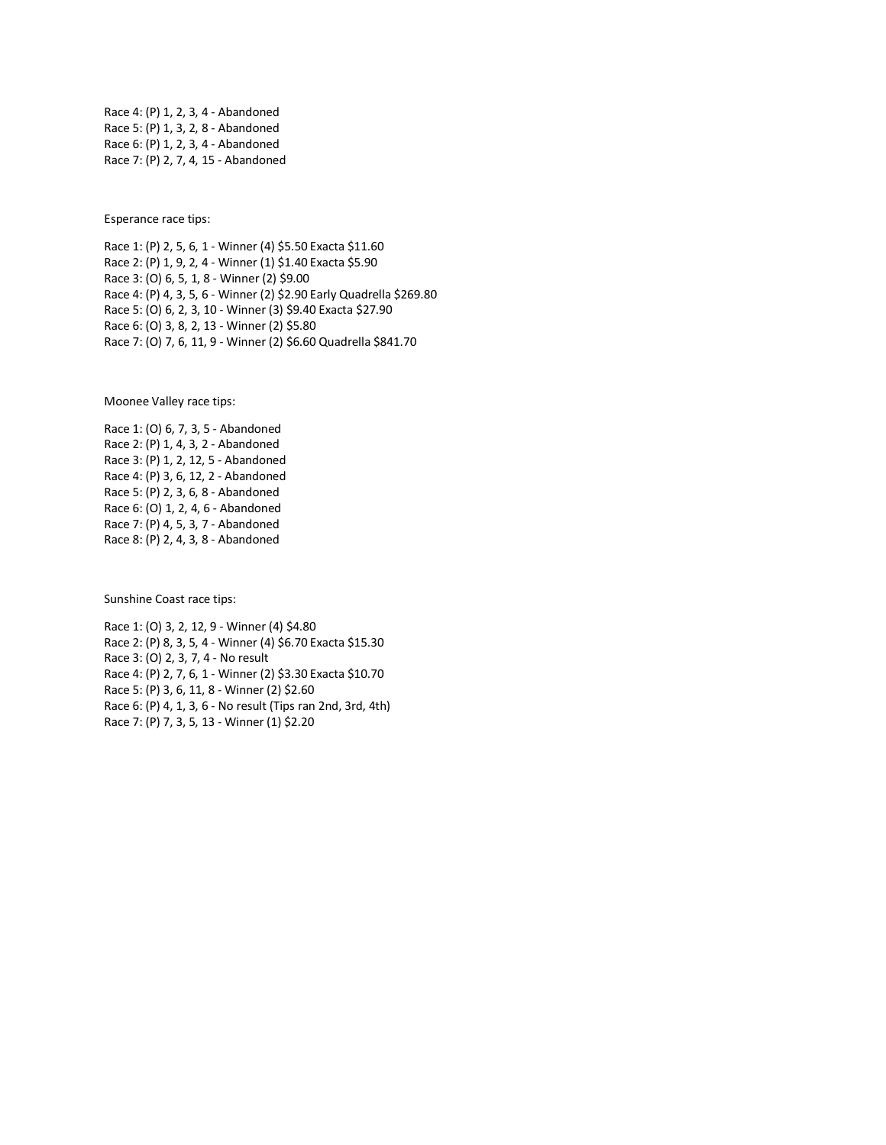Race 4: (P) 1, 2, 3, 4 - Abandoned Race 5: (P) 1, 3, 2, 8 - Abandoned Race 6: (P) 1, 2, 3, 4 - Abandoned Race 7: (P) 2, 7, 4, 15 - Abandoned

Esperance race tips:

Race 1: (P) 2, 5, 6, 1 - Winner (4) \$5.50 Exacta \$11.60 Race 2: (P) 1, 9, 2, 4 - Winner (1) \$1.40 Exacta \$5.90 Race 3: (O) 6, 5, 1, 8 - Winner (2) \$9.00 Race 4: (P) 4, 3, 5, 6 - Winner (2) \$2.90 Early Quadrella \$269.80 Race 5: (O) 6, 2, 3, 10 - Winner (3) \$9.40 Exacta \$27.90 Race 6: (O) 3, 8, 2, 13 - Winner (2) \$5.80 Race 7: (O) 7, 6, 11, 9 - Winner (2) \$6.60 Quadrella \$841.70

Moonee Valley race tips:

Race 1: (O) 6, 7, 3, 5 - Abandoned Race 2: (P) 1, 4, 3, 2 - Abandoned Race 3: (P) 1, 2, 12, 5 - Abandoned Race 4: (P) 3, 6, 12, 2 - Abandoned Race 5: (P) 2, 3, 6, 8 - Abandoned Race 6: (O) 1, 2, 4, 6 - Abandoned Race 7: (P) 4, 5, 3, 7 - Abandoned Race 8: (P) 2, 4, 3, 8 - Abandoned

Sunshine Coast race tips:

Race 1: (O) 3, 2, 12, 9 - Winner (4) \$4.80 Race 2: (P) 8, 3, 5, 4 - Winner (4) \$6.70 Exacta \$15.30 Race 3: (O) 2, 3, 7, 4 - No result Race 4: (P) 2, 7, 6, 1 - Winner (2) \$3.30 Exacta \$10.70 Race 5: (P) 3, 6, 11, 8 - Winner (2) \$2.60 Race 6: (P) 4, 1, 3, 6 - No result (Tips ran 2nd, 3rd, 4th) Race 7: (P) 7, 3, 5, 13 - Winner (1) \$2.20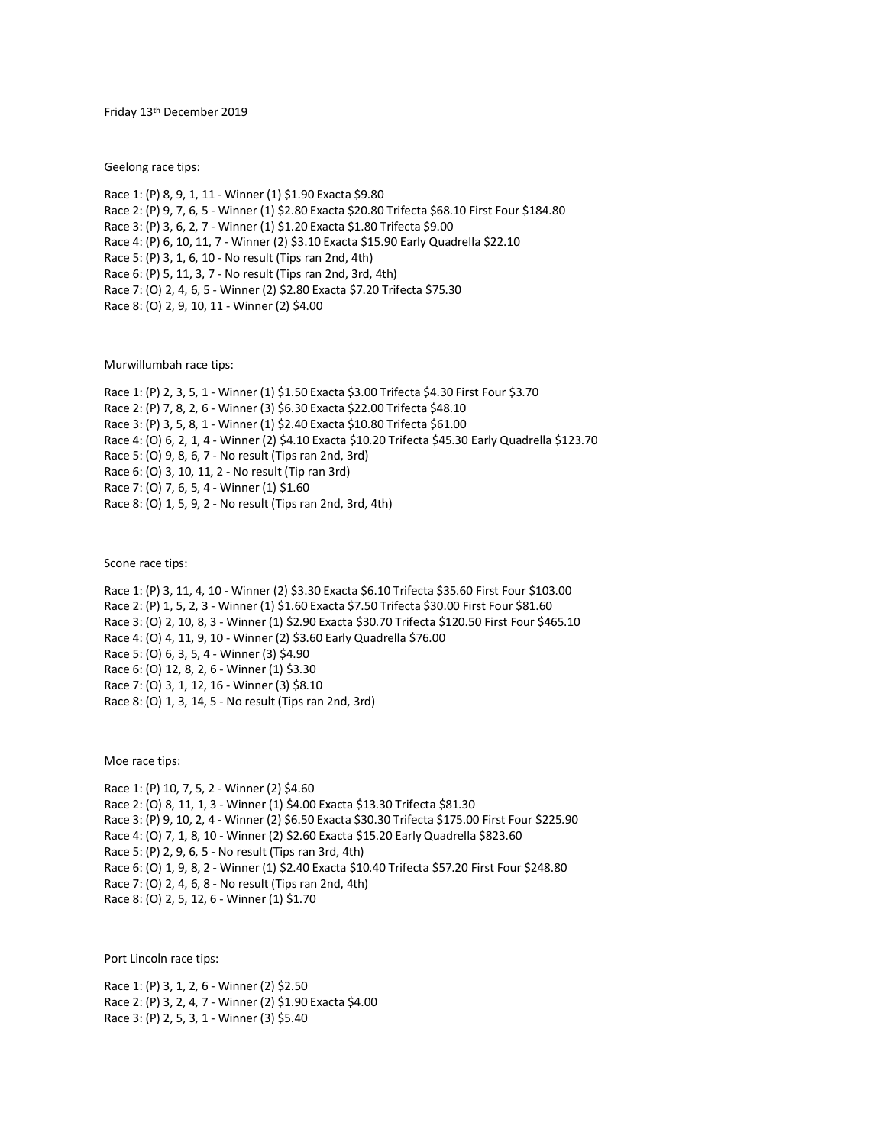Friday 13th December 2019

Geelong race tips:

Race 1: (P) 8, 9, 1, 11 - Winner (1) \$1.90 Exacta \$9.80 Race 2: (P) 9, 7, 6, 5 - Winner (1) \$2.80 Exacta \$20.80 Trifecta \$68.10 First Four \$184.80 Race 3: (P) 3, 6, 2, 7 - Winner (1) \$1.20 Exacta \$1.80 Trifecta \$9.00 Race 4: (P) 6, 10, 11, 7 - Winner (2) \$3.10 Exacta \$15.90 Early Quadrella \$22.10 Race 5: (P) 3, 1, 6, 10 - No result (Tips ran 2nd, 4th) Race 6: (P) 5, 11, 3, 7 - No result (Tips ran 2nd, 3rd, 4th) Race 7: (O) 2, 4, 6, 5 - Winner (2) \$2.80 Exacta \$7.20 Trifecta \$75.30 Race 8: (O) 2, 9, 10, 11 - Winner (2) \$4.00

Murwillumbah race tips:

Race 1: (P) 2, 3, 5, 1 - Winner (1) \$1.50 Exacta \$3.00 Trifecta \$4.30 First Four \$3.70 Race 2: (P) 7, 8, 2, 6 - Winner (3) \$6.30 Exacta \$22.00 Trifecta \$48.10 Race 3: (P) 3, 5, 8, 1 - Winner (1) \$2.40 Exacta \$10.80 Trifecta \$61.00 Race 4: (O) 6, 2, 1, 4 - Winner (2) \$4.10 Exacta \$10.20 Trifecta \$45.30 Early Quadrella \$123.70 Race 5: (O) 9, 8, 6, 7 - No result (Tips ran 2nd, 3rd) Race 6: (O) 3, 10, 11, 2 - No result (Tip ran 3rd) Race 7: (O) 7, 6, 5, 4 - Winner (1) \$1.60 Race 8: (O) 1, 5, 9, 2 - No result (Tips ran 2nd, 3rd, 4th)

Scone race tips:

Race 1: (P) 3, 11, 4, 10 - Winner (2) \$3.30 Exacta \$6.10 Trifecta \$35.60 First Four \$103.00 Race 2: (P) 1, 5, 2, 3 - Winner (1) \$1.60 Exacta \$7.50 Trifecta \$30.00 First Four \$81.60 Race 3: (O) 2, 10, 8, 3 - Winner (1) \$2.90 Exacta \$30.70 Trifecta \$120.50 First Four \$465.10 Race 4: (O) 4, 11, 9, 10 - Winner (2) \$3.60 Early Quadrella \$76.00 Race 5: (O) 6, 3, 5, 4 - Winner (3) \$4.90 Race 6: (O) 12, 8, 2, 6 - Winner (1) \$3.30 Race 7: (O) 3, 1, 12, 16 - Winner (3) \$8.10 Race 8: (O) 1, 3, 14, 5 - No result (Tips ran 2nd, 3rd)

Moe race tips:

Race 1: (P) 10, 7, 5, 2 - Winner (2) \$4.60 Race 2: (O) 8, 11, 1, 3 - Winner (1) \$4.00 Exacta \$13.30 Trifecta \$81.30 Race 3: (P) 9, 10, 2, 4 - Winner (2) \$6.50 Exacta \$30.30 Trifecta \$175.00 First Four \$225.90 Race 4: (O) 7, 1, 8, 10 - Winner (2) \$2.60 Exacta \$15.20 Early Quadrella \$823.60 Race 5: (P) 2, 9, 6, 5 - No result (Tips ran 3rd, 4th) Race 6: (O) 1, 9, 8, 2 - Winner (1) \$2.40 Exacta \$10.40 Trifecta \$57.20 First Four \$248.80 Race 7: (O) 2, 4, 6, 8 - No result (Tips ran 2nd, 4th) Race 8: (O) 2, 5, 12, 6 - Winner (1) \$1.70

Port Lincoln race tips:

Race 1: (P) 3, 1, 2, 6 - Winner (2) \$2.50 Race 2: (P) 3, 2, 4, 7 - Winner (2) \$1.90 Exacta \$4.00 Race 3: (P) 2, 5, 3, 1 - Winner (3) \$5.40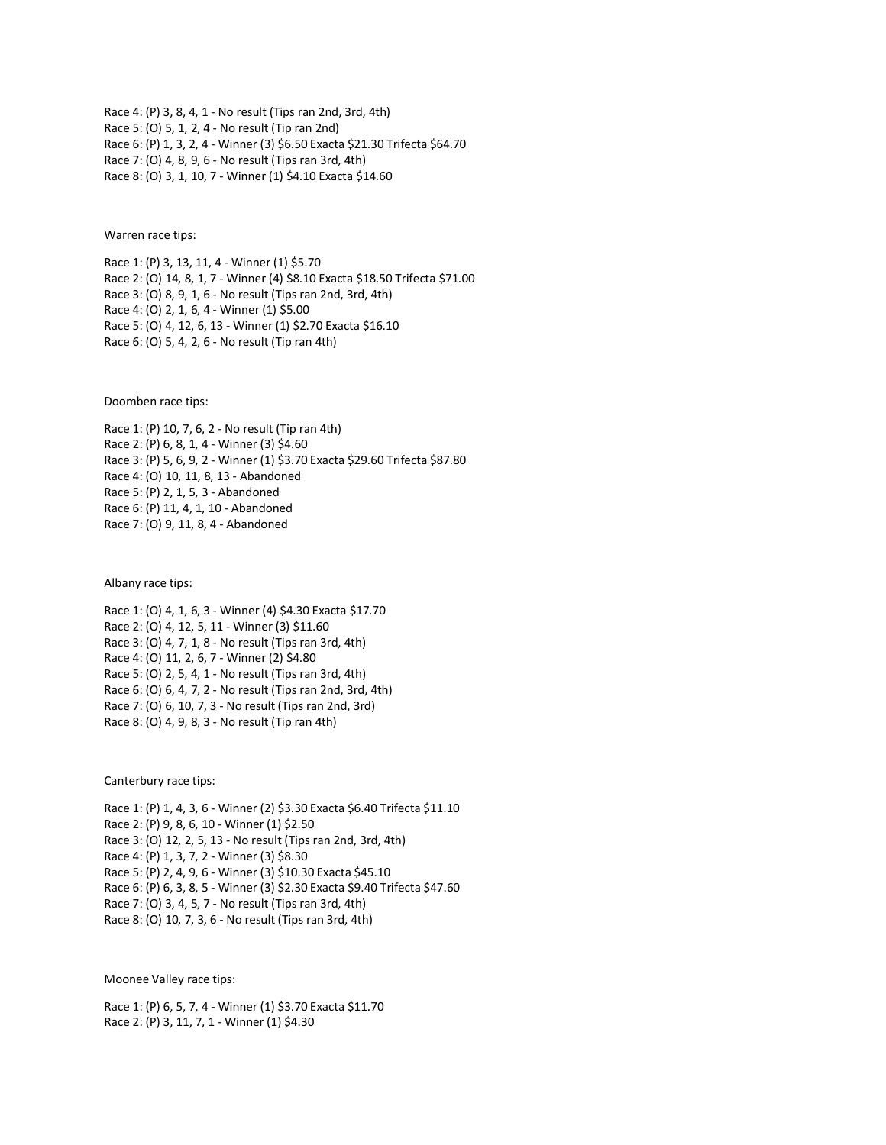Race 4: (P) 3, 8, 4, 1 - No result (Tips ran 2nd, 3rd, 4th) Race 5: (O) 5, 1, 2, 4 - No result (Tip ran 2nd) Race 6: (P) 1, 3, 2, 4 - Winner (3) \$6.50 Exacta \$21.30 Trifecta \$64.70 Race 7: (O) 4, 8, 9, 6 - No result (Tips ran 3rd, 4th) Race 8: (O) 3, 1, 10, 7 - Winner (1) \$4.10 Exacta \$14.60

Warren race tips:

Race 1: (P) 3, 13, 11, 4 - Winner (1) \$5.70 Race 2: (O) 14, 8, 1, 7 - Winner (4) \$8.10 Exacta \$18.50 Trifecta \$71.00 Race 3: (O) 8, 9, 1, 6 - No result (Tips ran 2nd, 3rd, 4th) Race 4: (O) 2, 1, 6, 4 - Winner (1) \$5.00 Race 5: (O) 4, 12, 6, 13 - Winner (1) \$2.70 Exacta \$16.10 Race 6: (O) 5, 4, 2, 6 - No result (Tip ran 4th)

Doomben race tips:

Race 1: (P) 10, 7, 6, 2 - No result (Tip ran 4th) Race 2: (P) 6, 8, 1, 4 - Winner (3) \$4.60 Race 3: (P) 5, 6, 9, 2 - Winner (1) \$3.70 Exacta \$29.60 Trifecta \$87.80 Race 4: (O) 10, 11, 8, 13 - Abandoned Race 5: (P) 2, 1, 5, 3 - Abandoned Race 6: (P) 11, 4, 1, 10 - Abandoned Race 7: (O) 9, 11, 8, 4 - Abandoned

Albany race tips:

Race 1: (O) 4, 1, 6, 3 - Winner (4) \$4.30 Exacta \$17.70 Race 2: (O) 4, 12, 5, 11 - Winner (3) \$11.60 Race 3: (O) 4, 7, 1, 8 - No result (Tips ran 3rd, 4th) Race 4: (O) 11, 2, 6, 7 - Winner (2) \$4.80 Race 5: (O) 2, 5, 4, 1 - No result (Tips ran 3rd, 4th) Race 6: (O) 6, 4, 7, 2 - No result (Tips ran 2nd, 3rd, 4th) Race 7: (O) 6, 10, 7, 3 - No result (Tips ran 2nd, 3rd) Race 8: (O) 4, 9, 8, 3 - No result (Tip ran 4th)

Canterbury race tips:

Race 1: (P) 1, 4, 3, 6 - Winner (2) \$3.30 Exacta \$6.40 Trifecta \$11.10 Race 2: (P) 9, 8, 6, 10 - Winner (1) \$2.50 Race 3: (O) 12, 2, 5, 13 - No result (Tips ran 2nd, 3rd, 4th) Race 4: (P) 1, 3, 7, 2 - Winner (3) \$8.30 Race 5: (P) 2, 4, 9, 6 - Winner (3) \$10.30 Exacta \$45.10 Race 6: (P) 6, 3, 8, 5 - Winner (3) \$2.30 Exacta \$9.40 Trifecta \$47.60 Race 7: (O) 3, 4, 5, 7 - No result (Tips ran 3rd, 4th) Race 8: (O) 10, 7, 3, 6 - No result (Tips ran 3rd, 4th)

Moonee Valley race tips:

Race 1: (P) 6, 5, 7, 4 - Winner (1) \$3.70 Exacta \$11.70 Race 2: (P) 3, 11, 7, 1 - Winner (1) \$4.30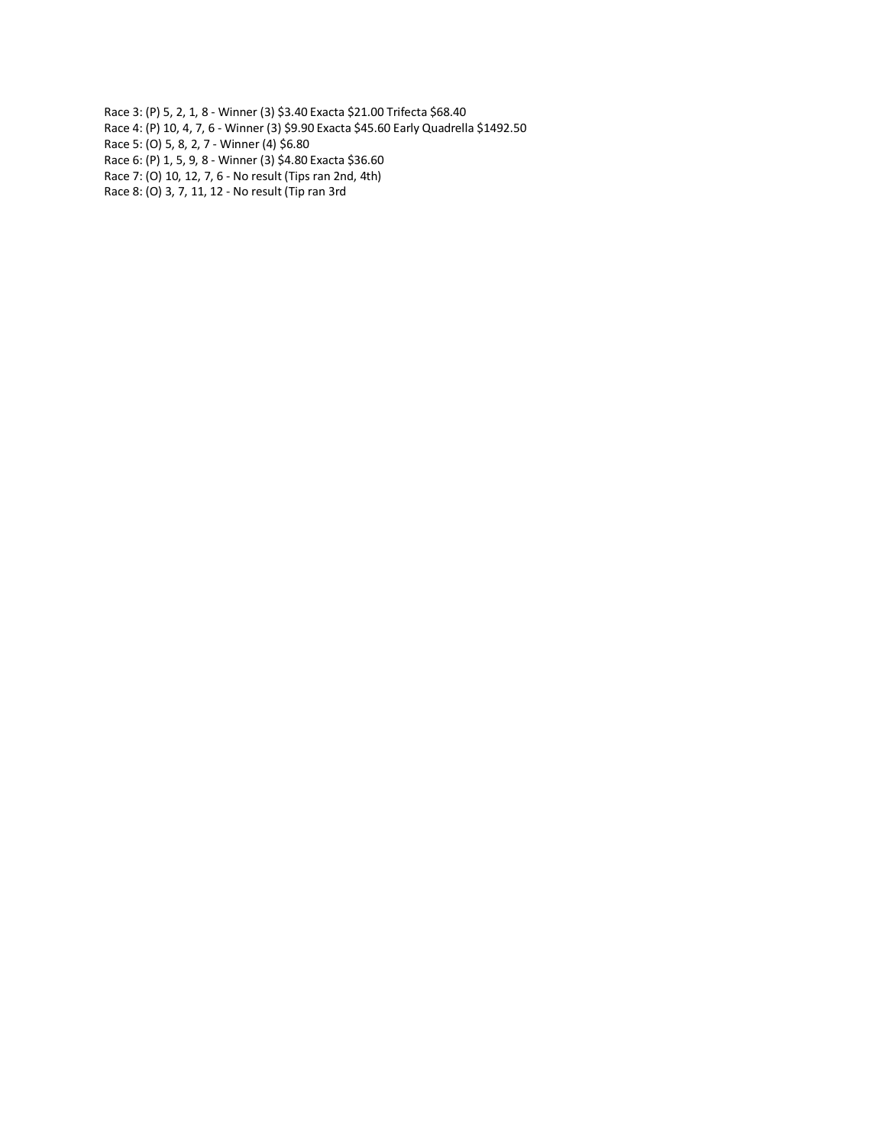- Race 3: (P) 5, 2, 1, 8 Winner (3) \$3.40 Exacta \$21.00 Trifecta \$68.40 Race 4: (P) 10, 4, 7, 6 - Winner (3) \$9.90 Exacta \$45.60 Early Quadrella \$1492.50 Race 5: (O) 5, 8, 2, 7 - Winner (4) \$6.80
- Race 6: (P) 1, 5, 9, 8 Winner (3) \$4.80 Exacta \$36.60
- Race 7: (O) 10, 12, 7, 6 No result (Tips ran 2nd, 4th)
- Race 8: (O) 3, 7, 11, 12 No result (Tip ran 3rd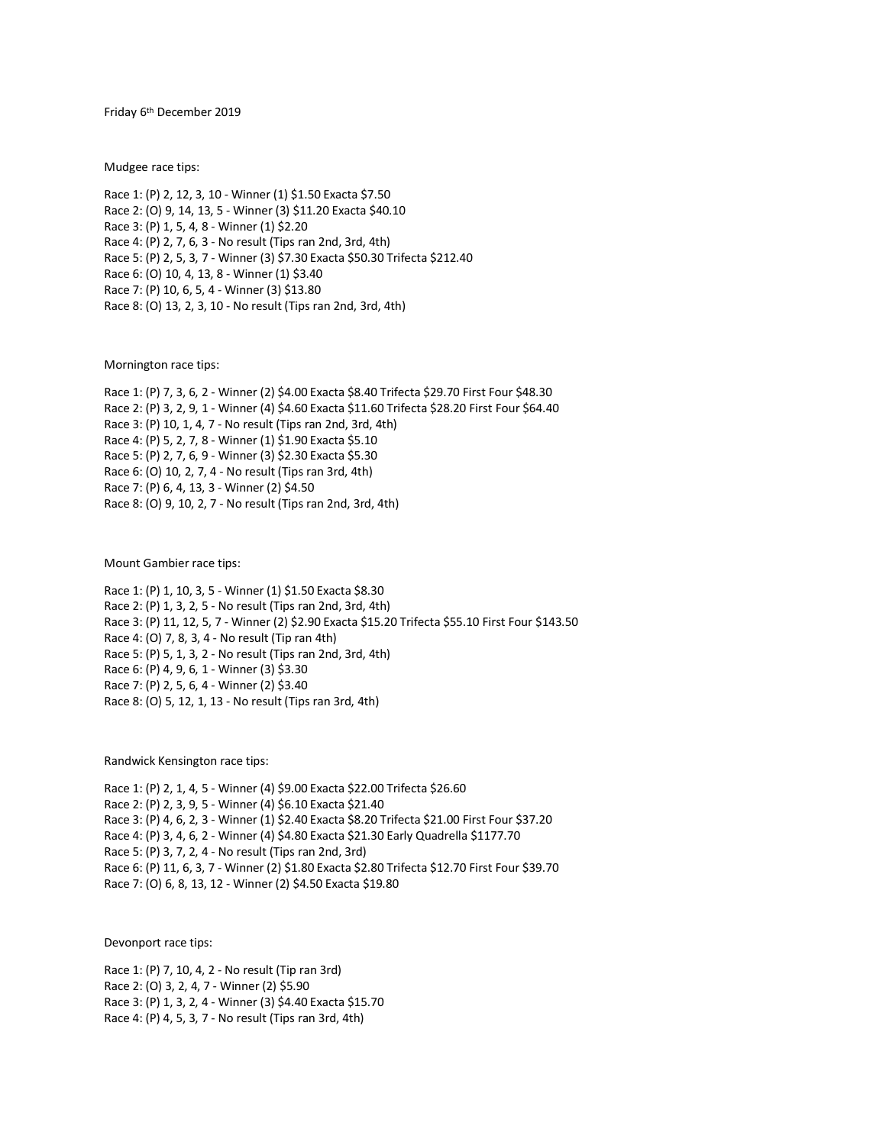Friday 6 th December 2019

Mudgee race tips:

Race 1: (P) 2, 12, 3, 10 - Winner (1) \$1.50 Exacta \$7.50 Race 2: (O) 9, 14, 13, 5 - Winner (3) \$11.20 Exacta \$40.10 Race 3: (P) 1, 5, 4, 8 - Winner (1) \$2.20 Race 4: (P) 2, 7, 6, 3 - No result (Tips ran 2nd, 3rd, 4th) Race 5: (P) 2, 5, 3, 7 - Winner (3) \$7.30 Exacta \$50.30 Trifecta \$212.40 Race 6: (O) 10, 4, 13, 8 - Winner (1) \$3.40 Race 7: (P) 10, 6, 5, 4 - Winner (3) \$13.80 Race 8: (O) 13, 2, 3, 10 - No result (Tips ran 2nd, 3rd, 4th)

Mornington race tips:

Race 1: (P) 7, 3, 6, 2 - Winner (2) \$4.00 Exacta \$8.40 Trifecta \$29.70 First Four \$48.30 Race 2: (P) 3, 2, 9, 1 - Winner (4) \$4.60 Exacta \$11.60 Trifecta \$28.20 First Four \$64.40 Race 3: (P) 10, 1, 4, 7 - No result (Tips ran 2nd, 3rd, 4th) Race 4: (P) 5, 2, 7, 8 - Winner (1) \$1.90 Exacta \$5.10 Race 5: (P) 2, 7, 6, 9 - Winner (3) \$2.30 Exacta \$5.30 Race 6: (O) 10, 2, 7, 4 - No result (Tips ran 3rd, 4th) Race 7: (P) 6, 4, 13, 3 - Winner (2) \$4.50 Race 8: (O) 9, 10, 2, 7 - No result (Tips ran 2nd, 3rd, 4th)

Mount Gambier race tips:

Race 1: (P) 1, 10, 3, 5 - Winner (1) \$1.50 Exacta \$8.30 Race 2: (P) 1, 3, 2, 5 - No result (Tips ran 2nd, 3rd, 4th) Race 3: (P) 11, 12, 5, 7 - Winner (2) \$2.90 Exacta \$15.20 Trifecta \$55.10 First Four \$143.50 Race 4: (O) 7, 8, 3, 4 - No result (Tip ran 4th) Race 5: (P) 5, 1, 3, 2 - No result (Tips ran 2nd, 3rd, 4th) Race 6: (P) 4, 9, 6, 1 - Winner (3) \$3.30 Race 7: (P) 2, 5, 6, 4 - Winner (2) \$3.40 Race 8: (O) 5, 12, 1, 13 - No result (Tips ran 3rd, 4th)

Randwick Kensington race tips:

Race 1: (P) 2, 1, 4, 5 - Winner (4) \$9.00 Exacta \$22.00 Trifecta \$26.60 Race 2: (P) 2, 3, 9, 5 - Winner (4) \$6.10 Exacta \$21.40 Race 3: (P) 4, 6, 2, 3 - Winner (1) \$2.40 Exacta \$8.20 Trifecta \$21.00 First Four \$37.20 Race 4: (P) 3, 4, 6, 2 - Winner (4) \$4.80 Exacta \$21.30 Early Quadrella \$1177.70 Race 5: (P) 3, 7, 2, 4 - No result (Tips ran 2nd, 3rd) Race 6: (P) 11, 6, 3, 7 - Winner (2) \$1.80 Exacta \$2.80 Trifecta \$12.70 First Four \$39.70 Race 7: (O) 6, 8, 13, 12 - Winner (2) \$4.50 Exacta \$19.80

Devonport race tips:

Race 1: (P) 7, 10, 4, 2 - No result (Tip ran 3rd) Race 2: (O) 3, 2, 4, 7 - Winner (2) \$5.90 Race 3: (P) 1, 3, 2, 4 - Winner (3) \$4.40 Exacta \$15.70 Race 4: (P) 4, 5, 3, 7 - No result (Tips ran 3rd, 4th)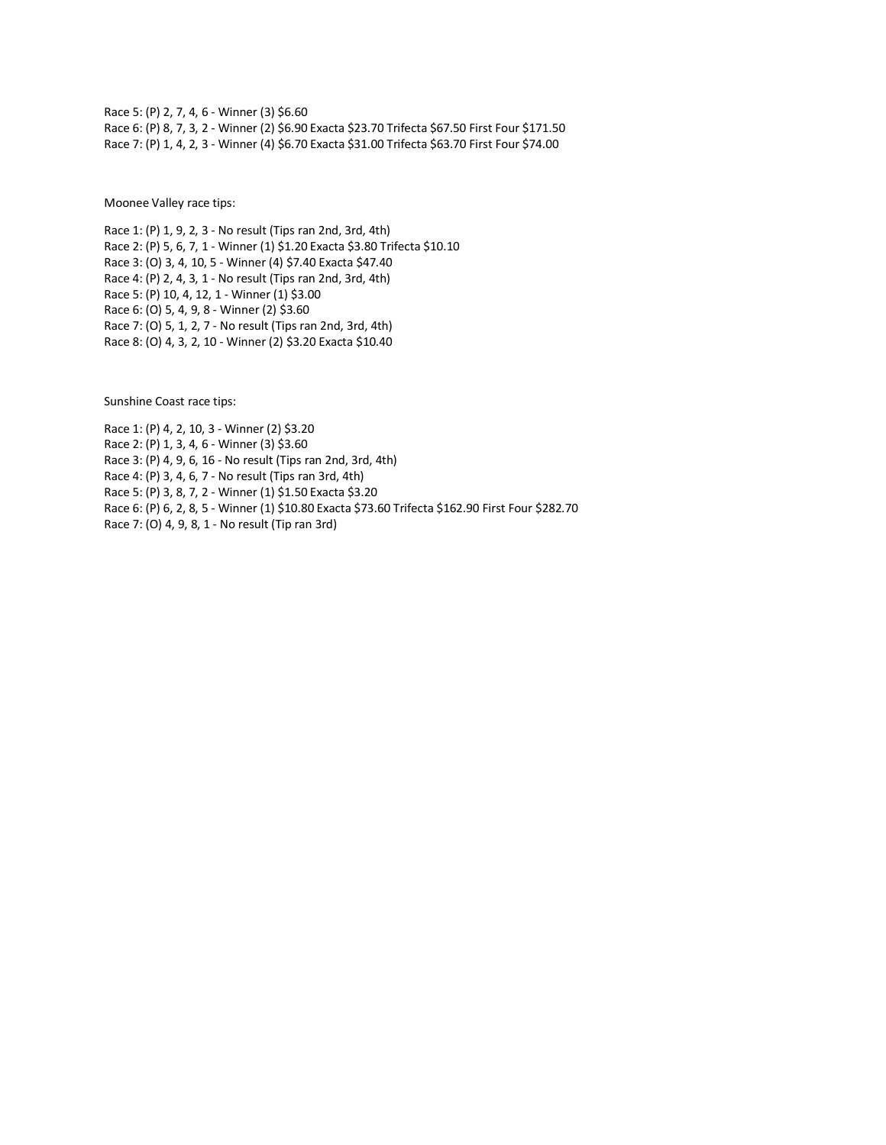Race 5: (P) 2, 7, 4, 6 - Winner (3) \$6.60 Race 6: (P) 8, 7, 3, 2 - Winner (2) \$6.90 Exacta \$23.70 Trifecta \$67.50 First Four \$171.50 Race 7: (P) 1, 4, 2, 3 - Winner (4) \$6.70 Exacta \$31.00 Trifecta \$63.70 First Four \$74.00

Moonee Valley race tips:

Race 1: (P) 1, 9, 2, 3 - No result (Tips ran 2nd, 3rd, 4th) Race 2: (P) 5, 6, 7, 1 - Winner (1) \$1.20 Exacta \$3.80 Trifecta \$10.10 Race 3: (O) 3, 4, 10, 5 - Winner (4) \$7.40 Exacta \$47.40 Race 4: (P) 2, 4, 3, 1 - No result (Tips ran 2nd, 3rd, 4th) Race 5: (P) 10, 4, 12, 1 - Winner (1) \$3.00 Race 6: (O) 5, 4, 9, 8 - Winner (2) \$3.60 Race 7: (O) 5, 1, 2, 7 - No result (Tips ran 2nd, 3rd, 4th) Race 8: (O) 4, 3, 2, 10 - Winner (2) \$3.20 Exacta \$10.40

Sunshine Coast race tips:

Race 1: (P) 4, 2, 10, 3 - Winner (2) \$3.20 Race 2: (P) 1, 3, 4, 6 - Winner (3) \$3.60 Race 3: (P) 4, 9, 6, 16 - No result (Tips ran 2nd, 3rd, 4th) Race 4: (P) 3, 4, 6, 7 - No result (Tips ran 3rd, 4th) Race 5: (P) 3, 8, 7, 2 - Winner (1) \$1.50 Exacta \$3.20 Race 6: (P) 6, 2, 8, 5 - Winner (1) \$10.80 Exacta \$73.60 Trifecta \$162.90 First Four \$282.70 Race 7: (O) 4, 9, 8, 1 - No result (Tip ran 3rd)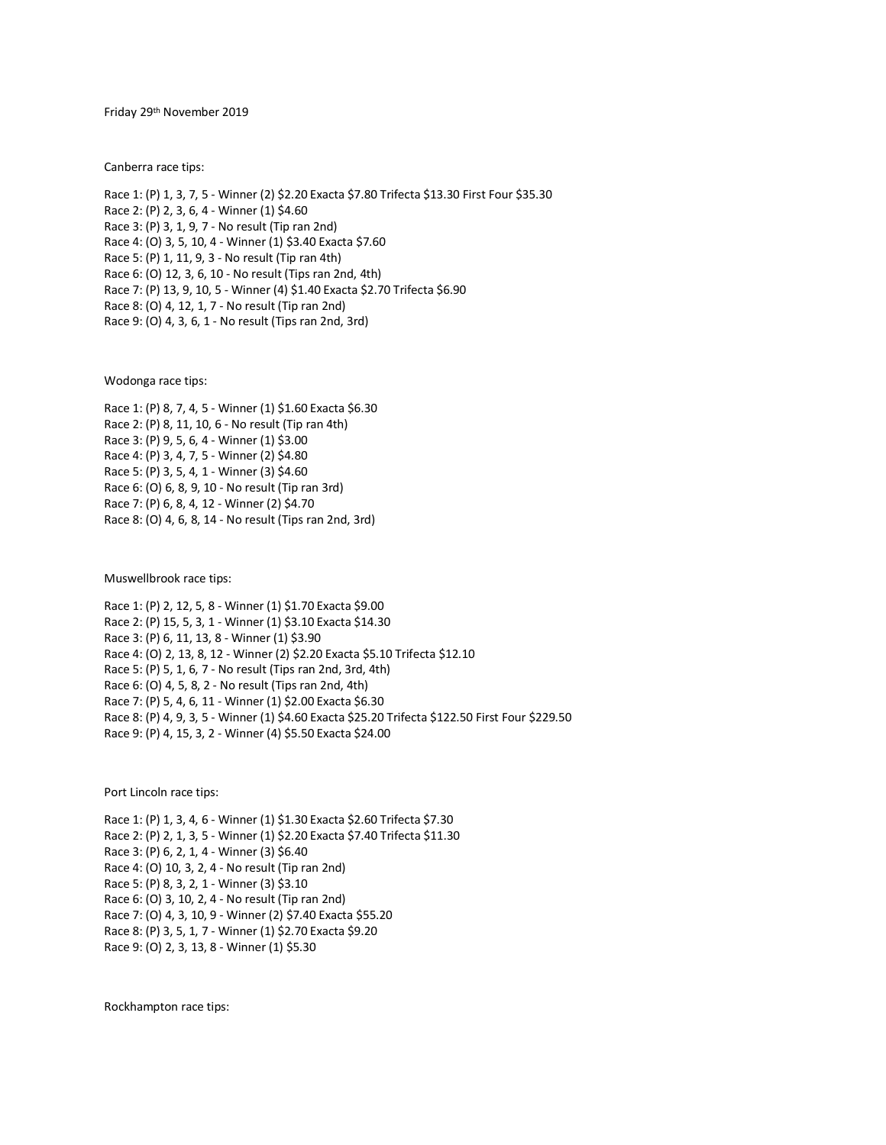Friday 29 th November 2019

Canberra race tips:

Race 1: (P) 1, 3, 7, 5 - Winner (2) \$2.20 Exacta \$7.80 Trifecta \$13.30 First Four \$35.30 Race 2: (P) 2, 3, 6, 4 - Winner (1) \$4.60 Race 3: (P) 3, 1, 9, 7 - No result (Tip ran 2nd) Race 4: (O) 3, 5, 10, 4 - Winner (1) \$3.40 Exacta \$7.60 Race 5: (P) 1, 11, 9, 3 - No result (Tip ran 4th) Race 6: (O) 12, 3, 6, 10 - No result (Tips ran 2nd, 4th) Race 7: (P) 13, 9, 10, 5 - Winner (4) \$1.40 Exacta \$2.70 Trifecta \$6.90 Race 8: (O) 4, 12, 1, 7 - No result (Tip ran 2nd) Race 9: (O) 4, 3, 6, 1 - No result (Tips ran 2nd, 3rd)

Wodonga race tips:

Race 1: (P) 8, 7, 4, 5 - Winner (1) \$1.60 Exacta \$6.30 Race 2: (P) 8, 11, 10, 6 - No result (Tip ran 4th) Race 3: (P) 9, 5, 6, 4 - Winner (1) \$3.00 Race 4: (P) 3, 4, 7, 5 - Winner (2) \$4.80 Race 5: (P) 3, 5, 4, 1 - Winner (3) \$4.60 Race 6: (O) 6, 8, 9, 10 - No result (Tip ran 3rd) Race 7: (P) 6, 8, 4, 12 - Winner (2) \$4.70 Race 8: (O) 4, 6, 8, 14 - No result (Tips ran 2nd, 3rd)

Muswellbrook race tips:

Race 1: (P) 2, 12, 5, 8 - Winner (1) \$1.70 Exacta \$9.00 Race 2: (P) 15, 5, 3, 1 - Winner (1) \$3.10 Exacta \$14.30 Race 3: (P) 6, 11, 13, 8 - Winner (1) \$3.90 Race 4: (O) 2, 13, 8, 12 - Winner (2) \$2.20 Exacta \$5.10 Trifecta \$12.10 Race 5: (P) 5, 1, 6, 7 - No result (Tips ran 2nd, 3rd, 4th) Race 6: (O) 4, 5, 8, 2 - No result (Tips ran 2nd, 4th) Race 7: (P) 5, 4, 6, 11 - Winner (1) \$2.00 Exacta \$6.30 Race 8: (P) 4, 9, 3, 5 - Winner (1) \$4.60 Exacta \$25.20 Trifecta \$122.50 First Four \$229.50 Race 9: (P) 4, 15, 3, 2 - Winner (4) \$5.50 Exacta \$24.00

Port Lincoln race tips:

Race 1: (P) 1, 3, 4, 6 - Winner (1) \$1.30 Exacta \$2.60 Trifecta \$7.30 Race 2: (P) 2, 1, 3, 5 - Winner (1) \$2.20 Exacta \$7.40 Trifecta \$11.30 Race 3: (P) 6, 2, 1, 4 - Winner (3) \$6.40 Race 4: (O) 10, 3, 2, 4 - No result (Tip ran 2nd) Race 5: (P) 8, 3, 2, 1 - Winner (3) \$3.10 Race 6: (O) 3, 10, 2, 4 - No result (Tip ran 2nd) Race 7: (O) 4, 3, 10, 9 - Winner (2) \$7.40 Exacta \$55.20 Race 8: (P) 3, 5, 1, 7 - Winner (1) \$2.70 Exacta \$9.20 Race 9: (O) 2, 3, 13, 8 - Winner (1) \$5.30

Rockhampton race tips: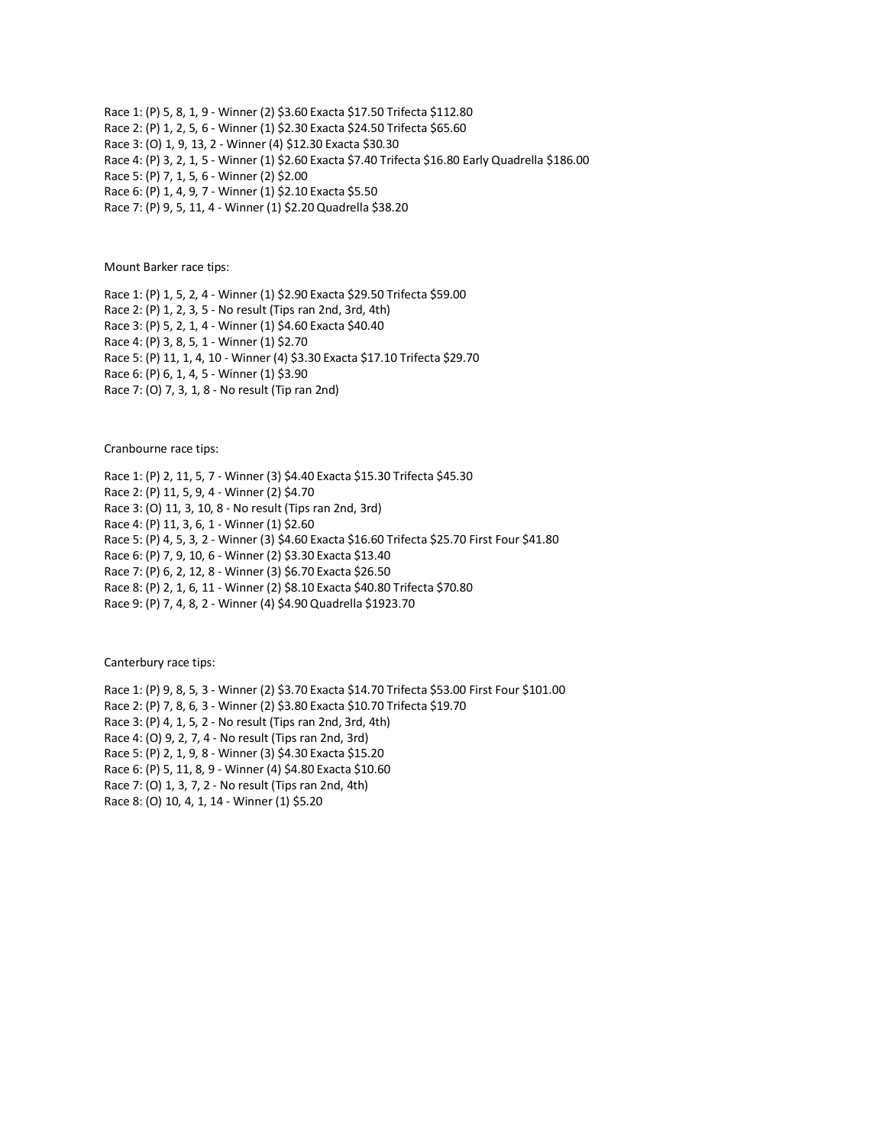Race 1: (P) 5, 8, 1, 9 - Winner (2) \$3.60 Exacta \$17.50 Trifecta \$112.80 Race 2: (P) 1, 2, 5, 6 - Winner (1) \$2.30 Exacta \$24.50 Trifecta \$65.60 Race 3: (O) 1, 9, 13, 2 - Winner (4) \$12.30 Exacta \$30.30 Race 4: (P) 3, 2, 1, 5 - Winner (1) \$2.60 Exacta \$7.40 Trifecta \$16.80 Early Quadrella \$186.00 Race 5: (P) 7, 1, 5, 6 - Winner (2) \$2.00 Race 6: (P) 1, 4, 9, 7 - Winner (1) \$2.10 Exacta \$5.50 Race 7: (P) 9, 5, 11, 4 - Winner (1) \$2.20 Quadrella \$38.20

Mount Barker race tips:

Race 1: (P) 1, 5, 2, 4 - Winner (1) \$2.90 Exacta \$29.50 Trifecta \$59.00 Race 2: (P) 1, 2, 3, 5 - No result (Tips ran 2nd, 3rd, 4th) Race 3: (P) 5, 2, 1, 4 - Winner (1) \$4.60 Exacta \$40.40 Race 4: (P) 3, 8, 5, 1 - Winner (1) \$2.70 Race 5: (P) 11, 1, 4, 10 - Winner (4) \$3.30 Exacta \$17.10 Trifecta \$29.70 Race 6: (P) 6, 1, 4, 5 - Winner (1) \$3.90 Race 7: (O) 7, 3, 1, 8 - No result (Tip ran 2nd)

Cranbourne race tips:

Race 1: (P) 2, 11, 5, 7 - Winner (3) \$4.40 Exacta \$15.30 Trifecta \$45.30 Race 2: (P) 11, 5, 9, 4 - Winner (2) \$4.70 Race 3: (O) 11, 3, 10, 8 - No result (Tips ran 2nd, 3rd) Race 4: (P) 11, 3, 6, 1 - Winner (1) \$2.60 Race 5: (P) 4, 5, 3, 2 - Winner (3) \$4.60 Exacta \$16.60 Trifecta \$25.70 First Four \$41.80 Race 6: (P) 7, 9, 10, 6 - Winner (2) \$3.30 Exacta \$13.40 Race 7: (P) 6, 2, 12, 8 - Winner (3) \$6.70 Exacta \$26.50 Race 8: (P) 2, 1, 6, 11 - Winner (2) \$8.10 Exacta \$40.80 Trifecta \$70.80 Race 9: (P) 7, 4, 8, 2 - Winner (4) \$4.90 Quadrella \$1923.70

Canterbury race tips:

Race 1: (P) 9, 8, 5, 3 - Winner (2) \$3.70 Exacta \$14.70 Trifecta \$53.00 First Four \$101.00 Race 2: (P) 7, 8, 6, 3 - Winner (2) \$3.80 Exacta \$10.70 Trifecta \$19.70 Race 3: (P) 4, 1, 5, 2 - No result (Tips ran 2nd, 3rd, 4th) Race 4: (O) 9, 2, 7, 4 - No result (Tips ran 2nd, 3rd) Race 5: (P) 2, 1, 9, 8 - Winner (3) \$4.30 Exacta \$15.20 Race 6: (P) 5, 11, 8, 9 - Winner (4) \$4.80 Exacta \$10.60 Race 7: (O) 1, 3, 7, 2 - No result (Tips ran 2nd, 4th)

Race 8: (O) 10, 4, 1, 14 - Winner (1) \$5.20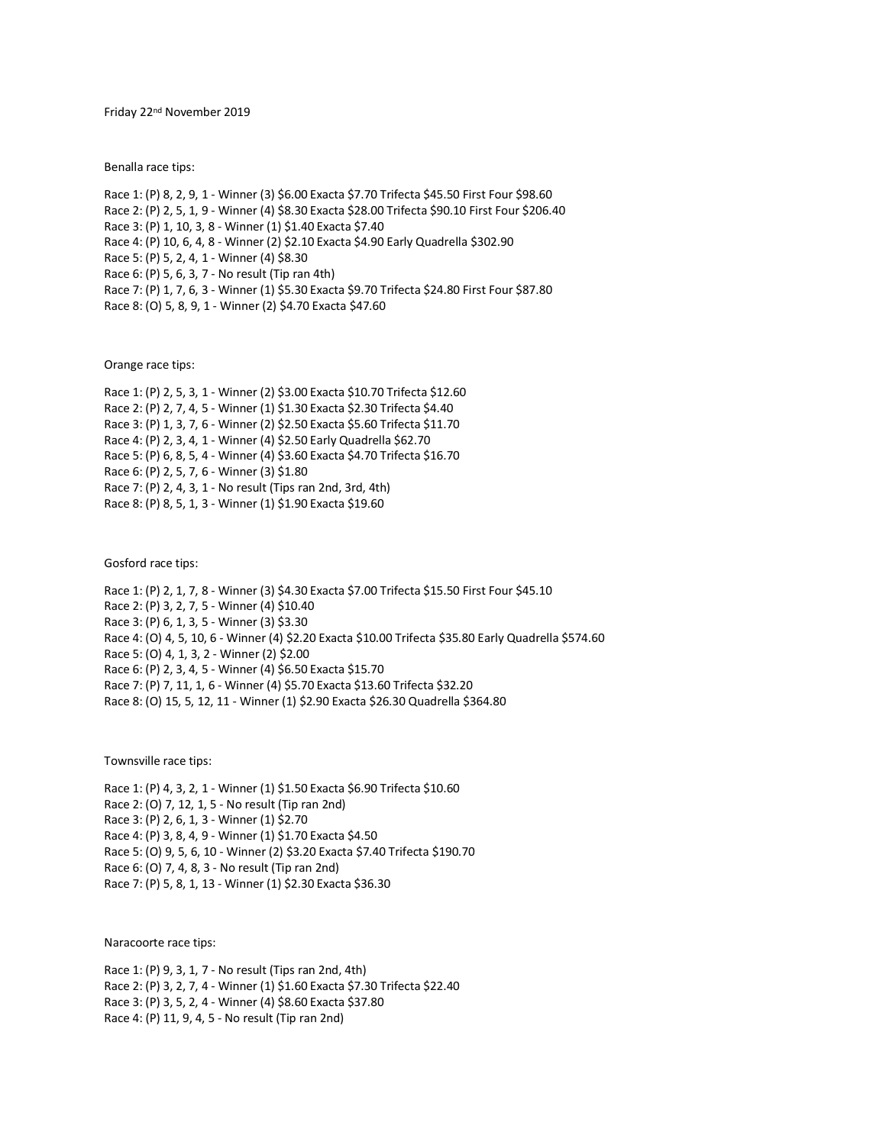Friday 22<sup>nd</sup> November 2019

Benalla race tips:

Race 1: (P) 8, 2, 9, 1 - Winner (3) \$6.00 Exacta \$7.70 Trifecta \$45.50 First Four \$98.60 Race 2: (P) 2, 5, 1, 9 - Winner (4) \$8.30 Exacta \$28.00 Trifecta \$90.10 First Four \$206.40 Race 3: (P) 1, 10, 3, 8 - Winner (1) \$1.40 Exacta \$7.40 Race 4: (P) 10, 6, 4, 8 - Winner (2) \$2.10 Exacta \$4.90 Early Quadrella \$302.90 Race 5: (P) 5, 2, 4, 1 - Winner (4) \$8.30 Race 6: (P) 5, 6, 3, 7 - No result (Tip ran 4th) Race 7: (P) 1, 7, 6, 3 - Winner (1) \$5.30 Exacta \$9.70 Trifecta \$24.80 First Four \$87.80 Race 8: (O) 5, 8, 9, 1 - Winner (2) \$4.70 Exacta \$47.60

Orange race tips:

Race 1: (P) 2, 5, 3, 1 - Winner (2) \$3.00 Exacta \$10.70 Trifecta \$12.60 Race 2: (P) 2, 7, 4, 5 - Winner (1) \$1.30 Exacta \$2.30 Trifecta \$4.40 Race 3: (P) 1, 3, 7, 6 - Winner (2) \$2.50 Exacta \$5.60 Trifecta \$11.70 Race 4: (P) 2, 3, 4, 1 - Winner (4) \$2.50 Early Quadrella \$62.70 Race 5: (P) 6, 8, 5, 4 - Winner (4) \$3.60 Exacta \$4.70 Trifecta \$16.70 Race 6: (P) 2, 5, 7, 6 - Winner (3) \$1.80 Race 7: (P) 2, 4, 3, 1 - No result (Tips ran 2nd, 3rd, 4th) Race 8: (P) 8, 5, 1, 3 - Winner (1) \$1.90 Exacta \$19.60

Gosford race tips:

Race 1: (P) 2, 1, 7, 8 - Winner (3) \$4.30 Exacta \$7.00 Trifecta \$15.50 First Four \$45.10 Race 2: (P) 3, 2, 7, 5 - Winner (4) \$10.40 Race 3: (P) 6, 1, 3, 5 - Winner (3) \$3.30 Race 4: (O) 4, 5, 10, 6 - Winner (4) \$2.20 Exacta \$10.00 Trifecta \$35.80 Early Quadrella \$574.60 Race 5: (O) 4, 1, 3, 2 - Winner (2) \$2.00 Race 6: (P) 2, 3, 4, 5 - Winner (4) \$6.50 Exacta \$15.70 Race 7: (P) 7, 11, 1, 6 - Winner (4) \$5.70 Exacta \$13.60 Trifecta \$32.20 Race 8: (O) 15, 5, 12, 11 - Winner (1) \$2.90 Exacta \$26.30 Quadrella \$364.80

Townsville race tips:

Race 1: (P) 4, 3, 2, 1 - Winner (1) \$1.50 Exacta \$6.90 Trifecta \$10.60 Race 2: (O) 7, 12, 1, 5 - No result (Tip ran 2nd) Race 3: (P) 2, 6, 1, 3 - Winner (1) \$2.70 Race 4: (P) 3, 8, 4, 9 - Winner (1) \$1.70 Exacta \$4.50 Race 5: (O) 9, 5, 6, 10 - Winner (2) \$3.20 Exacta \$7.40 Trifecta \$190.70 Race 6: (O) 7, 4, 8, 3 - No result (Tip ran 2nd) Race 7: (P) 5, 8, 1, 13 - Winner (1) \$2.30 Exacta \$36.30

Naracoorte race tips:

Race 1: (P) 9, 3, 1, 7 - No result (Tips ran 2nd, 4th) Race 2: (P) 3, 2, 7, 4 - Winner (1) \$1.60 Exacta \$7.30 Trifecta \$22.40 Race 3: (P) 3, 5, 2, 4 - Winner (4) \$8.60 Exacta \$37.80 Race 4: (P) 11, 9, 4, 5 - No result (Tip ran 2nd)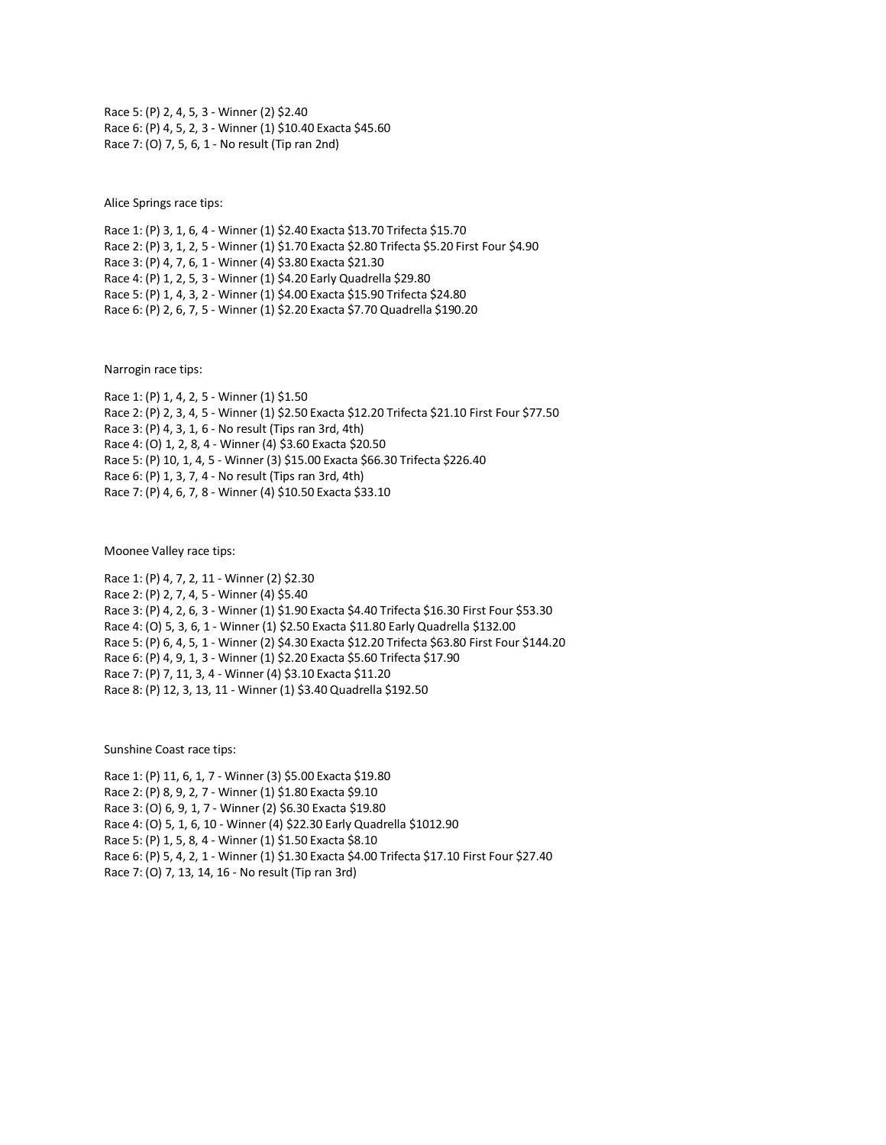Race 5: (P) 2, 4, 5, 3 - Winner (2) \$2.40 Race 6: (P) 4, 5, 2, 3 - Winner (1) \$10.40 Exacta \$45.60 Race 7: (O) 7, 5, 6, 1 - No result (Tip ran 2nd)

Alice Springs race tips:

Race 1: (P) 3, 1, 6, 4 - Winner (1) \$2.40 Exacta \$13.70 Trifecta \$15.70 Race 2: (P) 3, 1, 2, 5 - Winner (1) \$1.70 Exacta \$2.80 Trifecta \$5.20 First Four \$4.90 Race 3: (P) 4, 7, 6, 1 - Winner (4) \$3.80 Exacta \$21.30 Race 4: (P) 1, 2, 5, 3 - Winner (1) \$4.20 Early Quadrella \$29.80 Race 5: (P) 1, 4, 3, 2 - Winner (1) \$4.00 Exacta \$15.90 Trifecta \$24.80 Race 6: (P) 2, 6, 7, 5 - Winner (1) \$2.20 Exacta \$7.70 Quadrella \$190.20

Narrogin race tips:

Race 1: (P) 1, 4, 2, 5 - Winner (1) \$1.50 Race 2: (P) 2, 3, 4, 5 - Winner (1) \$2.50 Exacta \$12.20 Trifecta \$21.10 First Four \$77.50 Race 3: (P) 4, 3, 1, 6 - No result (Tips ran 3rd, 4th) Race 4: (O) 1, 2, 8, 4 - Winner (4) \$3.60 Exacta \$20.50 Race 5: (P) 10, 1, 4, 5 - Winner (3) \$15.00 Exacta \$66.30 Trifecta \$226.40 Race 6: (P) 1, 3, 7, 4 - No result (Tips ran 3rd, 4th) Race 7: (P) 4, 6, 7, 8 - Winner (4) \$10.50 Exacta \$33.10

Moonee Valley race tips:

Race 1: (P) 4, 7, 2, 11 - Winner (2) \$2.30 Race 2: (P) 2, 7, 4, 5 - Winner (4) \$5.40 Race 3: (P) 4, 2, 6, 3 - Winner (1) \$1.90 Exacta \$4.40 Trifecta \$16.30 First Four \$53.30 Race 4: (O) 5, 3, 6, 1 - Winner (1) \$2.50 Exacta \$11.80 Early Quadrella \$132.00 Race 5: (P) 6, 4, 5, 1 - Winner (2) \$4.30 Exacta \$12.20 Trifecta \$63.80 First Four \$144.20 Race 6: (P) 4, 9, 1, 3 - Winner (1) \$2.20 Exacta \$5.60 Trifecta \$17.90 Race 7: (P) 7, 11, 3, 4 - Winner (4) \$3.10 Exacta \$11.20 Race 8: (P) 12, 3, 13, 11 - Winner (1) \$3.40 Quadrella \$192.50

Sunshine Coast race tips:

Race 1: (P) 11, 6, 1, 7 - Winner (3) \$5.00 Exacta \$19.80 Race 2: (P) 8, 9, 2, 7 - Winner (1) \$1.80 Exacta \$9.10 Race 3: (O) 6, 9, 1, 7 - Winner (2) \$6.30 Exacta \$19.80 Race 4: (O) 5, 1, 6, 10 - Winner (4) \$22.30 Early Quadrella \$1012.90 Race 5: (P) 1, 5, 8, 4 - Winner (1) \$1.50 Exacta \$8.10 Race 6: (P) 5, 4, 2, 1 - Winner (1) \$1.30 Exacta \$4.00 Trifecta \$17.10 First Four \$27.40 Race 7: (O) 7, 13, 14, 16 - No result (Tip ran 3rd)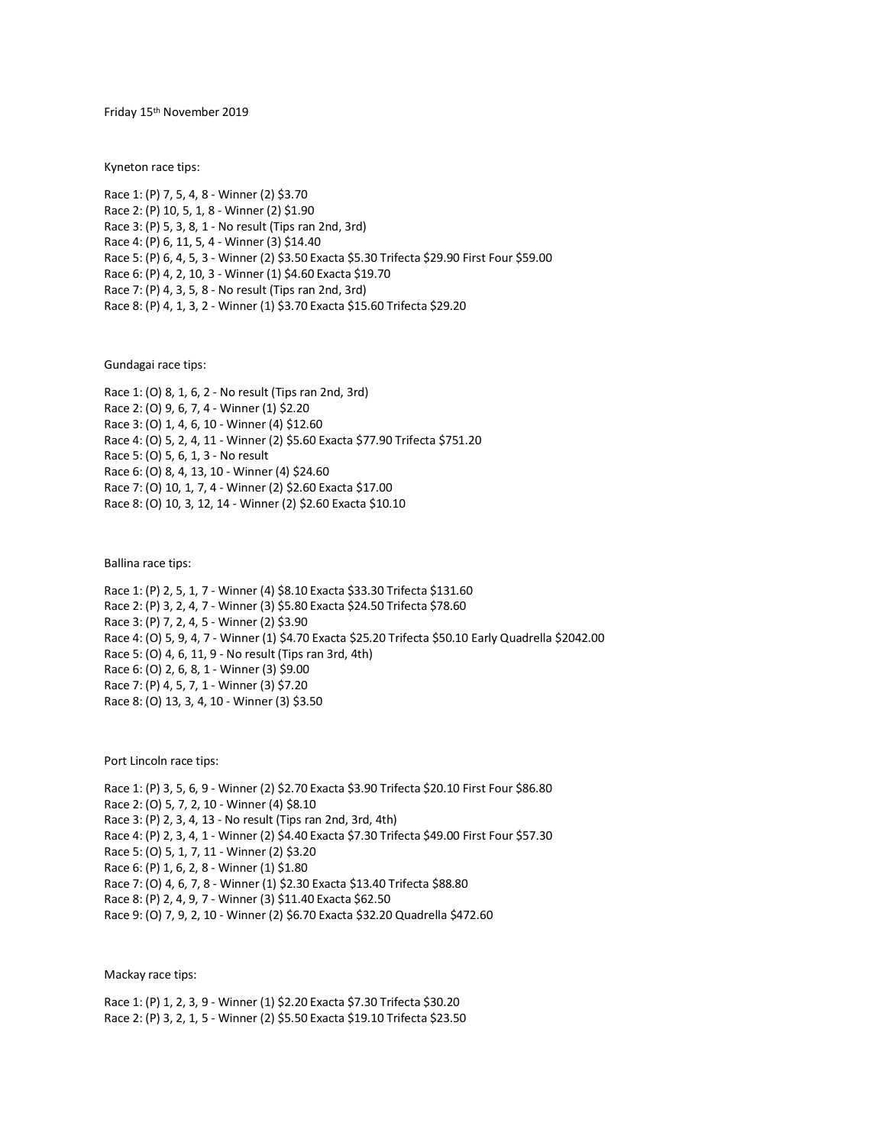Friday 15th November 2019

Kyneton race tips:

Race 1: (P) 7, 5, 4, 8 - Winner (2) \$3.70 Race 2: (P) 10, 5, 1, 8 - Winner (2) \$1.90 Race 3: (P) 5, 3, 8, 1 - No result (Tips ran 2nd, 3rd) Race 4: (P) 6, 11, 5, 4 - Winner (3) \$14.40 Race 5: (P) 6, 4, 5, 3 - Winner (2) \$3.50 Exacta \$5.30 Trifecta \$29.90 First Four \$59.00 Race 6: (P) 4, 2, 10, 3 - Winner (1) \$4.60 Exacta \$19.70 Race 7: (P) 4, 3, 5, 8 - No result (Tips ran 2nd, 3rd) Race 8: (P) 4, 1, 3, 2 - Winner (1) \$3.70 Exacta \$15.60 Trifecta \$29.20

Gundagai race tips:

Race 1: (O) 8, 1, 6, 2 - No result (Tips ran 2nd, 3rd) Race 2: (O) 9, 6, 7, 4 - Winner (1) \$2.20 Race 3: (O) 1, 4, 6, 10 - Winner (4) \$12.60 Race 4: (O) 5, 2, 4, 11 - Winner (2) \$5.60 Exacta \$77.90 Trifecta \$751.20 Race 5: (O) 5, 6, 1, 3 - No result Race 6: (O) 8, 4, 13, 10 - Winner (4) \$24.60 Race 7: (O) 10, 1, 7, 4 - Winner (2) \$2.60 Exacta \$17.00 Race 8: (O) 10, 3, 12, 14 - Winner (2) \$2.60 Exacta \$10.10

Ballina race tips:

Race 1: (P) 2, 5, 1, 7 - Winner (4) \$8.10 Exacta \$33.30 Trifecta \$131.60 Race 2: (P) 3, 2, 4, 7 - Winner (3) \$5.80 Exacta \$24.50 Trifecta \$78.60 Race 3: (P) 7, 2, 4, 5 - Winner (2) \$3.90 Race 4: (O) 5, 9, 4, 7 - Winner (1) \$4.70 Exacta \$25.20 Trifecta \$50.10 Early Quadrella \$2042.00 Race 5: (O) 4, 6, 11, 9 - No result (Tips ran 3rd, 4th) Race 6: (O) 2, 6, 8, 1 - Winner (3) \$9.00 Race 7: (P) 4, 5, 7, 1 - Winner (3) \$7.20 Race 8: (O) 13, 3, 4, 10 - Winner (3) \$3.50

Port Lincoln race tips:

Race 1: (P) 3, 5, 6, 9 - Winner (2) \$2.70 Exacta \$3.90 Trifecta \$20.10 First Four \$86.80 Race 2: (O) 5, 7, 2, 10 - Winner (4) \$8.10 Race 3: (P) 2, 3, 4, 13 - No result (Tips ran 2nd, 3rd, 4th) Race 4: (P) 2, 3, 4, 1 - Winner (2) \$4.40 Exacta \$7.30 Trifecta \$49.00 First Four \$57.30 Race 5: (O) 5, 1, 7, 11 - Winner (2) \$3.20 Race 6: (P) 1, 6, 2, 8 - Winner (1) \$1.80 Race 7: (O) 4, 6, 7, 8 - Winner (1) \$2.30 Exacta \$13.40 Trifecta \$88.80 Race 8: (P) 2, 4, 9, 7 - Winner (3) \$11.40 Exacta \$62.50 Race 9: (O) 7, 9, 2, 10 - Winner (2) \$6.70 Exacta \$32.20 Quadrella \$472.60

Mackay race tips:

Race 1: (P) 1, 2, 3, 9 - Winner (1) \$2.20 Exacta \$7.30 Trifecta \$30.20 Race 2: (P) 3, 2, 1, 5 - Winner (2) \$5.50 Exacta \$19.10 Trifecta \$23.50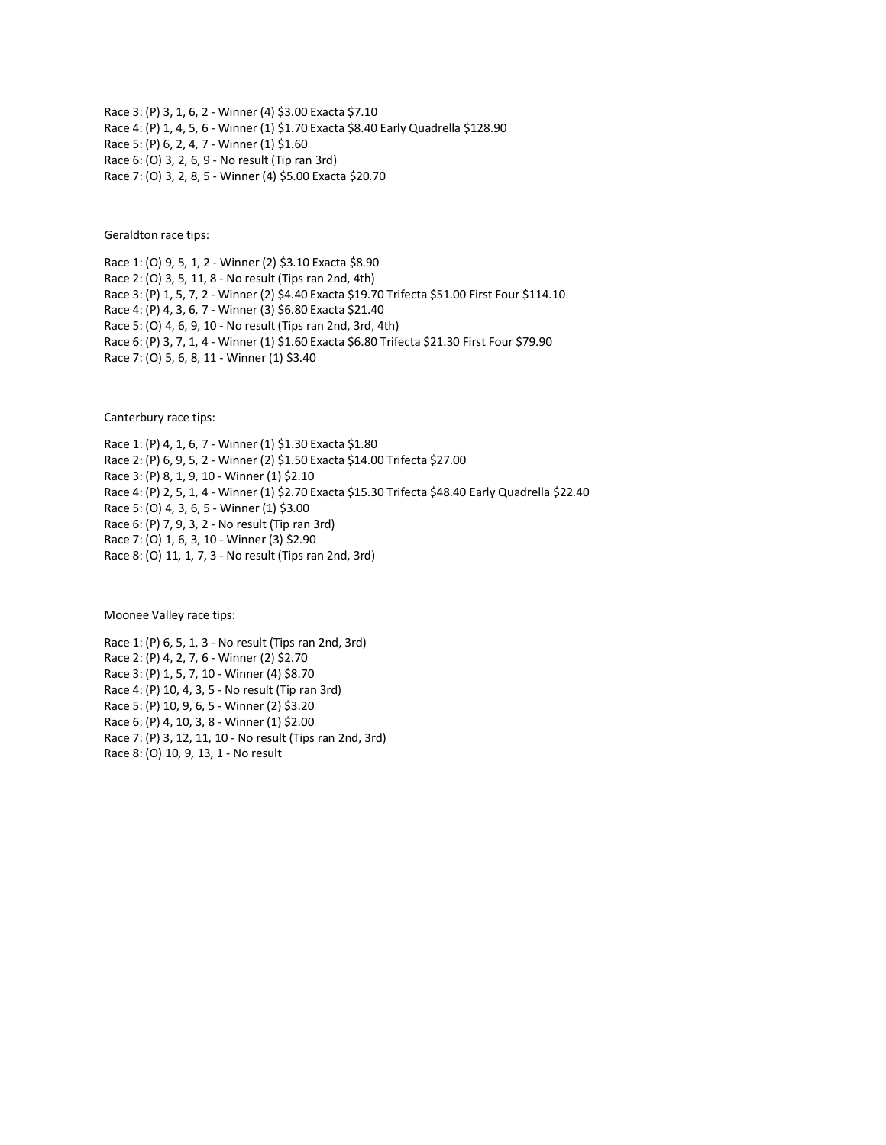Race 3: (P) 3, 1, 6, 2 - Winner (4) \$3.00 Exacta \$7.10 Race 4: (P) 1, 4, 5, 6 - Winner (1) \$1.70 Exacta \$8.40 Early Quadrella \$128.90 Race 5: (P) 6, 2, 4, 7 - Winner (1) \$1.60 Race 6: (O) 3, 2, 6, 9 - No result (Tip ran 3rd) Race 7: (O) 3, 2, 8, 5 - Winner (4) \$5.00 Exacta \$20.70

Geraldton race tips:

Race 1: (O) 9, 5, 1, 2 - Winner (2) \$3.10 Exacta \$8.90 Race 2: (O) 3, 5, 11, 8 - No result (Tips ran 2nd, 4th) Race 3: (P) 1, 5, 7, 2 - Winner (2) \$4.40 Exacta \$19.70 Trifecta \$51.00 First Four \$114.10 Race 4: (P) 4, 3, 6, 7 - Winner (3) \$6.80 Exacta \$21.40 Race 5: (O) 4, 6, 9, 10 - No result (Tips ran 2nd, 3rd, 4th) Race 6: (P) 3, 7, 1, 4 - Winner (1) \$1.60 Exacta \$6.80 Trifecta \$21.30 First Four \$79.90 Race 7: (O) 5, 6, 8, 11 - Winner (1) \$3.40

Canterbury race tips:

Race 1: (P) 4, 1, 6, 7 - Winner (1) \$1.30 Exacta \$1.80 Race 2: (P) 6, 9, 5, 2 - Winner (2) \$1.50 Exacta \$14.00 Trifecta \$27.00 Race 3: (P) 8, 1, 9, 10 - Winner (1) \$2.10 Race 4: (P) 2, 5, 1, 4 - Winner (1) \$2.70 Exacta \$15.30 Trifecta \$48.40 Early Quadrella \$22.40 Race 5: (O) 4, 3, 6, 5 - Winner (1) \$3.00 Race 6: (P) 7, 9, 3, 2 - No result (Tip ran 3rd) Race 7: (O) 1, 6, 3, 10 - Winner (3) \$2.90 Race 8: (O) 11, 1, 7, 3 - No result (Tips ran 2nd, 3rd)

Moonee Valley race tips:

Race 1: (P) 6, 5, 1, 3 - No result (Tips ran 2nd, 3rd) Race 2: (P) 4, 2, 7, 6 - Winner (2) \$2.70 Race 3: (P) 1, 5, 7, 10 - Winner (4) \$8.70 Race 4: (P) 10, 4, 3, 5 - No result (Tip ran 3rd) Race 5: (P) 10, 9, 6, 5 - Winner (2) \$3.20 Race 6: (P) 4, 10, 3, 8 - Winner (1) \$2.00 Race 7: (P) 3, 12, 11, 10 - No result (Tips ran 2nd, 3rd) Race 8: (O) 10, 9, 13, 1 - No result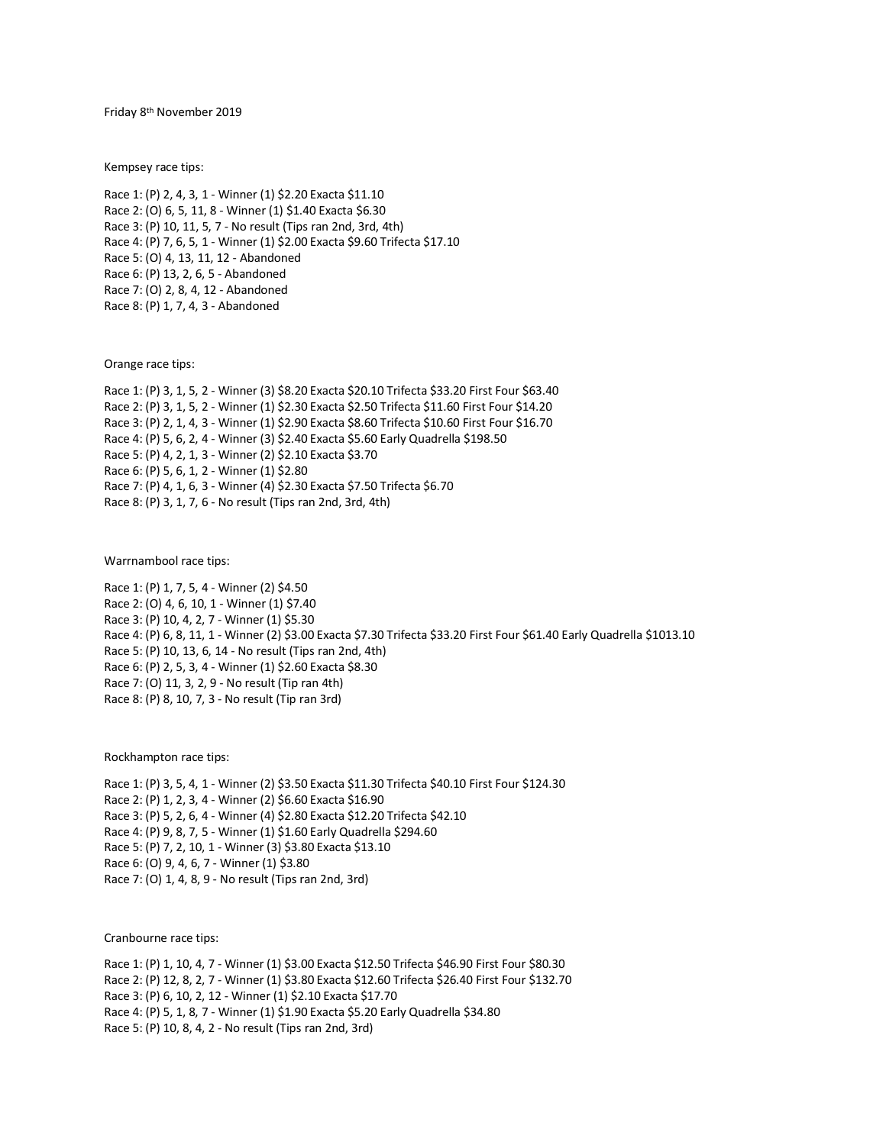Friday 8th November 2019

Kempsey race tips:

Race 1: (P) 2, 4, 3, 1 - Winner (1) \$2.20 Exacta \$11.10 Race 2: (O) 6, 5, 11, 8 - Winner (1) \$1.40 Exacta \$6.30 Race 3: (P) 10, 11, 5, 7 - No result (Tips ran 2nd, 3rd, 4th) Race 4: (P) 7, 6, 5, 1 - Winner (1) \$2.00 Exacta \$9.60 Trifecta \$17.10 Race 5: (O) 4, 13, 11, 12 - Abandoned Race 6: (P) 13, 2, 6, 5 - Abandoned Race 7: (O) 2, 8, 4, 12 - Abandoned Race 8: (P) 1, 7, 4, 3 - Abandoned

Orange race tips:

Race 1: (P) 3, 1, 5, 2 - Winner (3) \$8.20 Exacta \$20.10 Trifecta \$33.20 First Four \$63.40 Race 2: (P) 3, 1, 5, 2 - Winner (1) \$2.30 Exacta \$2.50 Trifecta \$11.60 First Four \$14.20 Race 3: (P) 2, 1, 4, 3 - Winner (1) \$2.90 Exacta \$8.60 Trifecta \$10.60 First Four \$16.70 Race 4: (P) 5, 6, 2, 4 - Winner (3) \$2.40 Exacta \$5.60 Early Quadrella \$198.50 Race 5: (P) 4, 2, 1, 3 - Winner (2) \$2.10 Exacta \$3.70 Race 6: (P) 5, 6, 1, 2 - Winner (1) \$2.80 Race 7: (P) 4, 1, 6, 3 - Winner (4) \$2.30 Exacta \$7.50 Trifecta \$6.70 Race 8: (P) 3, 1, 7, 6 - No result (Tips ran 2nd, 3rd, 4th)

Warrnambool race tips:

Race 1: (P) 1, 7, 5, 4 - Winner (2) \$4.50 Race 2: (O) 4, 6, 10, 1 - Winner (1) \$7.40 Race 3: (P) 10, 4, 2, 7 - Winner (1) \$5.30 Race 4: (P) 6, 8, 11, 1 - Winner (2) \$3.00 Exacta \$7.30 Trifecta \$33.20 First Four \$61.40 Early Quadrella \$1013.10 Race 5: (P) 10, 13, 6, 14 - No result (Tips ran 2nd, 4th) Race 6: (P) 2, 5, 3, 4 - Winner (1) \$2.60 Exacta \$8.30 Race 7: (O) 11, 3, 2, 9 - No result (Tip ran 4th) Race 8: (P) 8, 10, 7, 3 - No result (Tip ran 3rd)

Rockhampton race tips:

Race 1: (P) 3, 5, 4, 1 - Winner (2) \$3.50 Exacta \$11.30 Trifecta \$40.10 First Four \$124.30 Race 2: (P) 1, 2, 3, 4 - Winner (2) \$6.60 Exacta \$16.90 Race 3: (P) 5, 2, 6, 4 - Winner (4) \$2.80 Exacta \$12.20 Trifecta \$42.10 Race 4: (P) 9, 8, 7, 5 - Winner (1) \$1.60 Early Quadrella \$294.60 Race 5: (P) 7, 2, 10, 1 - Winner (3) \$3.80 Exacta \$13.10 Race 6: (O) 9, 4, 6, 7 - Winner (1) \$3.80 Race 7: (O) 1, 4, 8, 9 - No result (Tips ran 2nd, 3rd)

Cranbourne race tips:

Race 1: (P) 1, 10, 4, 7 - Winner (1) \$3.00 Exacta \$12.50 Trifecta \$46.90 First Four \$80.30 Race 2: (P) 12, 8, 2, 7 - Winner (1) \$3.80 Exacta \$12.60 Trifecta \$26.40 First Four \$132.70 Race 3: (P) 6, 10, 2, 12 - Winner (1) \$2.10 Exacta \$17.70 Race 4: (P) 5, 1, 8, 7 - Winner (1) \$1.90 Exacta \$5.20 Early Quadrella \$34.80 Race 5: (P) 10, 8, 4, 2 - No result (Tips ran 2nd, 3rd)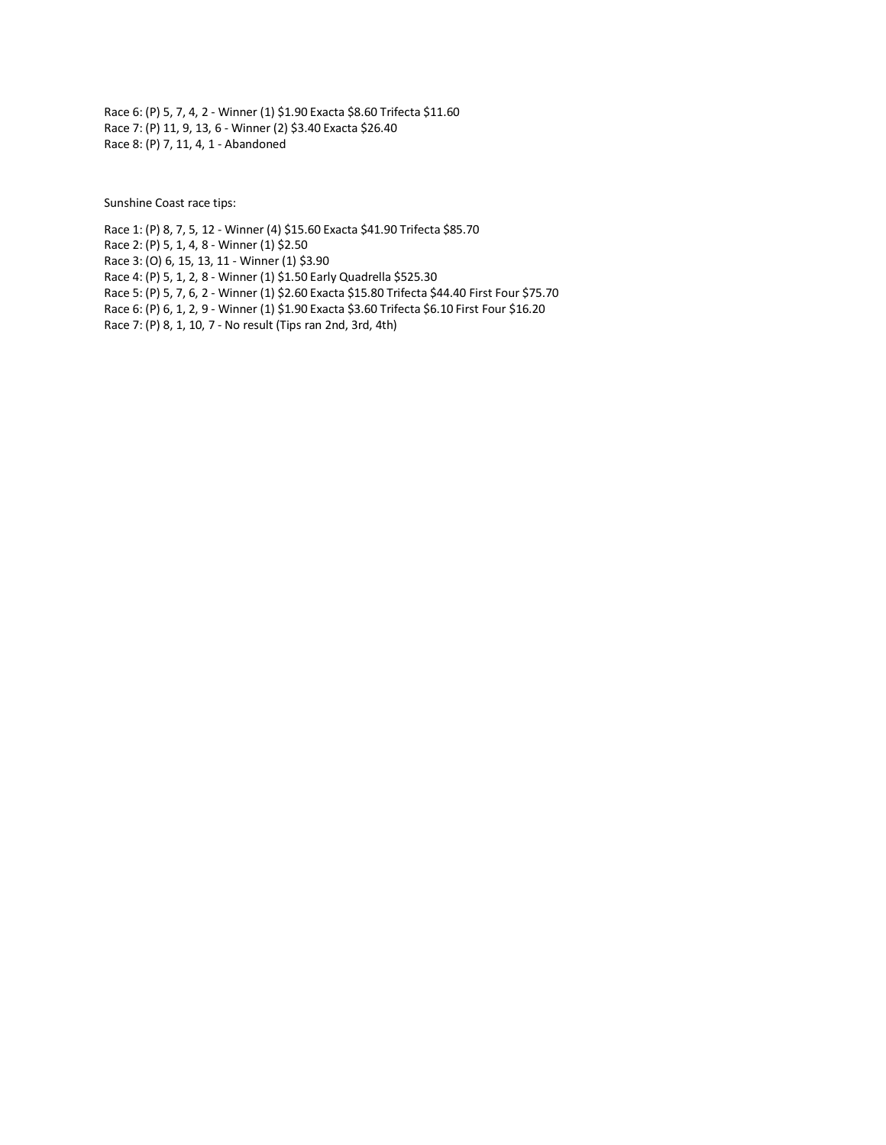Race 6: (P) 5, 7, 4, 2 - Winner (1) \$1.90 Exacta \$8.60 Trifecta \$11.60 Race 7: (P) 11, 9, 13, 6 - Winner (2) \$3.40 Exacta \$26.40 Race 8: (P) 7, 11, 4, 1 - Abandoned

Sunshine Coast race tips:

Race 1: (P) 8, 7, 5, 12 - Winner (4) \$15.60 Exacta \$41.90 Trifecta \$85.70

Race 2: (P) 5, 1, 4, 8 - Winner (1) \$2.50

Race 3: (O) 6, 15, 13, 11 - Winner (1) \$3.90

Race 4: (P) 5, 1, 2, 8 - Winner (1) \$1.50 Early Quadrella \$525.30

Race 5: (P) 5, 7, 6, 2 - Winner (1) \$2.60 Exacta \$15.80 Trifecta \$44.40 First Four \$75.70

Race 6: (P) 6, 1, 2, 9 - Winner (1) \$1.90 Exacta \$3.60 Trifecta \$6.10 First Four \$16.20

Race 7: (P) 8, 1, 10, 7 - No result (Tips ran 2nd, 3rd, 4th)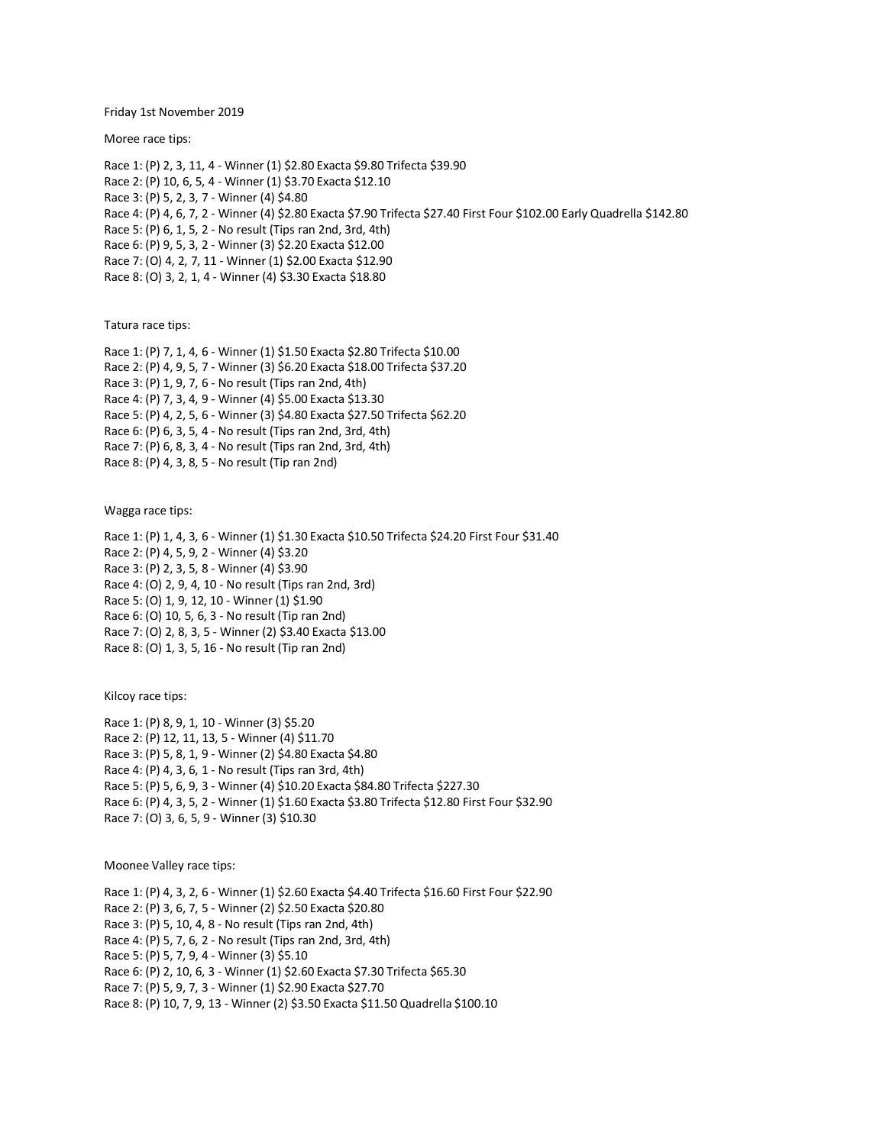Friday 1st November 2019

Moree race tips:

Race 1: (P) 2, 3, 11, 4 - Winner (1) \$2.80 Exacta \$9.80 Trifecta \$39.90 Race 2: (P) 10, 6, 5, 4 - Winner (1) \$3.70 Exacta \$12.10 Race 3: (P) 5, 2, 3, 7 - Winner (4) \$4.80 Race 4: (P) 4, 6, 7, 2 - Winner (4) \$2.80 Exacta \$7.90 Trifecta \$27.40 First Four \$102.00 Early Quadrella \$142.80 Race 5: (P) 6, 1, 5, 2 - No result (Tips ran 2nd, 3rd, 4th) Race 6: (P) 9, 5, 3, 2 - Winner (3) \$2.20 Exacta \$12.00 Race 7: (O) 4, 2, 7, 11 - Winner (1) \$2.00 Exacta \$12.90 Race 8: (O) 3, 2, 1, 4 - Winner (4) \$3.30 Exacta \$18.80

Tatura race tips:

Race 1: (P) 7, 1, 4, 6 - Winner (1) \$1.50 Exacta \$2.80 Trifecta \$10.00 Race 2: (P) 4, 9, 5, 7 - Winner (3) \$6.20 Exacta \$18.00 Trifecta \$37.20 Race 3: (P) 1, 9, 7, 6 - No result (Tips ran 2nd, 4th) Race 4: (P) 7, 3, 4, 9 - Winner (4) \$5.00 Exacta \$13.30 Race 5: (P) 4, 2, 5, 6 - Winner (3) \$4.80 Exacta \$27.50 Trifecta \$62.20 Race 6: (P) 6, 3, 5, 4 - No result (Tips ran 2nd, 3rd, 4th) Race 7: (P) 6, 8, 3, 4 - No result (Tips ran 2nd, 3rd, 4th) Race 8: (P) 4, 3, 8, 5 - No result (Tip ran 2nd)

Wagga race tips:

Race 1: (P) 1, 4, 3, 6 - Winner (1) \$1.30 Exacta \$10.50 Trifecta \$24.20 First Four \$31.40 Race 2: (P) 4, 5, 9, 2 - Winner (4) \$3.20 Race 3: (P) 2, 3, 5, 8 - Winner (4) \$3.90 Race 4: (O) 2, 9, 4, 10 - No result (Tips ran 2nd, 3rd) Race 5: (O) 1, 9, 12, 10 - Winner (1) \$1.90 Race 6: (O) 10, 5, 6, 3 - No result (Tip ran 2nd) Race 7: (O) 2, 8, 3, 5 - Winner (2) \$3.40 Exacta \$13.00 Race 8: (O) 1, 3, 5, 16 - No result (Tip ran 2nd)

Kilcoy race tips:

Race 1: (P) 8, 9, 1, 10 - Winner (3) \$5.20 Race 2: (P) 12, 11, 13, 5 - Winner (4) \$11.70 Race 3: (P) 5, 8, 1, 9 - Winner (2) \$4.80 Exacta \$4.80 Race 4: (P) 4, 3, 6, 1 - No result (Tips ran 3rd, 4th) Race 5: (P) 5, 6, 9, 3 - Winner (4) \$10.20 Exacta \$84.80 Trifecta \$227.30 Race 6: (P) 4, 3, 5, 2 - Winner (1) \$1.60 Exacta \$3.80 Trifecta \$12.80 First Four \$32.90 Race 7: (O) 3, 6, 5, 9 - Winner (3) \$10.30

Moonee Valley race tips:

Race 1: (P) 4, 3, 2, 6 - Winner (1) \$2.60 Exacta \$4.40 Trifecta \$16.60 First Four \$22.90 Race 2: (P) 3, 6, 7, 5 - Winner (2) \$2.50 Exacta \$20.80 Race 3: (P) 5, 10, 4, 8 - No result (Tips ran 2nd, 4th) Race 4: (P) 5, 7, 6, 2 - No result (Tips ran 2nd, 3rd, 4th) Race 5: (P) 5, 7, 9, 4 - Winner (3) \$5.10 Race 6: (P) 2, 10, 6, 3 - Winner (1) \$2.60 Exacta \$7.30 Trifecta \$65.30 Race 7: (P) 5, 9, 7, 3 - Winner (1) \$2.90 Exacta \$27.70 Race 8: (P) 10, 7, 9, 13 - Winner (2) \$3.50 Exacta \$11.50 Quadrella \$100.10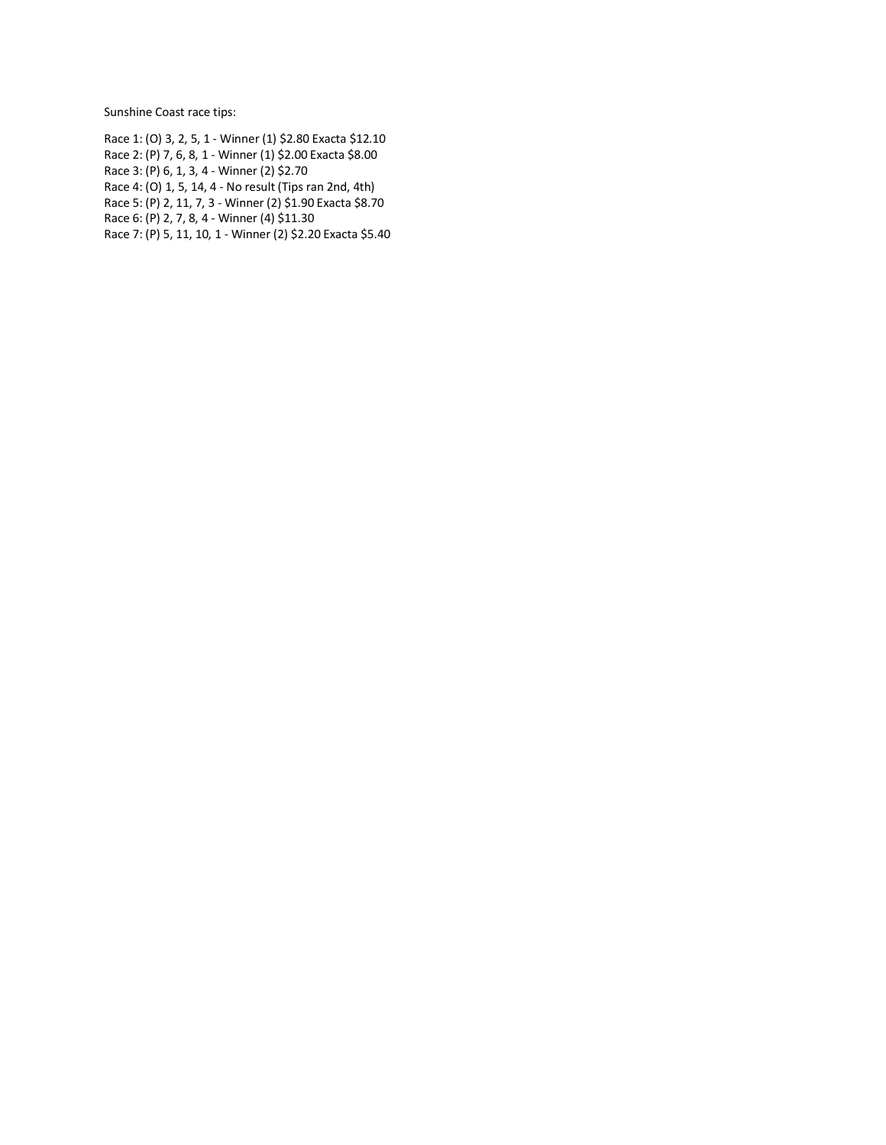Sunshine Coast race tips:

- Race 1: (O) 3, 2, 5, 1 Winner (1) \$2.80 Exacta \$12.10
- Race 2: (P) 7, 6, 8, 1 Winner (1) \$2.00 Exacta \$8.00
- Race 3: (P) 6, 1, 3, 4 Winner (2) \$2.70
- Race 4: (O) 1, 5, 14, 4 No result (Tips ran 2nd, 4th)
- Race 5: (P) 2, 11, 7, 3 Winner (2) \$1.90 Exacta \$8.70
- Race 6: (P) 2, 7, 8, 4 Winner (4) \$11.30
- Race 7: (P) 5, 11, 10, 1 Winner (2) \$2.20 Exacta \$5.40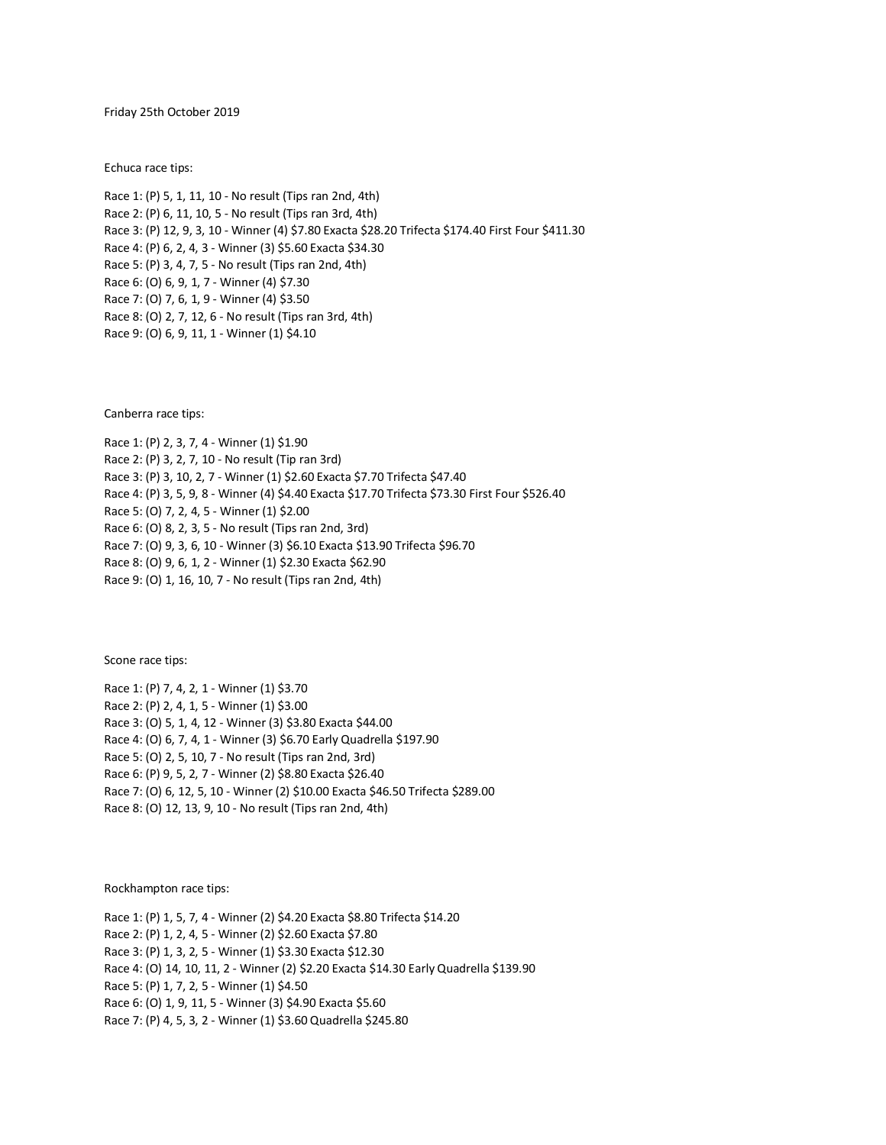Friday 25th October 2019

[Echuca](https://www.freehorseracingtipsaustralia.com.au/) race tips:

Race 1: (P) 5, 1, 11, 10 - No result (Tips ran 2nd, 4th) Race 2: (P) 6, 11, 10, 5 - No result (Tips ran 3rd, 4th) Race 3: (P) 12, 9, 3, 10 - Winner (4) \$7.80 Exacta \$28.20 Trifecta \$174.40 First Four \$411.30 Race 4: (P) 6, 2, 4, 3 - Winner (3) \$5.60 Exacta \$34.30 Race 5: (P) 3, 4, 7, 5 - No result (Tips ran 2nd, 4th) Race 6: (O) 6, 9, 1, 7 - Winner (4) \$7.30 Race 7: (O) 7, 6, 1, 9 - Winner (4) \$3.50 Race 8: (O) 2, 7, 12, 6 - No result (Tips ran 3rd, 4th) Race 9: (O) 6, 9, 11, 1 - Winner (1) \$4.10

Canberra race tips:

Race 1: (P) 2, 3, 7, 4 - Winner (1) \$1.90 Race 2: (P) 3, 2, 7, 10 - No result (Tip ran 3rd) Race 3: (P) 3, 10, 2, 7 - Winner (1) \$2.60 Exacta \$7.70 Trifecta \$47.40 Race 4: (P) 3, 5, 9, 8 - Winner (4) \$4.40 Exacta \$17.70 Trifecta \$73.30 First Four \$526.40 Race 5: (O) 7, 2, 4, 5 - Winner (1) \$2.00 Race 6: (O) 8, 2, 3, 5 - No result (Tips ran 2nd, 3rd) Race 7: (O) 9, 3, 6, 10 - Winner (3) \$6.10 Exacta \$13.90 Trifecta \$96.70 Race 8: (O) 9, 6, 1, 2 - Winner (1) \$2.30 Exacta \$62.90 Race 9: (O) 1, 16, 10, 7 - No result (Tips ran 2nd, 4th)

Scone race tips:

Race 1: (P) 7, 4, 2, 1 - Winner (1) \$3.70 Race 2: (P) 2, 4, 1, 5 - Winner (1) \$3.00 Race 3: (O) 5, 1, 4, 12 - Winner (3) \$3.80 Exacta \$44.00 Race 4: (O) 6, 7, 4, 1 - Winner (3) \$6.70 Early Quadrella \$197.90 Race 5: (O) 2, 5, 10, 7 - No result (Tips ran 2nd, 3rd) Race 6: (P) 9, 5, 2, 7 - Winner (2) \$8.80 Exacta \$26.40 Race 7: (O) 6, 12, 5, 10 - Winner (2) \$10.00 Exacta \$46.50 Trifecta \$289.00 Race 8: (O) 12, 13, 9, 10 - No result (Tips ran 2nd, 4th)

Rockhampton race tips:

Race 1: (P) 1, 5, 7, 4 - Winner (2) \$4.20 Exacta \$8.80 Trifecta \$14.20 Race 2: (P) 1, 2, 4, 5 - Winner (2) \$2.60 Exacta \$7.80 Race 3: (P) 1, 3, 2, 5 - Winner (1) \$3.30 Exacta \$12.30 Race 4: (O) 14, 10, 11, 2 - Winner (2) \$2.20 Exacta \$14.30 Early Quadrella \$139.90 Race 5: (P) 1, 7, 2, 5 - Winner (1) \$4.50 Race 6: (O) 1, 9, 11, 5 - Winner (3) \$4.90 Exacta \$5.60 Race 7: (P) 4, 5, 3, 2 - Winner (1) \$3.60 Quadrella \$245.80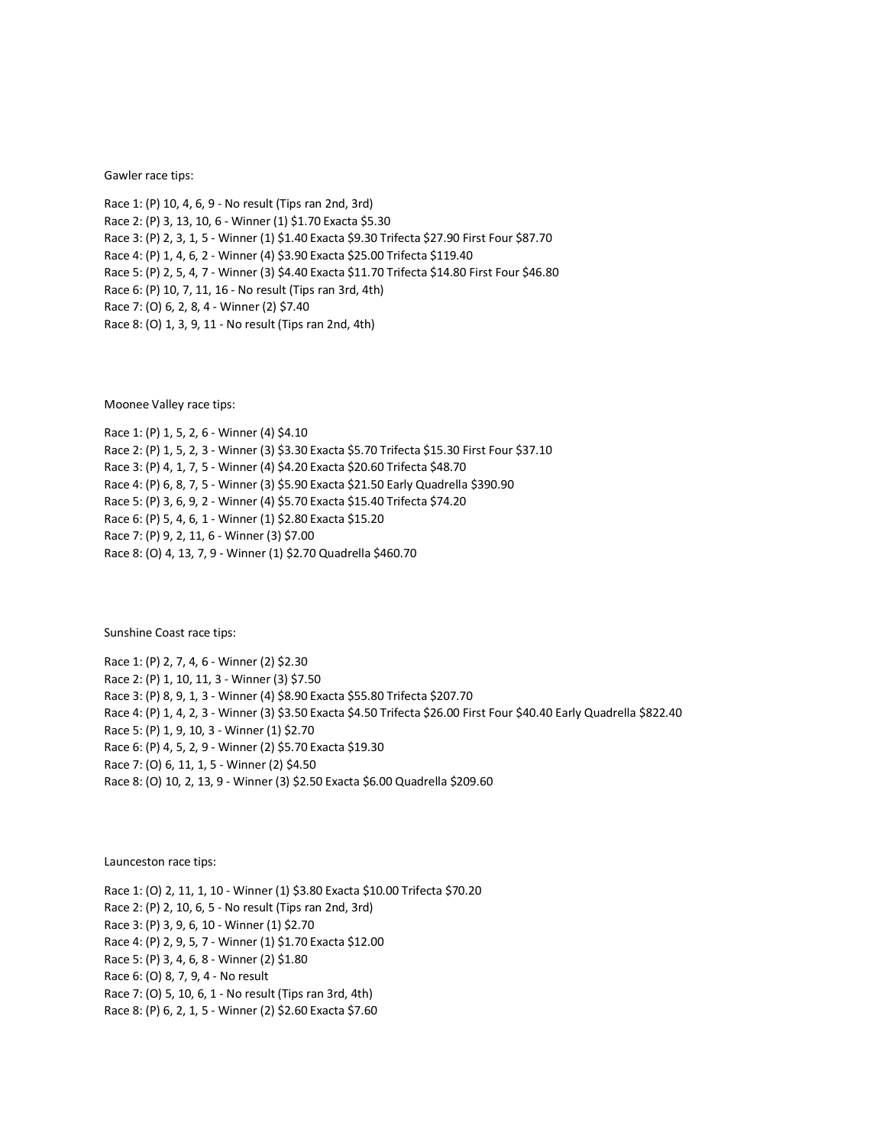Gawler race tips:

Race 1: (P) 10, 4, 6, 9 - No result (Tips ran 2nd, 3rd) Race 2: (P) 3, 13, 10, 6 - Winner (1) \$1.70 Exacta \$5.30 Race 3: (P) 2, 3, 1, 5 - Winner (1) \$1.40 Exacta \$9.30 Trifecta \$27.90 First Four \$87.70 Race 4: (P) 1, 4, 6, 2 - Winner (4) \$3.90 Exacta \$25.00 Trifecta \$119.40 Race 5: (P) 2, 5, 4, 7 - Winner (3) \$4.40 Exacta \$11.70 Trifecta \$14.80 First Four \$46.80 Race 6: (P) 10, 7, 11, 16 - No result (Tips ran 3rd, 4th) Race 7: (O) 6, 2, 8, 4 - Winner (2) \$7.40 Race 8: (O) 1, 3, 9, 11 - No result (Tips ran 2nd, 4th)

Moonee Valley race tips:

Race 1: (P) 1, 5, 2, 6 - Winner (4) \$4.10 Race 2: (P) 1, 5, 2, 3 - Winner (3) \$3.30 Exacta \$5.70 Trifecta \$15.30 First Four \$37.10 Race 3: (P) 4, 1, 7, 5 - Winner (4) \$4.20 Exacta \$20.60 Trifecta \$48.70 Race 4: (P) 6, 8, 7, 5 - Winner (3) \$5.90 Exacta \$21.50 Early Quadrella \$390.90 Race 5: (P) 3, 6, 9, 2 - Winner (4) \$5.70 Exacta \$15.40 Trifecta \$74.20 Race 6: (P) 5, 4, 6, 1 - Winner (1) \$2.80 Exacta \$15.20 Race 7: (P) 9, 2, 11, 6 - Winner (3) \$7.00 Race 8: (O) 4, 13, 7, 9 - Winner (1) \$2.70 Quadrella \$460.70

Sunshine Coast race tips:

Race 1: (P) 2, 7, 4, 6 - Winner (2) \$2.30 Race 2: (P) 1, 10, 11, 3 - Winner (3) \$7.50 Race 3: (P) 8, 9, 1, 3 - Winner (4) \$8.90 Exacta \$55.80 Trifecta \$207.70 Race 4: (P) 1, 4, 2, 3 - Winner (3) \$3.50 Exacta \$4.50 Trifecta \$26.00 First Four \$40.40 Early Quadrella \$822.40 Race 5: (P) 1, 9, 10, 3 - Winner (1) \$2.70 Race 6: (P) 4, 5, 2, 9 - Winner (2) \$5.70 Exacta \$19.30 Race 7: (O) 6, 11, 1, 5 - Winner (2) \$4.50 Race 8: (O) 10, 2, 13, 9 - Winner (3) \$2.50 Exacta \$6.00 Quadrella \$209.60

Launceston race tips:

Race 1: (O) 2, 11, 1, 10 - Winner (1) \$3.80 Exacta \$10.00 Trifecta \$70.20 Race 2: (P) 2, 10, 6, 5 - No result (Tips ran 2nd, 3rd) Race 3: (P) 3, 9, 6, 10 - Winner (1) \$2.70 Race 4: (P) 2, 9, 5, 7 - Winner (1) \$1.70 Exacta \$12.00 Race 5: (P) 3, 4, 6, 8 - Winner (2) \$1.80 Race 6: (O) 8, 7, 9, 4 - No result Race 7: (O) 5, 10, 6, 1 - No result (Tips ran 3rd, 4th) Race 8: (P) 6, 2, 1, 5 - Winner (2) \$2.60 Exacta \$7.60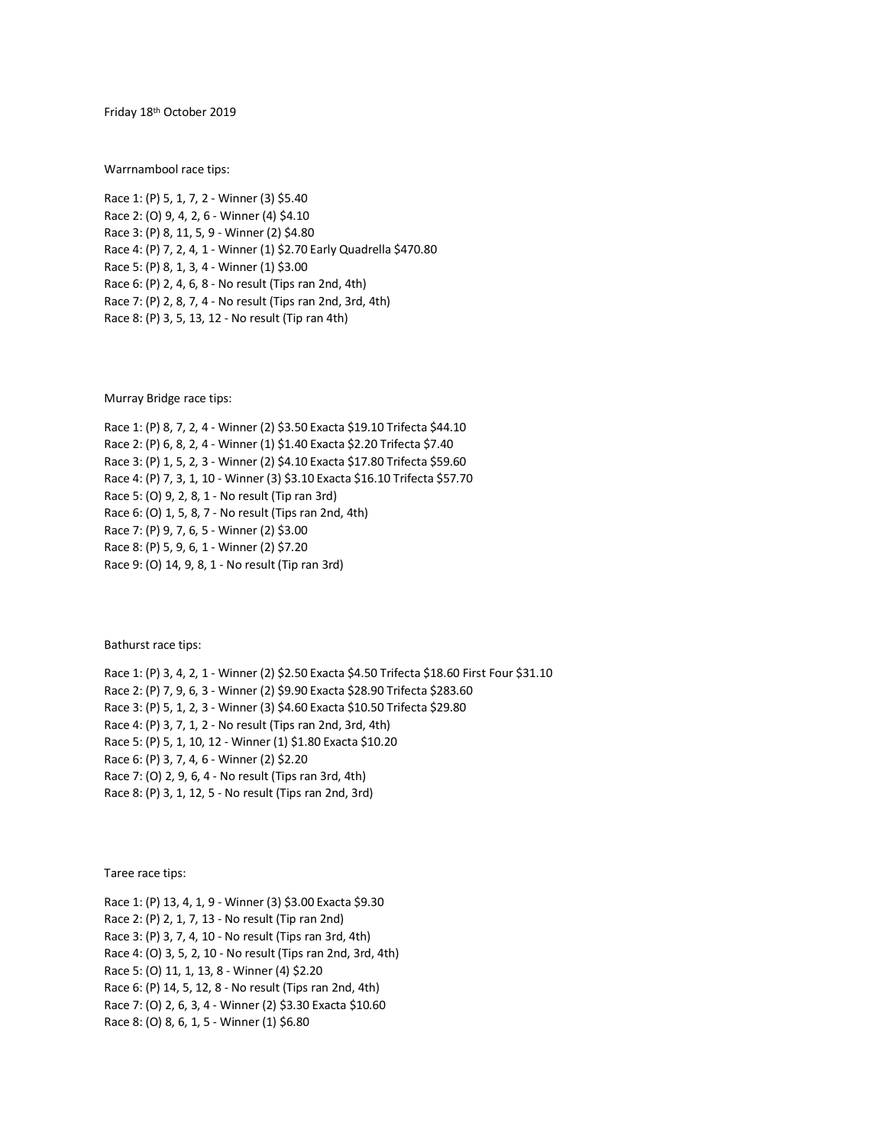Friday 18th October 2019

Warrnambool race tips:

Race 1: (P) 5, 1, 7, 2 - Winner (3) \$5.40 Race 2: (O) 9, 4, 2, 6 - Winner (4) \$4.10 Race 3: (P) 8, 11, 5, 9 - Winner (2) \$4.80 Race 4: (P) 7, 2, 4, 1 - Winner (1) \$2.70 Early Quadrella \$470.80 Race 5: (P) 8, 1, 3, 4 - Winner (1) \$3.00 Race 6: (P) 2, 4, 6, 8 - No result (Tips ran 2nd, 4th) Race 7: (P) 2, 8, 7, 4 - No result (Tips ran 2nd, 3rd, 4th) Race 8: (P) 3, 5, 13, 12 - No result (Tip ran 4th)

Murray Bridge race tips:

Race 1: (P) 8, 7, 2, 4 - Winner (2) \$3.50 Exacta \$19.10 Trifecta \$44.10 Race 2: (P) 6, 8, 2, 4 - Winner (1) \$1.40 Exacta \$2.20 Trifecta \$7.40 Race 3: (P) 1, 5, 2, 3 - Winner (2) \$4.10 Exacta \$17.80 Trifecta \$59.60 Race 4: (P) 7, 3, 1, 10 - Winner (3) \$3.10 Exacta \$16.10 Trifecta \$57.70 Race 5: (O) 9, 2, 8, 1 - No result (Tip ran 3rd) Race 6: (O) 1, 5, 8, 7 - No result (Tips ran 2nd, 4th) Race 7: (P) 9, 7, 6, 5 - Winner (2) \$3.00 Race 8: (P) 5, 9, 6, 1 - Winner (2) \$7.20

Race 9: (O) 14, 9, 8, 1 - No result (Tip ran 3rd)

Bathurst race tips:

Race 1: (P) 3, 4, 2, 1 - Winner (2) \$2.50 Exacta \$4.50 Trifecta \$18.60 First Four \$31.10 Race 2: (P) 7, 9, 6, 3 - Winner (2) \$9.90 Exacta \$28.90 Trifecta \$283.60 Race 3: (P) 5, 1, 2, 3 - Winner (3) \$4.60 Exacta \$10.50 Trifecta \$29.80 Race 4: (P) 3, 7, 1, 2 - No result (Tips ran 2nd, 3rd, 4th) Race 5: (P) 5, 1, 10, 12 - Winner (1) \$1.80 Exacta \$10.20 Race 6: (P) 3, 7, 4, 6 - Winner (2) \$2.20 Race 7: (O) 2, 9, 6, 4 - No result (Tips ran 3rd, 4th) Race 8: (P) 3, 1, 12, 5 - No result (Tips ran 2nd, 3rd)

Taree race tips:

Race 1: (P) 13, 4, 1, 9 - Winner (3) \$3.00 Exacta \$9.30 Race 2: (P) 2, 1, 7, 13 - No result (Tip ran 2nd) Race 3: (P) 3, 7, 4, 10 - No result (Tips ran 3rd, 4th) Race 4: (O) 3, 5, 2, 10 - No result (Tips ran 2nd, 3rd, 4th) Race 5: (O) 11, 1, 13, 8 - Winner (4) \$2.20 Race 6: (P) 14, 5, 12, 8 - No result (Tips ran 2nd, 4th) Race 7: (O) 2, 6, 3, 4 - Winner (2) \$3.30 Exacta \$10.60 Race 8: (O) 8, 6, 1, 5 - Winner (1) \$6.80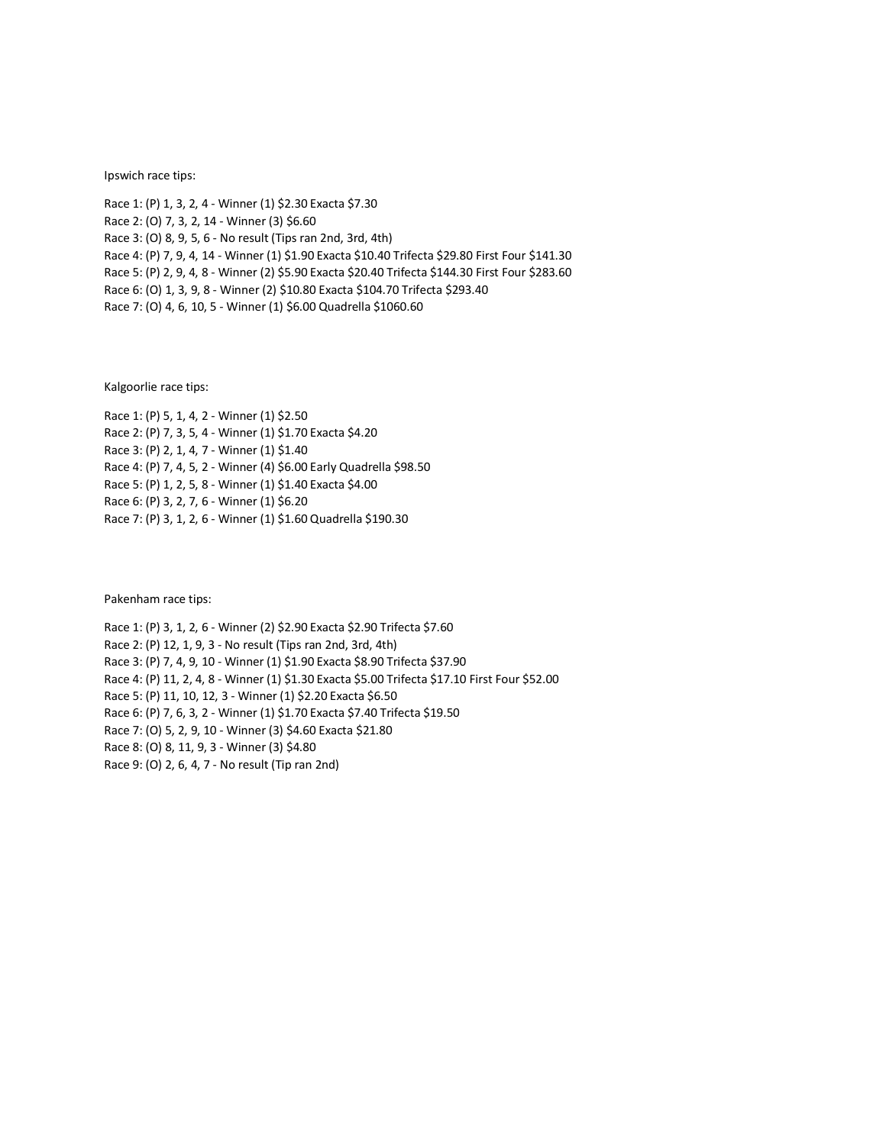## Ipswich race tips:

Race 1: (P) 1, 3, 2, 4 - Winner (1) \$2.30 Exacta \$7.30 Race 2: (O) 7, 3, 2, 14 - Winner (3) \$6.60 Race 3: (O) 8, 9, 5, 6 - No result (Tips ran 2nd, 3rd, 4th) Race 4: (P) 7, 9, 4, 14 - Winner (1) \$1.90 Exacta \$10.40 Trifecta \$29.80 First Four \$141.30 Race 5: (P) 2, 9, 4, 8 - Winner (2) \$5.90 Exacta \$20.40 Trifecta \$144.30 First Four \$283.60 Race 6: (O) 1, 3, 9, 8 - Winner (2) \$10.80 Exacta \$104.70 Trifecta \$293.40 Race 7: (O) 4, 6, 10, 5 - Winner (1) \$6.00 Quadrella \$1060.60

Kalgoorlie race tips:

Race 1: (P) 5, 1, 4, 2 - Winner (1) \$2.50 Race 2: (P) 7, 3, 5, 4 - Winner (1) \$1.70 Exacta \$4.20 Race 3: (P) 2, 1, 4, 7 - Winner (1) \$1.40 Race 4: (P) 7, 4, 5, 2 - Winner (4) \$6.00 Early Quadrella \$98.50 Race 5: (P) 1, 2, 5, 8 - Winner (1) \$1.40 Exacta \$4.00 Race 6: (P) 3, 2, 7, 6 - Winner (1) \$6.20 Race 7: (P) 3, 1, 2, 6 - Winner (1) \$1.60 Quadrella \$190.30

Pakenham race tips:

Race 1: (P) 3, 1, 2, 6 - Winner (2) \$2.90 Exacta \$2.90 Trifecta \$7.60 Race 2: (P) 12, 1, 9, 3 - No result (Tips ran 2nd, 3rd, 4th) Race 3: (P) 7, 4, 9, 10 - Winner (1) \$1.90 Exacta \$8.90 Trifecta \$37.90 Race 4: (P) 11, 2, 4, 8 - Winner (1) \$1.30 Exacta \$5.00 Trifecta \$17.10 First Four \$52.00 Race 5: (P) 11, 10, 12, 3 - Winner (1) \$2.20 Exacta \$6.50 Race 6: (P) 7, 6, 3, 2 - Winner (1) \$1.70 Exacta \$7.40 Trifecta \$19.50 Race 7: (O) 5, 2, 9, 10 - Winner (3) \$4.60 Exacta \$21.80 Race 8: (O) 8, 11, 9, 3 - Winner (3) \$4.80 Race 9: (O) 2, 6, 4, 7 - No result (Tip ran 2nd)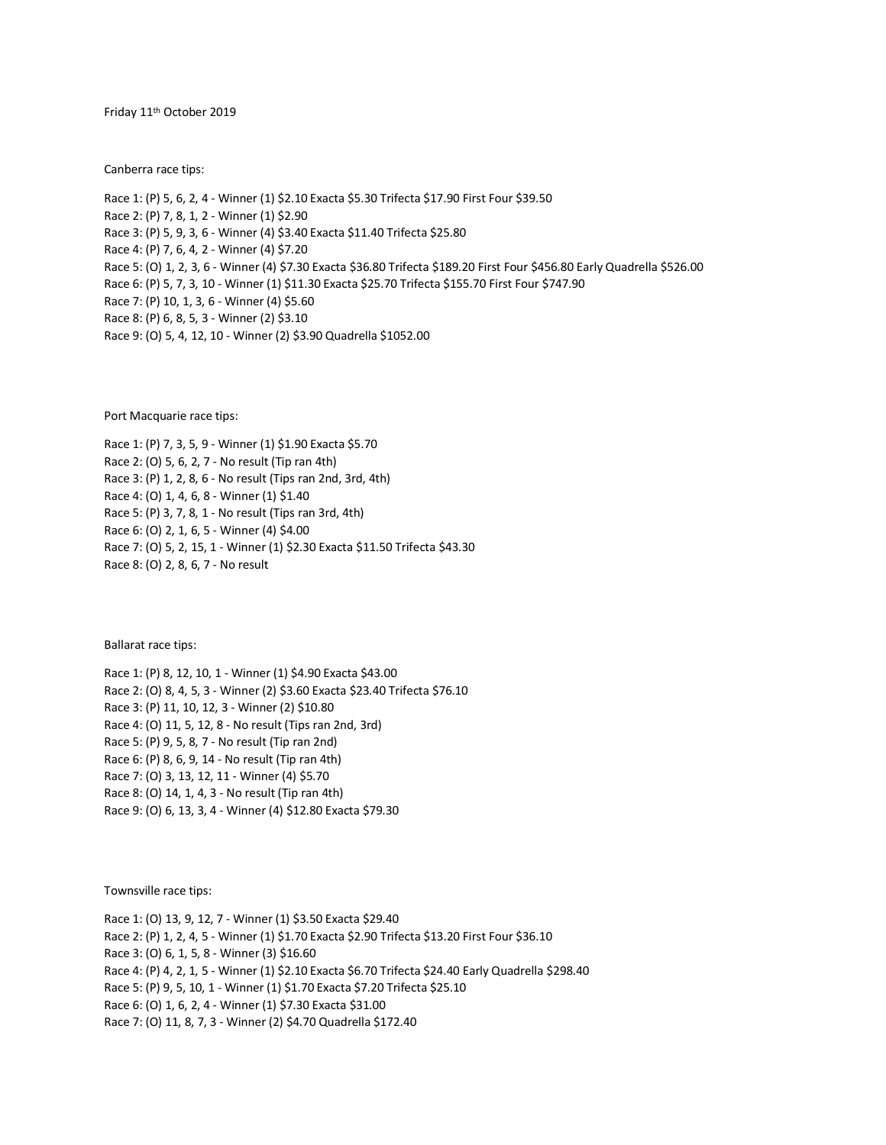Friday 11th October 2019

Canberra race tips:

Race 1: (P) 5, 6, 2, 4 - Winner (1) \$2.10 Exacta \$5.30 Trifecta \$17.90 First Four \$39.50 Race 2: (P) 7, 8, 1, 2 - Winner (1) \$2.90 Race 3: (P) 5, 9, 3, 6 - Winner (4) \$3.40 Exacta \$11.40 Trifecta \$25.80 Race 4: (P) 7, 6, 4, 2 - Winner (4) \$7.20 Race 5: (O) 1, 2, 3, 6 - Winner (4) \$7.30 Exacta \$36.80 Trifecta \$189.20 First Four \$456.80 Early Quadrella \$526.00 Race 6: (P) 5, 7, 3, 10 - Winner (1) \$11.30 Exacta \$25.70 Trifecta \$155.70 First Four \$747.90 Race 7: (P) 10, 1, 3, 6 - Winner (4) \$5.60 Race 8: (P) 6, 8, 5, 3 - Winner (2) \$3.10 Race 9: (O) 5, 4, 12, 10 - Winner (2) \$3.90 Quadrella \$1052.00

Port Macquarie race tips:

Race 1: (P) 7, 3, 5, 9 - Winner (1) \$1.90 Exacta \$5.70 Race 2: (O) 5, 6, 2, 7 - No result (Tip ran 4th) Race 3: (P) 1, 2, 8, 6 - No result (Tips ran 2nd, 3rd, 4th) Race 4: (O) 1, 4, 6, 8 - Winner (1) \$1.40 Race 5: (P) 3, 7, 8, 1 - No result (Tips ran 3rd, 4th) Race 6: (O) 2, 1, 6, 5 - Winner (4) \$4.00 Race 7: (O) 5, 2, 15, 1 - Winner (1) \$2.30 Exacta \$11.50 Trifecta \$43.30 Race 8: (O) 2, 8, 6, 7 - No result

Ballarat race tips:

Race 1: (P) 8, 12, 10, 1 - Winner (1) \$4.90 Exacta \$43.00 Race 2: (O) 8, 4, 5, 3 - Winner (2) \$3.60 Exacta \$23.40 Trifecta \$76.10 Race 3: (P) 11, 10, 12, 3 - Winner (2) \$10.80 Race 4: (O) 11, 5, 12, 8 - No result (Tips ran 2nd, 3rd) Race 5: (P) 9, 5, 8, 7 - No result (Tip ran 2nd) Race 6: (P) 8, 6, 9, 14 - No result (Tip ran 4th) Race 7: (O) 3, 13, 12, 11 - Winner (4) \$5.70 Race 8: (O) 14, 1, 4, 3 - No result (Tip ran 4th) Race 9: (O) 6, 13, 3, 4 - Winner (4) \$12.80 Exacta \$79.30

Townsville race tips:

Race 1: (O) 13, 9, 12, 7 - Winner (1) \$3.50 Exacta \$29.40 Race 2: (P) 1, 2, 4, 5 - Winner (1) \$1.70 Exacta \$2.90 Trifecta \$13.20 First Four \$36.10 Race 3: (O) 6, 1, 5, 8 - Winner (3) \$16.60 Race 4: (P) 4, 2, 1, 5 - Winner (1) \$2.10 Exacta \$6.70 Trifecta \$24.40 Early Quadrella \$298.40 Race 5: (P) 9, 5, 10, 1 - Winner (1) \$1.70 Exacta \$7.20 Trifecta \$25.10 Race 6: (O) 1, 6, 2, 4 - Winner (1) \$7.30 Exacta \$31.00 Race 7: (O) 11, 8, 7, 3 - Winner (2) \$4.70 Quadrella \$172.40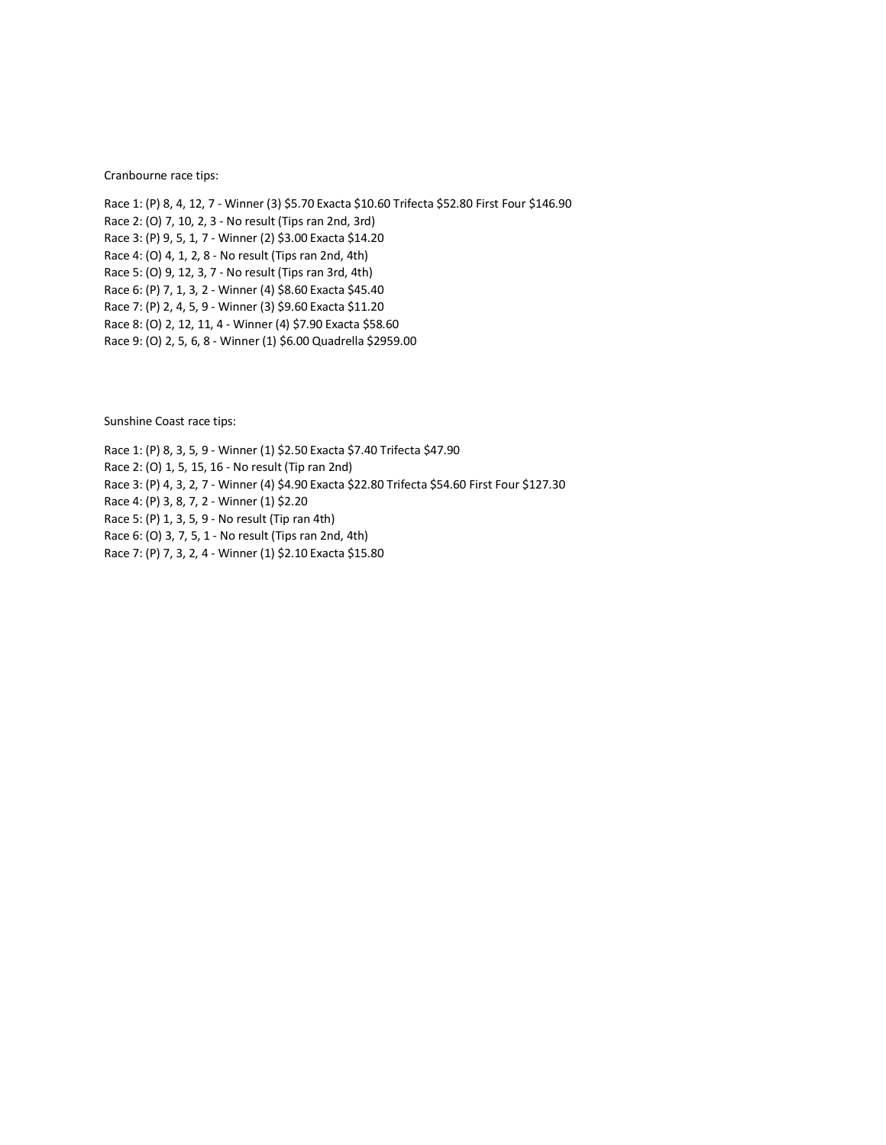Cranbourne race tips:

Race 1: (P) 8, 4, 12, 7 - Winner (3) \$5.70 Exacta \$10.60 Trifecta \$52.80 First Four \$146.90 Race 2: (O) 7, 10, 2, 3 - No result (Tips ran 2nd, 3rd) Race 3: (P) 9, 5, 1, 7 - Winner (2) \$3.00 Exacta \$14.20 Race 4: (O) 4, 1, 2, 8 - No result (Tips ran 2nd, 4th) Race 5: (O) 9, 12, 3, 7 - No result (Tips ran 3rd, 4th) Race 6: (P) 7, 1, 3, 2 - Winner (4) \$8.60 Exacta \$45.40 Race 7: (P) 2, 4, 5, 9 - Winner (3) \$9.60 Exacta \$11.20 Race 8: (O) 2, 12, 11, 4 - Winner (4) \$7.90 Exacta \$58.60 Race 9: (O) 2, 5, 6, 8 - Winner (1) \$6.00 Quadrella \$2959.00

Sunshine Coast race tips:

Race 1: (P) 8, 3, 5, 9 - Winner (1) \$2.50 Exacta \$7.40 Trifecta \$47.90 Race 2: (O) 1, 5, 15, 16 - No result (Tip ran 2nd) Race 3: (P) 4, 3, 2, 7 - Winner (4) \$4.90 Exacta \$22.80 Trifecta \$54.60 First Four \$127.30 Race 4: (P) 3, 8, 7, 2 - Winner (1) \$2.20 Race 5: (P) 1, 3, 5, 9 - No result (Tip ran 4th) Race 6: (O) 3, 7, 5, 1 - No result (Tips ran 2nd, 4th) Race 7: (P) 7, 3, 2, 4 - Winner (1) \$2.10 Exacta \$15.80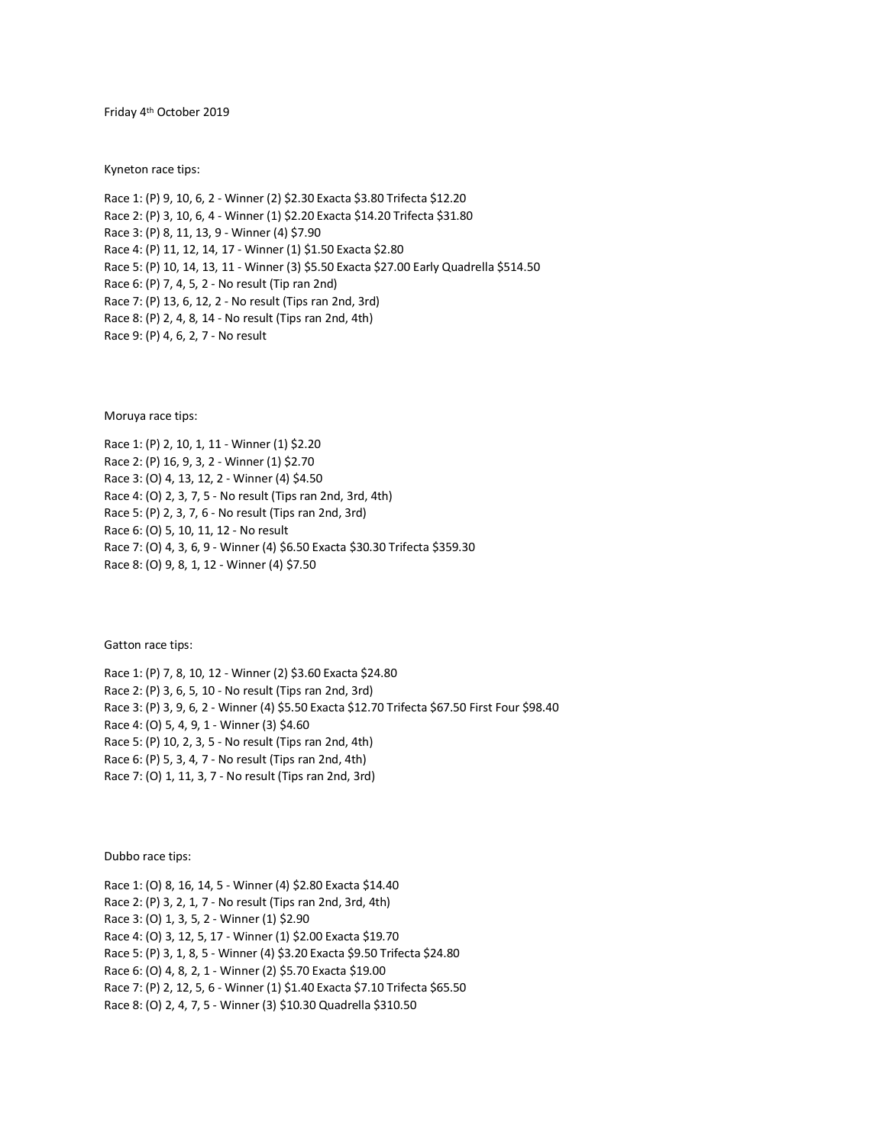Friday 4th October 2019

Kyneton race tips:

Race 1: (P) 9, 10, 6, 2 - Winner (2) \$2.30 Exacta \$3.80 Trifecta \$12.20 Race 2: (P) 3, 10, 6, 4 - Winner (1) \$2.20 Exacta \$14.20 Trifecta \$31.80 Race 3: (P) 8, 11, 13, 9 - Winner (4) \$7.90 Race 4: (P) 11, 12, 14, 17 - Winner (1) \$1.50 Exacta \$2.80 Race 5: (P) 10, 14, 13, 11 - Winner (3) \$5.50 Exacta \$27.00 Early Quadrella \$514.50 Race 6: (P) 7, 4, 5, 2 - No result (Tip ran 2nd) Race 7: (P) 13, 6, 12, 2 - No result (Tips ran 2nd, 3rd) Race 8: (P) 2, 4, 8, 14 - No result (Tips ran 2nd, 4th) Race 9: (P) 4, 6, 2, 7 - No result

Moruya race tips:

Race 1: (P) 2, 10, 1, 11 - Winner (1) \$2.20 Race 2: (P) 16, 9, 3, 2 - Winner (1) \$2.70 Race 3: (O) 4, 13, 12, 2 - Winner (4) \$4.50 Race 4: (O) 2, 3, 7, 5 - No result (Tips ran 2nd, 3rd, 4th) Race 5: (P) 2, 3, 7, 6 - No result (Tips ran 2nd, 3rd) Race 6: (O) 5, 10, 11, 12 - No result Race 7: (O) 4, 3, 6, 9 - Winner (4) \$6.50 Exacta \$30.30 Trifecta \$359.30 Race 8: (O) 9, 8, 1, 12 - Winner (4) \$7.50

Gatton race tips:

Race 1: (P) 7, 8, 10, 12 - Winner (2) \$3.60 Exacta \$24.80 Race 2: (P) 3, 6, 5, 10 - No result (Tips ran 2nd, 3rd) Race 3: (P) 3, 9, 6, 2 - Winner (4) \$5.50 Exacta \$12.70 Trifecta \$67.50 First Four \$98.40 Race 4: (O) 5, 4, 9, 1 - Winner (3) \$4.60 Race 5: (P) 10, 2, 3, 5 - No result (Tips ran 2nd, 4th) Race 6: (P) 5, 3, 4, 7 - No result (Tips ran 2nd, 4th) Race 7: (O) 1, 11, 3, 7 - No result (Tips ran 2nd, 3rd)

Dubbo race tips:

Race 1: (O) 8, 16, 14, 5 - Winner (4) \$2.80 Exacta \$14.40 Race 2: (P) 3, 2, 1, 7 - No result (Tips ran 2nd, 3rd, 4th) Race 3: (O) 1, 3, 5, 2 - Winner (1) \$2.90 Race 4: (O) 3, 12, 5, 17 - Winner (1) \$2.00 Exacta \$19.70 Race 5: (P) 3, 1, 8, 5 - Winner (4) \$3.20 Exacta \$9.50 Trifecta \$24.80 Race 6: (O) 4, 8, 2, 1 - Winner (2) \$5.70 Exacta \$19.00 Race 7: (P) 2, 12, 5, 6 - Winner (1) \$1.40 Exacta \$7.10 Trifecta \$65.50 Race 8: (O) 2, 4, 7, 5 - Winner (3) \$10.30 Quadrella \$310.50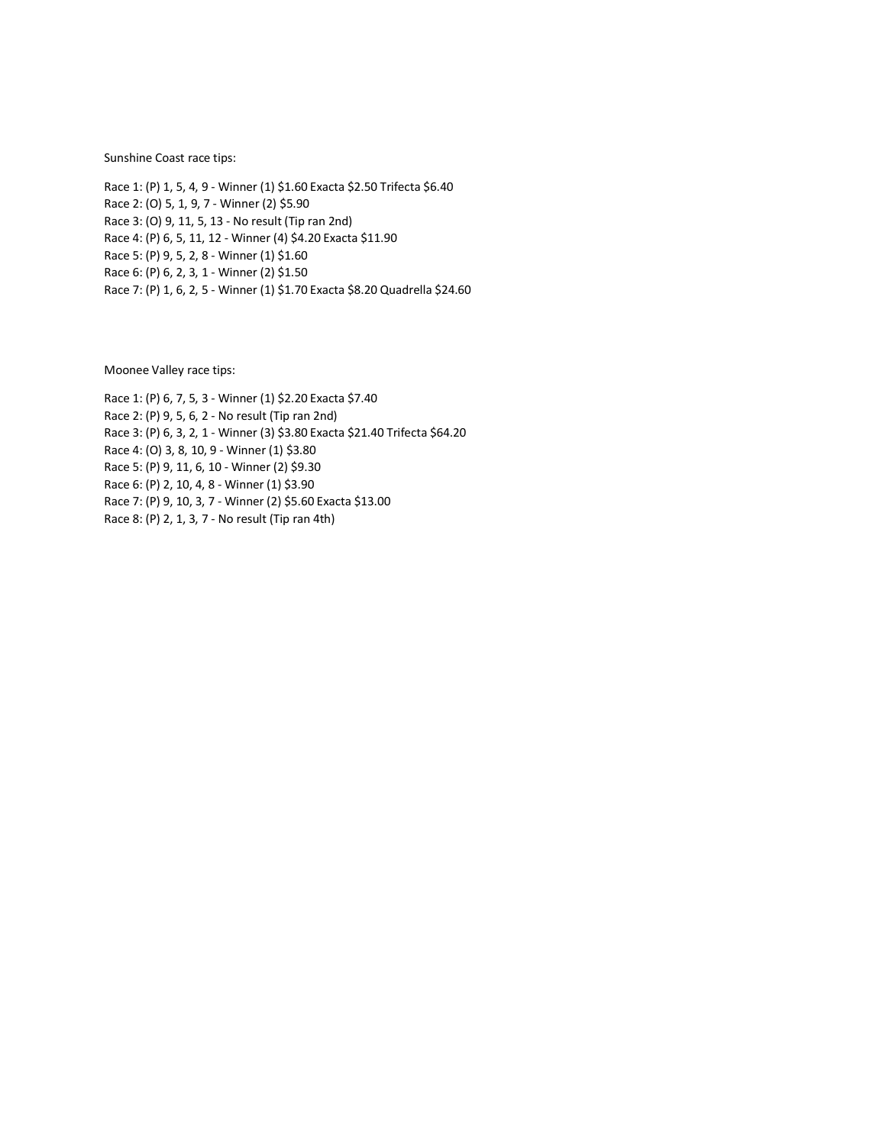Sunshine Coast race tips:

Race 1: (P) 1, 5, 4, 9 - Winner (1) \$1.60 Exacta \$2.50 Trifecta \$6.40 Race 2: (O) 5, 1, 9, 7 - Winner (2) \$5.90 Race 3: (O) 9, 11, 5, 13 - No result (Tip ran 2nd) Race 4: (P) 6, 5, 11, 12 - Winner (4) \$4.20 Exacta \$11.90 Race 5: (P) 9, 5, 2, 8 - Winner (1) \$1.60 Race 6: (P) 6, 2, 3, 1 - Winner (2) \$1.50 Race 7: (P) 1, 6, 2, 5 - Winner (1) \$1.70 Exacta \$8.20 Quadrella \$24.60

Moonee Valley race tips:

Race 1: (P) 6, 7, 5, 3 - Winner (1) \$2.20 Exacta \$7.40 Race 2: (P) 9, 5, 6, 2 - No result (Tip ran 2nd) Race 3: (P) 6, 3, 2, 1 - Winner (3) \$3.80 Exacta \$21.40 Trifecta \$64.20 Race 4: (O) 3, 8, 10, 9 - Winner (1) \$3.80 Race 5: (P) 9, 11, 6, 10 - Winner (2) \$9.30 Race 6: (P) 2, 10, 4, 8 - Winner (1) \$3.90 Race 7: (P) 9, 10, 3, 7 - Winner (2) \$5.60 Exacta \$13.00 Race 8: (P) 2, 1, 3, 7 - No result (Tip ran 4th)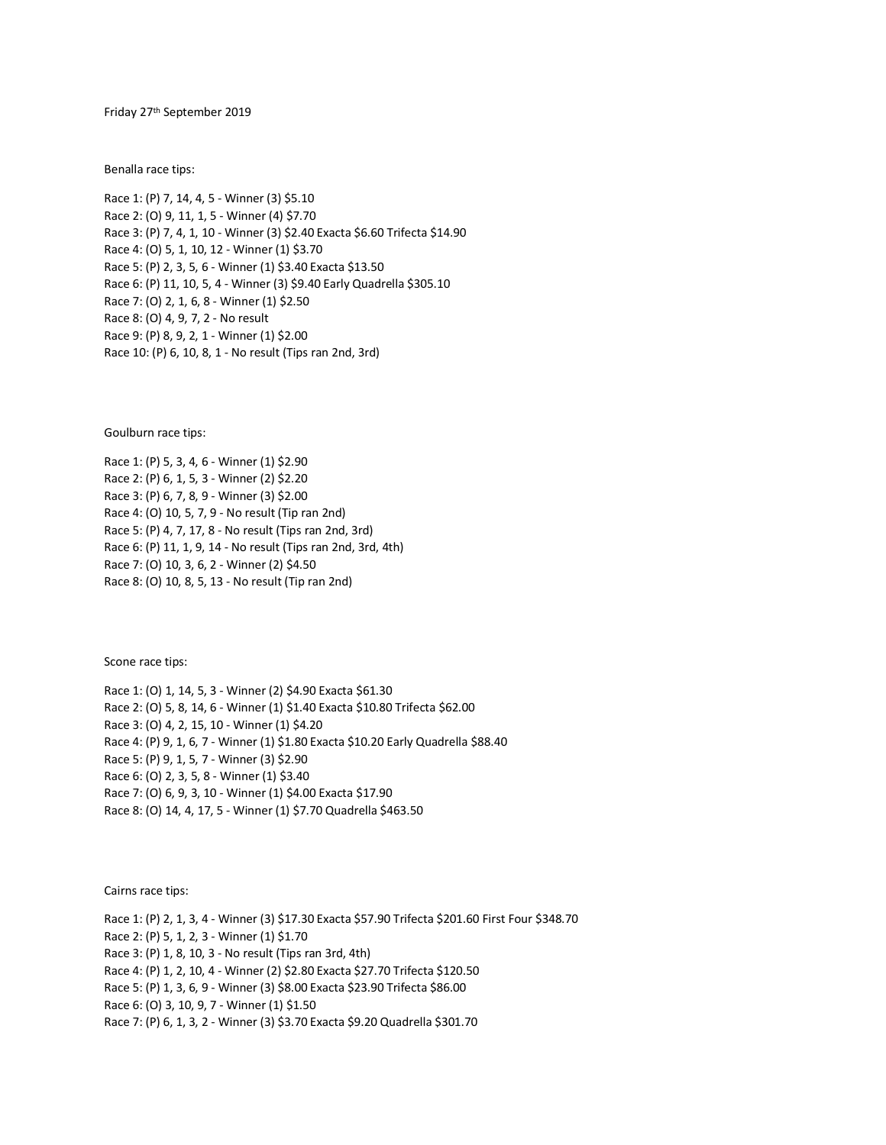Friday 27th September 2019

Benalla race tips:

Race 1: (P) 7, 14, 4, 5 - Winner (3) \$5.10 Race 2: (O) 9, 11, 1, 5 - Winner (4) \$7.70 Race 3: (P) 7, 4, 1, 10 - Winner (3) \$2.40 Exacta \$6.60 Trifecta \$14.90 Race 4: (O) 5, 1, 10, 12 - Winner (1) \$3.70 Race 5: (P) 2, 3, 5, 6 - Winner (1) \$3.40 Exacta \$13.50 Race 6: (P) 11, 10, 5, 4 - Winner (3) \$9.40 Early Quadrella \$305.10 Race 7: (O) 2, 1, 6, 8 - Winner (1) \$2.50 Race 8: (O) 4, 9, 7, 2 - No result Race 9: (P) 8, 9, 2, 1 - Winner (1) \$2.00 Race 10: (P) 6, 10, 8, 1 - No result (Tips ran 2nd, 3rd)

Goulburn race tips:

Race 1: (P) 5, 3, 4, 6 - Winner (1) \$2.90 Race 2: (P) 6, 1, 5, 3 - Winner (2) \$2.20 Race 3: (P) 6, 7, 8, 9 - Winner (3) \$2.00 Race 4: (O) 10, 5, 7, 9 - No result (Tip ran 2nd) Race 5: (P) 4, 7, 17, 8 - No result (Tips ran 2nd, 3rd) Race 6: (P) 11, 1, 9, 14 - No result (Tips ran 2nd, 3rd, 4th) Race 7: (O) 10, 3, 6, 2 - Winner (2) \$4.50 Race 8: (O) 10, 8, 5, 13 - No result (Tip ran 2nd)

Scone race tips:

Race 1: (O) 1, 14, 5, 3 - Winner (2) \$4.90 Exacta \$61.30 Race 2: (O) 5, 8, 14, 6 - Winner (1) \$1.40 Exacta \$10.80 Trifecta \$62.00 Race 3: (O) 4, 2, 15, 10 - Winner (1) \$4.20 Race 4: (P) 9, 1, 6, 7 - Winner (1) \$1.80 Exacta \$10.20 Early Quadrella \$88.40 Race 5: (P) 9, 1, 5, 7 - Winner (3) \$2.90 Race 6: (O) 2, 3, 5, 8 - Winner (1) \$3.40 Race 7: (O) 6, 9, 3, 10 - Winner (1) \$4.00 Exacta \$17.90 Race 8: (O) 14, 4, 17, 5 - Winner (1) \$7.70 Quadrella \$463.50

Cairns race tips:

Race 1: (P) 2, 1, 3, 4 - Winner (3) \$17.30 Exacta \$57.90 Trifecta \$201.60 First Four \$348.70 Race 2: (P) 5, 1, 2, 3 - Winner (1) \$1.70 Race 3: (P) 1, 8, 10, 3 - No result (Tips ran 3rd, 4th) Race 4: (P) 1, 2, 10, 4 - Winner (2) \$2.80 Exacta \$27.70 Trifecta \$120.50 Race 5: (P) 1, 3, 6, 9 - Winner (3) \$8.00 Exacta \$23.90 Trifecta \$86.00 Race 6: (O) 3, 10, 9, 7 - Winner (1) \$1.50 Race 7: (P) 6, 1, 3, 2 - Winner (3) \$3.70 Exacta \$9.20 Quadrella \$301.70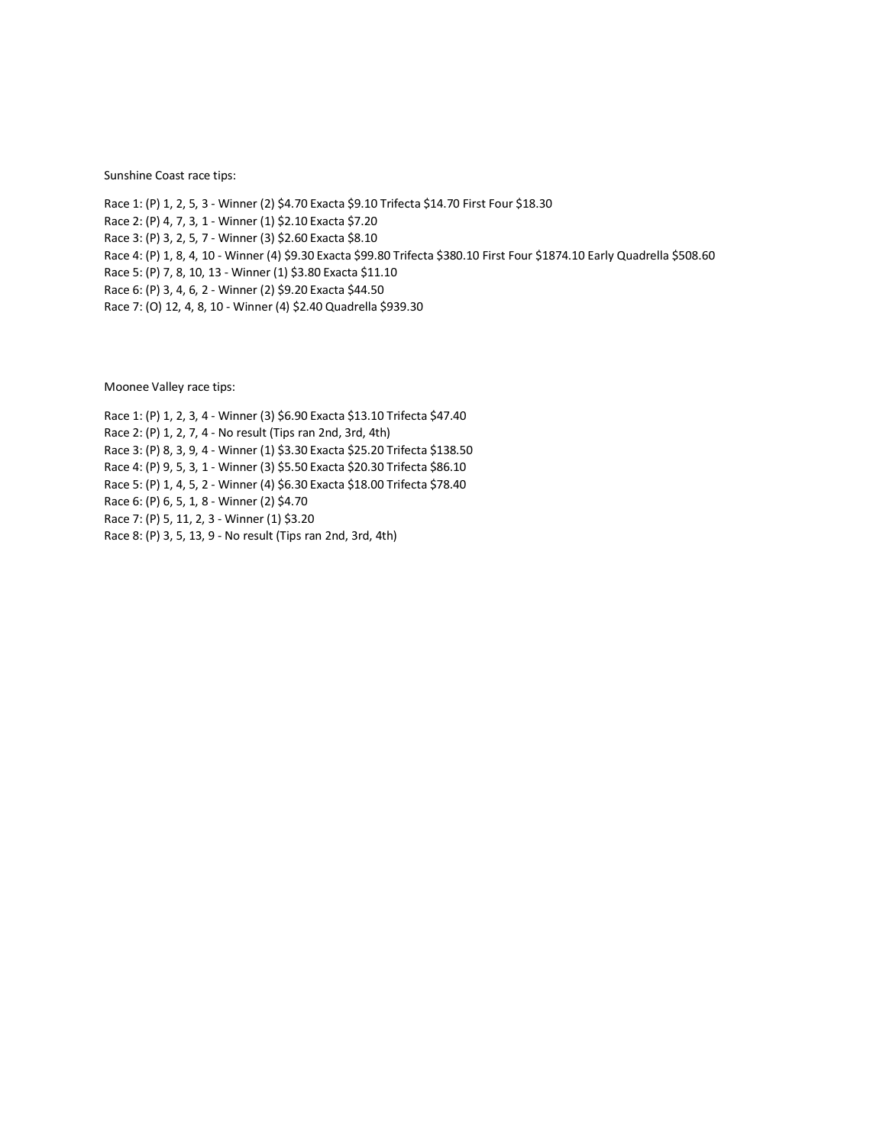Sunshine Coast race tips:

Race 1: (P) 1, 2, 5, 3 - Winner (2) \$4.70 Exacta \$9.10 Trifecta \$14.70 First Four \$18.30 Race 2: (P) 4, 7, 3, 1 - Winner (1) \$2.10 Exacta \$7.20 Race 3: (P) 3, 2, 5, 7 - Winner (3) \$2.60 Exacta \$8.10 Race 4: (P) 1, 8, 4, 10 - Winner (4) \$9.30 Exacta \$99.80 Trifecta \$380.10 First Four \$1874.10 Early Quadrella \$508.60 Race 5: (P) 7, 8, 10, 13 - Winner (1) \$3.80 Exacta \$11.10 Race 6: (P) 3, 4, 6, 2 - Winner (2) \$9.20 Exacta \$44.50 Race 7: (O) 12, 4, 8, 10 - Winner (4) \$2.40 Quadrella \$939.30

Moonee Valley race tips:

Race 1: (P) 1, 2, 3, 4 - Winner (3) \$6.90 Exacta \$13.10 Trifecta \$47.40 Race 2: (P) 1, 2, 7, 4 - No result (Tips ran 2nd, 3rd, 4th) Race 3: (P) 8, 3, 9, 4 - Winner (1) \$3.30 Exacta \$25.20 Trifecta \$138.50 Race 4: (P) 9, 5, 3, 1 - Winner (3) \$5.50 Exacta \$20.30 Trifecta \$86.10 Race 5: (P) 1, 4, 5, 2 - Winner (4) \$6.30 Exacta \$18.00 Trifecta \$78.40 Race 6: (P) 6, 5, 1, 8 - Winner (2) \$4.70 Race 7: (P) 5, 11, 2, 3 - Winner (1) \$3.20 Race 8: (P) 3, 5, 13, 9 - No result (Tips ran 2nd, 3rd, 4th)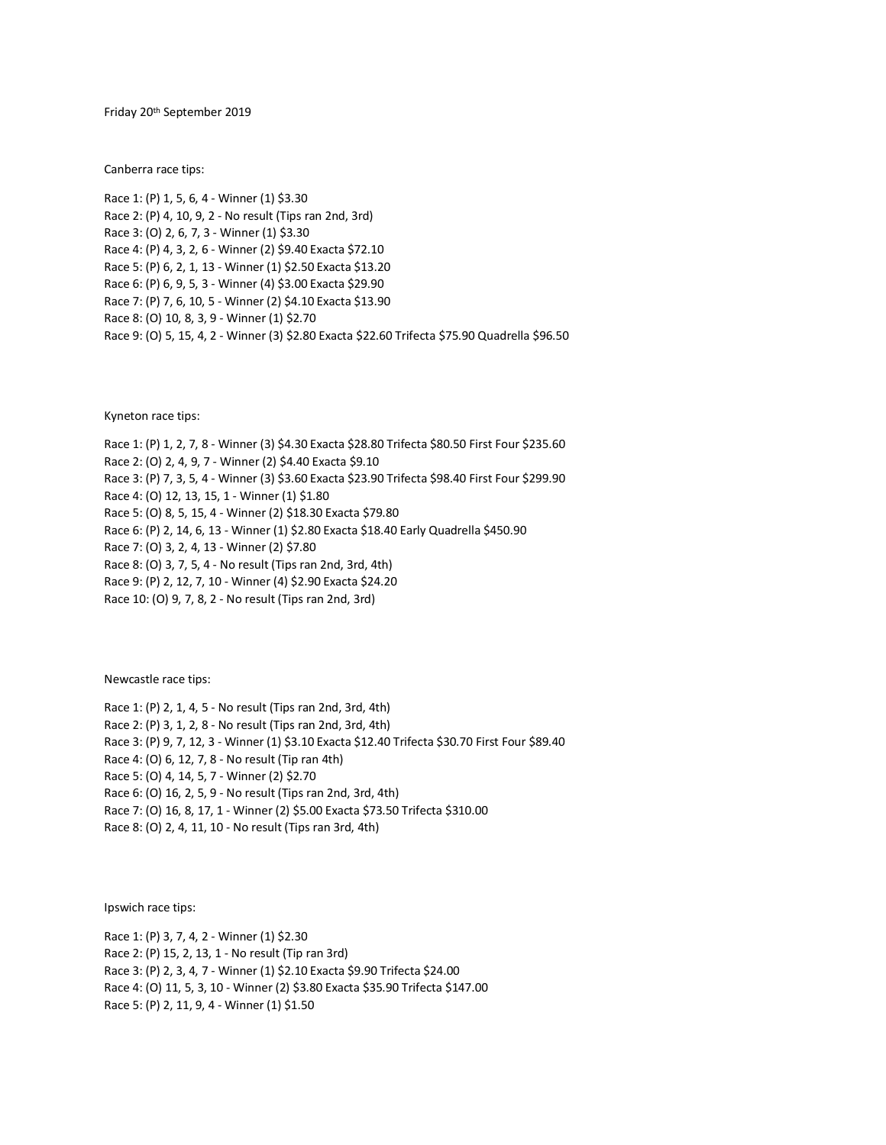Friday 20th September 2019

Canberra race tips:

Race 1: (P) 1, 5, 6, 4 - Winner (1) \$3.30 Race 2: (P) 4, 10, 9, 2 - No result (Tips ran 2nd, 3rd) Race 3: (O) 2, 6, 7, 3 - Winner (1) \$3.30 Race 4: (P) 4, 3, 2, 6 - Winner (2) \$9.40 Exacta \$72.10 Race 5: (P) 6, 2, 1, 13 - Winner (1) \$2.50 Exacta \$13.20 Race 6: (P) 6, 9, 5, 3 - Winner (4) \$3.00 Exacta \$29.90 Race 7: (P) 7, 6, 10, 5 - Winner (2) \$4.10 Exacta \$13.90 Race 8: (O) 10, 8, 3, 9 - Winner (1) \$2.70 Race 9: (O) 5, 15, 4, 2 - Winner (3) \$2.80 Exacta \$22.60 Trifecta \$75.90 Quadrella \$96.50

Kyneton race tips:

Race 1: (P) 1, 2, 7, 8 - Winner (3) \$4.30 Exacta \$28.80 Trifecta \$80.50 First Four \$235.60 Race 2: (O) 2, 4, 9, 7 - Winner (2) \$4.40 Exacta \$9.10 Race 3: (P) 7, 3, 5, 4 - Winner (3) \$3.60 Exacta \$23.90 Trifecta \$98.40 First Four \$299.90 Race 4: (O) 12, 13, 15, 1 - Winner (1) \$1.80 Race 5: (O) 8, 5, 15, 4 - Winner (2) \$18.30 Exacta \$79.80 Race 6: (P) 2, 14, 6, 13 - Winner (1) \$2.80 Exacta \$18.40 Early Quadrella \$450.90 Race 7: (O) 3, 2, 4, 13 - Winner (2) \$7.80 Race 8: (O) 3, 7, 5, 4 - No result (Tips ran 2nd, 3rd, 4th) Race 9: (P) 2, 12, 7, 10 - Winner (4) \$2.90 Exacta \$24.20

Race 10: (O) 9, 7, 8, 2 - No result (Tips ran 2nd, 3rd)

Newcastle race tips:

Race 1: (P) 2, 1, 4, 5 - No result (Tips ran 2nd, 3rd, 4th) Race 2: (P) 3, 1, 2, 8 - No result (Tips ran 2nd, 3rd, 4th) Race 3: (P) 9, 7, 12, 3 - Winner (1) \$3.10 Exacta \$12.40 Trifecta \$30.70 First Four \$89.40 Race 4: (O) 6, 12, 7, 8 - No result (Tip ran 4th) Race 5: (O) 4, 14, 5, 7 - Winner (2) \$2.70 Race 6: (O) 16, 2, 5, 9 - No result (Tips ran 2nd, 3rd, 4th) Race 7: (O) 16, 8, 17, 1 - Winner (2) \$5.00 Exacta \$73.50 Trifecta \$310.00 Race 8: (O) 2, 4, 11, 10 - No result (Tips ran 3rd, 4th)

Ipswich race tips:

Race 1: (P) 3, 7, 4, 2 - Winner (1) \$2.30 Race 2: (P) 15, 2, 13, 1 - No result (Tip ran 3rd) Race 3: (P) 2, 3, 4, 7 - Winner (1) \$2.10 Exacta \$9.90 Trifecta \$24.00 Race 4: (O) 11, 5, 3, 10 - Winner (2) \$3.80 Exacta \$35.90 Trifecta \$147.00 Race 5: (P) 2, 11, 9, 4 - Winner (1) \$1.50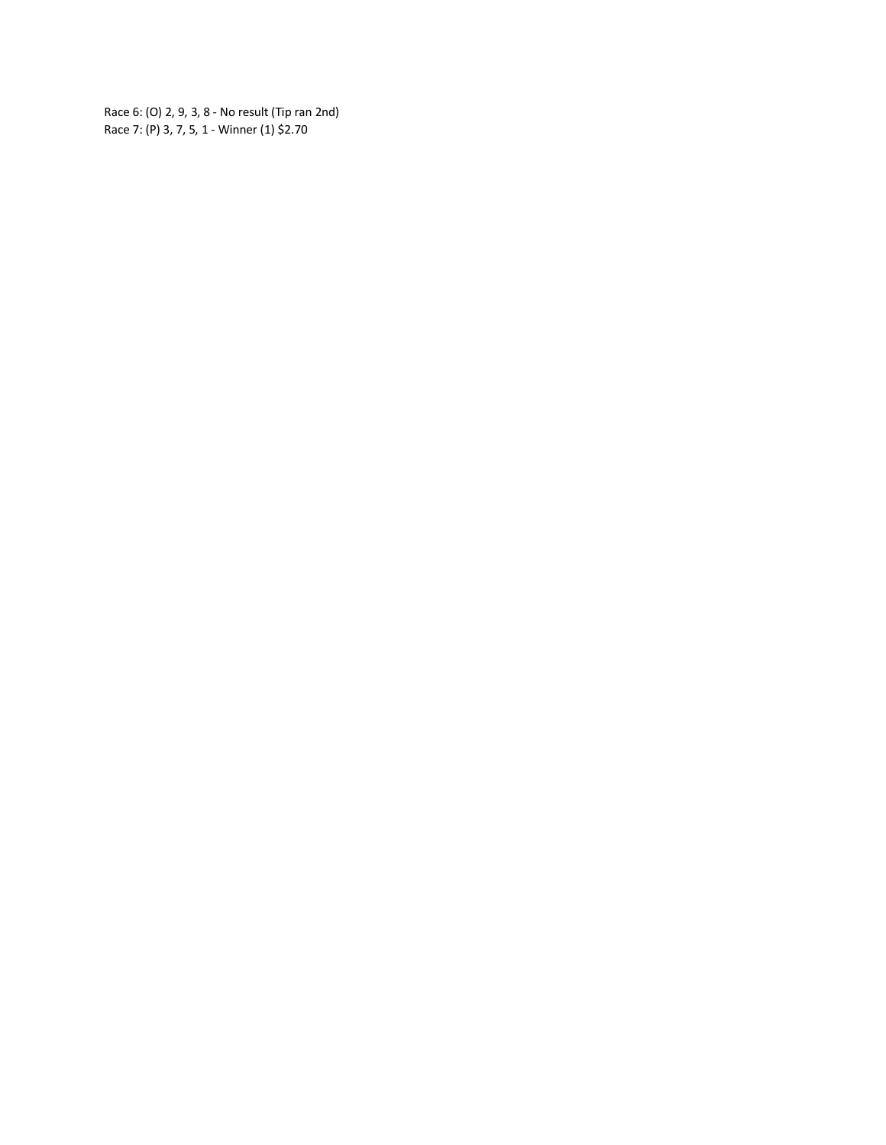Race 6: (O) 2, 9, 3, 8 - No result (Tip ran 2nd) Race 7: (P) 3, 7, 5, 1 - Winner (1) \$2.70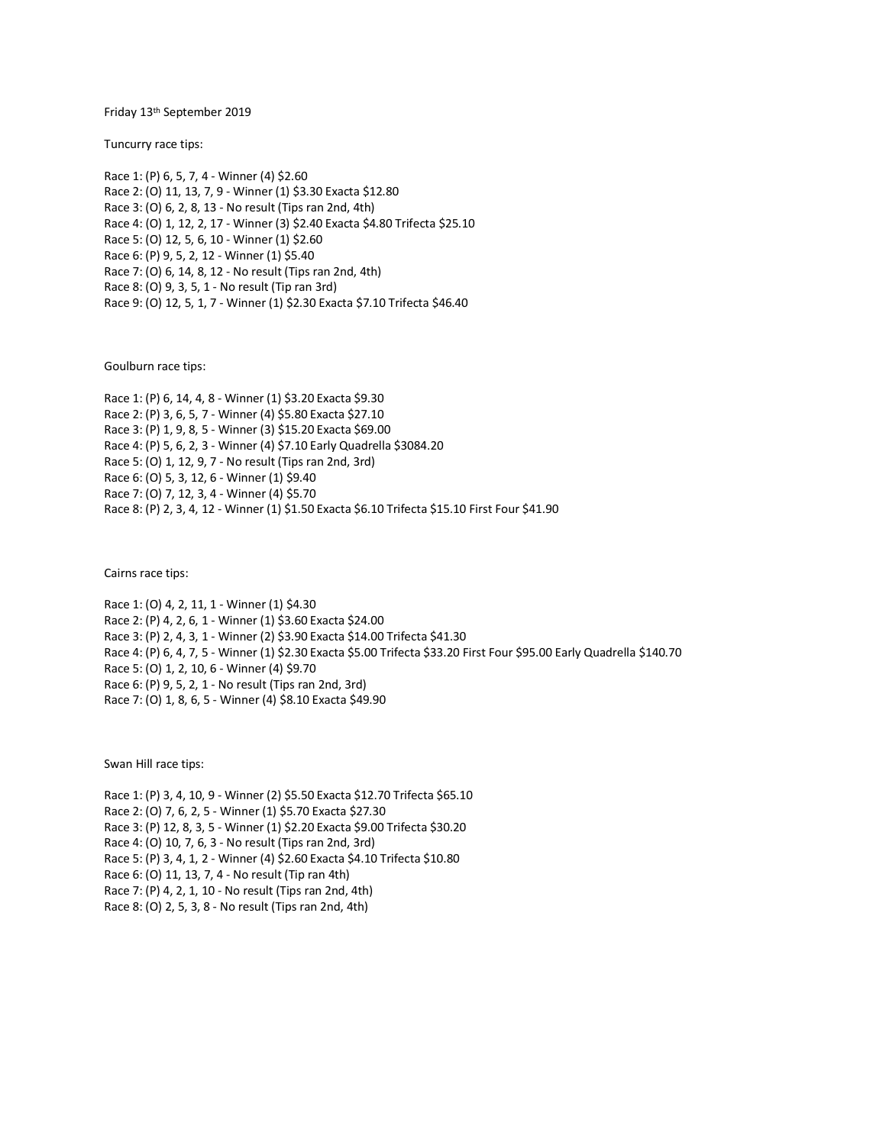## Friday 13th September 2019

Tuncurry race tips:

Race 1: (P) 6, 5, 7, 4 - Winner (4) \$2.60 Race 2: (O) 11, 13, 7, 9 - Winner (1) \$3.30 Exacta \$12.80 Race 3: (O) 6, 2, 8, 13 - No result (Tips ran 2nd, 4th) Race 4: (O) 1, 12, 2, 17 - Winner (3) \$2.40 Exacta \$4.80 Trifecta \$25.10 Race 5: (O) 12, 5, 6, 10 - Winner (1) \$2.60 Race 6: (P) 9, 5, 2, 12 - Winner (1) \$5.40 Race 7: (O) 6, 14, 8, 12 - No result (Tips ran 2nd, 4th) Race 8: (O) 9, 3, 5, 1 - No result (Tip ran 3rd) Race 9: (O) 12, 5, 1, 7 - Winner (1) \$2.30 Exacta \$7.10 Trifecta \$46.40

Goulburn race tips:

Race 1: (P) 6, 14, 4, 8 - Winner (1) \$3.20 Exacta \$9.30 Race 2: (P) 3, 6, 5, 7 - Winner (4) \$5.80 Exacta \$27.10 Race 3: (P) 1, 9, 8, 5 - Winner (3) \$15.20 Exacta \$69.00 Race 4: (P) 5, 6, 2, 3 - Winner (4) \$7.10 Early Quadrella \$3084.20 Race 5: (O) 1, 12, 9, 7 - No result (Tips ran 2nd, 3rd) Race 6: (O) 5, 3, 12, 6 - Winner (1) \$9.40 Race 7: (O) 7, 12, 3, 4 - Winner (4) \$5.70 Race 8: (P) 2, 3, 4, 12 - Winner (1) \$1.50 Exacta \$6.10 Trifecta \$15.10 First Four \$41.90

Cairns race tips:

Race 1: (O) 4, 2, 11, 1 - Winner (1) \$4.30 Race 2: (P) 4, 2, 6, 1 - Winner (1) \$3.60 Exacta \$24.00 Race 3: (P) 2, 4, 3, 1 - Winner (2) \$3.90 Exacta \$14.00 Trifecta \$41.30 Race 4: (P) 6, 4, 7, 5 - Winner (1) \$2.30 Exacta \$5.00 Trifecta \$33.20 First Four \$95.00 Early Quadrella \$140.70 Race 5: (O) 1, 2, 10, 6 - Winner (4) \$9.70 Race 6: (P) 9, 5, 2, 1 - No result (Tips ran 2nd, 3rd) Race 7: (O) 1, 8, 6, 5 - Winner (4) \$8.10 Exacta \$49.90

Swan Hill race tips:

Race 1: (P) 3, 4, 10, 9 - Winner (2) \$5.50 Exacta \$12.70 Trifecta \$65.10

Race 2: (O) 7, 6, 2, 5 - Winner (1) \$5.70 Exacta \$27.30

Race 3: (P) 12, 8, 3, 5 - Winner (1) \$2.20 Exacta \$9.00 Trifecta \$30.20

Race 4: (O) 10, 7, 6, 3 - No result (Tips ran 2nd, 3rd)

Race 5: (P) 3, 4, 1, 2 - Winner (4) \$2.60 Exacta \$4.10 Trifecta \$10.80

Race 6: (O) 11, 13, 7, 4 - No result (Tip ran 4th)

Race 7: (P) 4, 2, 1, 10 - No result (Tips ran 2nd, 4th)

Race 8: (O) 2, 5, 3, 8 - No result (Tips ran 2nd, 4th)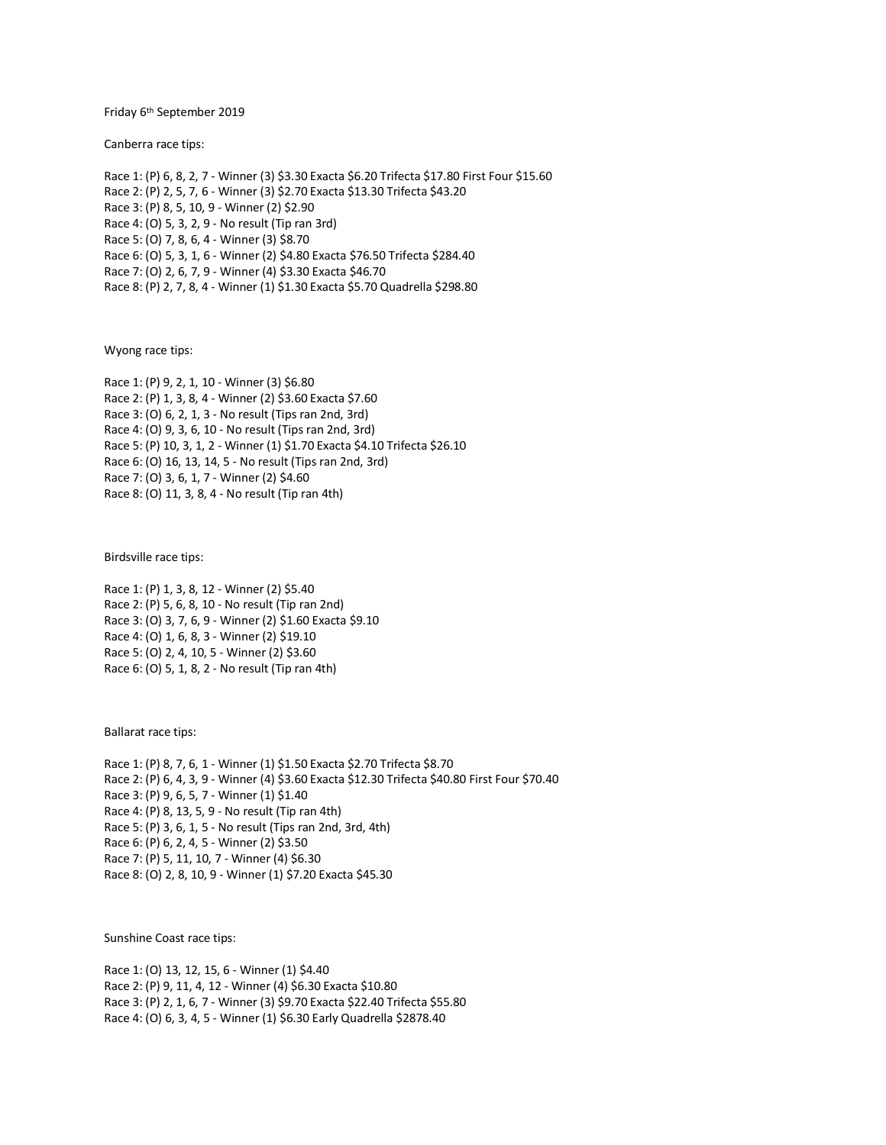Friday 6th September 2019

Canberra race tips:

Race 1: (P) 6, 8, 2, 7 - Winner (3) \$3.30 Exacta \$6.20 Trifecta \$17.80 First Four \$15.60 Race 2: (P) 2, 5, 7, 6 - Winner (3) \$2.70 Exacta \$13.30 Trifecta \$43.20 Race 3: (P) 8, 5, 10, 9 - Winner (2) \$2.90 Race 4: (O) 5, 3, 2, 9 - No result (Tip ran 3rd) Race 5: (O) 7, 8, 6, 4 - Winner (3) \$8.70 Race 6: (O) 5, 3, 1, 6 - Winner (2) \$4.80 Exacta \$76.50 Trifecta \$284.40 Race 7: (O) 2, 6, 7, 9 - Winner (4) \$3.30 Exacta \$46.70 Race 8: (P) 2, 7, 8, 4 - Winner (1) \$1.30 Exacta \$5.70 Quadrella \$298.80

Wyong race tips:

Race 1: (P) 9, 2, 1, 10 - Winner (3) \$6.80 Race 2: (P) 1, 3, 8, 4 - Winner (2) \$3.60 Exacta \$7.60 Race 3: (O) 6, 2, 1, 3 - No result (Tips ran 2nd, 3rd) Race 4: (O) 9, 3, 6, 10 - No result (Tips ran 2nd, 3rd) Race 5: (P) 10, 3, 1, 2 - Winner (1) \$1.70 Exacta \$4.10 Trifecta \$26.10 Race 6: (O) 16, 13, 14, 5 - No result (Tips ran 2nd, 3rd) Race 7: (O) 3, 6, 1, 7 - Winner (2) \$4.60 Race 8: (O) 11, 3, 8, 4 - No result (Tip ran 4th)

Birdsville race tips:

Race 1: (P) 1, 3, 8, 12 - Winner (2) \$5.40 Race 2: (P) 5, 6, 8, 10 - No result (Tip ran 2nd) Race 3: (O) 3, 7, 6, 9 - Winner (2) \$1.60 Exacta \$9.10 Race 4: (O) 1, 6, 8, 3 - Winner (2) \$19.10 Race 5: (O) 2, 4, 10, 5 - Winner (2) \$3.60 Race 6: (O) 5, 1, 8, 2 - No result (Tip ran 4th)

Ballarat race tips:

Race 1: (P) 8, 7, 6, 1 - Winner (1) \$1.50 Exacta \$2.70 Trifecta \$8.70 Race 2: (P) 6, 4, 3, 9 - Winner (4) \$3.60 Exacta \$12.30 Trifecta \$40.80 First Four \$70.40 Race 3: (P) 9, 6, 5, 7 - Winner (1) \$1.40 Race 4: (P) 8, 13, 5, 9 - No result (Tip ran 4th) Race 5: (P) 3, 6, 1, 5 - No result (Tips ran 2nd, 3rd, 4th) Race 6: (P) 6, 2, 4, 5 - Winner (2) \$3.50 Race 7: (P) 5, 11, 10, 7 - Winner (4) \$6.30 Race 8: (O) 2, 8, 10, 9 - Winner (1) \$7.20 Exacta \$45.30

Sunshine Coast race tips:

Race 1: (O) 13, 12, 15, 6 - Winner (1) \$4.40 Race 2: (P) 9, 11, 4, 12 - Winner (4) \$6.30 Exacta \$10.80 Race 3: (P) 2, 1, 6, 7 - Winner (3) \$9.70 Exacta \$22.40 Trifecta \$55.80 Race 4: (O) 6, 3, 4, 5 - Winner (1) \$6.30 Early Quadrella \$2878.40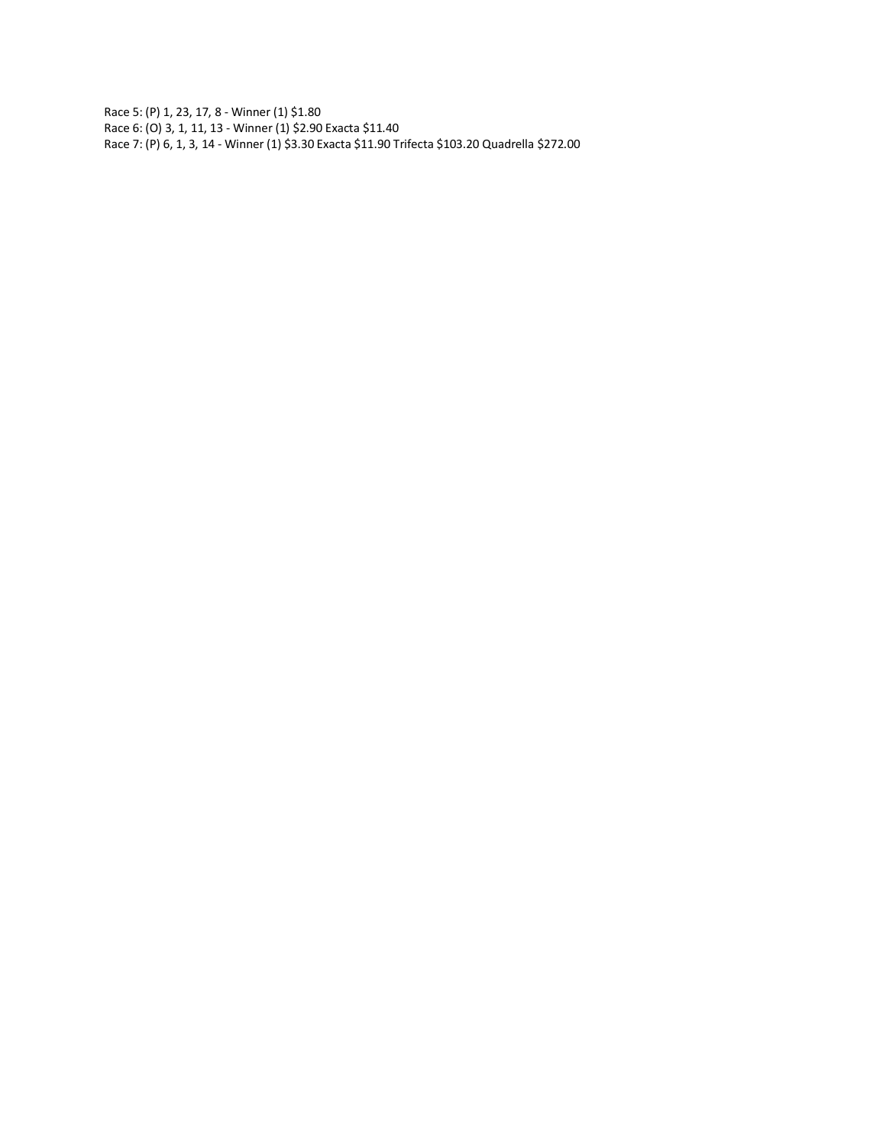Race 5: (P) 1, 23, 17, 8 - Winner (1) \$1.80 Race 6: (O) 3, 1, 11, 13 - Winner (1) \$2.90 Exacta \$11.40 Race 7: (P) 6, 1, 3, 14 - Winner (1) \$3.30 Exacta \$11.90 Trifecta \$103.20 Quadrella \$272.00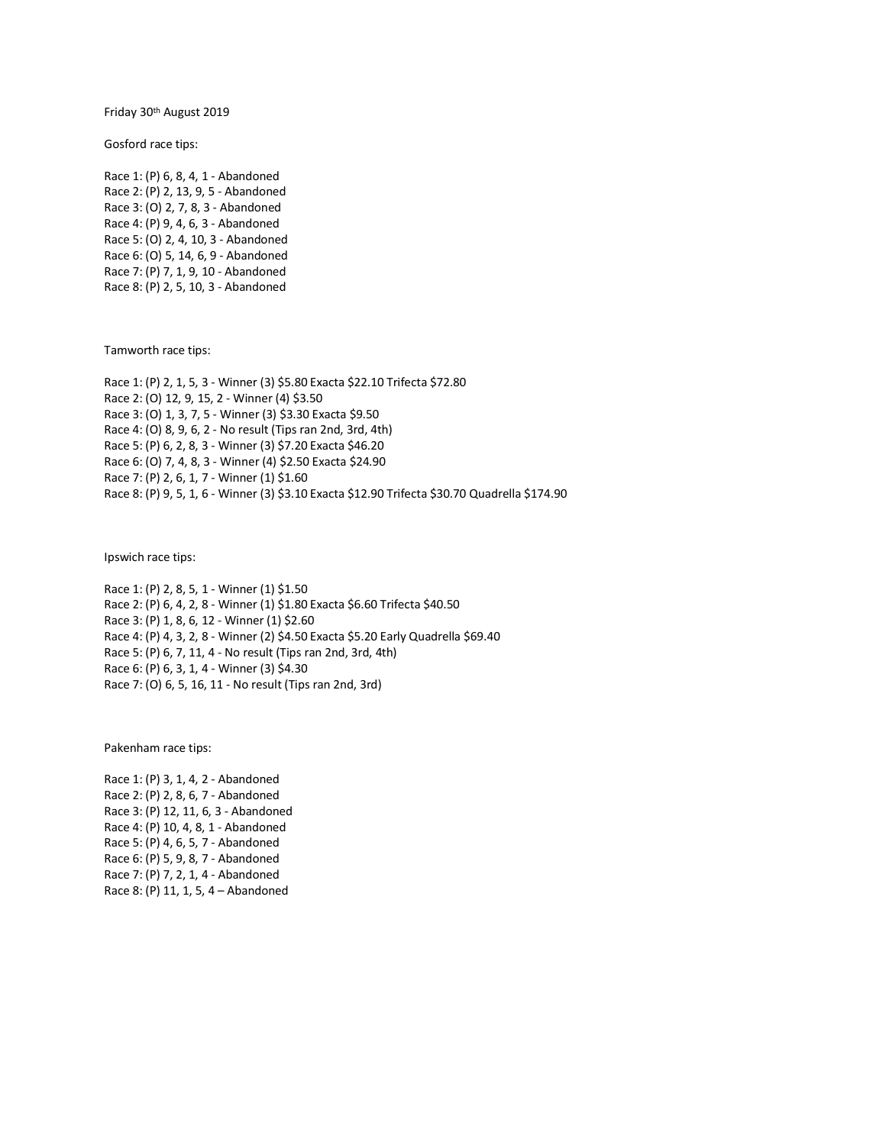Friday 30th August 2019

Gosford race tips:

Race 1: (P) 6, 8, 4, 1 - Abandoned Race 2: (P) 2, 13, 9, 5 - Abandoned Race 3: (O) 2, 7, 8, 3 - Abandoned Race 4: (P) 9, 4, 6, 3 - Abandoned Race 5: (O) 2, 4, 10, 3 - Abandoned Race 6: (O) 5, 14, 6, 9 - Abandoned Race 7: (P) 7, 1, 9, 10 - Abandoned Race 8: (P) 2, 5, 10, 3 - Abandoned

Tamworth race tips:

Race 1: (P) 2, 1, 5, 3 - Winner (3) \$5.80 Exacta \$22.10 Trifecta \$72.80 Race 2: (O) 12, 9, 15, 2 - Winner (4) \$3.50 Race 3: (O) 1, 3, 7, 5 - Winner (3) \$3.30 Exacta \$9.50 Race 4: (O) 8, 9, 6, 2 - No result (Tips ran 2nd, 3rd, 4th) Race 5: (P) 6, 2, 8, 3 - Winner (3) \$7.20 Exacta \$46.20 Race 6: (O) 7, 4, 8, 3 - Winner (4) \$2.50 Exacta \$24.90 Race 7: (P) 2, 6, 1, 7 - Winner (1) \$1.60 Race 8: (P) 9, 5, 1, 6 - Winner (3) \$3.10 Exacta \$12.90 Trifecta \$30.70 Quadrella \$174.90

Ipswich race tips:

Race 1: (P) 2, 8, 5, 1 - Winner (1) \$1.50 Race 2: (P) 6, 4, 2, 8 - Winner (1) \$1.80 Exacta \$6.60 Trifecta \$40.50 Race 3: (P) 1, 8, 6, 12 - Winner (1) \$2.60 Race 4: (P) 4, 3, 2, 8 - Winner (2) \$4.50 Exacta \$5.20 Early Quadrella \$69.40 Race 5: (P) 6, 7, 11, 4 - No result (Tips ran 2nd, 3rd, 4th) Race 6: (P) 6, 3, 1, 4 - Winner (3) \$4.30 Race 7: (O) 6, 5, 16, 11 - No result (Tips ran 2nd, 3rd)

Pakenham race tips:

Race 1: (P) 3, 1, 4, 2 - Abandoned Race 2: (P) 2, 8, 6, 7 - Abandoned Race 3: (P) 12, 11, 6, 3 - Abandoned Race 4: (P) 10, 4, 8, 1 - Abandoned Race 5: (P) 4, 6, 5, 7 - Abandoned Race 6: (P) 5, 9, 8, 7 - Abandoned Race 7: (P) 7, 2, 1, 4 - Abandoned Race 8: (P) 11, 1, 5, 4 – Abandoned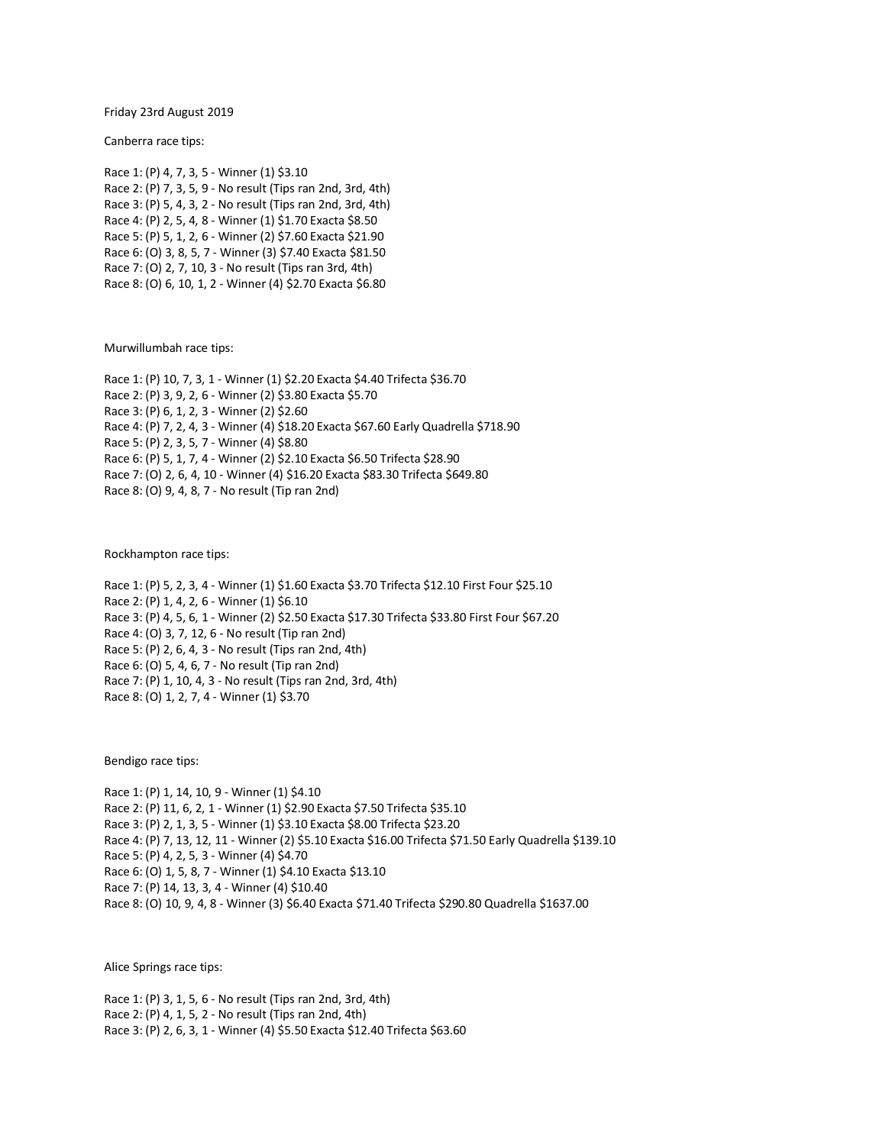Friday 23rd August 2019

Canberra race tips:

Race 1: (P) 4, 7, 3, 5 - Winner (1) \$3.10 Race 2: (P) 7, 3, 5, 9 - No result (Tips ran 2nd, 3rd, 4th) Race 3: (P) 5, 4, 3, 2 - No result (Tips ran 2nd, 3rd, 4th) Race 4: (P) 2, 5, 4, 8 - Winner (1) \$1.70 Exacta \$8.50 Race 5: (P) 5, 1, 2, 6 - Winner (2) \$7.60 Exacta \$21.90 Race 6: (O) 3, 8, 5, 7 - Winner (3) \$7.40 Exacta \$81.50 Race 7: (O) 2, 7, 10, 3 - No result (Tips ran 3rd, 4th) Race 8: (O) 6, 10, 1, 2 - Winner (4) \$2.70 Exacta \$6.80

Murwillumbah race tips:

Race 1: (P) 10, 7, 3, 1 - Winner (1) \$2.20 Exacta \$4.40 Trifecta \$36.70 Race 2: (P) 3, 9, 2, 6 - Winner (2) \$3.80 Exacta \$5.70 Race 3: (P) 6, 1, 2, 3 - Winner (2) \$2.60 Race 4: (P) 7, 2, 4, 3 - Winner (4) \$18.20 Exacta \$67.60 Early Quadrella \$718.90 Race 5: (P) 2, 3, 5, 7 - Winner (4) \$8.80 Race 6: (P) 5, 1, 7, 4 - Winner (2) \$2.10 Exacta \$6.50 Trifecta \$28.90 Race 7: (O) 2, 6, 4, 10 - Winner (4) \$16.20 Exacta \$83.30 Trifecta \$649.80 Race 8: (O) 9, 4, 8, 7 - No result (Tip ran 2nd)

Rockhampton race tips:

Race 1: (P) 5, 2, 3, 4 - Winner (1) \$1.60 Exacta \$3.70 Trifecta \$12.10 First Four \$25.10 Race 2: (P) 1, 4, 2, 6 - Winner (1) \$6.10 Race 3: (P) 4, 5, 6, 1 - Winner (2) \$2.50 Exacta \$17.30 Trifecta \$33.80 First Four \$67.20 Race 4: (O) 3, 7, 12, 6 - No result (Tip ran 2nd) Race 5: (P) 2, 6, 4, 3 - No result (Tips ran 2nd, 4th) Race 6: (O) 5, 4, 6, 7 - No result (Tip ran 2nd) Race 7: (P) 1, 10, 4, 3 - No result (Tips ran 2nd, 3rd, 4th) Race 8: (O) 1, 2, 7, 4 - Winner (1) \$3.70

Bendigo race tips:

Race 1: (P) 1, 14, 10, 9 - Winner (1) \$4.10 Race 2: (P) 11, 6, 2, 1 - Winner (1) \$2.90 Exacta \$7.50 Trifecta \$35.10 Race 3: (P) 2, 1, 3, 5 - Winner (1) \$3.10 Exacta \$8.00 Trifecta \$23.20 Race 4: (P) 7, 13, 12, 11 - Winner (2) \$5.10 Exacta \$16.00 Trifecta \$71.50 Early Quadrella \$139.10 Race 5: (P) 4, 2, 5, 3 - Winner (4) \$4.70 Race 6: (O) 1, 5, 8, 7 - Winner (1) \$4.10 Exacta \$13.10 Race 7: (P) 14, 13, 3, 4 - Winner (4) \$10.40 Race 8: (O) 10, 9, 4, 8 - Winner (3) \$6.40 Exacta \$71.40 Trifecta \$290.80 Quadrella \$1637.00

Alice Springs race tips:

Race 1: (P) 3, 1, 5, 6 - No result (Tips ran 2nd, 3rd, 4th) Race 2: (P) 4, 1, 5, 2 - No result (Tips ran 2nd, 4th) Race 3: (P) 2, 6, 3, 1 - Winner (4) \$5.50 Exacta \$12.40 Trifecta \$63.60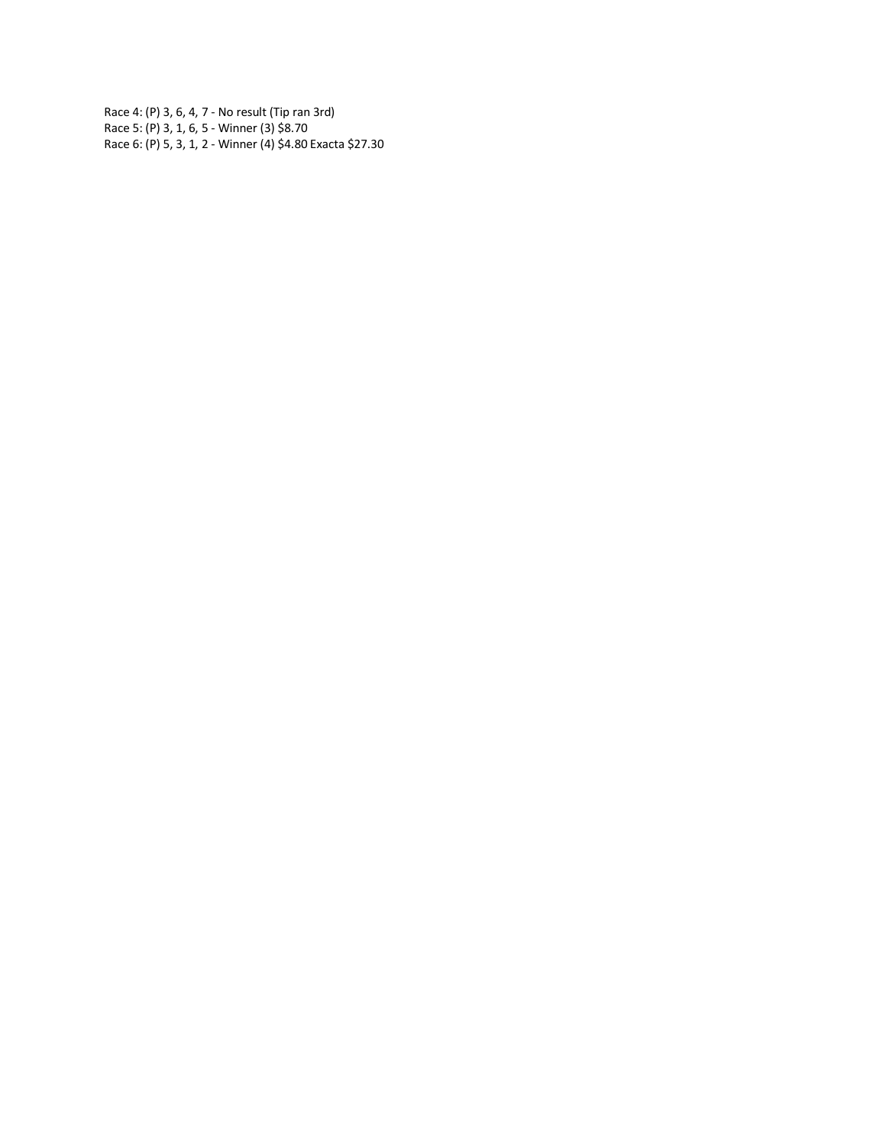Race 4: (P) 3, 6, 4, 7 - No result (Tip ran 3rd) Race 5: (P) 3, 1, 6, 5 - Winner (3) \$8.70 Race 6: (P) 5, 3, 1, 2 - Winner (4) \$4.80 Exacta \$27.30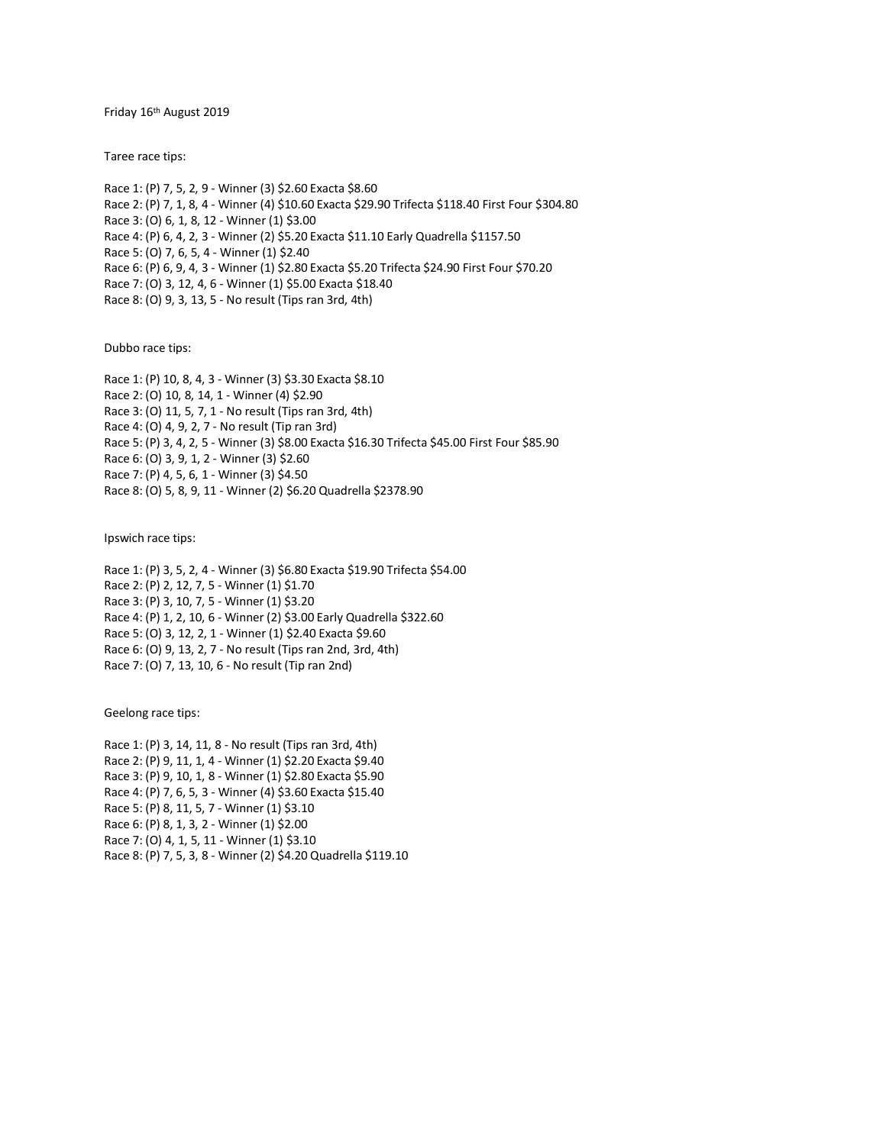Friday 16th August 2019

Taree race tips:

Race 1: (P) 7, 5, 2, 9 - Winner (3) \$2.60 Exacta \$8.60 Race 2: (P) 7, 1, 8, 4 - Winner (4) \$10.60 Exacta \$29.90 Trifecta \$118.40 First Four \$304.80 Race 3: (O) 6, 1, 8, 12 - Winner (1) \$3.00 Race 4: (P) 6, 4, 2, 3 - Winner (2) \$5.20 Exacta \$11.10 Early Quadrella \$1157.50 Race 5: (O) 7, 6, 5, 4 - Winner (1) \$2.40 Race 6: (P) 6, 9, 4, 3 - Winner (1) \$2.80 Exacta \$5.20 Trifecta \$24.90 First Four \$70.20 Race 7: (O) 3, 12, 4, 6 - Winner (1) \$5.00 Exacta \$18.40 Race 8: (O) 9, 3, 13, 5 - No result (Tips ran 3rd, 4th)

Dubbo race tips:

Race 1: (P) 10, 8, 4, 3 - Winner (3) \$3.30 Exacta \$8.10 Race 2: (O) 10, 8, 14, 1 - Winner (4) \$2.90 Race 3: (O) 11, 5, 7, 1 - No result (Tips ran 3rd, 4th) Race 4: (O) 4, 9, 2, 7 - No result (Tip ran 3rd) Race 5: (P) 3, 4, 2, 5 - Winner (3) \$8.00 Exacta \$16.30 Trifecta \$45.00 First Four \$85.90 Race 6: (O) 3, 9, 1, 2 - Winner (3) \$2.60 Race 7: (P) 4, 5, 6, 1 - Winner (3) \$4.50 Race 8: (O) 5, 8, 9, 11 - Winner (2) \$6.20 Quadrella \$2378.90

Ipswich race tips:

Race 1: (P) 3, 5, 2, 4 - Winner (3) \$6.80 Exacta \$19.90 Trifecta \$54.00 Race 2: (P) 2, 12, 7, 5 - Winner (1) \$1.70 Race 3: (P) 3, 10, 7, 5 - Winner (1) \$3.20 Race 4: (P) 1, 2, 10, 6 - Winner (2) \$3.00 Early Quadrella \$322.60 Race 5: (O) 3, 12, 2, 1 - Winner (1) \$2.40 Exacta \$9.60 Race 6: (O) 9, 13, 2, 7 - No result (Tips ran 2nd, 3rd, 4th) Race 7: (O) 7, 13, 10, 6 - No result (Tip ran 2nd)

Geelong race tips:

Race 1: (P) 3, 14, 11, 8 - No result (Tips ran 3rd, 4th) Race 2: (P) 9, 11, 1, 4 - Winner (1) \$2.20 Exacta \$9.40 Race 3: (P) 9, 10, 1, 8 - Winner (1) \$2.80 Exacta \$5.90 Race 4: (P) 7, 6, 5, 3 - Winner (4) \$3.60 Exacta \$15.40 Race 5: (P) 8, 11, 5, 7 - Winner (1) \$3.10 Race 6: (P) 8, 1, 3, 2 - Winner (1) \$2.00 Race 7: (O) 4, 1, 5, 11 - Winner (1) \$3.10 Race 8: (P) 7, 5, 3, 8 - Winner (2) \$4.20 Quadrella \$119.10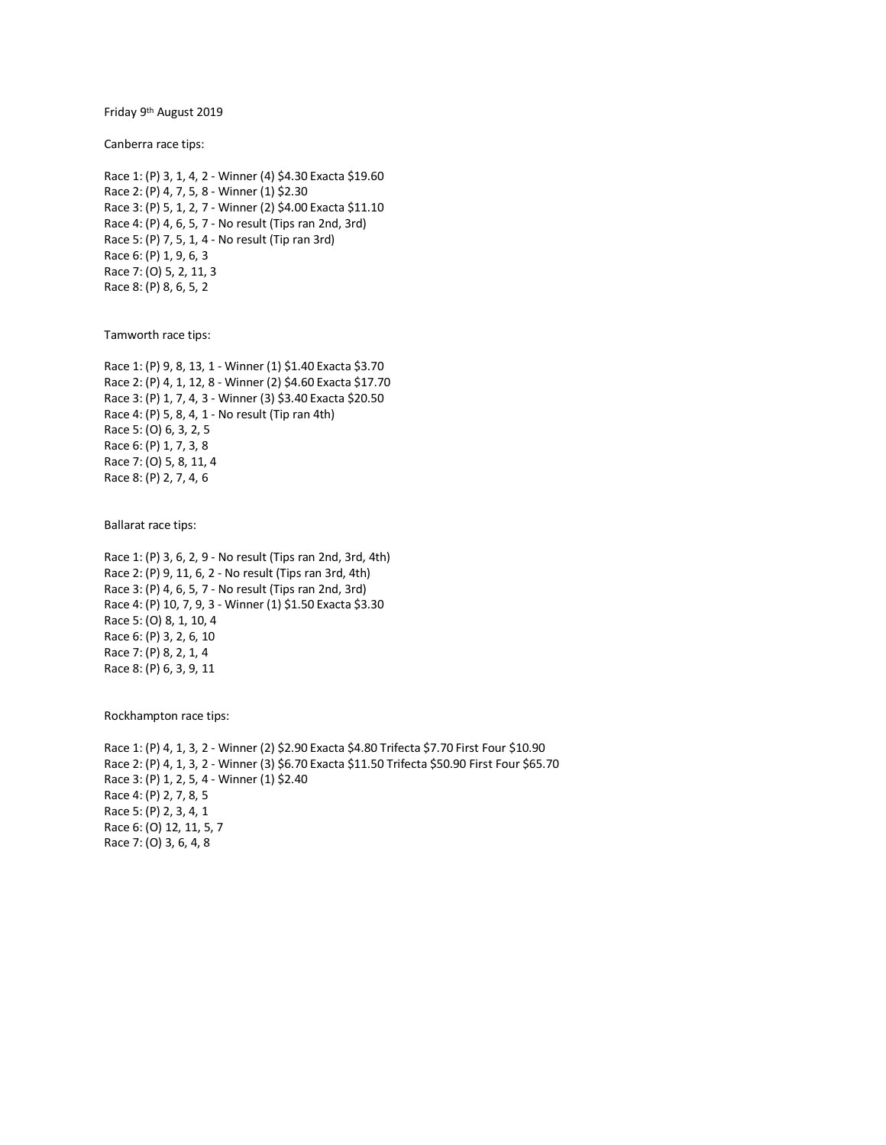Friday 9<sup>th</sup> August 2019

Canberra race tips:

```
Race 1: (P) 3, 1, 4, 2 - Winner (4) $4.30 Exacta $19.60
Race 2: (P) 4, 7, 5, 8 - Winner (1) $2.30
Race 3: (P) 5, 1, 2, 7 - Winner (2) $4.00 Exacta $11.10
Race 4: (P) 4, 6, 5, 7 - No result (Tips ran 2nd, 3rd)
Race 5: (P) 7, 5, 1, 4 - No result (Tip ran 3rd)
Race 6: (P) 1, 9, 6, 3
Race 7: (O) 5, 2, 11, 3
Race 8: (P) 8, 6, 5, 2
```
Tamworth race tips:

Race 1: (P) 9, 8, 13, 1 - Winner (1) \$1.40 Exacta \$3.70 Race 2: (P) 4, 1, 12, 8 - Winner (2) \$4.60 Exacta \$17.70 Race 3: (P) 1, 7, 4, 3 - Winner (3) \$3.40 Exacta \$20.50 Race 4: (P) 5, 8, 4, 1 - No result (Tip ran 4th) Race 5: (O) 6, 3, 2, 5 Race 6: (P) 1, 7, 3, 8 Race 7: (O) 5, 8, 11, 4 Race 8: (P) 2, 7, 4, 6

Ballarat race tips:

Race 1: (P) 3, 6, 2, 9 - No result (Tips ran 2nd, 3rd, 4th) Race 2: (P) 9, 11, 6, 2 - No result (Tips ran 3rd, 4th) Race 3: (P) 4, 6, 5, 7 - No result (Tips ran 2nd, 3rd) Race 4: (P) 10, 7, 9, 3 - Winner (1) \$1.50 Exacta \$3.30 Race 5: (O) 8, 1, 10, 4 Race 6: (P) 3, 2, 6, 10 Race 7: (P) 8, 2, 1, 4 Race 8: (P) 6, 3, 9, 11

Rockhampton race tips:

Race 1: (P) 4, 1, 3, 2 - Winner (2) \$2.90 Exacta \$4.80 Trifecta \$7.70 First Four \$10.90 Race 2: (P) 4, 1, 3, 2 - Winner (3) \$6.70 Exacta \$11.50 Trifecta \$50.90 First Four \$65.70 Race 3: (P) 1, 2, 5, 4 - Winner (1) \$2.40 Race 4: (P) 2, 7, 8, 5 Race 5: (P) 2, 3, 4, 1 Race 6: (O) 12, 11, 5, 7 Race 7: (O) 3, 6, 4, 8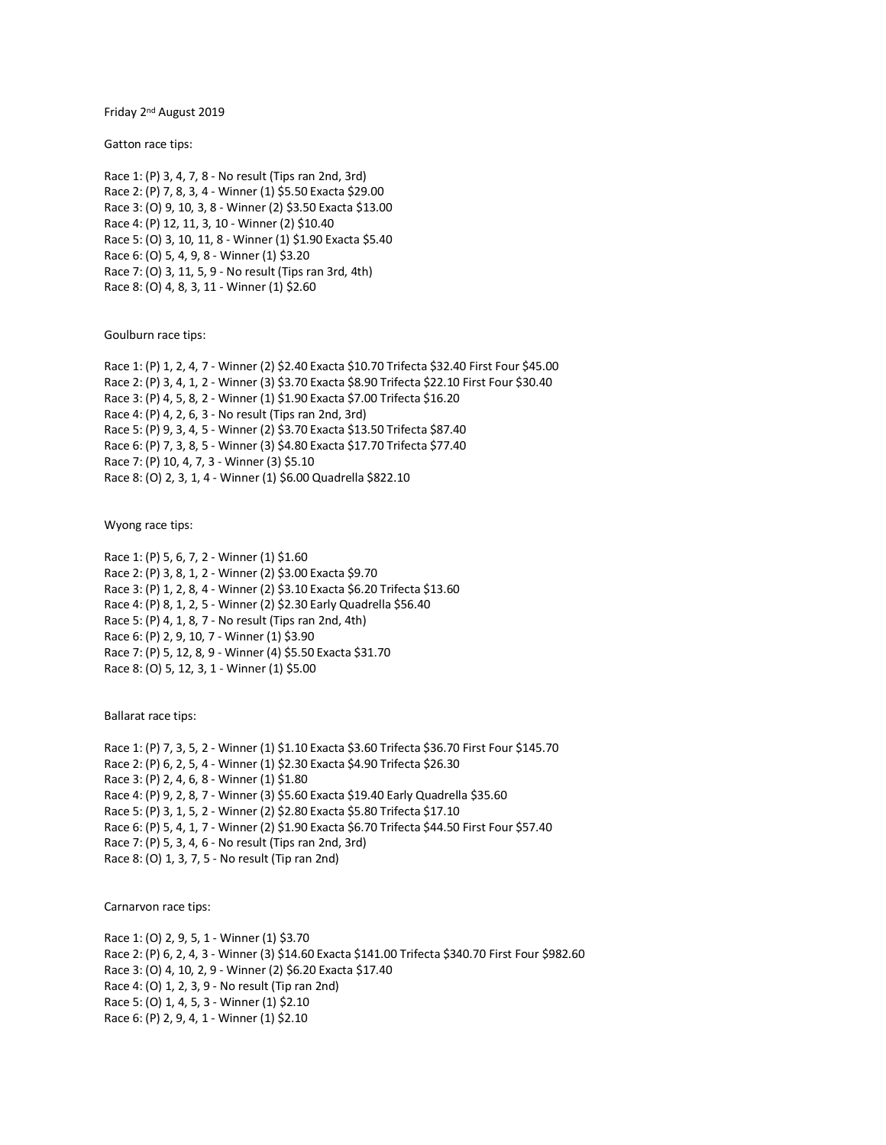Friday 2<sup>nd</sup> August 2019

Gatton race tips:

Race 1: (P) 3, 4, 7, 8 - No result (Tips ran 2nd, 3rd) Race 2: (P) 7, 8, 3, 4 - Winner (1) \$5.50 Exacta \$29.00 Race 3: (O) 9, 10, 3, 8 - Winner (2) \$3.50 Exacta \$13.00 Race 4: (P) 12, 11, 3, 10 - Winner (2) \$10.40 Race 5: (O) 3, 10, 11, 8 - Winner (1) \$1.90 Exacta \$5.40 Race 6: (O) 5, 4, 9, 8 - Winner (1) \$3.20 Race 7: (O) 3, 11, 5, 9 - No result (Tips ran 3rd, 4th) Race 8: (O) 4, 8, 3, 11 - Winner (1) \$2.60

Goulburn race tips:

Race 1: (P) 1, 2, 4, 7 - Winner (2) \$2.40 Exacta \$10.70 Trifecta \$32.40 First Four \$45.00 Race 2: (P) 3, 4, 1, 2 - Winner (3) \$3.70 Exacta \$8.90 Trifecta \$22.10 First Four \$30.40 Race 3: (P) 4, 5, 8, 2 - Winner (1) \$1.90 Exacta \$7.00 Trifecta \$16.20 Race 4: (P) 4, 2, 6, 3 - No result (Tips ran 2nd, 3rd) Race 5: (P) 9, 3, 4, 5 - Winner (2) \$3.70 Exacta \$13.50 Trifecta \$87.40 Race 6: (P) 7, 3, 8, 5 - Winner (3) \$4.80 Exacta \$17.70 Trifecta \$77.40 Race 7: (P) 10, 4, 7, 3 - Winner (3) \$5.10 Race 8: (O) 2, 3, 1, 4 - Winner (1) \$6.00 Quadrella \$822.10

Wyong race tips:

Race 1: (P) 5, 6, 7, 2 - Winner (1) \$1.60 Race 2: (P) 3, 8, 1, 2 - Winner (2) \$3.00 Exacta \$9.70 Race 3: (P) 1, 2, 8, 4 - Winner (2) \$3.10 Exacta \$6.20 Trifecta \$13.60 Race 4: (P) 8, 1, 2, 5 - Winner (2) \$2.30 Early Quadrella \$56.40 Race 5: (P) 4, 1, 8, 7 - No result (Tips ran 2nd, 4th) Race 6: (P) 2, 9, 10, 7 - Winner (1) \$3.90 Race 7: (P) 5, 12, 8, 9 - Winner (4) \$5.50 Exacta \$31.70 Race 8: (O) 5, 12, 3, 1 - Winner (1) \$5.00

Ballarat race tips:

Race 1: (P) 7, 3, 5, 2 - Winner (1) \$1.10 Exacta \$3.60 Trifecta \$36.70 First Four \$145.70 Race 2: (P) 6, 2, 5, 4 - Winner (1) \$2.30 Exacta \$4.90 Trifecta \$26.30 Race 3: (P) 2, 4, 6, 8 - Winner (1) \$1.80 Race 4: (P) 9, 2, 8, 7 - Winner (3) \$5.60 Exacta \$19.40 Early Quadrella \$35.60 Race 5: (P) 3, 1, 5, 2 - Winner (2) \$2.80 Exacta \$5.80 Trifecta \$17.10 Race 6: (P) 5, 4, 1, 7 - Winner (2) \$1.90 Exacta \$6.70 Trifecta \$44.50 First Four \$57.40 Race 7: (P) 5, 3, 4, 6 - No result (Tips ran 2nd, 3rd) Race 8: (O) 1, 3, 7, 5 - No result (Tip ran 2nd)

Carnarvon race tips:

Race 1: (O) 2, 9, 5, 1 - Winner (1) \$3.70 Race 2: (P) 6, 2, 4, 3 - Winner (3) \$14.60 Exacta \$141.00 Trifecta \$340.70 First Four \$982.60 Race 3: (O) 4, 10, 2, 9 - Winner (2) \$6.20 Exacta \$17.40 Race 4: (O) 1, 2, 3, 9 - No result (Tip ran 2nd) Race 5: (O) 1, 4, 5, 3 - Winner (1) \$2.10 Race 6: (P) 2, 9, 4, 1 - Winner (1) \$2.10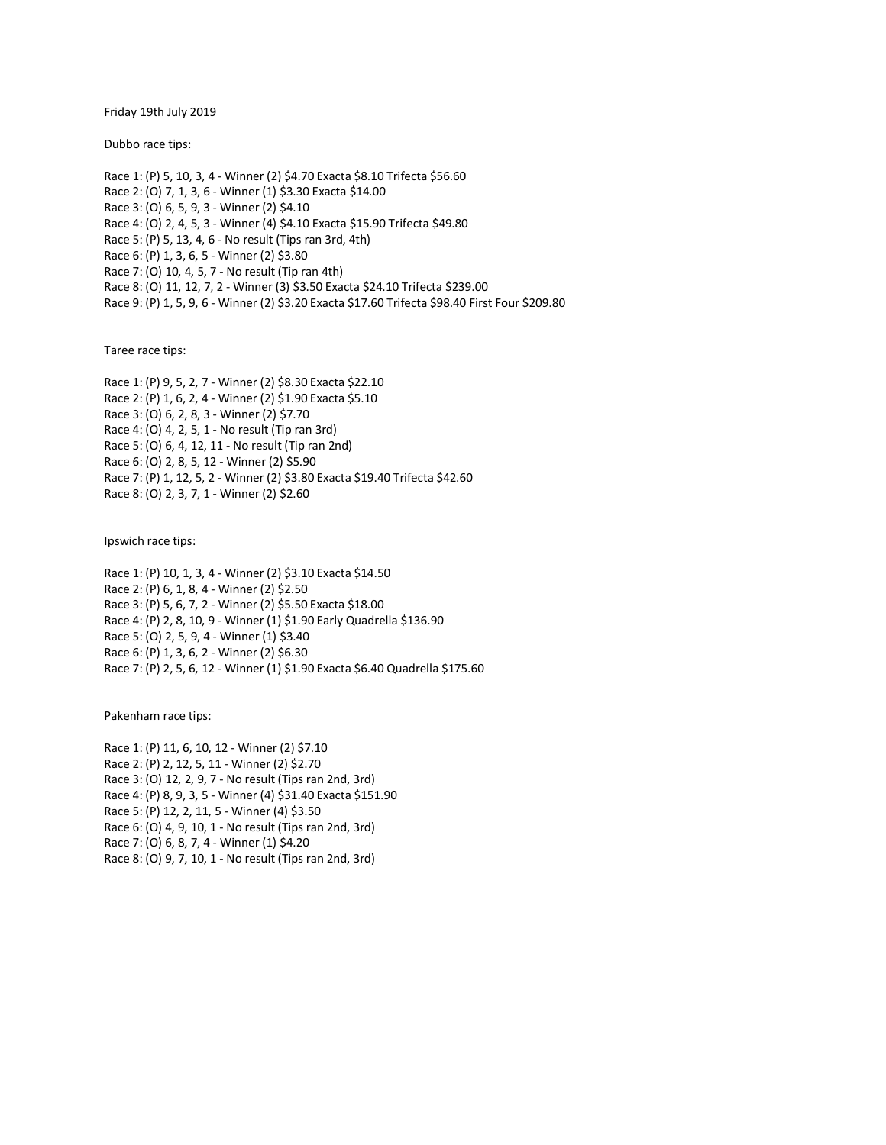Friday 19th July 2019

Dubbo race tips:

Race 1: (P) 5, 10, 3, 4 - Winner (2) \$4.70 Exacta \$8.10 Trifecta \$56.60 Race 2: (O) 7, 1, 3, 6 - Winner (1) \$3.30 Exacta \$14.00 Race 3: (O) 6, 5, 9, 3 - Winner (2) \$4.10 Race 4: (O) 2, 4, 5, 3 - Winner (4) \$4.10 Exacta \$15.90 Trifecta \$49.80 Race 5: (P) 5, 13, 4, 6 - No result (Tips ran 3rd, 4th) Race 6: (P) 1, 3, 6, 5 - Winner (2) \$3.80 Race 7: (O) 10, 4, 5, 7 - No result (Tip ran 4th) Race 8: (O) 11, 12, 7, 2 - Winner (3) \$3.50 Exacta \$24.10 Trifecta \$239.00 Race 9: (P) 1, 5, 9, 6 - Winner (2) \$3.20 Exacta \$17.60 Trifecta \$98.40 First Four \$209.80

Taree race tips:

Race 1: (P) 9, 5, 2, 7 - Winner (2) \$8.30 Exacta \$22.10 Race 2: (P) 1, 6, 2, 4 - Winner (2) \$1.90 Exacta \$5.10 Race 3: (O) 6, 2, 8, 3 - Winner (2) \$7.70 Race 4: (O) 4, 2, 5, 1 - No result (Tip ran 3rd) Race 5: (O) 6, 4, 12, 11 - No result (Tip ran 2nd) Race 6: (O) 2, 8, 5, 12 - Winner (2) \$5.90 Race 7: (P) 1, 12, 5, 2 - Winner (2) \$3.80 Exacta \$19.40 Trifecta \$42.60 Race 8: (O) 2, 3, 7, 1 - Winner (2) \$2.60

Ipswich race tips:

Race 1: (P) 10, 1, 3, 4 - Winner (2) \$3.10 Exacta \$14.50 Race 2: (P) 6, 1, 8, 4 - Winner (2) \$2.50 Race 3: (P) 5, 6, 7, 2 - Winner (2) \$5.50 Exacta \$18.00 Race 4: (P) 2, 8, 10, 9 - Winner (1) \$1.90 Early Quadrella \$136.90 Race 5: (O) 2, 5, 9, 4 - Winner (1) \$3.40 Race 6: (P) 1, 3, 6, 2 - Winner (2) \$6.30 Race 7: (P) 2, 5, 6, 12 - Winner (1) \$1.90 Exacta \$6.40 Quadrella \$175.60

Pakenham race tips:

Race 1: (P) 11, 6, 10, 12 - Winner (2) \$7.10 Race 2: (P) 2, 12, 5, 11 - Winner (2) \$2.70 Race 3: (O) 12, 2, 9, 7 - No result (Tips ran 2nd, 3rd) Race 4: (P) 8, 9, 3, 5 - Winner (4) \$31.40 Exacta \$151.90 Race 5: (P) 12, 2, 11, 5 - Winner (4) \$3.50 Race 6: (O) 4, 9, 10, 1 - No result (Tips ran 2nd, 3rd) Race 7: (O) 6, 8, 7, 4 - Winner (1) \$4.20 Race 8: (O) 9, 7, 10, 1 - No result (Tips ran 2nd, 3rd)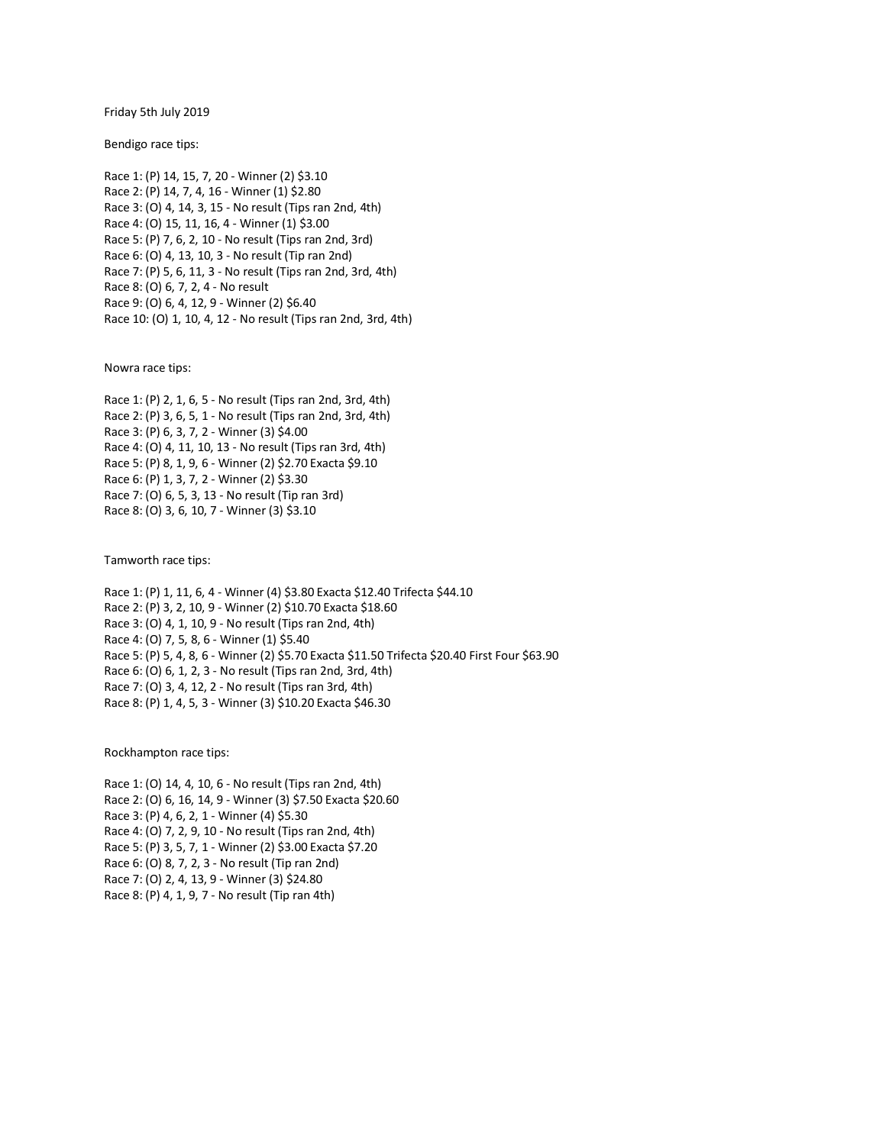Friday 5th July 2019

Bendigo race tips:

Race 1: (P) 14, 15, 7, 20 - Winner (2) \$3.10 Race 2: (P) 14, 7, 4, 16 - Winner (1) \$2.80 Race 3: (O) 4, 14, 3, 15 - No result (Tips ran 2nd, 4th) Race 4: (O) 15, 11, 16, 4 - Winner (1) \$3.00 Race 5: (P) 7, 6, 2, 10 - No result (Tips ran 2nd, 3rd) Race 6: (O) 4, 13, 10, 3 - No result (Tip ran 2nd) Race 7: (P) 5, 6, 11, 3 - No result (Tips ran 2nd, 3rd, 4th) Race 8: (O) 6, 7, 2, 4 - No result Race 9: (O) 6, 4, 12, 9 - Winner (2) \$6.40 Race 10: (O) 1, 10, 4, 12 - No result (Tips ran 2nd, 3rd, 4th)

Nowra race tips:

Race 1: (P) 2, 1, 6, 5 - No result (Tips ran 2nd, 3rd, 4th) Race 2: (P) 3, 6, 5, 1 - No result (Tips ran 2nd, 3rd, 4th) Race 3: (P) 6, 3, 7, 2 - Winner (3) \$4.00 Race 4: (O) 4, 11, 10, 13 - No result (Tips ran 3rd, 4th) Race 5: (P) 8, 1, 9, 6 - Winner (2) \$2.70 Exacta \$9.10 Race 6: (P) 1, 3, 7, 2 - Winner (2) \$3.30 Race 7: (O) 6, 5, 3, 13 - No result (Tip ran 3rd) Race 8: (O) 3, 6, 10, 7 - Winner (3) \$3.10

Tamworth race tips:

Race 1: (P) 1, 11, 6, 4 - Winner (4) \$3.80 Exacta \$12.40 Trifecta \$44.10 Race 2: (P) 3, 2, 10, 9 - Winner (2) \$10.70 Exacta \$18.60 Race 3: (O) 4, 1, 10, 9 - No result (Tips ran 2nd, 4th) Race 4: (O) 7, 5, 8, 6 - Winner (1) \$5.40 Race 5: (P) 5, 4, 8, 6 - Winner (2) \$5.70 Exacta \$11.50 Trifecta \$20.40 First Four \$63.90 Race 6: (O) 6, 1, 2, 3 - No result (Tips ran 2nd, 3rd, 4th) Race 7: (O) 3, 4, 12, 2 - No result (Tips ran 3rd, 4th) Race 8: (P) 1, 4, 5, 3 - Winner (3) \$10.20 Exacta \$46.30

Rockhampton race tips:

Race 1: (O) 14, 4, 10, 6 - No result (Tips ran 2nd, 4th) Race 2: (O) 6, 16, 14, 9 - Winner (3) \$7.50 Exacta \$20.60 Race 3: (P) 4, 6, 2, 1 - Winner (4) \$5.30 Race 4: (O) 7, 2, 9, 10 - No result (Tips ran 2nd, 4th) Race 5: (P) 3, 5, 7, 1 - Winner (2) \$3.00 Exacta \$7.20 Race 6: (O) 8, 7, 2, 3 - No result (Tip ran 2nd) Race 7: (O) 2, 4, 13, 9 - Winner (3) \$24.80 Race 8: (P) 4, 1, 9, 7 - No result (Tip ran 4th)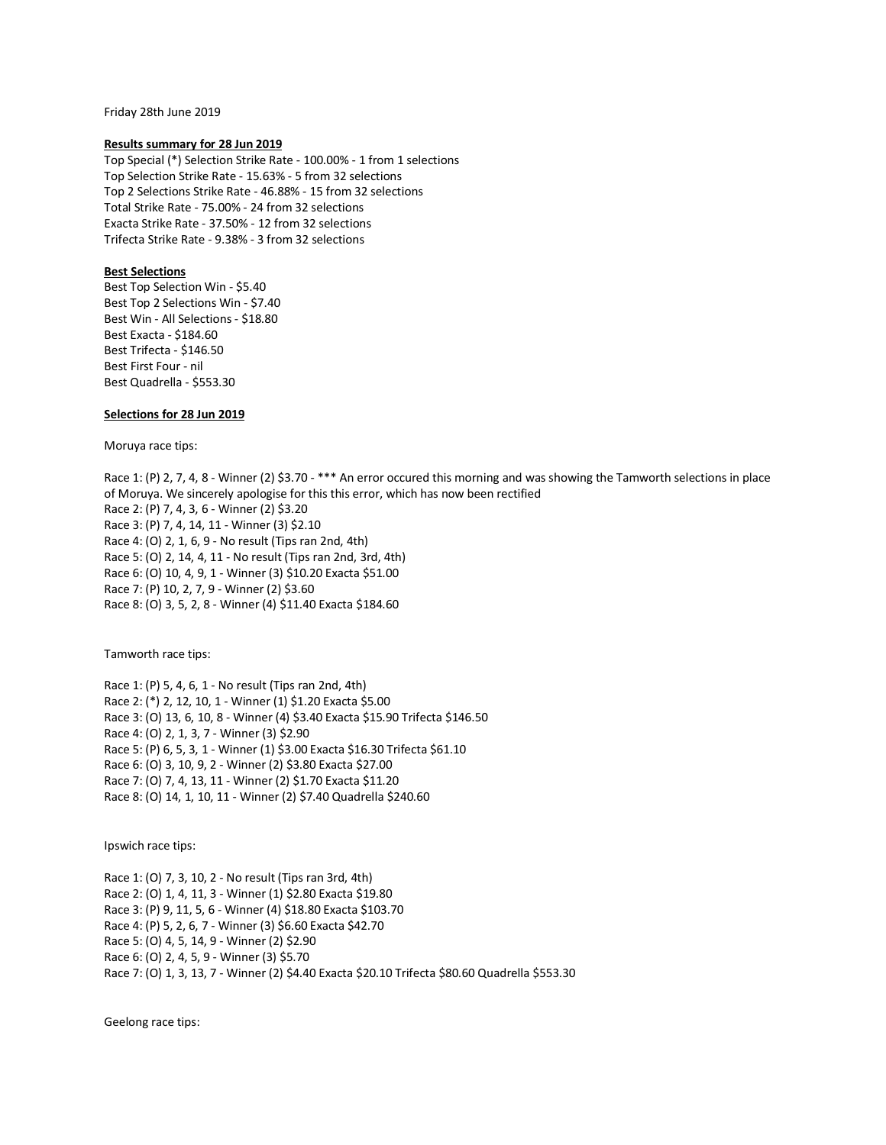Friday 28th June 2019

#### **Results summary for 28 Jun 2019**

Top Special (\*) Selection Strike Rate - 100.00% - 1 from 1 selections Top Selection Strike Rate - 15.63% - 5 from 32 selections Top 2 Selections Strike Rate - 46.88% - 15 from 32 selections Total Strike Rate - 75.00% - 24 from 32 selections Exacta Strike Rate - 37.50% - 12 from 32 selections Trifecta Strike Rate - 9.38% - 3 from 32 selections

### **Best Selections**

Best Top Selection Win - \$5.40 Best Top 2 Selections Win - \$7.40 Best Win - All Selections - \$18.80 Best Exacta - \$184.60 Best Trifecta - \$146.50 Best First Four - nil Best Quadrella - \$553.30

### **Selections for 28 Jun 2019**

Moruya race tips:

Race 1: (P) 2, 7, 4, 8 - Winner (2) \$3.70 - \*\*\* An error occured this morning and was showing the Tamworth selections in place of Moruya. We sincerely apologise for this this error, which has now been rectified Race 2: (P) 7, 4, 3, 6 - Winner (2) \$3.20 Race 3: (P) 7, 4, 14, 11 - Winner (3) \$2.10 Race 4: (O) 2, 1, 6, 9 - No result (Tips ran 2nd, 4th) Race 5: (O) 2, 14, 4, 11 - No result (Tips ran 2nd, 3rd, 4th) Race 6: (O) 10, 4, 9, 1 - Winner (3) \$10.20 Exacta \$51.00 Race 7: (P) 10, 2, 7, 9 - Winner (2) \$3.60 Race 8: (O) 3, 5, 2, 8 - Winner (4) \$11.40 Exacta \$184.60

Tamworth race tips:

Race 1: (P) 5, 4, 6, 1 - No result (Tips ran 2nd, 4th) Race 2: (\*) 2, 12, 10, 1 - Winner (1) \$1.20 Exacta \$5.00 Race 3: (O) 13, 6, 10, 8 - Winner (4) \$3.40 Exacta \$15.90 Trifecta \$146.50 Race 4: (O) 2, 1, 3, 7 - Winner (3) \$2.90 Race 5: (P) 6, 5, 3, 1 - Winner (1) \$3.00 Exacta \$16.30 Trifecta \$61.10 Race 6: (O) 3, 10, 9, 2 - Winner (2) \$3.80 Exacta \$27.00 Race 7: (O) 7, 4, 13, 11 - Winner (2) \$1.70 Exacta \$11.20 Race 8: (O) 14, 1, 10, 11 - Winner (2) \$7.40 Quadrella \$240.60

Ipswich race tips:

Race 1: (O) 7, 3, 10, 2 - No result (Tips ran 3rd, 4th) Race 2: (O) 1, 4, 11, 3 - Winner (1) \$2.80 Exacta \$19.80 Race 3: (P) 9, 11, 5, 6 - Winner (4) \$18.80 Exacta \$103.70 Race 4: (P) 5, 2, 6, 7 - Winner (3) \$6.60 Exacta \$42.70 Race 5: (O) 4, 5, 14, 9 - Winner (2) \$2.90 Race 6: (O) 2, 4, 5, 9 - Winner (3) \$5.70 Race 7: (O) 1, 3, 13, 7 - Winner (2) \$4.40 Exacta \$20.10 Trifecta \$80.60 Quadrella \$553.30

Geelong race tips: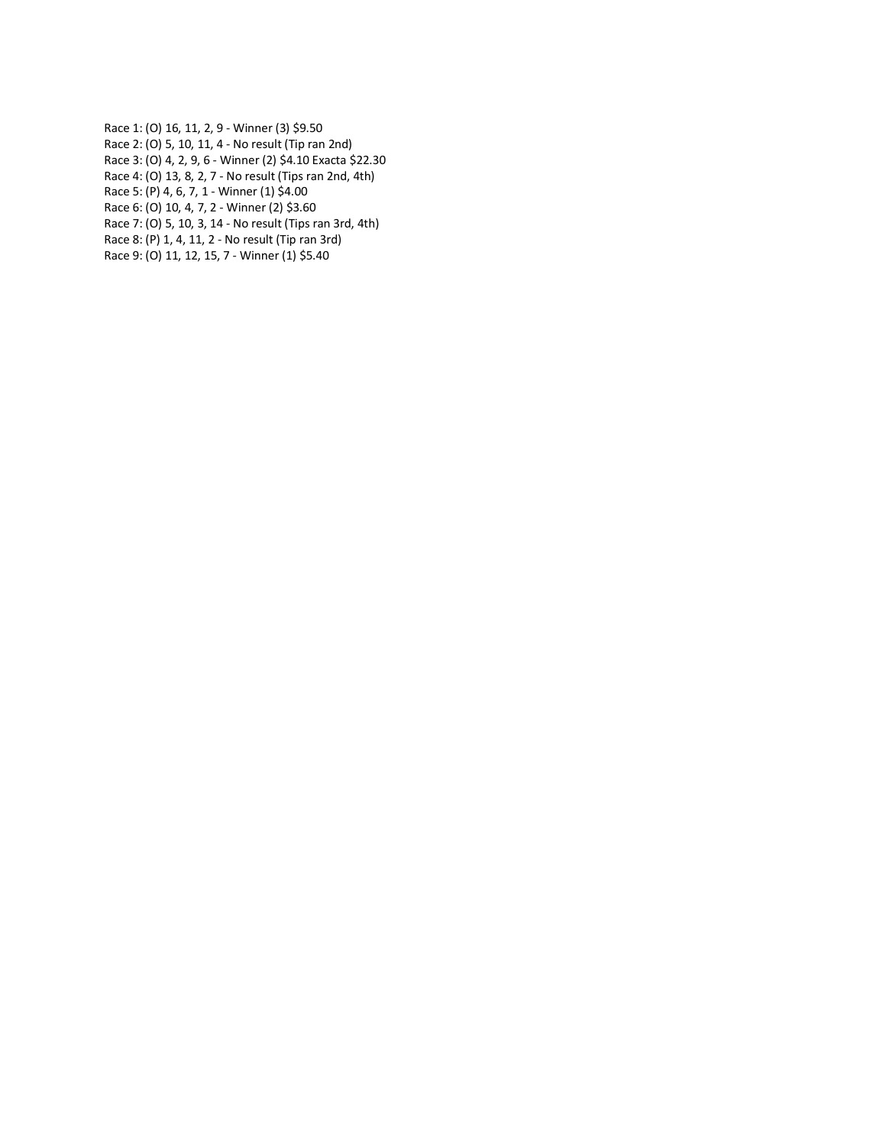- Race 1: (O) 16, 11, 2, 9 Winner (3) \$9.50 Race 2: (O) 5, 10, 11, 4 - No result (Tip ran 2nd) Race 3: (O) 4, 2, 9, 6 - Winner (2) \$4.10 Exacta \$22.30
- Race 4: (O) 13, 8, 2, 7 No result (Tips ran 2nd, 4th)

Race 5: (P) 4, 6, 7, 1 - Winner (1) \$4.00 Race 6: (O) 10, 4, 7, 2 - Winner (2) \$3.60

Race 7: (O) 5, 10, 3, 14 - No result (Tips ran 3rd, 4th)

Race 8: (P) 1, 4, 11, 2 - No result (Tip ran 3rd)

Race 9: (O) 11, 12, 15, 7 - Winner (1) \$5.40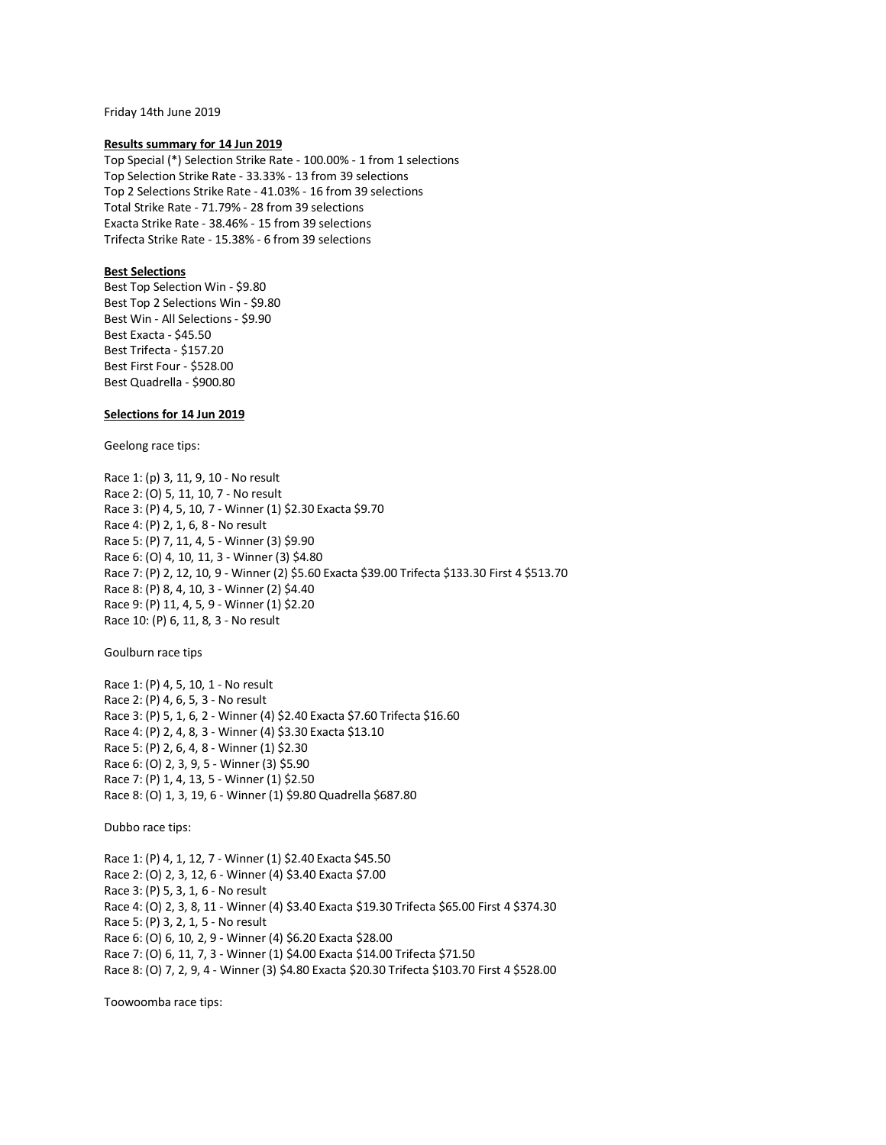Friday 14th June 2019

#### **Results summary for 14 Jun 2019**

Top Special (\*) Selection Strike Rate - 100.00% - 1 from 1 selections Top Selection Strike Rate - 33.33% - 13 from 39 selections Top 2 Selections Strike Rate - 41.03% - 16 from 39 selections Total Strike Rate - 71.79% - 28 from 39 selections Exacta Strike Rate - 38.46% - 15 from 39 selections Trifecta Strike Rate - 15.38% - 6 from 39 selections

### **Best Selections**

Best Top Selection Win - \$9.80 Best Top 2 Selections Win - \$9.80 Best Win - All Selections - \$9.90 Best Exacta - \$45.50 Best Trifecta - \$157.20 Best First Four - \$528.00 Best Quadrella - \$900.80

### **Selections for 14 Jun 2019**

Geelong race tips:

Race 1: (p) 3, 11, 9, 10 - No result Race 2: (O) 5, 11, 10, 7 - No result Race 3: (P) 4, 5, 10, 7 - Winner (1) \$2.30 Exacta \$9.70 Race 4: (P) 2, 1, 6, 8 - No result Race 5: (P) 7, 11, 4, 5 - Winner (3) \$9.90 Race 6: (O) 4, 10, 11, 3 - Winner (3) \$4.80 Race 7: (P) 2, 12, 10, 9 - Winner (2) \$5.60 Exacta \$39.00 Trifecta \$133.30 First 4 \$513.70 Race 8: (P) 8, 4, 10, 3 - Winner (2) \$4.40 Race 9: (P) 11, 4, 5, 9 - Winner (1) \$2.20 Race 10: (P) 6, 11, 8, 3 - No result

Goulburn race tips

Race 1: (P) 4, 5, 10, 1 - No result Race 2: (P) 4, 6, 5, 3 - No result Race 3: (P) 5, 1, 6, 2 - Winner (4) \$2.40 Exacta \$7.60 Trifecta \$16.60 Race 4: (P) 2, 4, 8, 3 - Winner (4) \$3.30 Exacta \$13.10 Race 5: (P) 2, 6, 4, 8 - Winner (1) \$2.30 Race 6: (O) 2, 3, 9, 5 - Winner (3) \$5.90 Race 7: (P) 1, 4, 13, 5 - Winner (1) \$2.50 Race 8: (O) 1, 3, 19, 6 - Winner (1) \$9.80 Quadrella \$687.80

Dubbo race tips:

Race 1: (P) 4, 1, 12, 7 - Winner (1) \$2.40 Exacta \$45.50 Race 2: (O) 2, 3, 12, 6 - Winner (4) \$3.40 Exacta \$7.00 Race 3: (P) 5, 3, 1, 6 - No result Race 4: (O) 2, 3, 8, 11 - Winner (4) \$3.40 Exacta \$19.30 Trifecta \$65.00 First 4 \$374.30 Race 5: (P) 3, 2, 1, 5 - No result Race 6: (O) 6, 10, 2, 9 - Winner (4) \$6.20 Exacta \$28.00 Race 7: (O) 6, 11, 7, 3 - Winner (1) \$4.00 Exacta \$14.00 Trifecta \$71.50 Race 8: (O) 7, 2, 9, 4 - Winner (3) \$4.80 Exacta \$20.30 Trifecta \$103.70 First 4 \$528.00

Toowoomba race tips: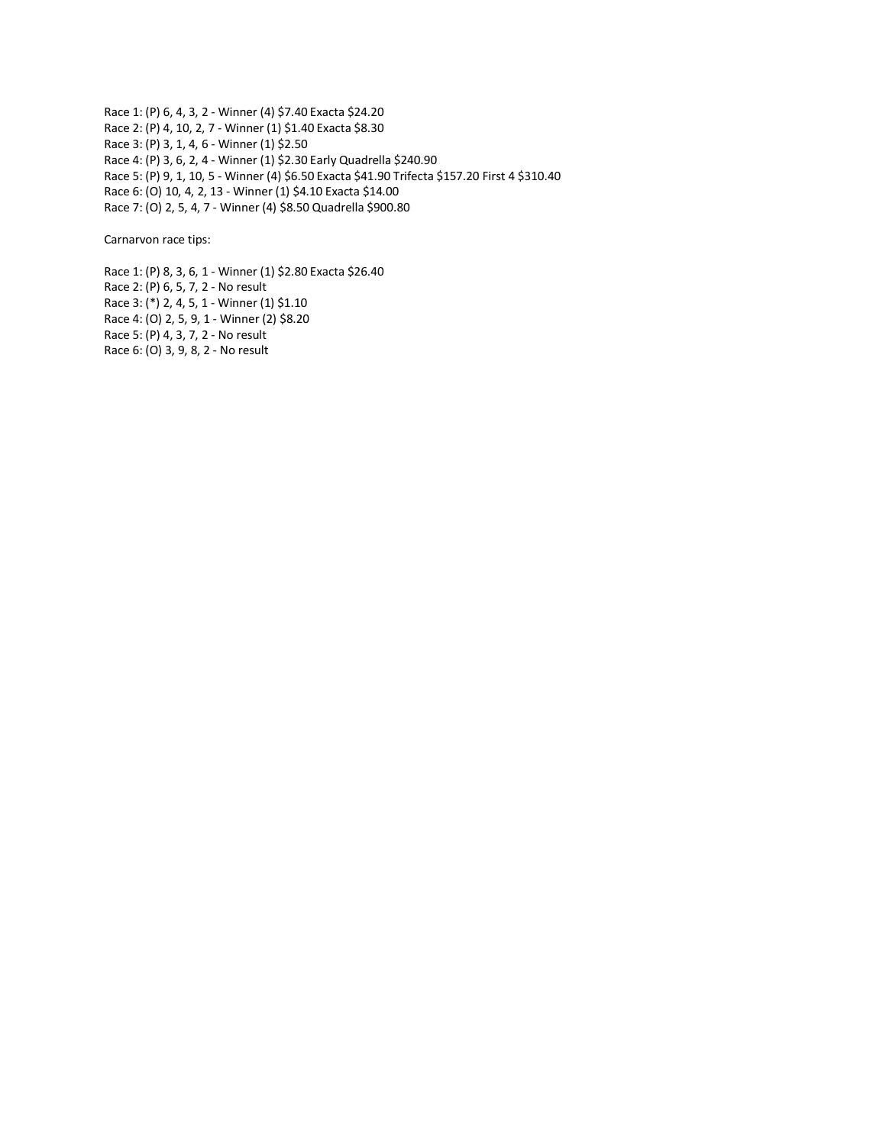Race 1: (P) 6, 4, 3, 2 - Winner (4) \$7.40 Exacta \$24.20 Race 2: (P) 4, 10, 2, 7 - Winner (1) \$1.40 Exacta \$8.30 Race 3: (P) 3, 1, 4, 6 - Winner (1) \$2.50 Race 4: (P) 3, 6, 2, 4 - Winner (1) \$2.30 Early Quadrella \$240.90 Race 5: (P) 9, 1, 10, 5 - Winner (4) \$6.50 Exacta \$41.90 Trifecta \$157.20 First 4 \$310.40 Race 6: (O) 10, 4, 2, 13 - Winner (1) \$4.10 Exacta \$14.00 Race 7: (O) 2, 5, 4, 7 - Winner (4) \$8.50 Quadrella \$900.80

Carnarvon race tips:

Race 1: (P) 8, 3, 6, 1 - Winner (1) \$2.80 Exacta \$26.40 Race 2: (P) 6, 5, 7, 2 - No result Race 3: (\*) 2, 4, 5, 1 - Winner (1) \$1.10 Race 4: (O) 2, 5, 9, 1 - Winner (2) \$8.20 Race 5: (P) 4, 3, 7, 2 - No result Race 6: (O) 3, 9, 8, 2 - No result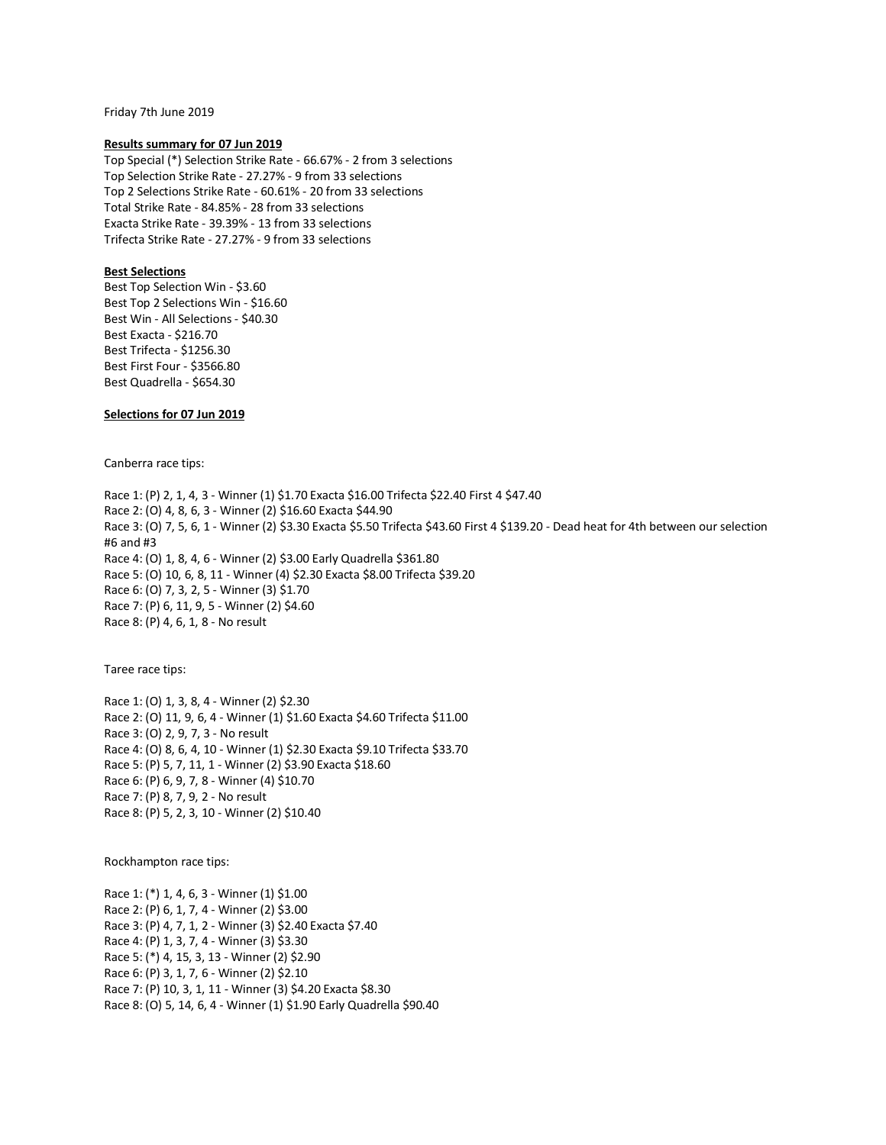Friday 7th June 2019

#### **Results summary for 07 Jun 2019**

Top Special (\*) Selection Strike Rate - 66.67% - 2 from 3 selections Top Selection Strike Rate - 27.27% - 9 from 33 selections Top 2 Selections Strike Rate - 60.61% - 20 from 33 selections Total Strike Rate - 84.85% - 28 from 33 selections Exacta Strike Rate - 39.39% - 13 from 33 selections Trifecta Strike Rate - 27.27% - 9 from 33 selections

### **Best Selections**

Best Top Selection Win - \$3.60 Best Top 2 Selections Win - \$16.60 Best Win - All Selections - \$40.30 Best Exacta - \$216.70 Best Trifecta - \$1256.30 Best First Four - \$3566.80 Best Quadrella - \$654.30

### **Selections for 07 Jun 2019**

Canberra race tips:

Race 1: (P) 2, 1, 4, 3 - Winner (1) \$1.70 Exacta \$16.00 Trifecta \$22.40 First 4 \$47.40 Race 2: (O) 4, 8, 6, 3 - Winner (2) \$16.60 Exacta \$44.90 Race 3: (O) 7, 5, 6, 1 - Winner (2) \$3.30 Exacta \$5.50 Trifecta \$43.60 First 4 \$139.20 - Dead heat for 4th between our selection #6 and #3 Race 4: (O) 1, 8, 4, 6 - Winner (2) \$3.00 Early Quadrella \$361.80 Race 5: (O) 10, 6, 8, 11 - Winner (4) \$2.30 Exacta \$8.00 Trifecta \$39.20 Race 6: (O) 7, 3, 2, 5 - Winner (3) \$1.70 Race 7: (P) 6, 11, 9, 5 - Winner (2) \$4.60 Race 8: (P) 4, 6, 1, 8 - No result

Taree race tips:

Race 1: (O) 1, 3, 8, 4 - Winner (2) \$2.30 Race 2: (O) 11, 9, 6, 4 - Winner (1) \$1.60 Exacta \$4.60 Trifecta \$11.00 Race 3: (O) 2, 9, 7, 3 - No result Race 4: (O) 8, 6, 4, 10 - Winner (1) \$2.30 Exacta \$9.10 Trifecta \$33.70 Race 5: (P) 5, 7, 11, 1 - Winner (2) \$3.90 Exacta \$18.60 Race 6: (P) 6, 9, 7, 8 - Winner (4) \$10.70 Race 7: (P) 8, 7, 9, 2 - No result Race 8: (P) 5, 2, 3, 10 - Winner (2) \$10.40

Rockhampton race tips:

Race 1: (\*) 1, 4, 6, 3 - Winner (1) \$1.00 Race 2: (P) 6, 1, 7, 4 - Winner (2) \$3.00 Race 3: (P) 4, 7, 1, 2 - Winner (3) \$2.40 Exacta \$7.40 Race 4: (P) 1, 3, 7, 4 - Winner (3) \$3.30 Race 5: (\*) 4, 15, 3, 13 - Winner (2) \$2.90 Race 6: (P) 3, 1, 7, 6 - Winner (2) \$2.10 Race 7: (P) 10, 3, 1, 11 - Winner (3) \$4.20 Exacta \$8.30 Race 8: (O) 5, 14, 6, 4 - Winner (1) \$1.90 Early Quadrella \$90.40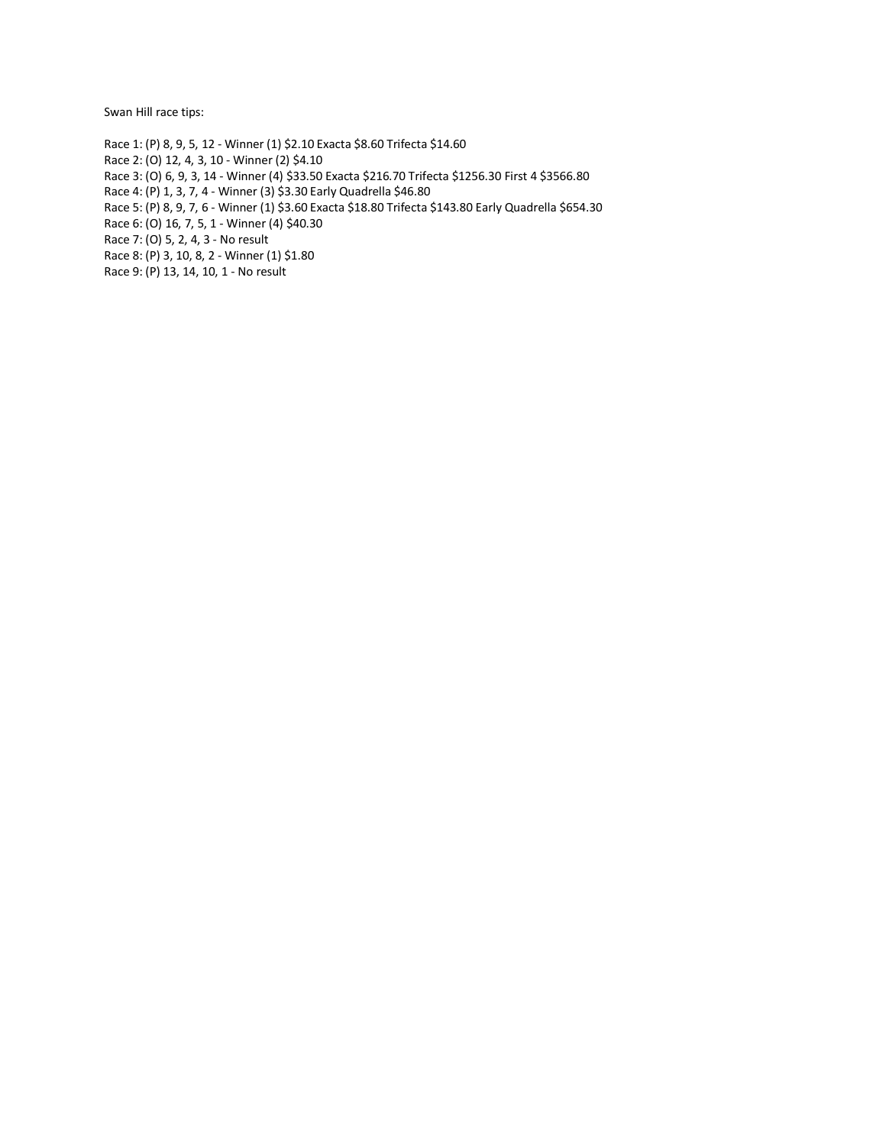Swan Hill race tips:

Race 1: (P) 8, 9, 5, 12 - Winner (1) \$2.10 Exacta \$8.60 Trifecta \$14.60 Race 2: (O) 12, 4, 3, 10 - Winner (2) \$4.10 Race 3: (O) 6, 9, 3, 14 - Winner (4) \$33.50 Exacta \$216.70 Trifecta \$1256.30 First 4 \$3566.80 Race 4: (P) 1, 3, 7, 4 - Winner (3) \$3.30 Early Quadrella \$46.80 Race 5: (P) 8, 9, 7, 6 - Winner (1) \$3.60 Exacta \$18.80 Trifecta \$143.80 Early Quadrella \$654.30 Race 6: (O) 16, 7, 5, 1 - Winner (4) \$40.30 Race 7: (O) 5, 2, 4, 3 - No result Race 8: (P) 3, 10, 8, 2 - Winner (1) \$1.80 Race 9: (P) 13, 14, 10, 1 - No result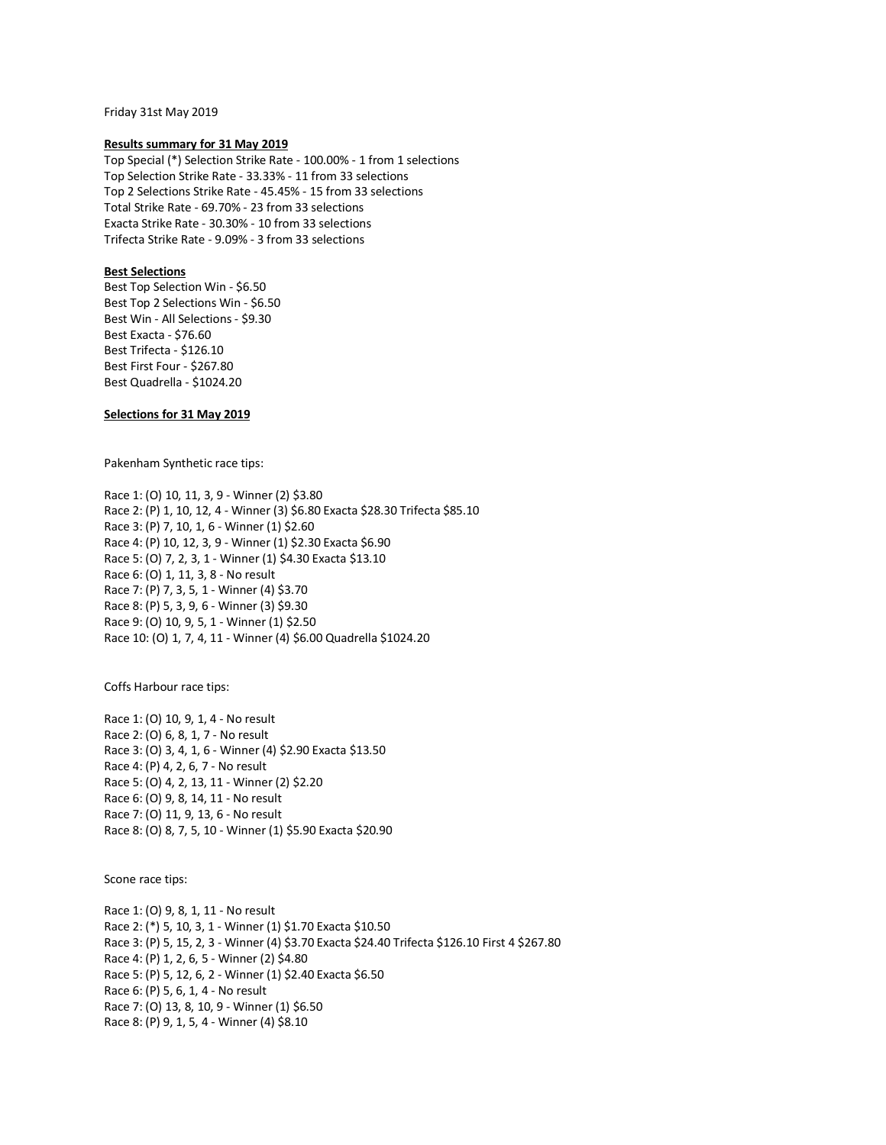Friday 31st May 2019

### **Results summary for 31 May 2019**

Top Special (\*) Selection Strike Rate - 100.00% - 1 from 1 selections Top Selection Strike Rate - 33.33% - 11 from 33 selections Top 2 Selections Strike Rate - 45.45% - 15 from 33 selections Total Strike Rate - 69.70% - 23 from 33 selections Exacta Strike Rate - 30.30% - 10 from 33 selections Trifecta Strike Rate - 9.09% - 3 from 33 selections

### **Best Selections**

Best Top Selection Win - \$6.50 Best Top 2 Selections Win - \$6.50 Best Win - All Selections - \$9.30 Best Exacta - \$76.60 Best Trifecta - \$126.10 Best First Four - \$267.80 Best Quadrella - \$1024.20

## **Selections for 31 May 2019**

Pakenham Synthetic race tips:

Race 1: (O) 10, 11, 3, 9 - Winner (2) \$3.80 Race 2: (P) 1, 10, 12, 4 - Winner (3) \$6.80 Exacta \$28.30 Trifecta \$85.10 Race 3: (P) 7, 10, 1, 6 - Winner (1) \$2.60 Race 4: (P) 10, 12, 3, 9 - Winner (1) \$2.30 Exacta \$6.90 Race 5: (O) 7, 2, 3, 1 - Winner (1) \$4.30 Exacta \$13.10 Race 6: (O) 1, 11, 3, 8 - No result Race 7: (P) 7, 3, 5, 1 - Winner (4) \$3.70 Race 8: (P) 5, 3, 9, 6 - Winner (3) \$9.30 Race 9: (O) 10, 9, 5, 1 - Winner (1) \$2.50 Race 10: (O) 1, 7, 4, 11 - Winner (4) \$6.00 Quadrella \$1024.20

Coffs Harbour race tips:

Race 1: (O) 10, 9, 1, 4 - No result Race 2: (O) 6, 8, 1, 7 - No result Race 3: (O) 3, 4, 1, 6 - Winner (4) \$2.90 Exacta \$13.50 Race 4: (P) 4, 2, 6, 7 - No result Race 5: (O) 4, 2, 13, 11 - Winner (2) \$2.20 Race 6: (O) 9, 8, 14, 11 - No result Race 7: (O) 11, 9, 13, 6 - No result Race 8: (O) 8, 7, 5, 10 - Winner (1) \$5.90 Exacta \$20.90

Scone race tips:

Race 1: (O) 9, 8, 1, 11 - No result Race 2: (\*) 5, 10, 3, 1 - Winner (1) \$1.70 Exacta \$10.50 Race 3: (P) 5, 15, 2, 3 - Winner (4) \$3.70 Exacta \$24.40 Trifecta \$126.10 First 4 \$267.80 Race 4: (P) 1, 2, 6, 5 - Winner (2) \$4.80 Race 5: (P) 5, 12, 6, 2 - Winner (1) \$2.40 Exacta \$6.50 Race 6: (P) 5, 6, 1, 4 - No result Race 7: (O) 13, 8, 10, 9 - Winner (1) \$6.50 Race 8: (P) 9, 1, 5, 4 - Winner (4) \$8.10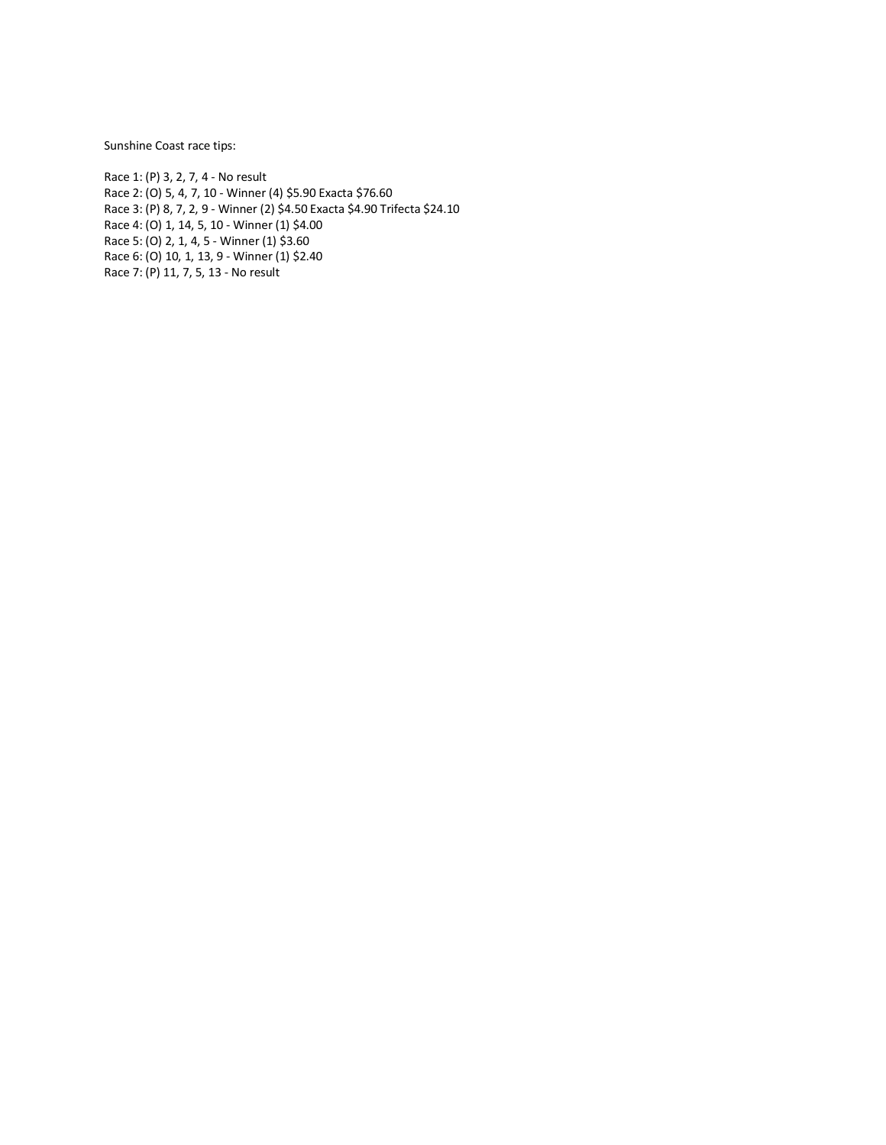Sunshine Coast race tips:

Race 1: (P) 3, 2, 7, 4 - No result Race 2: (O) 5, 4, 7, 10 - Winner (4) \$5.90 Exacta \$76.60 Race 3: (P) 8, 7, 2, 9 - Winner (2) \$4.50 Exacta \$4.90 Trifecta \$24.10 Race 4: (O) 1, 14, 5, 10 - Winner (1) \$4.00 Race 5: (O) 2, 1, 4, 5 - Winner (1) \$3.60 Race 6: (O) 10, 1, 13, 9 - Winner (1) \$2.40 Race 7: (P) 11, 7, 5, 13 - No result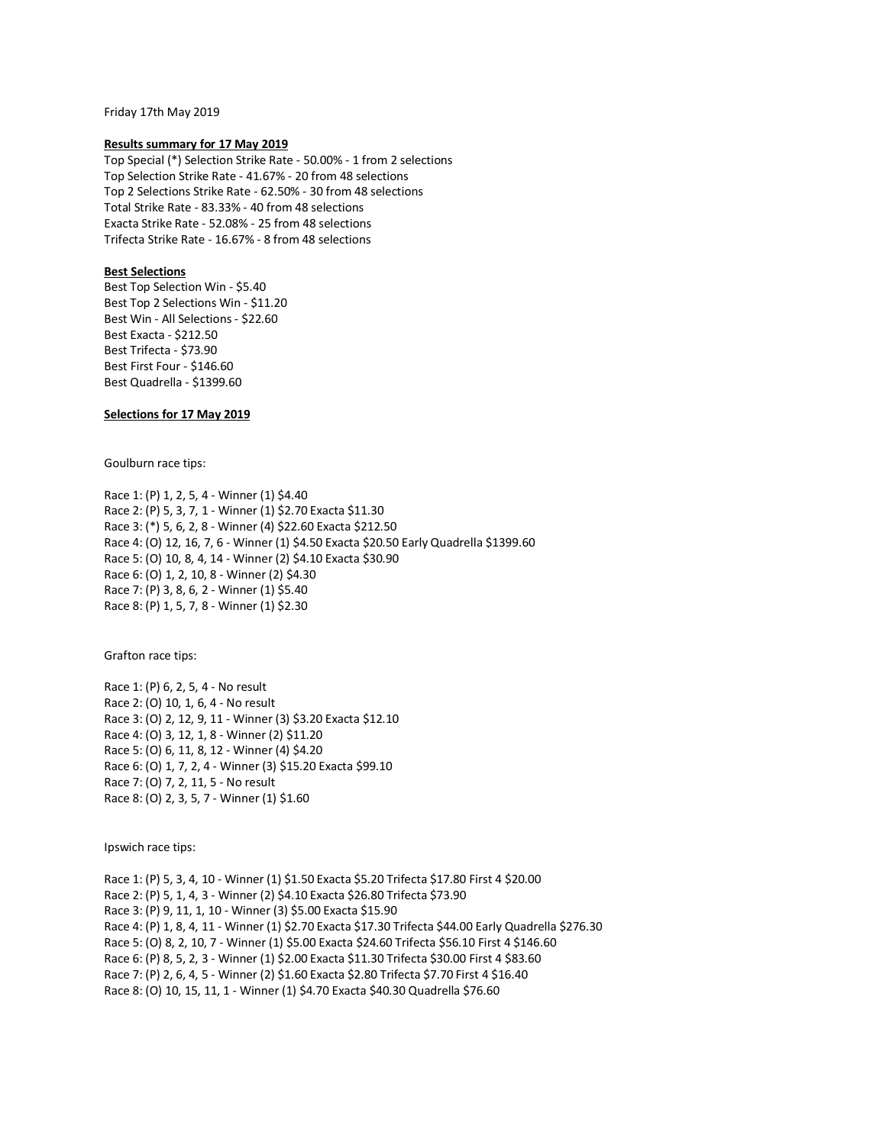Friday 17th May 2019

#### **Results summary for 17 May 2019**

Top Special (\*) Selection Strike Rate - 50.00% - 1 from 2 selections Top Selection Strike Rate - 41.67% - 20 from 48 selections Top 2 Selections Strike Rate - 62.50% - 30 from 48 selections Total Strike Rate - 83.33% - 40 from 48 selections Exacta Strike Rate - 52.08% - 25 from 48 selections Trifecta Strike Rate - 16.67% - 8 from 48 selections

## **Best Selections**

Best Top Selection Win - \$5.40 Best Top 2 Selections Win - \$11.20 Best Win - All Selections - \$22.60 Best Exacta - \$212.50 Best Trifecta - \$73.90 Best First Four - \$146.60 Best Quadrella - \$1399.60

## **Selections for 17 May 2019**

Goulburn race tips:

Race 1: (P) 1, 2, 5, 4 - Winner (1) \$4.40 Race 2: (P) 5, 3, 7, 1 - Winner (1) \$2.70 Exacta \$11.30 Race 3: (\*) 5, 6, 2, 8 - Winner (4) \$22.60 Exacta \$212.50 Race 4: (O) 12, 16, 7, 6 - Winner (1) \$4.50 Exacta \$20.50 Early Quadrella \$1399.60 Race 5: (O) 10, 8, 4, 14 - Winner (2) \$4.10 Exacta \$30.90 Race 6: (O) 1, 2, 10, 8 - Winner (2) \$4.30 Race 7: (P) 3, 8, 6, 2 - Winner (1) \$5.40 Race 8: (P) 1, 5, 7, 8 - Winner (1) \$2.30

Grafton race tips:

Race 1: (P) 6, 2, 5, 4 - No result Race 2: (O) 10, 1, 6, 4 - No result Race 3: (O) 2, 12, 9, 11 - Winner (3) \$3.20 Exacta \$12.10 Race 4: (O) 3, 12, 1, 8 - Winner (2) \$11.20 Race 5: (O) 6, 11, 8, 12 - Winner (4) \$4.20 Race 6: (O) 1, 7, 2, 4 - Winner (3) \$15.20 Exacta \$99.10 Race 7: (O) 7, 2, 11, 5 - No result Race 8: (O) 2, 3, 5, 7 - Winner (1) \$1.60

Ipswich race tips:

Race 1: (P) 5, 3, 4, 10 - Winner (1) \$1.50 Exacta \$5.20 Trifecta \$17.80 First 4 \$20.00 Race 2: (P) 5, 1, 4, 3 - Winner (2) \$4.10 Exacta \$26.80 Trifecta \$73.90 Race 3: (P) 9, 11, 1, 10 - Winner (3) \$5.00 Exacta \$15.90 Race 4: (P) 1, 8, 4, 11 - Winner (1) \$2.70 Exacta \$17.30 Trifecta \$44.00 Early Quadrella \$276.30 Race 5: (O) 8, 2, 10, 7 - Winner (1) \$5.00 Exacta \$24.60 Trifecta \$56.10 First 4 \$146.60 Race 6: (P) 8, 5, 2, 3 - Winner (1) \$2.00 Exacta \$11.30 Trifecta \$30.00 First 4 \$83.60 Race 7: (P) 2, 6, 4, 5 - Winner (2) \$1.60 Exacta \$2.80 Trifecta \$7.70 First 4 \$16.40 Race 8: (O) 10, 15, 11, 1 - Winner (1) \$4.70 Exacta \$40.30 Quadrella \$76.60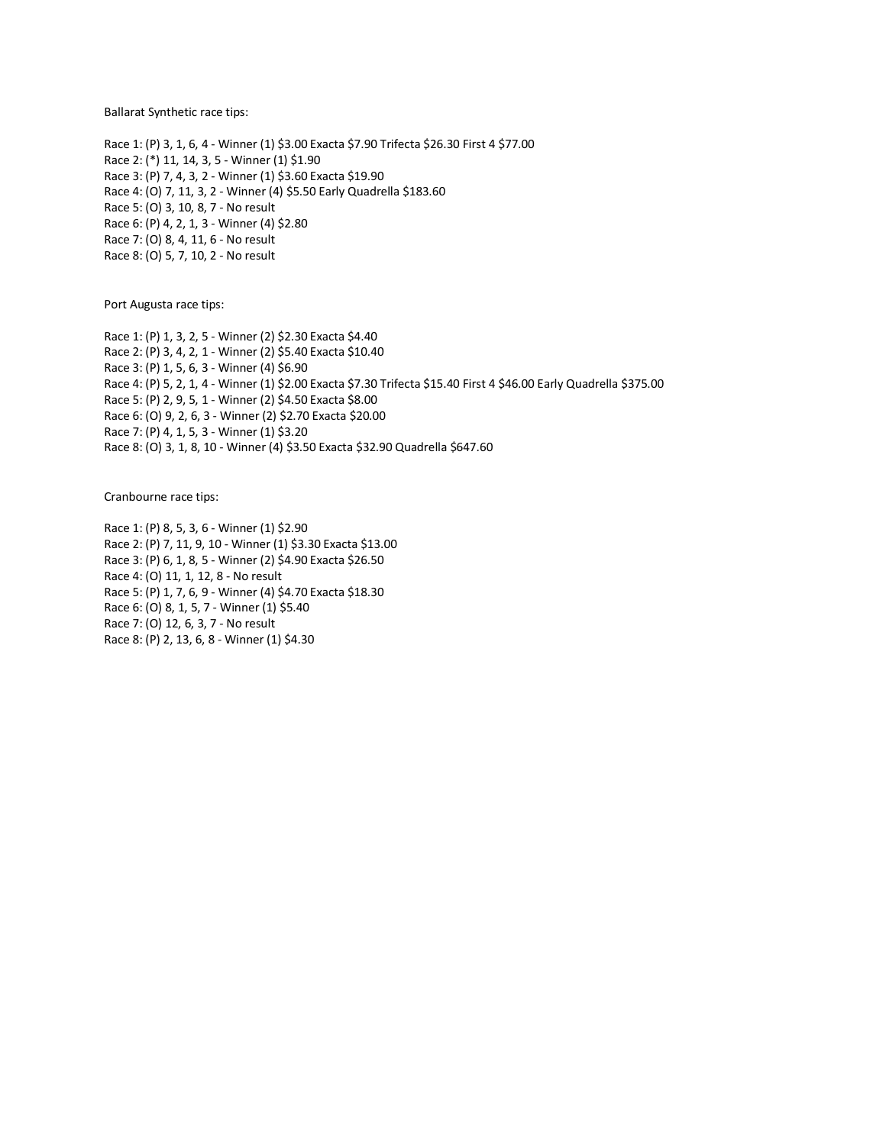Ballarat Synthetic race tips:

Race 1: (P) 3, 1, 6, 4 - Winner (1) \$3.00 Exacta \$7.90 Trifecta \$26.30 First 4 \$77.00 Race 2: (\*) 11, 14, 3, 5 - Winner (1) \$1.90 Race 3: (P) 7, 4, 3, 2 - Winner (1) \$3.60 Exacta \$19.90 Race 4: (O) 7, 11, 3, 2 - Winner (4) \$5.50 Early Quadrella \$183.60 Race 5: (O) 3, 10, 8, 7 - No result Race 6: (P) 4, 2, 1, 3 - Winner (4) \$2.80 Race 7: (O) 8, 4, 11, 6 - No result Race 8: (O) 5, 7, 10, 2 - No result

Port Augusta race tips:

Race 1: (P) 1, 3, 2, 5 - Winner (2) \$2.30 Exacta \$4.40 Race 2: (P) 3, 4, 2, 1 - Winner (2) \$5.40 Exacta \$10.40 Race 3: (P) 1, 5, 6, 3 - Winner (4) \$6.90 Race 4: (P) 5, 2, 1, 4 - Winner (1) \$2.00 Exacta \$7.30 Trifecta \$15.40 First 4 \$46.00 Early Quadrella \$375.00 Race 5: (P) 2, 9, 5, 1 - Winner (2) \$4.50 Exacta \$8.00 Race 6: (O) 9, 2, 6, 3 - Winner (2) \$2.70 Exacta \$20.00 Race 7: (P) 4, 1, 5, 3 - Winner (1) \$3.20 Race 8: (O) 3, 1, 8, 10 - Winner (4) \$3.50 Exacta \$32.90 Quadrella \$647.60

Cranbourne race tips:

Race 1: (P) 8, 5, 3, 6 - Winner (1) \$2.90 Race 2: (P) 7, 11, 9, 10 - Winner (1) \$3.30 Exacta \$13.00 Race 3: (P) 6, 1, 8, 5 - Winner (2) \$4.90 Exacta \$26.50 Race 4: (O) 11, 1, 12, 8 - No result Race 5: (P) 1, 7, 6, 9 - Winner (4) \$4.70 Exacta \$18.30 Race 6: (O) 8, 1, 5, 7 - Winner (1) \$5.40 Race 7: (O) 12, 6, 3, 7 - No result Race 8: (P) 2, 13, 6, 8 - Winner (1) \$4.30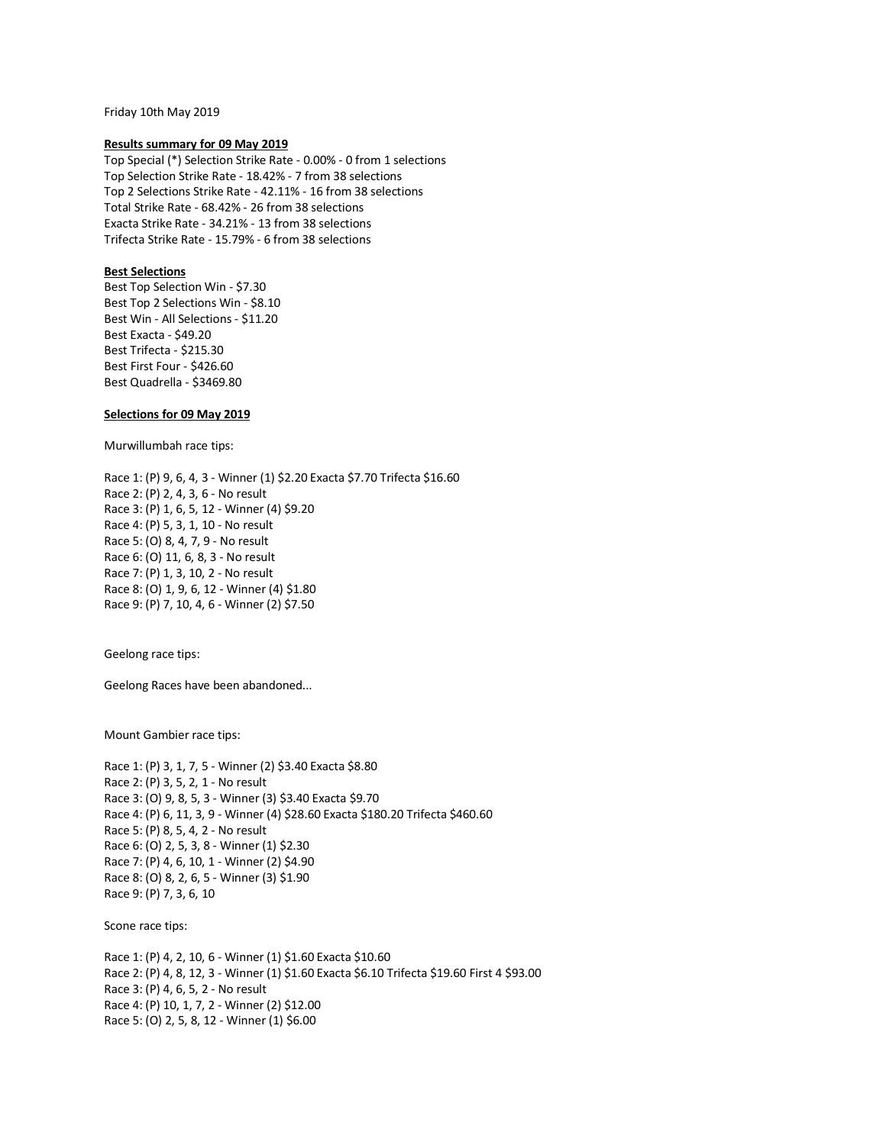Friday 10th May 2019

### **Results summary for 09 May 2019**

Top Special (\*) Selection Strike Rate - 0.00% - 0 from 1 selections Top Selection Strike Rate - 18.42% - 7 from 38 selections Top 2 Selections Strike Rate - 42.11% - 16 from 38 selections Total Strike Rate - 68.42% - 26 from 38 selections Exacta Strike Rate - 34.21% - 13 from 38 selections Trifecta Strike Rate - 15.79% - 6 from 38 selections

## **Best Selections**

Best Top Selection Win - \$7.30 Best Top 2 Selections Win - \$8.10 Best Win - All Selections - \$11.20 Best Exacta - \$49.20 Best Trifecta - \$215.30 Best First Four - \$426.60 Best Quadrella - \$3469.80

## **Selections for 09 May 2019**

Murwillumbah race tips:

Race 1: (P) 9, 6, 4, 3 - Winner (1) \$2.20 Exacta \$7.70 Trifecta \$16.60 Race 2: (P) 2, 4, 3, 6 - No result Race 3: (P) 1, 6, 5, 12 - Winner (4) \$9.20 Race 4: (P) 5, 3, 1, 10 - No result Race 5: (O) 8, 4, 7, 9 - No result Race 6: (O) 11, 6, 8, 3 - No result Race 7: (P) 1, 3, 10, 2 - No result Race 8: (O) 1, 9, 6, 12 - Winner (4) \$1.80 Race 9: (P) 7, 10, 4, 6 - Winner (2) \$7.50

Geelong race tips:

Geelong Races have been abandoned...

Mount Gambier race tips:

Race 1: (P) 3, 1, 7, 5 - Winner (2) \$3.40 Exacta \$8.80 Race 2: (P) 3, 5, 2, 1 - No result Race 3: (O) 9, 8, 5, 3 - Winner (3) \$3.40 Exacta \$9.70 Race 4: (P) 6, 11, 3, 9 - Winner (4) \$28.60 Exacta \$180.20 Trifecta \$460.60 Race 5: (P) 8, 5, 4, 2 - No result Race 6: (O) 2, 5, 3, 8 - Winner (1) \$2.30 Race 7: (P) 4, 6, 10, 1 - Winner (2) \$4.90 Race 8: (O) 8, 2, 6, 5 - Winner (3) \$1.90 Race 9: (P) 7, 3, 6, 10

Scone race tips:

Race 1: (P) 4, 2, 10, 6 - Winner (1) \$1.60 Exacta \$10.60 Race 2: (P) 4, 8, 12, 3 - Winner (1) \$1.60 Exacta \$6.10 Trifecta \$19.60 First 4 \$93.00 Race 3: (P) 4, 6, 5, 2 - No result Race 4: (P) 10, 1, 7, 2 - Winner (2) \$12.00 Race 5: (O) 2, 5, 8, 12 - Winner (1) \$6.00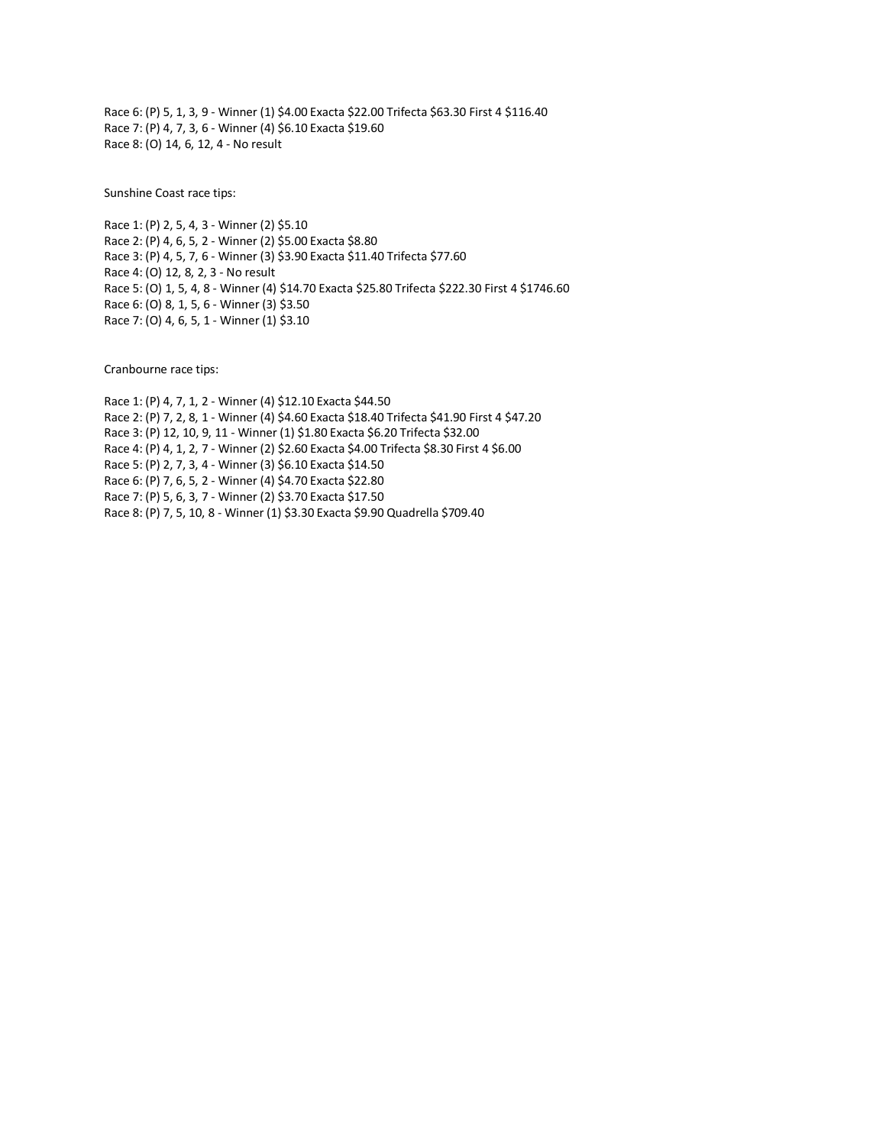Race 6: (P) 5, 1, 3, 9 - Winner (1) \$4.00 Exacta \$22.00 Trifecta \$63.30 First 4 \$116.40 Race 7: (P) 4, 7, 3, 6 - Winner (4) \$6.10 Exacta \$19.60 Race 8: (O) 14, 6, 12, 4 - No result

Sunshine Coast race tips:

Race 1: (P) 2, 5, 4, 3 - Winner (2) \$5.10 Race 2: (P) 4, 6, 5, 2 - Winner (2) \$5.00 Exacta \$8.80 Race 3: (P) 4, 5, 7, 6 - Winner (3) \$3.90 Exacta \$11.40 Trifecta \$77.60 Race 4: (O) 12, 8, 2, 3 - No result Race 5: (O) 1, 5, 4, 8 - Winner (4) \$14.70 Exacta \$25.80 Trifecta \$222.30 First 4 \$1746.60 Race 6: (O) 8, 1, 5, 6 - Winner (3) \$3.50 Race 7: (O) 4, 6, 5, 1 - Winner (1) \$3.10

Cranbourne race tips:

Race 1: (P) 4, 7, 1, 2 - Winner (4) \$12.10 Exacta \$44.50 Race 2: (P) 7, 2, 8, 1 - Winner (4) \$4.60 Exacta \$18.40 Trifecta \$41.90 First 4 \$47.20 Race 3: (P) 12, 10, 9, 11 - Winner (1) \$1.80 Exacta \$6.20 Trifecta \$32.00 Race 4: (P) 4, 1, 2, 7 - Winner (2) \$2.60 Exacta \$4.00 Trifecta \$8.30 First 4 \$6.00 Race 5: (P) 2, 7, 3, 4 - Winner (3) \$6.10 Exacta \$14.50 Race 6: (P) 7, 6, 5, 2 - Winner (4) \$4.70 Exacta \$22.80 Race 7: (P) 5, 6, 3, 7 - Winner (2) \$3.70 Exacta \$17.50 Race 8: (P) 7, 5, 10, 8 - Winner (1) \$3.30 Exacta \$9.90 Quadrella \$709.40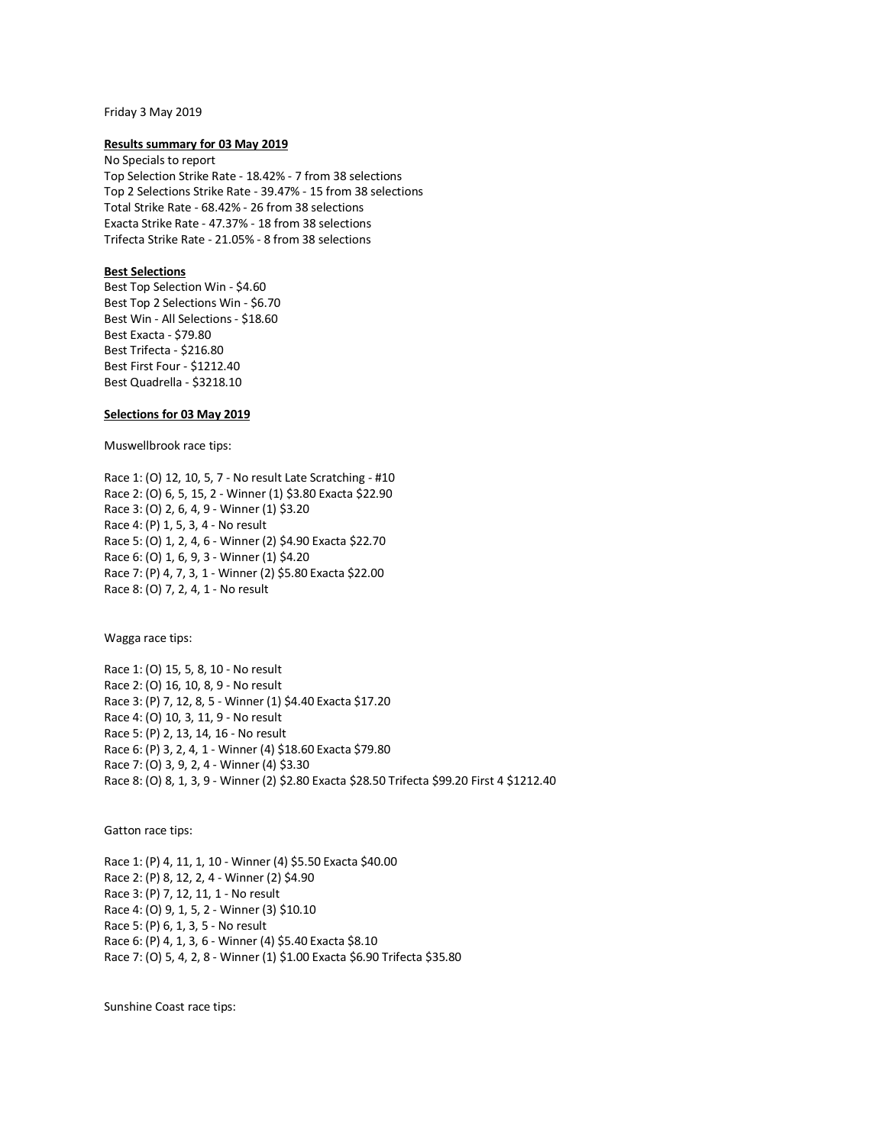#### Friday 3 May 2019

### **Results summary for 03 May 2019**

No Specials to report Top Selection Strike Rate - 18.42% - 7 from 38 selections Top 2 Selections Strike Rate - 39.47% - 15 from 38 selections Total Strike Rate - 68.42% - 26 from 38 selections Exacta Strike Rate - 47.37% - 18 from 38 selections Trifecta Strike Rate - 21.05% - 8 from 38 selections

## **Best Selections**

Best Top Selection Win - \$4.60 Best Top 2 Selections Win - \$6.70 Best Win - All Selections - \$18.60 Best Exacta - \$79.80 Best Trifecta - \$216.80 Best First Four - \$1212.40 Best Quadrella - \$3218.10

## **Selections for 03 May 2019**

Muswellbrook race tips:

Race 1: (O) 12, 10, 5, 7 - No result Late Scratching - #10 Race 2: (O) 6, 5, 15, 2 - Winner (1) \$3.80 Exacta \$22.90 Race 3: (O) 2, 6, 4, 9 - Winner (1) \$3.20 Race 4: (P) 1, 5, 3, 4 - No result Race 5: (O) 1, 2, 4, 6 - Winner (2) \$4.90 Exacta \$22.70 Race 6: (O) 1, 6, 9, 3 - Winner (1) \$4.20 Race 7: (P) 4, 7, 3, 1 - Winner (2) \$5.80 Exacta \$22.00 Race 8: (O) 7, 2, 4, 1 - No result

Wagga race tips:

Race 1: (O) 15, 5, 8, 10 - No result Race 2: (O) 16, 10, 8, 9 - No result Race 3: (P) 7, 12, 8, 5 - Winner (1) \$4.40 Exacta \$17.20 Race 4: (O) 10, 3, 11, 9 - No result Race 5: (P) 2, 13, 14, 16 - No result Race 6: (P) 3, 2, 4, 1 - Winner (4) \$18.60 Exacta \$79.80 Race 7: (O) 3, 9, 2, 4 - Winner (4) \$3.30 Race 8: (O) 8, 1, 3, 9 - Winner (2) \$2.80 Exacta \$28.50 Trifecta \$99.20 First 4 \$1212.40

Gatton race tips:

Race 1: (P) 4, 11, 1, 10 - Winner (4) \$5.50 Exacta \$40.00 Race 2: (P) 8, 12, 2, 4 - Winner (2) \$4.90 Race 3: (P) 7, 12, 11, 1 - No result Race 4: (O) 9, 1, 5, 2 - Winner (3) \$10.10 Race 5: (P) 6, 1, 3, 5 - No result Race 6: (P) 4, 1, 3, 6 - Winner (4) \$5.40 Exacta \$8.10 Race 7: (O) 5, 4, 2, 8 - Winner (1) \$1.00 Exacta \$6.90 Trifecta \$35.80

Sunshine Coast race tips: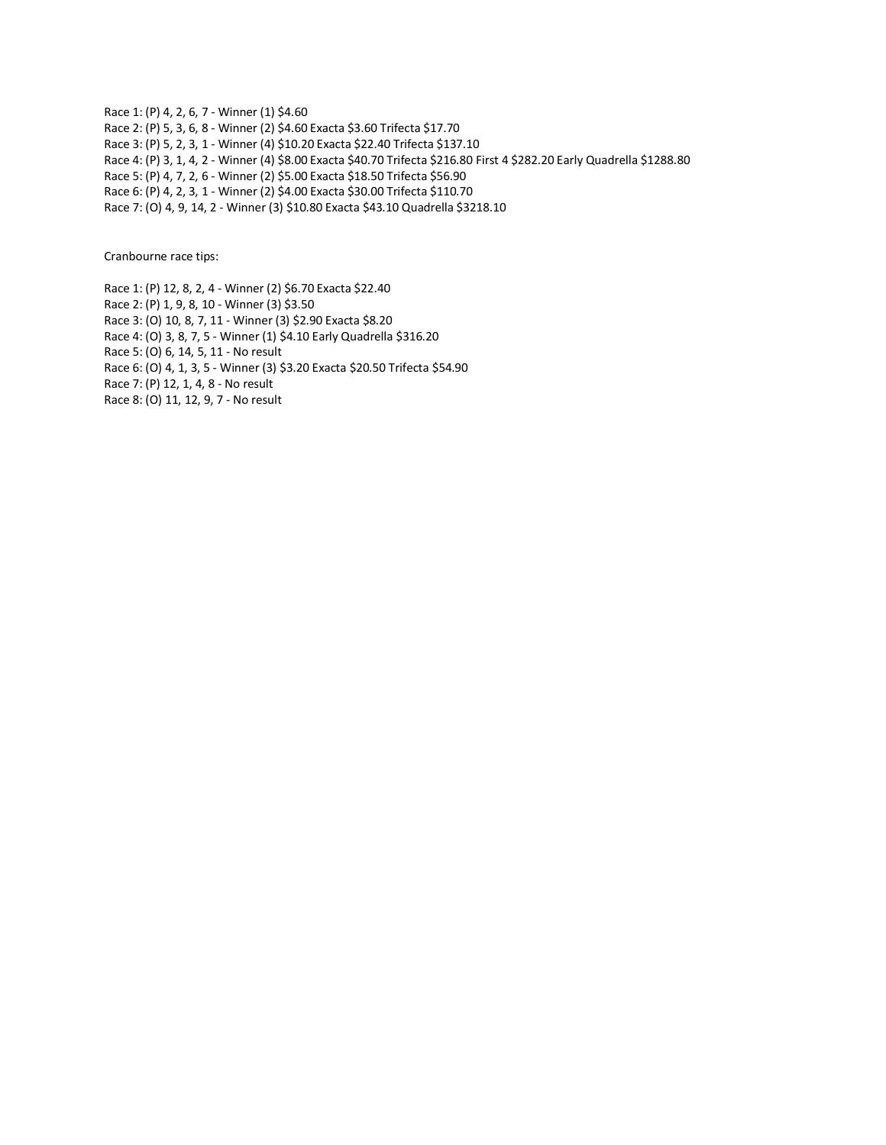Race 1: (P) 4, 2, 6, 7 - Winner (1) \$4.60 Race 2: (P) 5, 3, 6, 8 - Winner (2) \$4.60 Exacta \$3.60 Trifecta \$17.70 Race 3: (P) 5, 2, 3, 1 - Winner (4) \$10.20 Exacta \$22.40 Trifecta \$137.10 Race 4: (P) 3, 1, 4, 2 - Winner (4) \$8.00 Exacta \$40.70 Trifecta \$216.80 First 4 \$282.20 Early Quadrella \$1288.80 Race 5: (P) 4, 7, 2, 6 - Winner (2) \$5.00 Exacta \$18.50 Trifecta \$56.90 Race 6: (P) 4, 2, 3, 1 - Winner (2) \$4.00 Exacta \$30.00 Trifecta \$110.70 Race 7: (O) 4, 9, 14, 2 - Winner (3) \$10.80 Exacta \$43.10 Quadrella \$3218.10

Cranbourne race tips:

Race 1: (P) 12, 8, 2, 4 - Winner (2) \$6.70 Exacta \$22.40

Race 2: (P) 1, 9, 8, 10 - Winner (3) \$3.50

Race 3: (O) 10, 8, 7, 11 - Winner (3) \$2.90 Exacta \$8.20

Race 4: (O) 3, 8, 7, 5 - Winner (1) \$4.10 Early Quadrella \$316.20

Race 5: (O) 6, 14, 5, 11 - No result

Race 6: (O) 4, 1, 3, 5 - Winner (3) \$3.20 Exacta \$20.50 Trifecta \$54.90

Race 7: (P) 12, 1, 4, 8 - No result

Race 8: (O) 11, 12, 9, 7 - No result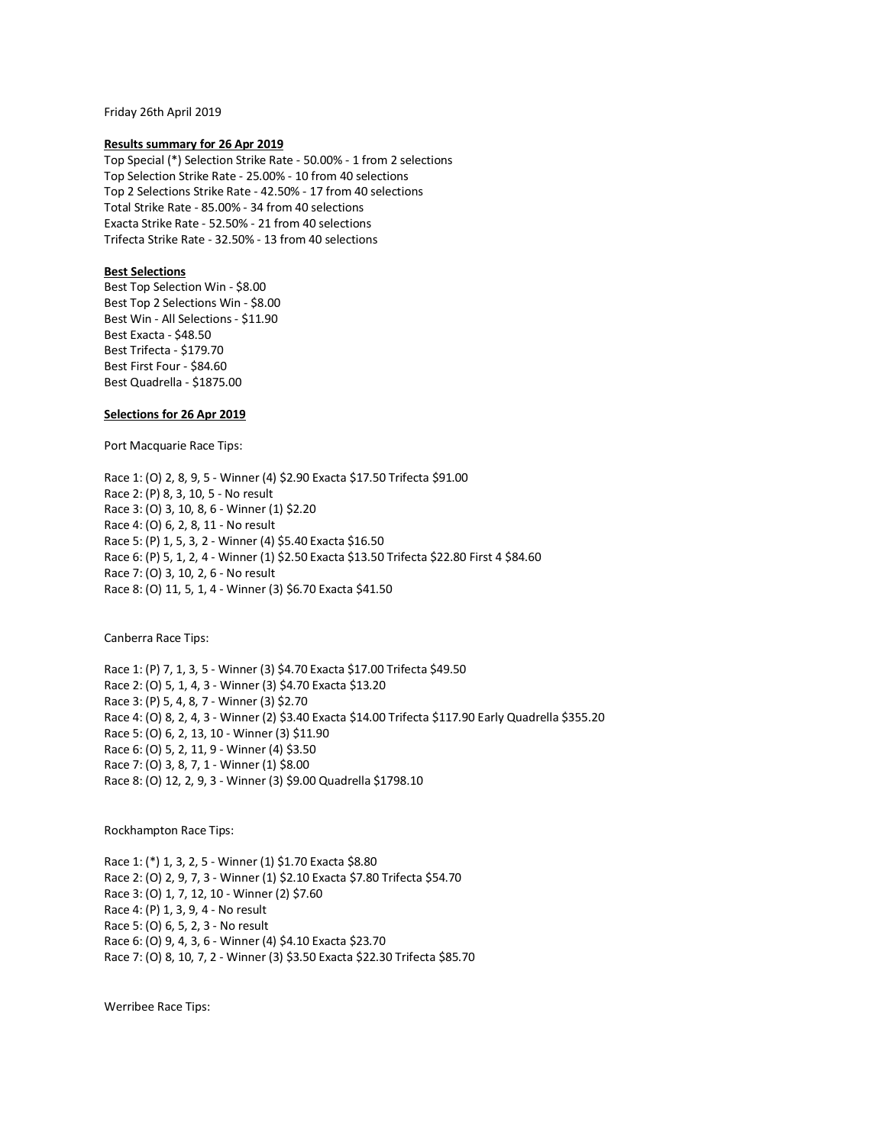Friday 26th April 2019

#### **Results summary for 26 Apr 2019**

Top Special (\*) Selection Strike Rate - 50.00% - 1 from 2 selections Top Selection Strike Rate - 25.00% - 10 from 40 selections Top 2 Selections Strike Rate - 42.50% - 17 from 40 selections Total Strike Rate - 85.00% - 34 from 40 selections Exacta Strike Rate - 52.50% - 21 from 40 selections Trifecta Strike Rate - 32.50% - 13 from 40 selections

## **Best Selections**

Best Top Selection Win - \$8.00 Best Top 2 Selections Win - \$8.00 Best Win - All Selections - \$11.90 Best Exacta - \$48.50 Best Trifecta - \$179.70 Best First Four - \$84.60 Best Quadrella - \$1875.00

## **Selections for 26 Apr 2019**

Port Macquarie Race Tips:

Race 1: (O) 2, 8, 9, 5 - Winner (4) \$2.90 Exacta \$17.50 Trifecta \$91.00 Race 2: (P) 8, 3, 10, 5 - No result Race 3: (O) 3, 10, 8, 6 - Winner (1) \$2.20 Race 4: (O) 6, 2, 8, 11 - No result Race 5: (P) 1, 5, 3, 2 - Winner (4) \$5.40 Exacta \$16.50 Race 6: (P) 5, 1, 2, 4 - Winner (1) \$2.50 Exacta \$13.50 Trifecta \$22.80 First 4 \$84.60 Race 7: (O) 3, 10, 2, 6 - No result Race 8: (O) 11, 5, 1, 4 - Winner (3) \$6.70 Exacta \$41.50

Canberra Race Tips:

Race 1: (P) 7, 1, 3, 5 - Winner (3) \$4.70 Exacta \$17.00 Trifecta \$49.50 Race 2: (O) 5, 1, 4, 3 - Winner (3) \$4.70 Exacta \$13.20 Race 3: (P) 5, 4, 8, 7 - Winner (3) \$2.70 Race 4: (O) 8, 2, 4, 3 - Winner (2) \$3.40 Exacta \$14.00 Trifecta \$117.90 Early Quadrella \$355.20 Race 5: (O) 6, 2, 13, 10 - Winner (3) \$11.90 Race 6: (O) 5, 2, 11, 9 - Winner (4) \$3.50 Race 7: (O) 3, 8, 7, 1 - Winner (1) \$8.00 Race 8: (O) 12, 2, 9, 3 - Winner (3) \$9.00 Quadrella \$1798.10

Rockhampton Race Tips:

Race 1: (\*) 1, 3, 2, 5 - Winner (1) \$1.70 Exacta \$8.80 Race 2: (O) 2, 9, 7, 3 - Winner (1) \$2.10 Exacta \$7.80 Trifecta \$54.70 Race 3: (O) 1, 7, 12, 10 - Winner (2) \$7.60 Race 4: (P) 1, 3, 9, 4 - No result Race 5: (O) 6, 5, 2, 3 - No result Race 6: (O) 9, 4, 3, 6 - Winner (4) \$4.10 Exacta \$23.70 Race 7: (0) 8, 10, 7, 2 - Winner (3) \$3.50 Exacta \$22.30 Trifecta \$85.70

Werribee Race Tips: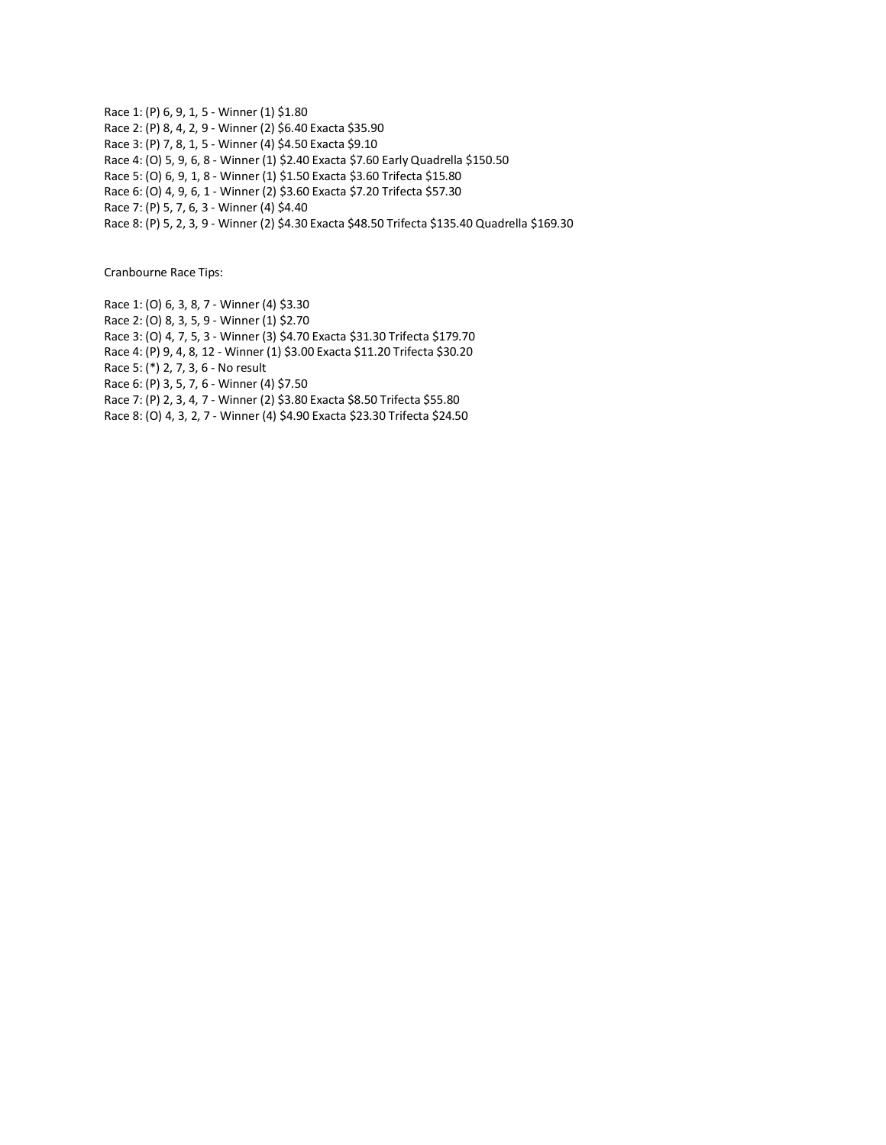Race 1: (P) 6, 9, 1, 5 - Winner (1) \$1.80 Race 2: (P) 8, 4, 2, 9 - Winner (2) \$6.40 Exacta \$35.90 Race 3: (P) 7, 8, 1, 5 - Winner (4) \$4.50 Exacta \$9.10 Race 4: (O) 5, 9, 6, 8 - Winner (1) \$2.40 Exacta \$7.60 Early Quadrella \$150.50 Race 5: (O) 6, 9, 1, 8 - Winner (1) \$1.50 Exacta \$3.60 Trifecta \$15.80 Race 6: (O) 4, 9, 6, 1 - Winner (2) \$3.60 Exacta \$7.20 Trifecta \$57.30 Race 7: (P) 5, 7, 6, 3 - Winner (4) \$4.40 Race 8: (P) 5, 2, 3, 9 - Winner (2) \$4.30 Exacta \$48.50 Trifecta \$135.40 Quadrella \$169.30

Cranbourne Race Tips:

Race 1: (O) 6, 3, 8, 7 - Winner (4) \$3.30 Race 2: (O) 8, 3, 5, 9 - Winner (1) \$2.70 Race 3: (O) 4, 7, 5, 3 - Winner (3) \$4.70 Exacta \$31.30 Trifecta \$179.70 Race 4: (P) 9, 4, 8, 12 - Winner (1) \$3.00 Exacta \$11.20 Trifecta \$30.20 Race 5: (\*) 2, 7, 3, 6 - No result Race 6: (P) 3, 5, 7, 6 - Winner (4) \$7.50 Race 7: (P) 2, 3, 4, 7 - Winner (2) \$3.80 Exacta \$8.50 Trifecta \$55.80 Race 8: (O) 4, 3, 2, 7 - Winner (4) \$4.90 Exacta \$23.30 Trifecta \$24.50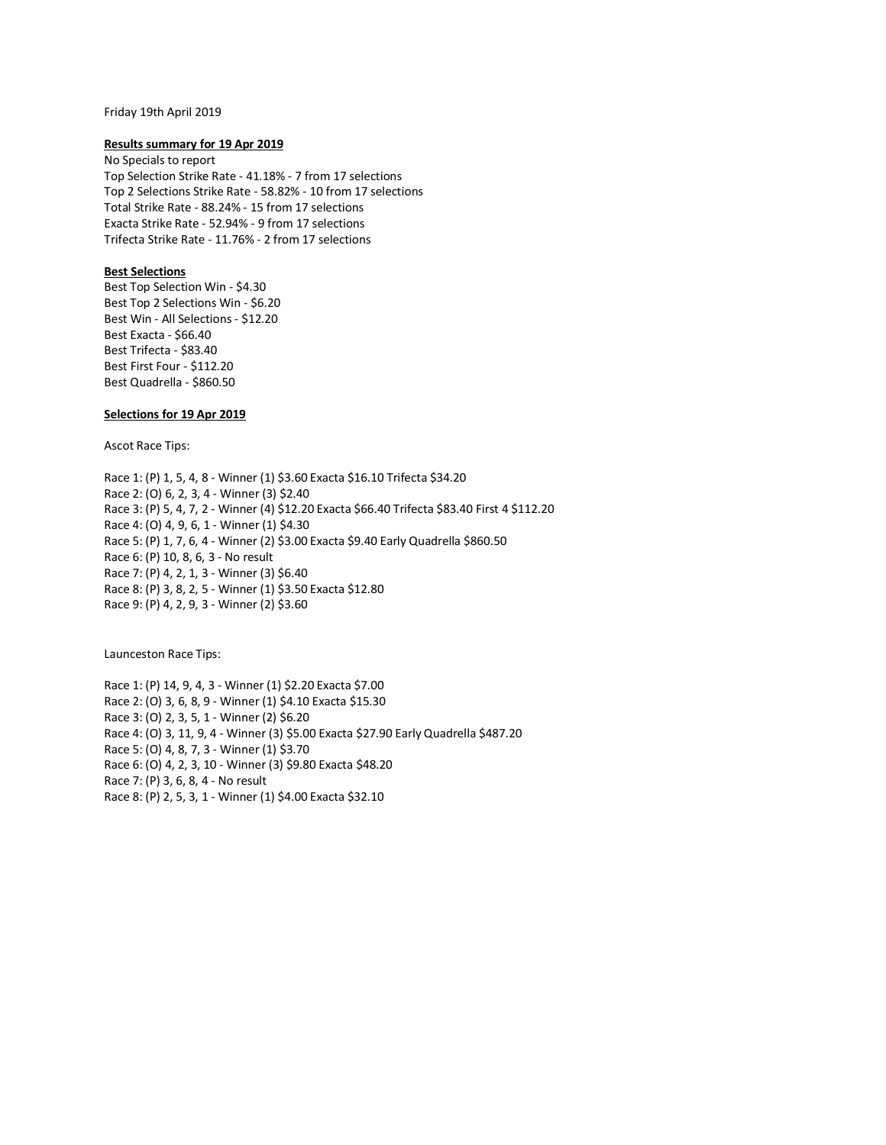## Friday 19th April 2019

### **Results summary for 19 Apr 2019**

No Specials to report Top Selection Strike Rate - 41.18% - 7 from 17 selections Top 2 Selections Strike Rate - 58.82% - 10 from 17 selections Total Strike Rate - 88.24% - 15 from 17 selections Exacta Strike Rate - 52.94% - 9 from 17 selections Trifecta Strike Rate - 11.76% - 2 from 17 selections

### **Best Selections**

Best Top Selection Win - \$4.30 Best Top 2 Selections Win - \$6.20 Best Win - All Selections - \$12.20 Best Exacta - \$66.40 Best Trifecta - \$83.40 Best First Four - \$112.20 Best Quadrella - \$860.50

## **Selections for 19 Apr 2019**

Ascot Race Tips:

Race 1: (P) 1, 5, 4, 8 - Winner (1) \$3.60 Exacta \$16.10 Trifecta \$34.20 Race 2: (O) 6, 2, 3, 4 - Winner (3) \$2.40 Race 3: (P) 5, 4, 7, 2 - Winner (4) \$12.20 Exacta \$66.40 Trifecta \$83.40 First 4 \$112.20 Race 4: (O) 4, 9, 6, 1 - Winner (1) \$4.30 Race 5: (P) 1, 7, 6, 4 - Winner (2) \$3.00 Exacta \$9.40 Early Quadrella \$860.50 Race 6: (P) 10, 8, 6, 3 - No result Race 7: (P) 4, 2, 1, 3 - Winner (3) \$6.40 Race 8: (P) 3, 8, 2, 5 - Winner (1) \$3.50 Exacta \$12.80 Race 9: (P) 4, 2, 9, 3 - Winner (2) \$3.60

Launceston Race Tips:

Race 1: (P) 14, 9, 4, 3 - Winner (1) \$2.20 Exacta \$7.00 Race 2: (O) 3, 6, 8, 9 - Winner (1) \$4.10 Exacta \$15.30 Race 3: (O) 2, 3, 5, 1 - Winner (2) \$6.20 Race 4: (O) 3, 11, 9, 4 - Winner (3) \$5.00 Exacta \$27.90 Early Quadrella \$487.20 Race 5: (O) 4, 8, 7, 3 - Winner (1) \$3.70 Race 6: (O) 4, 2, 3, 10 - Winner (3) \$9.80 Exacta \$48.20 Race 7: (P) 3, 6, 8, 4 - No result Race 8: (P) 2, 5, 3, 1 - Winner (1) \$4.00 Exacta \$32.10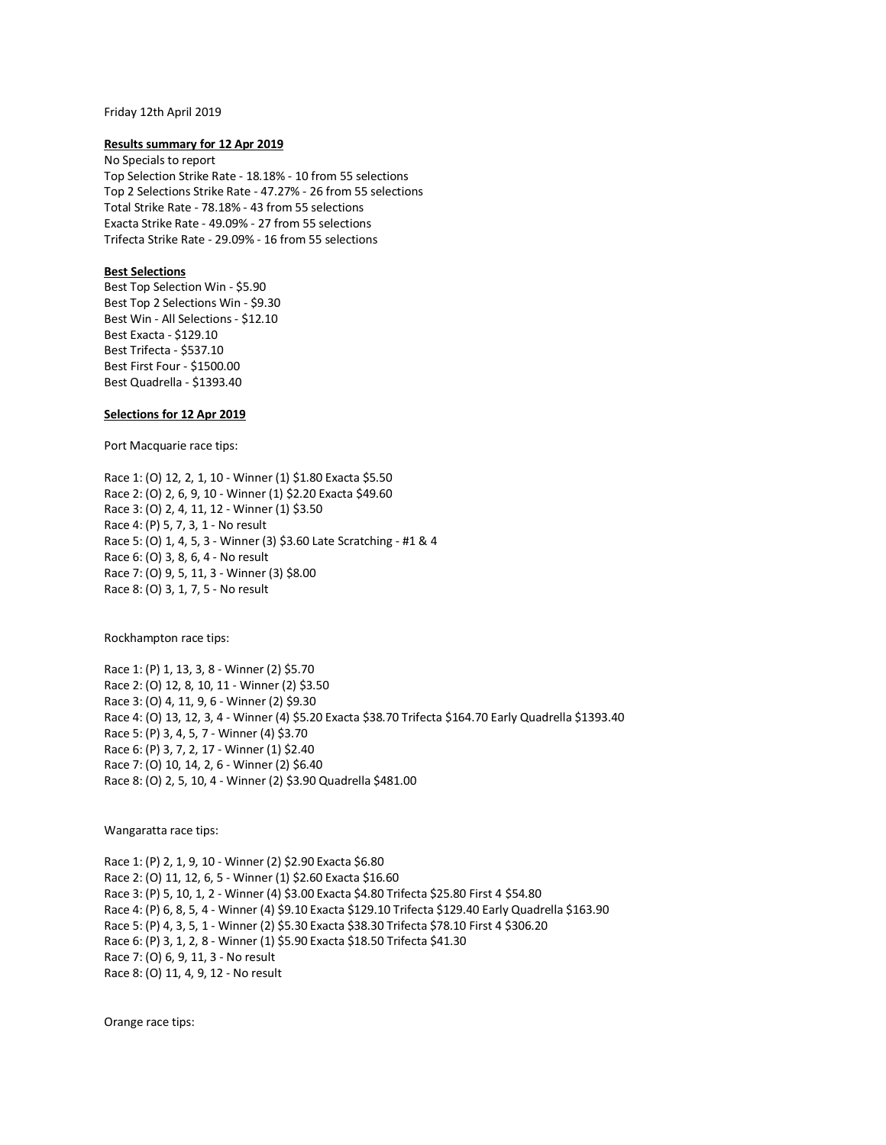#### Friday 12th April 2019

### **Results summary for 12 Apr 2019**

No Specials to report Top Selection Strike Rate - 18.18% - 10 from 55 selections Top 2 Selections Strike Rate - 47.27% - 26 from 55 selections Total Strike Rate - 78.18% - 43 from 55 selections Exacta Strike Rate - 49.09% - 27 from 55 selections Trifecta Strike Rate - 29.09% - 16 from 55 selections

### **Best Selections**

Best Top Selection Win - \$5.90 Best Top 2 Selections Win - \$9.30 Best Win - All Selections - \$12.10 Best Exacta - \$129.10 Best Trifecta - \$537.10 Best First Four - \$1500.00 Best Quadrella - \$1393.40

## **Selections for 12 Apr 2019**

Port Macquarie race tips:

Race 1: (O) 12, 2, 1, 10 - Winner (1) \$1.80 Exacta \$5.50 Race 2: (O) 2, 6, 9, 10 - Winner (1) \$2.20 Exacta \$49.60 Race 3: (O) 2, 4, 11, 12 - Winner (1) \$3.50 Race 4: (P) 5, 7, 3, 1 - No result Race 5: (O) 1, 4, 5, 3 - Winner (3) \$3.60 Late Scratching - #1 & 4 Race 6: (O) 3, 8, 6, 4 - No result Race 7: (O) 9, 5, 11, 3 - Winner (3) \$8.00 Race 8: (O) 3, 1, 7, 5 - No result

Rockhampton race tips:

Race 1: (P) 1, 13, 3, 8 - Winner (2) \$5.70 Race 2: (O) 12, 8, 10, 11 - Winner (2) \$3.50 Race 3: (O) 4, 11, 9, 6 - Winner (2) \$9.30 Race 4: (O) 13, 12, 3, 4 - Winner (4) \$5.20 Exacta \$38.70 Trifecta \$164.70 Early Quadrella \$1393.40 Race 5: (P) 3, 4, 5, 7 - Winner (4) \$3.70 Race 6: (P) 3, 7, 2, 17 - Winner (1) \$2.40 Race 7: (O) 10, 14, 2, 6 - Winner (2) \$6.40 Race 8: (O) 2, 5, 10, 4 - Winner (2) \$3.90 Quadrella \$481.00

Wangaratta race tips:

Race 1: (P) 2, 1, 9, 10 - Winner (2) \$2.90 Exacta \$6.80 Race 2: (O) 11, 12, 6, 5 - Winner (1) \$2.60 Exacta \$16.60 Race 3: (P) 5, 10, 1, 2 - Winner (4) \$3.00 Exacta \$4.80 Trifecta \$25.80 First 4 \$54.80 Race 4: (P) 6, 8, 5, 4 - Winner (4) \$9.10 Exacta \$129.10 Trifecta \$129.40 Early Quadrella \$163.90 Race 5: (P) 4, 3, 5, 1 - Winner (2) \$5.30 Exacta \$38.30 Trifecta \$78.10 First 4 \$306.20 Race 6: (P) 3, 1, 2, 8 - Winner (1) \$5.90 Exacta \$18.50 Trifecta \$41.30 Race 7: (O) 6, 9, 11, 3 - No result Race 8: (O) 11, 4, 9, 12 - No result

Orange race tips: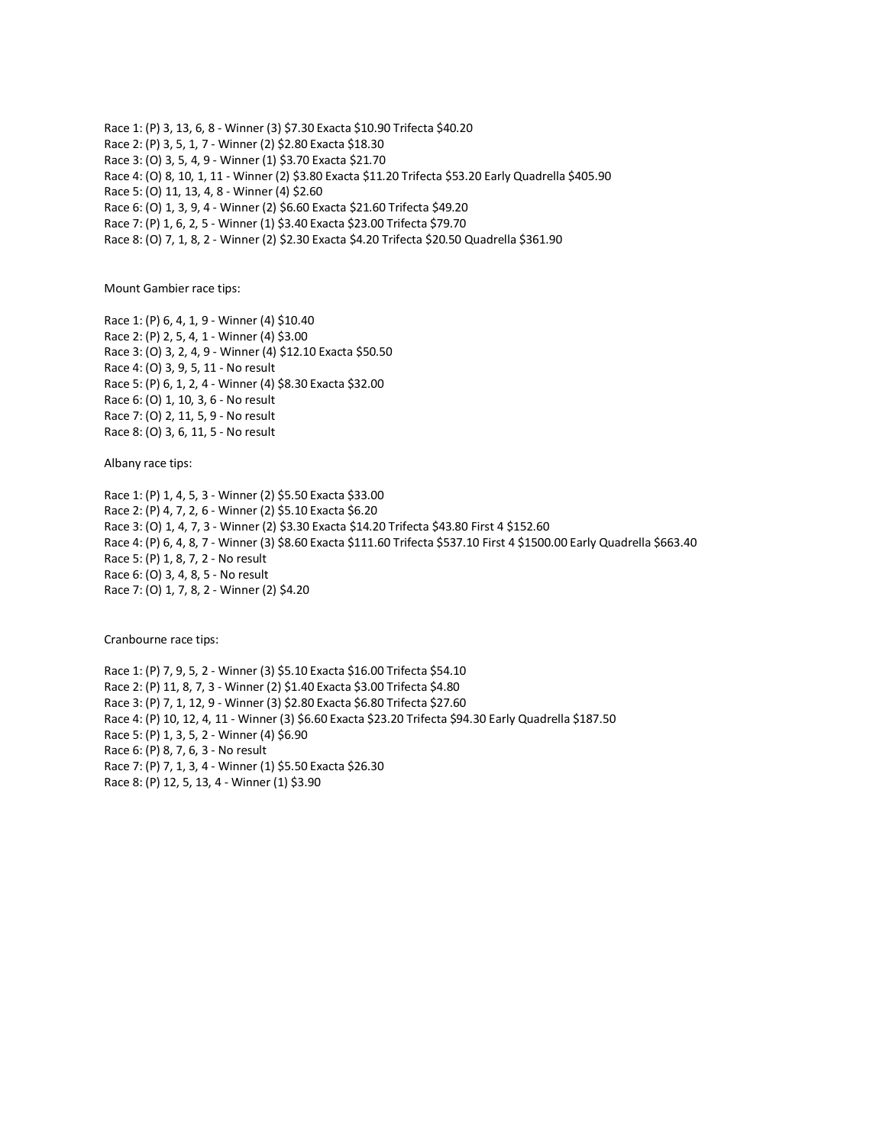Race 1: (P) 3, 13, 6, 8 - Winner (3) \$7.30 Exacta \$10.90 Trifecta \$40.20 Race 2: (P) 3, 5, 1, 7 - Winner (2) \$2.80 Exacta \$18.30 Race 3: (O) 3, 5, 4, 9 - Winner (1) \$3.70 Exacta \$21.70 Race 4: (O) 8, 10, 1, 11 - Winner (2) \$3.80 Exacta \$11.20 Trifecta \$53.20 Early Quadrella \$405.90 Race 5: (O) 11, 13, 4, 8 - Winner (4) \$2.60 Race 6: (O) 1, 3, 9, 4 - Winner (2) \$6.60 Exacta \$21.60 Trifecta \$49.20 Race 7: (P) 1, 6, 2, 5 - Winner (1) \$3.40 Exacta \$23.00 Trifecta \$79.70 Race 8: (O) 7, 1, 8, 2 - Winner (2) \$2.30 Exacta \$4.20 Trifecta \$20.50 Quadrella \$361.90

Mount Gambier race tips:

Race 1: (P) 6, 4, 1, 9 - Winner (4) \$10.40 Race 2: (P) 2, 5, 4, 1 - Winner (4) \$3.00 Race 3: (O) 3, 2, 4, 9 - Winner (4) \$12.10 Exacta \$50.50 Race 4: (O) 3, 9, 5, 11 - No result Race 5: (P) 6, 1, 2, 4 - Winner (4) \$8.30 Exacta \$32.00 Race 6: (O) 1, 10, 3, 6 - No result Race 7: (O) 2, 11, 5, 9 - No result Race 8: (O) 3, 6, 11, 5 - No result

Albany race tips:

Race 1: (P) 1, 4, 5, 3 - Winner (2) \$5.50 Exacta \$33.00 Race 2: (P) 4, 7, 2, 6 - Winner (2) \$5.10 Exacta \$6.20 Race 3: (O) 1, 4, 7, 3 - Winner (2) \$3.30 Exacta \$14.20 Trifecta \$43.80 First 4 \$152.60 Race 4: (P) 6, 4, 8, 7 - Winner (3) \$8.60 Exacta \$111.60 Trifecta \$537.10 First 4 \$1500.00 Early Quadrella \$663.40 Race 5: (P) 1, 8, 7, 2 - No result Race 6: (O) 3, 4, 8, 5 - No result Race 7: (O) 1, 7, 8, 2 - Winner (2) \$4.20

Cranbourne race tips:

Race 1: (P) 7, 9, 5, 2 - Winner (3) \$5.10 Exacta \$16.00 Trifecta \$54.10 Race 2: (P) 11, 8, 7, 3 - Winner (2) \$1.40 Exacta \$3.00 Trifecta \$4.80 Race 3: (P) 7, 1, 12, 9 - Winner (3) \$2.80 Exacta \$6.80 Trifecta \$27.60 Race 4: (P) 10, 12, 4, 11 - Winner (3) \$6.60 Exacta \$23.20 Trifecta \$94.30 Early Quadrella \$187.50 Race 5: (P) 1, 3, 5, 2 - Winner (4) \$6.90 Race 6: (P) 8, 7, 6, 3 - No result Race 7: (P) 7, 1, 3, 4 - Winner (1) \$5.50 Exacta \$26.30 Race 8: (P) 12, 5, 13, 4 - Winner (1) \$3.90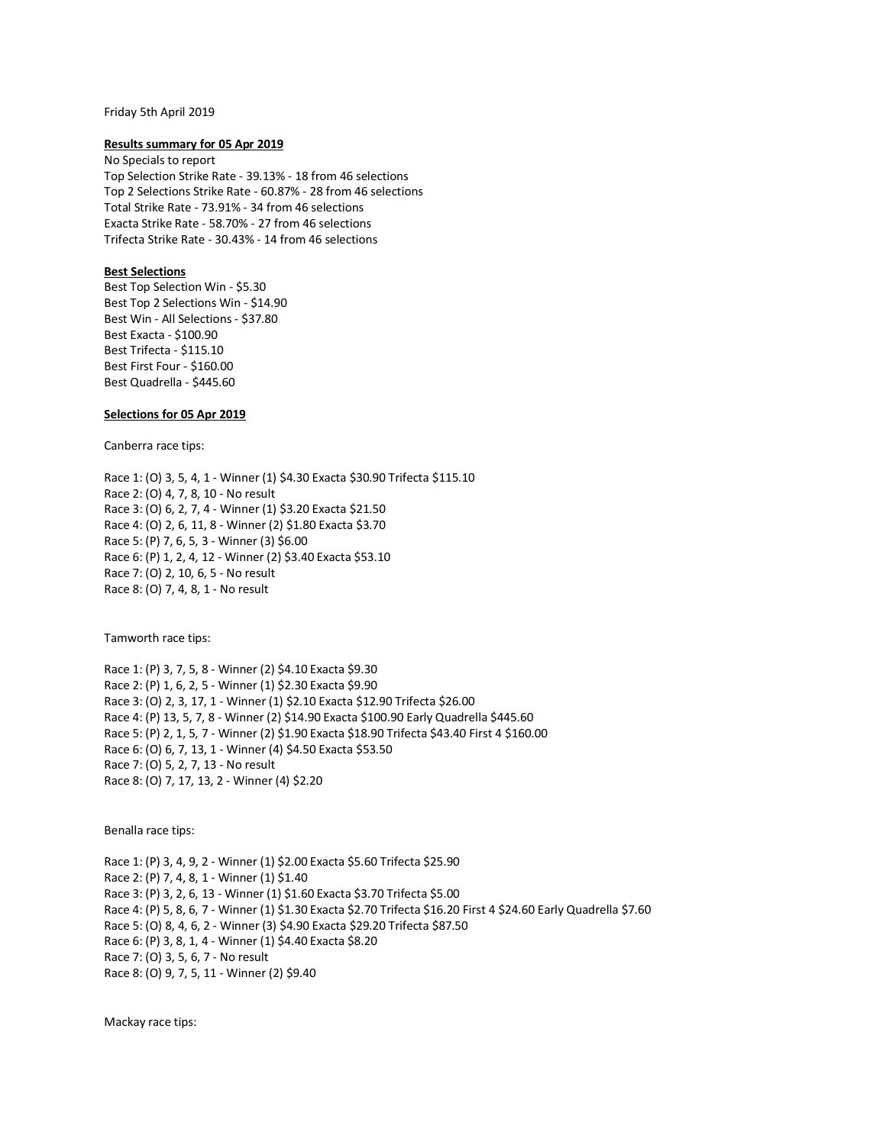#### Friday 5th April 2019

### **Results summary for 05 Apr 2019**

No Specials to report Top Selection Strike Rate - 39.13% - 18 from 46 selections Top 2 Selections Strike Rate - 60.87% - 28 from 46 selections Total Strike Rate - 73.91% - 34 from 46 selections Exacta Strike Rate - 58.70% - 27 from 46 selections Trifecta Strike Rate - 30.43% - 14 from 46 selections

## **Best Selections**

Best Top Selection Win - \$5.30 Best Top 2 Selections Win - \$14.90 Best Win - All Selections - \$37.80 Best Exacta - \$100.90 Best Trifecta - \$115.10 Best First Four - \$160.00 Best Quadrella - \$445.60

## **Selections for 05 Apr 2019**

Canberra race tips:

Race 1: (O) 3, 5, 4, 1 - Winner (1) \$4.30 Exacta \$30.90 Trifecta \$115.10 Race 2: (O) 4, 7, 8, 10 - No result Race 3: (O) 6, 2, 7, 4 - Winner (1) \$3.20 Exacta \$21.50 Race 4: (O) 2, 6, 11, 8 - Winner (2) \$1.80 Exacta \$3.70 Race 5: (P) 7, 6, 5, 3 - Winner (3) \$6.00 Race 6: (P) 1, 2, 4, 12 - Winner (2) \$3.40 Exacta \$53.10 Race 7: (O) 2, 10, 6, 5 - No result Race 8: (O) 7, 4, 8, 1 - No result

Tamworth race tips:

Race 1: (P) 3, 7, 5, 8 - Winner (2) \$4.10 Exacta \$9.30 Race 2: (P) 1, 6, 2, 5 - Winner (1) \$2.30 Exacta \$9.90 Race 3: (O) 2, 3, 17, 1 - Winner (1) \$2.10 Exacta \$12.90 Trifecta \$26.00 Race 4: (P) 13, 5, 7, 8 - Winner (2) \$14.90 Exacta \$100.90 Early Quadrella \$445.60 Race 5: (P) 2, 1, 5, 7 - Winner (2) \$1.90 Exacta \$18.90 Trifecta \$43.40 First 4 \$160.00 Race 6: (O) 6, 7, 13, 1 - Winner (4) \$4.50 Exacta \$53.50 Race 7: (O) 5, 2, 7, 13 - No result Race 8: (O) 7, 17, 13, 2 - Winner (4) \$2.20

Benalla race tips:

Race 1: (P) 3, 4, 9, 2 - Winner (1) \$2.00 Exacta \$5.60 Trifecta \$25.90 Race 2: (P) 7, 4, 8, 1 - Winner (1) \$1.40 Race 3: (P) 3, 2, 6, 13 - Winner (1) \$1.60 Exacta \$3.70 Trifecta \$5.00 Race 4: (P) 5, 8, 6, 7 - Winner (1) \$1.30 Exacta \$2.70 Trifecta \$16.20 First 4 \$24.60 Early Quadrella \$7.60 Race 5: (O) 8, 4, 6, 2 - Winner (3) \$4.90 Exacta \$29.20 Trifecta \$87.50 Race 6: (P) 3, 8, 1, 4 - Winner (1) \$4.40 Exacta \$8.20 Race 7: (O) 3, 5, 6, 7 - No result Race 8: (O) 9, 7, 5, 11 - Winner (2) \$9.40

Mackay race tips: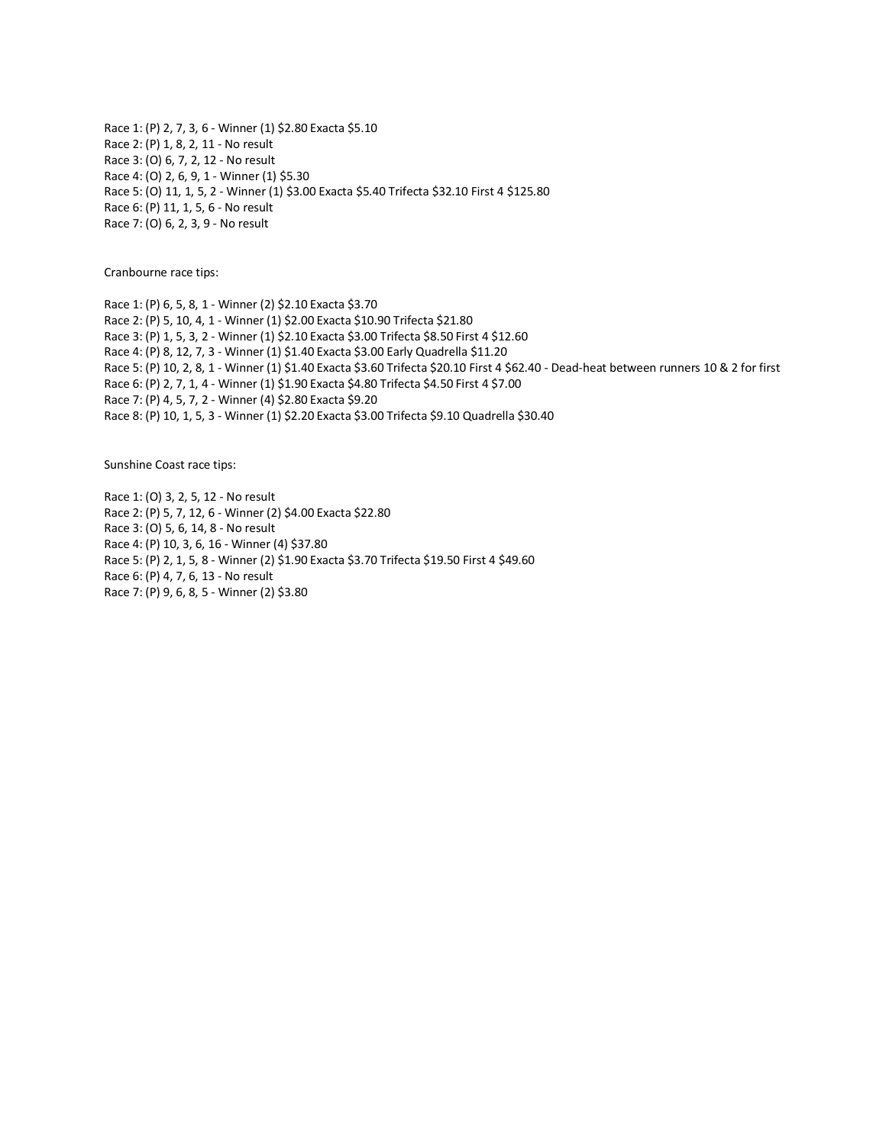Race 1: (P) 2, 7, 3, 6 - Winner (1) \$2.80 Exacta \$5.10 Race 2: (P) 1, 8, 2, 11 - No result Race 3: (O) 6, 7, 2, 12 - No result Race 4: (O) 2, 6, 9, 1 - Winner (1) \$5.30 Race 5: (O) 11, 1, 5, 2 - Winner (1) \$3.00 Exacta \$5.40 Trifecta \$32.10 First 4 \$125.80 Race 6: (P) 11, 1, 5, 6 - No result Race 7: (O) 6, 2, 3, 9 - No result

Cranbourne race tips:

Race 1: (P) 6, 5, 8, 1 - Winner (2) \$2.10 Exacta \$3.70 Race 2: (P) 5, 10, 4, 1 - Winner (1) \$2.00 Exacta \$10.90 Trifecta \$21.80 Race 3: (P) 1, 5, 3, 2 - Winner (1) \$2.10 Exacta \$3.00 Trifecta \$8.50 First 4 \$12.60 Race 4: (P) 8, 12, 7, 3 - Winner (1) \$1.40 Exacta \$3.00 Early Quadrella \$11.20 Race 5: (P) 10, 2, 8, 1 - Winner (1) \$1.40 Exacta \$3.60 Trifecta \$20.10 First 4 \$62.40 - Dead-heat between runners 10 & 2 for first Race 6: (P) 2, 7, 1, 4 - Winner (1) \$1.90 Exacta \$4.80 Trifecta \$4.50 First 4 \$7.00 Race 7: (P) 4, 5, 7, 2 - Winner (4) \$2.80 Exacta \$9.20 Race 8: (P) 10, 1, 5, 3 - Winner (1) \$2.20 Exacta \$3.00 Trifecta \$9.10 Quadrella \$30.40

Sunshine Coast race tips:

Race 1: (O) 3, 2, 5, 12 - No result Race 2: (P) 5, 7, 12, 6 - Winner (2) \$4.00 Exacta \$22.80 Race 3: (O) 5, 6, 14, 8 - No result Race 4: (P) 10, 3, 6, 16 - Winner (4) \$37.80 Race 5: (P) 2, 1, 5, 8 - Winner (2) \$1.90 Exacta \$3.70 Trifecta \$19.50 First 4 \$49.60 Race 6: (P) 4, 7, 6, 13 - No result Race 7: (P) 9, 6, 8, 5 - Winner (2) \$3.80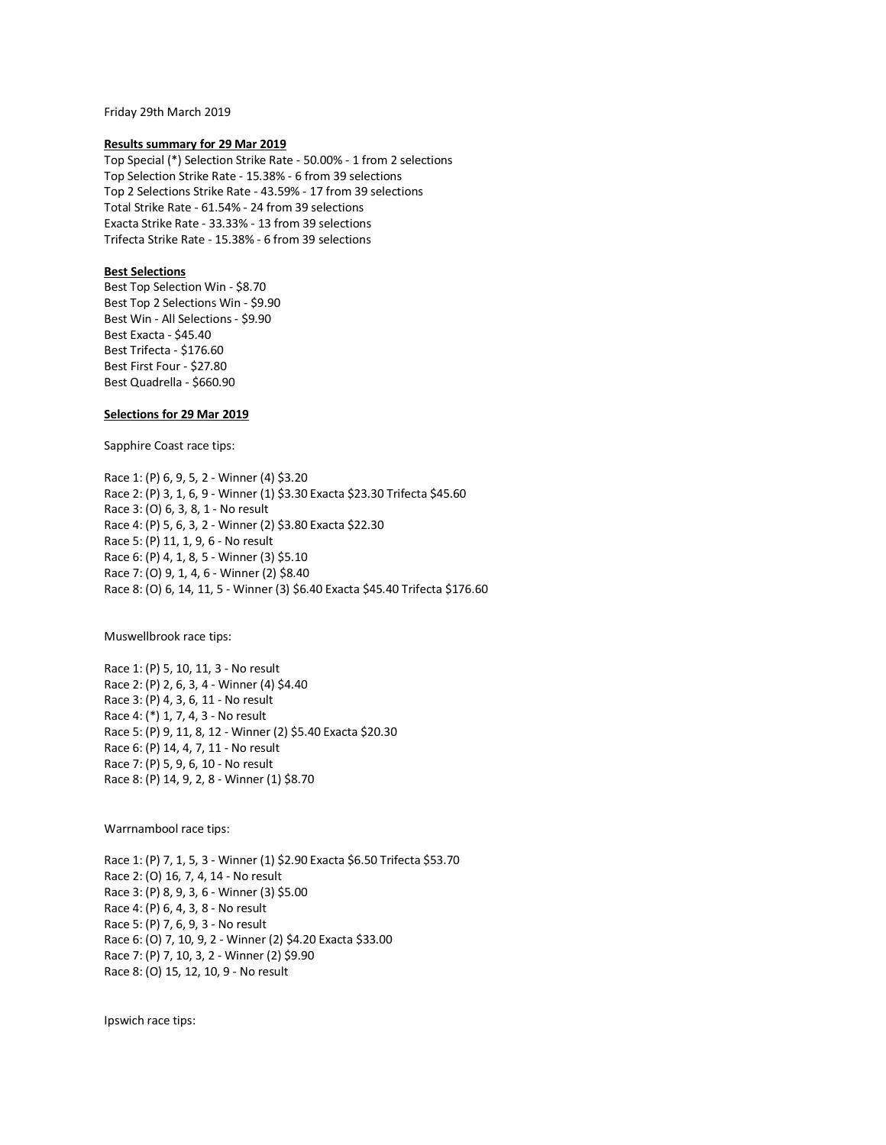Friday 29th March 2019

#### **Results summary for 29 Mar 2019**

Top Special (\*) Selection Strike Rate - 50.00% - 1 from 2 selections Top Selection Strike Rate - 15.38% - 6 from 39 selections Top 2 Selections Strike Rate - 43.59% - 17 from 39 selections Total Strike Rate - 61.54% - 24 from 39 selections Exacta Strike Rate - 33.33% - 13 from 39 selections Trifecta Strike Rate - 15.38% - 6 from 39 selections

### **Best Selections**

Best Top Selection Win - \$8.70 Best Top 2 Selections Win - \$9.90 Best Win - All Selections - \$9.90 Best Exacta - \$45.40 Best Trifecta - \$176.60 Best First Four - \$27.80 Best Quadrella - \$660.90

## **Selections for 29 Mar 2019**

Sapphire Coast race tips:

Race 1: (P) 6, 9, 5, 2 - Winner (4) \$3.20 Race 2: (P) 3, 1, 6, 9 - Winner (1) \$3.30 Exacta \$23.30 Trifecta \$45.60 Race 3: (O) 6, 3, 8, 1 - No result Race 4: (P) 5, 6, 3, 2 - Winner (2) \$3.80 Exacta \$22.30 Race 5: (P) 11, 1, 9, 6 - No result Race 6: (P) 4, 1, 8, 5 - Winner (3) \$5.10 Race 7: (O) 9, 1, 4, 6 - Winner (2) \$8.40 Race 8: (O) 6, 14, 11, 5 - Winner (3) \$6.40 Exacta \$45.40 Trifecta \$176.60

Muswellbrook race tips:

Race 1: (P) 5, 10, 11, 3 - No result Race 2: (P) 2, 6, 3, 4 - Winner (4) \$4.40 Race 3: (P) 4, 3, 6, 11 - No result Race 4: (\*) 1, 7, 4, 3 - No result Race 5: (P) 9, 11, 8, 12 - Winner (2) \$5.40 Exacta \$20.30 Race 6: (P) 14, 4, 7, 11 - No result Race 7: (P) 5, 9, 6, 10 - No result Race 8: (P) 14, 9, 2, 8 - Winner (1) \$8.70

Warrnambool race tips:

Race 1: (P) 7, 1, 5, 3 - Winner (1) \$2.90 Exacta \$6.50 Trifecta \$53.70 Race 2: (O) 16, 7, 4, 14 - No result Race 3: (P) 8, 9, 3, 6 - Winner (3) \$5.00 Race 4: (P) 6, 4, 3, 8 - No result Race 5: (P) 7, 6, 9, 3 - No result Race 6: (O) 7, 10, 9, 2 - Winner (2) \$4.20 Exacta \$33.00 Race 7: (P) 7, 10, 3, 2 - Winner (2) \$9.90 Race 8: (O) 15, 12, 10, 9 - No result

Ipswich race tips: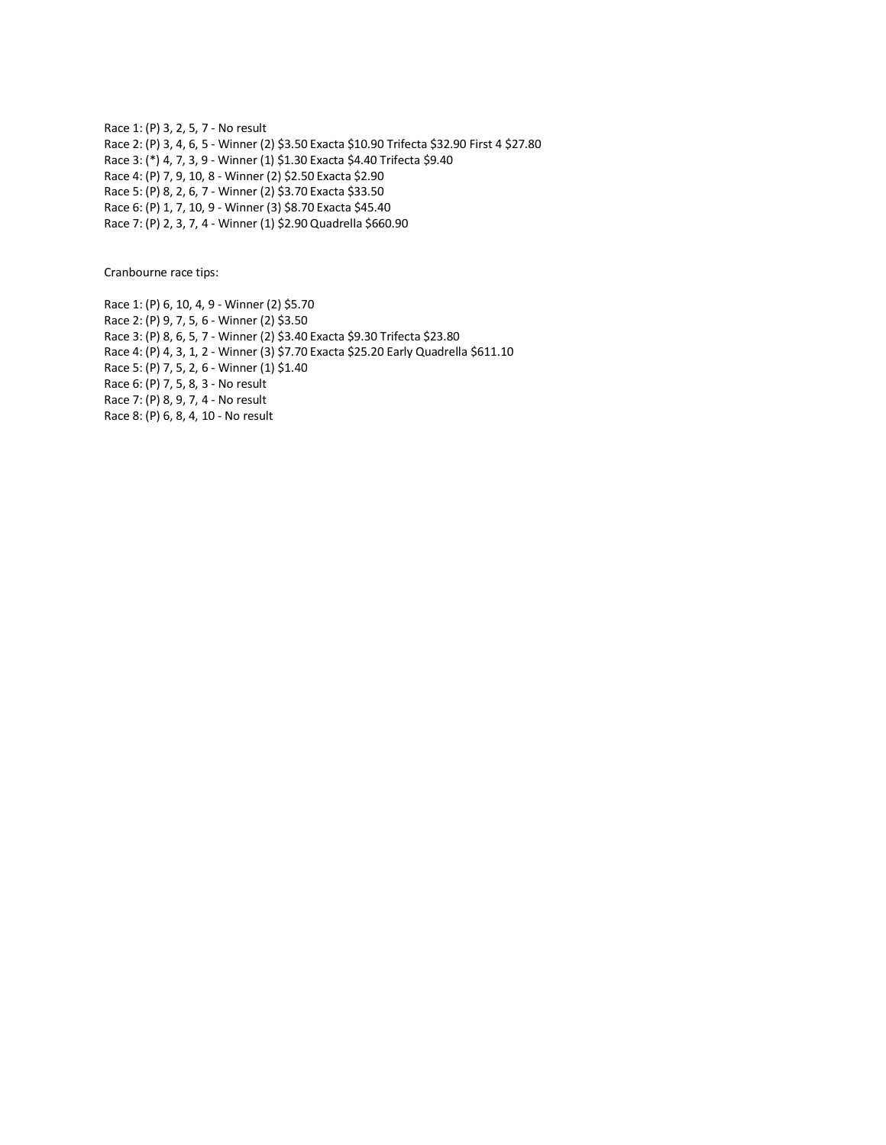Race 1: (P) 3, 2, 5, 7 - No result Race 2: (P) 3, 4, 6, 5 - Winner (2) \$3.50 Exacta \$10.90 Trifecta \$32.90 First 4 \$27.80 Race 3: (\*) 4, 7, 3, 9 - Winner (1) \$1.30 Exacta \$4.40 Trifecta \$9.40 Race 4: (P) 7, 9, 10, 8 - Winner (2) \$2.50 Exacta \$2.90 Race 5: (P) 8, 2, 6, 7 - Winner (2) \$3.70 Exacta \$33.50 Race 6: (P) 1, 7, 10, 9 - Winner (3) \$8.70 Exacta \$45.40 Race 7: (P) 2, 3, 7, 4 - Winner (1) \$2.90 Quadrella \$660.90

Cranbourne race tips:

Race 1: (P) 6, 10, 4, 9 - Winner (2) \$5.70 Race 2: (P) 9, 7, 5, 6 - Winner (2) \$3.50 Race 3: (P) 8, 6, 5, 7 - Winner (2) \$3.40 Exacta \$9.30 Trifecta \$23.80 Race 4: (P) 4, 3, 1, 2 - Winner (3) \$7.70 Exacta \$25.20 Early Quadrella \$611.10 Race 5: (P) 7, 5, 2, 6 - Winner (1) \$1.40 Race 6: (P) 7, 5, 8, 3 - No result Race 7: (P) 8, 9, 7, 4 - No result Race 8: (P) 6, 8, 4, 10 - No result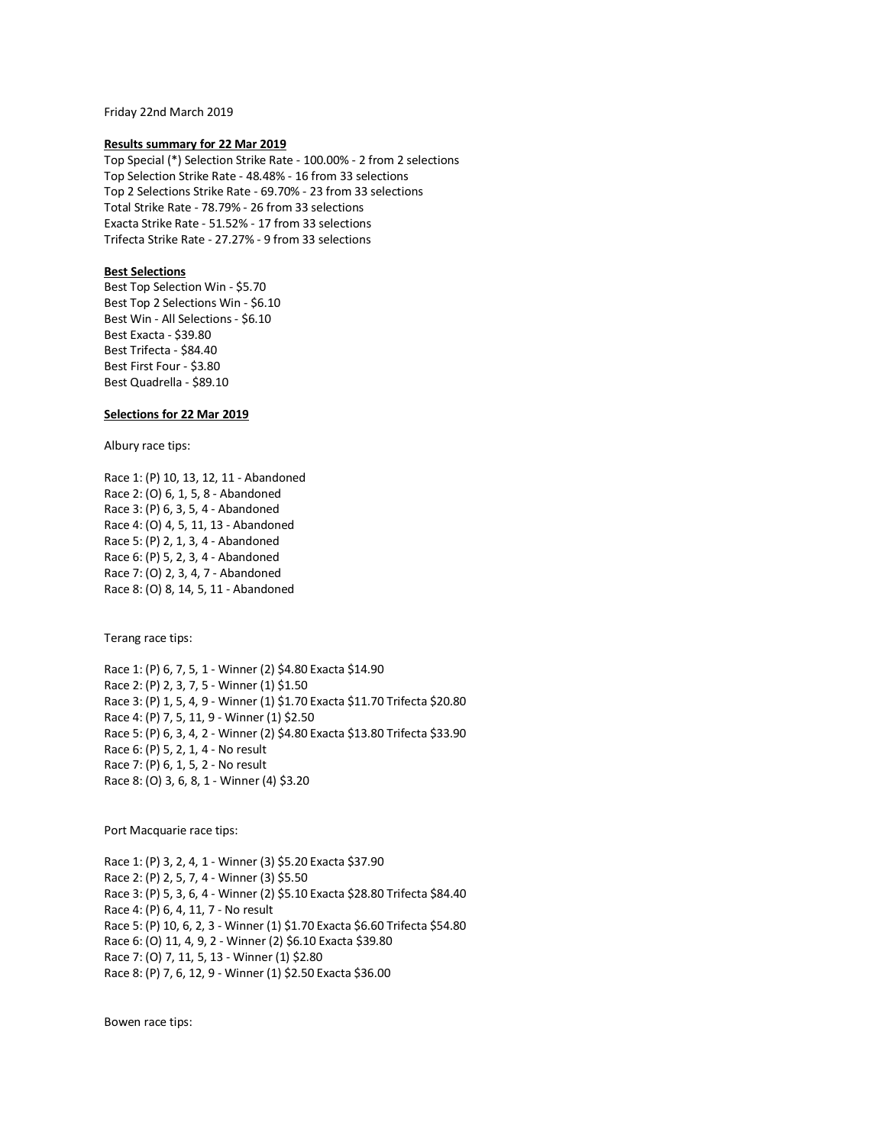Friday 22nd March 2019

### **Results summary for 22 Mar 2019**

Top Special (\*) Selection Strike Rate - 100.00% - 2 from 2 selections Top Selection Strike Rate - 48.48% - 16 from 33 selections Top 2 Selections Strike Rate - 69.70% - 23 from 33 selections Total Strike Rate - 78.79% - 26 from 33 selections Exacta Strike Rate - 51.52% - 17 from 33 selections Trifecta Strike Rate - 27.27% - 9 from 33 selections

### **Best Selections**

Best Top Selection Win - \$5.70 Best Top 2 Selections Win - \$6.10 Best Win - All Selections - \$6.10 Best Exacta - \$39.80 Best Trifecta - \$84.40 Best First Four - \$3.80 Best Quadrella - \$89.10

## **Selections for 22 Mar 2019**

Albury race tips:

Race 1: (P) 10, 13, 12, 11 - Abandoned Race 2: (O) 6, 1, 5, 8 - Abandoned Race 3: (P) 6, 3, 5, 4 - Abandoned Race 4: (O) 4, 5, 11, 13 - Abandoned Race 5: (P) 2, 1, 3, 4 - Abandoned Race 6: (P) 5, 2, 3, 4 - Abandoned Race 7: (O) 2, 3, 4, 7 - Abandoned Race 8: (O) 8, 14, 5, 11 - Abandoned

Terang race tips:

Race 1: (P) 6, 7, 5, 1 - Winner (2) \$4.80 Exacta \$14.90 Race 2: (P) 2, 3, 7, 5 - Winner (1) \$1.50 Race 3: (P) 1, 5, 4, 9 - Winner (1) \$1.70 Exacta \$11.70 Trifecta \$20.80 Race 4: (P) 7, 5, 11, 9 - Winner (1) \$2.50 Race 5: (P) 6, 3, 4, 2 - Winner (2) \$4.80 Exacta \$13.80 Trifecta \$33.90 Race 6: (P) 5, 2, 1, 4 - No result Race 7: (P) 6, 1, 5, 2 - No result Race 8: (O) 3, 6, 8, 1 - Winner (4) \$3.20

Port Macquarie race tips:

Race 1: (P) 3, 2, 4, 1 - Winner (3) \$5.20 Exacta \$37.90 Race 2: (P) 2, 5, 7, 4 - Winner (3) \$5.50 Race 3: (P) 5, 3, 6, 4 - Winner (2) \$5.10 Exacta \$28.80 Trifecta \$84.40 Race 4: (P) 6, 4, 11, 7 - No result Race 5: (P) 10, 6, 2, 3 - Winner (1) \$1.70 Exacta \$6.60 Trifecta \$54.80 Race 6: (O) 11, 4, 9, 2 - Winner (2) \$6.10 Exacta \$39.80 Race 7: (O) 7, 11, 5, 13 - Winner (1) \$2.80 Race 8: (P) 7, 6, 12, 9 - Winner (1) \$2.50 Exacta \$36.00

Bowen race tips: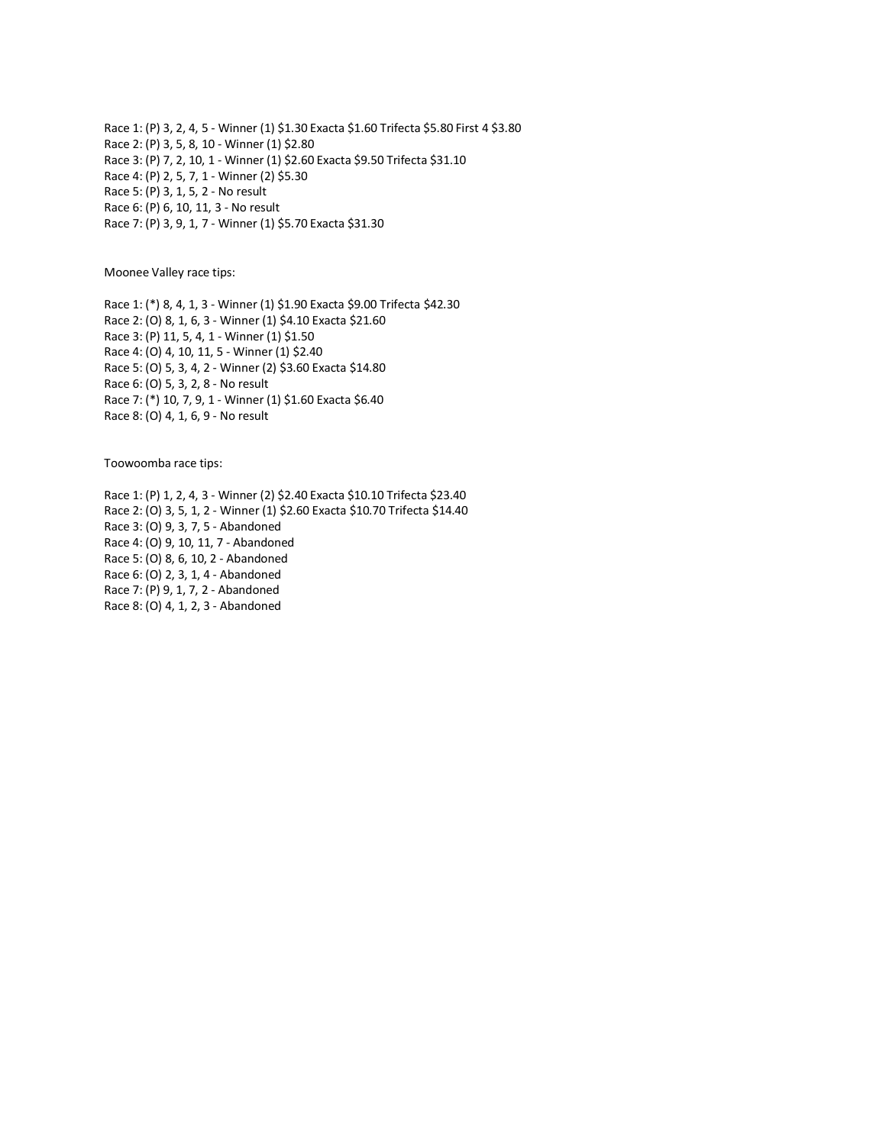Race 1: (P) 3, 2, 4, 5 - Winner (1) \$1.30 Exacta \$1.60 Trifecta \$5.80 First 4 \$3.80 Race 2: (P) 3, 5, 8, 10 - Winner (1) \$2.80 Race 3: (P) 7, 2, 10, 1 - Winner (1) \$2.60 Exacta \$9.50 Trifecta \$31.10 Race 4: (P) 2, 5, 7, 1 - Winner (2) \$5.30 Race 5: (P) 3, 1, 5, 2 - No result Race 6: (P) 6, 10, 11, 3 - No result Race 7: (P) 3, 9, 1, 7 - Winner (1) \$5.70 Exacta \$31.30

Moonee Valley race tips:

Race 1: (\*) 8, 4, 1, 3 - Winner (1) \$1.90 Exacta \$9.00 Trifecta \$42.30 Race 2: (O) 8, 1, 6, 3 - Winner (1) \$4.10 Exacta \$21.60 Race 3: (P) 11, 5, 4, 1 - Winner (1) \$1.50 Race 4: (O) 4, 10, 11, 5 - Winner (1) \$2.40 Race 5: (O) 5, 3, 4, 2 - Winner (2) \$3.60 Exacta \$14.80 Race 6: (O) 5, 3, 2, 8 - No result Race 7: (\*) 10, 7, 9, 1 - Winner (1) \$1.60 Exacta \$6.40 Race 8: (O) 4, 1, 6, 9 - No result

Toowoomba race tips:

Race 1: (P) 1, 2, 4, 3 - Winner (2) \$2.40 Exacta \$10.10 Trifecta \$23.40 Race 2: (O) 3, 5, 1, 2 - Winner (1) \$2.60 Exacta \$10.70 Trifecta \$14.40 Race 3: (O) 9, 3, 7, 5 - Abandoned Race 4: (O) 9, 10, 11, 7 - Abandoned Race 5: (O) 8, 6, 10, 2 - Abandoned Race 6: (O) 2, 3, 1, 4 - Abandoned Race 7: (P) 9, 1, 7, 2 - Abandoned Race 8: (O) 4, 1, 2, 3 - Abandoned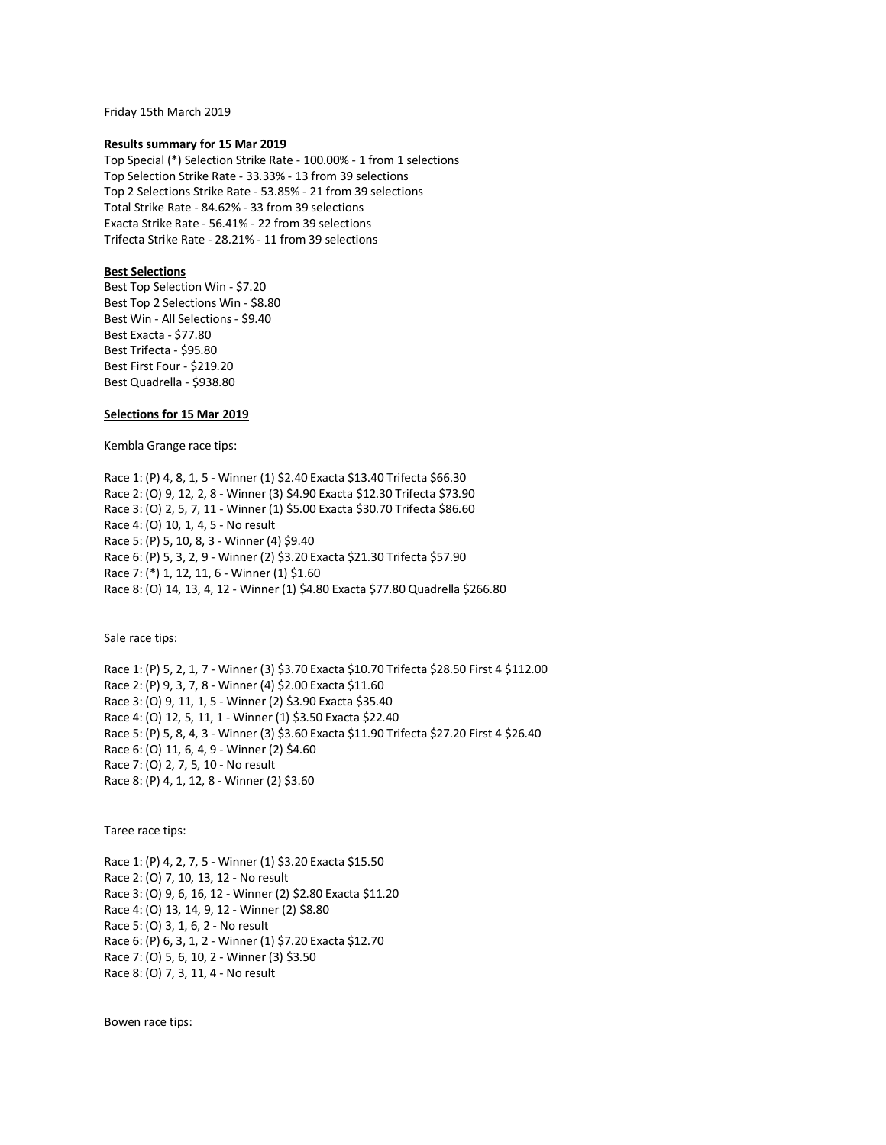Friday 15th March 2019

#### **Results summary for 15 Mar 2019**

Top Special (\*) Selection Strike Rate - 100.00% - 1 from 1 selections Top Selection Strike Rate - 33.33% - 13 from 39 selections Top 2 Selections Strike Rate - 53.85% - 21 from 39 selections Total Strike Rate - 84.62% - 33 from 39 selections Exacta Strike Rate - 56.41% - 22 from 39 selections Trifecta Strike Rate - 28.21% - 11 from 39 selections

### **Best Selections**

Best Top Selection Win - \$7.20 Best Top 2 Selections Win - \$8.80 Best Win - All Selections - \$9.40 Best Exacta - \$77.80 Best Trifecta - \$95.80 Best First Four - \$219.20 Best Quadrella - \$938.80

### **Selections for 15 Mar 2019**

Kembla Grange race tips:

Race 1: (P) 4, 8, 1, 5 - Winner (1) \$2.40 Exacta \$13.40 Trifecta \$66.30 Race 2: (O) 9, 12, 2, 8 - Winner (3) \$4.90 Exacta \$12.30 Trifecta \$73.90 Race 3: (O) 2, 5, 7, 11 - Winner (1) \$5.00 Exacta \$30.70 Trifecta \$86.60 Race 4: (O) 10, 1, 4, 5 - No result Race 5: (P) 5, 10, 8, 3 - Winner (4) \$9.40 Race 6: (P) 5, 3, 2, 9 - Winner (2) \$3.20 Exacta \$21.30 Trifecta \$57.90 Race 7: (\*) 1, 12, 11, 6 - Winner (1) \$1.60 Race 8: (O) 14, 13, 4, 12 - Winner (1) \$4.80 Exacta \$77.80 Quadrella \$266.80

Sale race tips:

Race 1: (P) 5, 2, 1, 7 - Winner (3) \$3.70 Exacta \$10.70 Trifecta \$28.50 First 4 \$112.00 Race 2: (P) 9, 3, 7, 8 - Winner (4) \$2.00 Exacta \$11.60 Race 3: (O) 9, 11, 1, 5 - Winner (2) \$3.90 Exacta \$35.40 Race 4: (O) 12, 5, 11, 1 - Winner (1) \$3.50 Exacta \$22.40 Race 5: (P) 5, 8, 4, 3 - Winner (3) \$3.60 Exacta \$11.90 Trifecta \$27.20 First 4 \$26.40 Race 6: (O) 11, 6, 4, 9 - Winner (2) \$4.60 Race 7: (O) 2, 7, 5, 10 - No result Race 8: (P) 4, 1, 12, 8 - Winner (2) \$3.60

Taree race tips:

Race 1: (P) 4, 2, 7, 5 - Winner (1) \$3.20 Exacta \$15.50 Race 2: (O) 7, 10, 13, 12 - No result Race 3: (O) 9, 6, 16, 12 - Winner (2) \$2.80 Exacta \$11.20 Race 4: (O) 13, 14, 9, 12 - Winner (2) \$8.80 Race 5: (O) 3, 1, 6, 2 - No result Race 6: (P) 6, 3, 1, 2 - Winner (1) \$7.20 Exacta \$12.70 Race 7: (O) 5, 6, 10, 2 - Winner (3) \$3.50 Race 8: (O) 7, 3, 11, 4 - No result

Bowen race tips: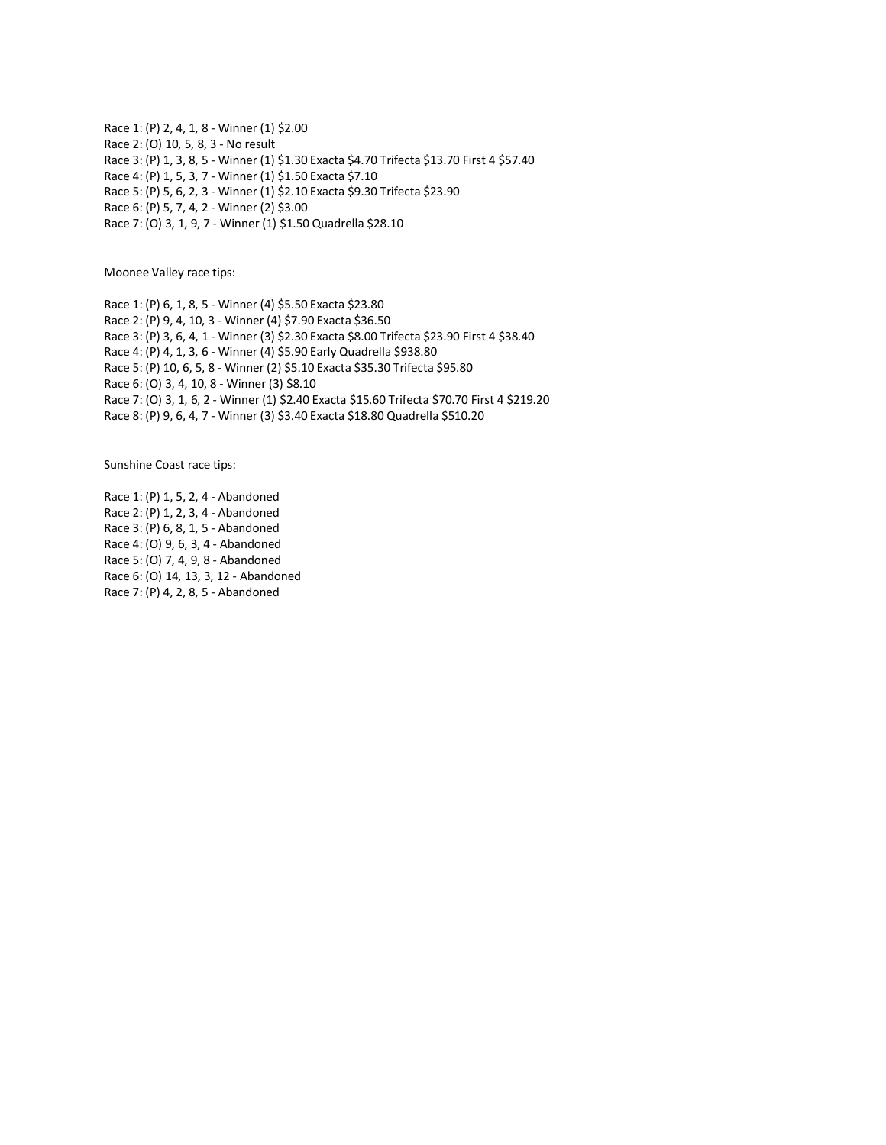Race 1: (P) 2, 4, 1, 8 - Winner (1) \$2.00 Race 2: (O) 10, 5, 8, 3 - No result Race 3: (P) 1, 3, 8, 5 - Winner (1) \$1.30 Exacta \$4.70 Trifecta \$13.70 First 4 \$57.40 Race 4: (P) 1, 5, 3, 7 - Winner (1) \$1.50 Exacta \$7.10 Race 5: (P) 5, 6, 2, 3 - Winner (1) \$2.10 Exacta \$9.30 Trifecta \$23.90 Race 6: (P) 5, 7, 4, 2 - Winner (2) \$3.00 Race 7: (O) 3, 1, 9, 7 - Winner (1) \$1.50 Quadrella \$28.10

Moonee Valley race tips:

Race 1: (P) 6, 1, 8, 5 - Winner (4) \$5.50 Exacta \$23.80 Race 2: (P) 9, 4, 10, 3 - Winner (4) \$7.90 Exacta \$36.50 Race 3: (P) 3, 6, 4, 1 - Winner (3) \$2.30 Exacta \$8.00 Trifecta \$23.90 First 4 \$38.40 Race 4: (P) 4, 1, 3, 6 - Winner (4) \$5.90 Early Quadrella \$938.80 Race 5: (P) 10, 6, 5, 8 - Winner (2) \$5.10 Exacta \$35.30 Trifecta \$95.80 Race 6: (O) 3, 4, 10, 8 - Winner (3) \$8.10 Race 7: (O) 3, 1, 6, 2 - Winner (1) \$2.40 Exacta \$15.60 Trifecta \$70.70 First 4 \$219.20 Race 8: (P) 9, 6, 4, 7 - Winner (3) \$3.40 Exacta \$18.80 Quadrella \$510.20

Sunshine Coast race tips:

Race 1: (P) 1, 5, 2, 4 - Abandoned Race 2: (P) 1, 2, 3, 4 - Abandoned Race 3: (P) 6, 8, 1, 5 - Abandoned Race 4: (O) 9, 6, 3, 4 - Abandoned Race 5: (O) 7, 4, 9, 8 - Abandoned Race 6: (O) 14, 13, 3, 12 - Abandoned Race 7: (P) 4, 2, 8, 5 - Abandoned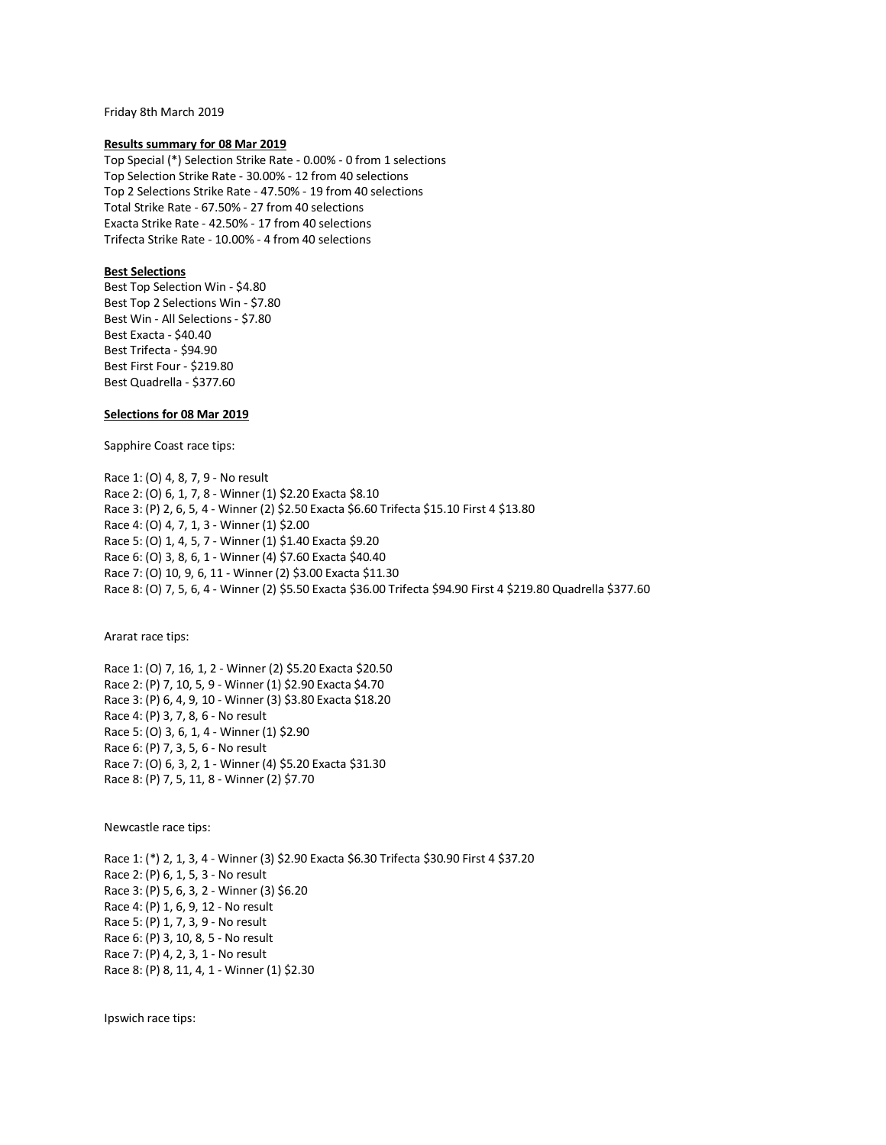Friday 8th March 2019

#### **Results summary for 08 Mar 2019**

Top Special (\*) Selection Strike Rate - 0.00% - 0 from 1 selections Top Selection Strike Rate - 30.00% - 12 from 40 selections Top 2 Selections Strike Rate - 47.50% - 19 from 40 selections Total Strike Rate - 67.50% - 27 from 40 selections Exacta Strike Rate - 42.50% - 17 from 40 selections Trifecta Strike Rate - 10.00% - 4 from 40 selections

# **Best Selections**

Best Top Selection Win - \$4.80 Best Top 2 Selections Win - \$7.80 Best Win - All Selections - \$7.80 Best Exacta - \$40.40 Best Trifecta - \$94.90 Best First Four - \$219.80 Best Quadrella - \$377.60

### **Selections for 08 Mar 2019**

Sapphire Coast race tips:

Race 1: (O) 4, 8, 7, 9 - No result Race 2: (O) 6, 1, 7, 8 - Winner (1) \$2.20 Exacta \$8.10 Race 3: (P) 2, 6, 5, 4 - Winner (2) \$2.50 Exacta \$6.60 Trifecta \$15.10 First 4 \$13.80 Race 4: (O) 4, 7, 1, 3 - Winner (1) \$2.00 Race 5: (O) 1, 4, 5, 7 - Winner (1) \$1.40 Exacta \$9.20 Race 6: (O) 3, 8, 6, 1 - Winner (4) \$7.60 Exacta \$40.40 Race 7: (O) 10, 9, 6, 11 - Winner (2) \$3.00 Exacta \$11.30 Race 8: (O) 7, 5, 6, 4 - Winner (2) \$5.50 Exacta \$36.00 Trifecta \$94.90 First 4 \$219.80 Quadrella \$377.60

Ararat race tips:

Race 1: (O) 7, 16, 1, 2 - Winner (2) \$5.20 Exacta \$20.50 Race 2: (P) 7, 10, 5, 9 - Winner (1) \$2.90 Exacta \$4.70 Race 3: (P) 6, 4, 9, 10 - Winner (3) \$3.80 Exacta \$18.20 Race 4: (P) 3, 7, 8, 6 - No result Race 5: (O) 3, 6, 1, 4 - Winner (1) \$2.90 Race 6: (P) 7, 3, 5, 6 - No result Race 7: (O) 6, 3, 2, 1 - Winner (4) \$5.20 Exacta \$31.30 Race 8: (P) 7, 5, 11, 8 - Winner (2) \$7.70

Newcastle race tips:

Race 1: (\*) 2, 1, 3, 4 - Winner (3) \$2.90 Exacta \$6.30 Trifecta \$30.90 First 4 \$37.20 Race 2: (P) 6, 1, 5, 3 - No result Race 3: (P) 5, 6, 3, 2 - Winner (3) \$6.20 Race 4: (P) 1, 6, 9, 12 - No result Race 5: (P) 1, 7, 3, 9 - No result Race 6: (P) 3, 10, 8, 5 - No result Race 7: (P) 4, 2, 3, 1 - No result Race 8: (P) 8, 11, 4, 1 - Winner (1) \$2.30

Ipswich race tips: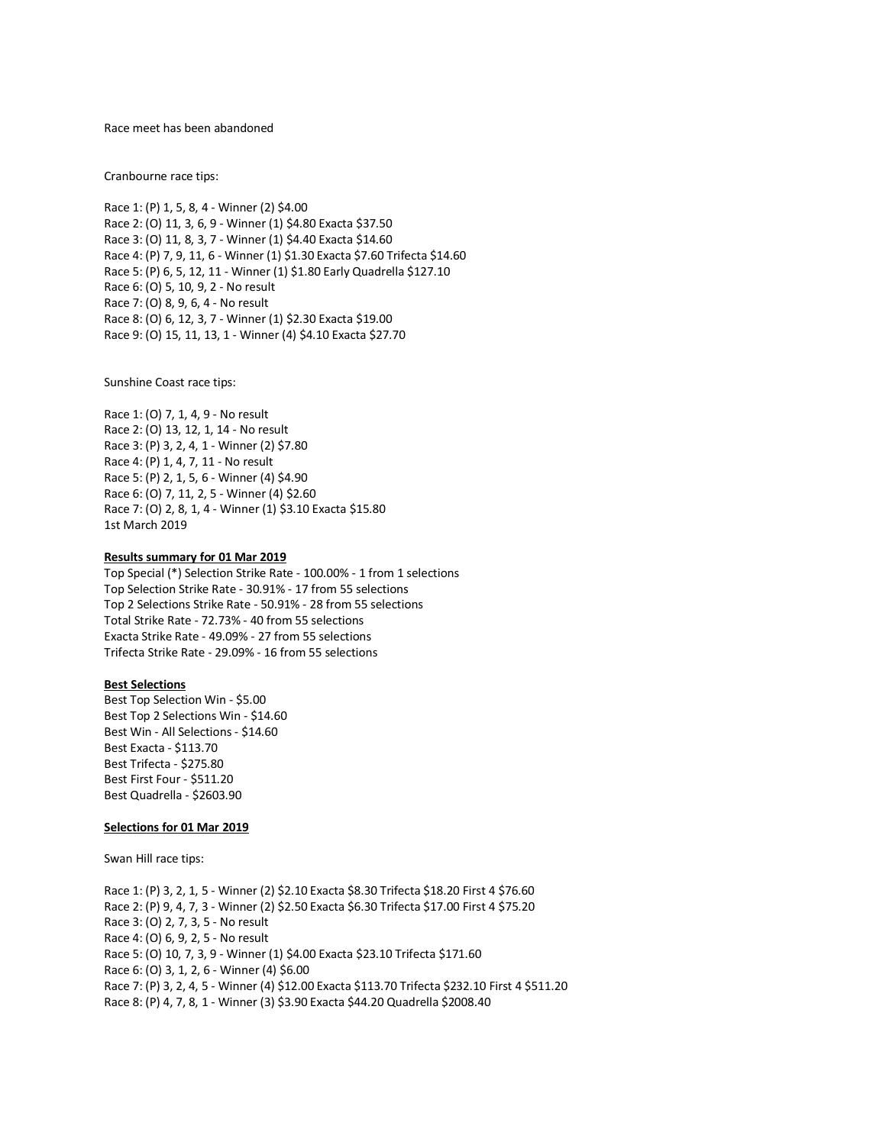Race meet has been abandoned

Cranbourne race tips:

Race 1: (P) 1, 5, 8, 4 - Winner (2) \$4.00 Race 2: (O) 11, 3, 6, 9 - Winner (1) \$4.80 Exacta \$37.50 Race 3: (O) 11, 8, 3, 7 - Winner (1) \$4.40 Exacta \$14.60 Race 4: (P) 7, 9, 11, 6 - Winner (1) \$1.30 Exacta \$7.60 Trifecta \$14.60 Race 5: (P) 6, 5, 12, 11 - Winner (1) \$1.80 Early Quadrella \$127.10 Race 6: (O) 5, 10, 9, 2 - No result Race 7: (O) 8, 9, 6, 4 - No result Race 8: (O) 6, 12, 3, 7 - Winner (1) \$2.30 Exacta \$19.00 Race 9: (O) 15, 11, 13, 1 - Winner (4) \$4.10 Exacta \$27.70

Sunshine Coast race tips:

Race 1: (O) 7, 1, 4, 9 - No result Race 2: (O) 13, 12, 1, 14 - No result Race 3: (P) 3, 2, 4, 1 - Winner (2) \$7.80 Race 4: (P) 1, 4, 7, 11 - No result Race 5: (P) 2, 1, 5, 6 - Winner (4) \$4.90 Race 6: (O) 7, 11, 2, 5 - Winner (4) \$2.60 Race 7: (O) 2, 8, 1, 4 - Winner (1) \$3.10 Exacta \$15.80 1st March 2019

#### **Results summary for 01 Mar 2019**

Top Special (\*) Selection Strike Rate - 100.00% - 1 from 1 selections Top Selection Strike Rate - 30.91% - 17 from 55 selections Top 2 Selections Strike Rate - 50.91% - 28 from 55 selections Total Strike Rate - 72.73% - 40 from 55 selections Exacta Strike Rate - 49.09% - 27 from 55 selections Trifecta Strike Rate - 29.09% - 16 from 55 selections

# **Best Selections**

Best Top Selection Win - \$5.00 Best Top 2 Selections Win - \$14.60 Best Win - All Selections - \$14.60 Best Exacta - \$113.70 Best Trifecta - \$275.80 Best First Four - \$511.20 Best Quadrella - \$2603.90

#### **Selections for 01 Mar 2019**

Swan Hill race tips:

Race 1: (P) 3, 2, 1, 5 - Winner (2) \$2.10 Exacta \$8.30 Trifecta \$18.20 First 4 \$76.60 Race 2: (P) 9, 4, 7, 3 - Winner (2) \$2.50 Exacta \$6.30 Trifecta \$17.00 First 4 \$75.20 Race 3: (O) 2, 7, 3, 5 - No result Race 4: (O) 6, 9, 2, 5 - No result Race 5: (O) 10, 7, 3, 9 - Winner (1) \$4.00 Exacta \$23.10 Trifecta \$171.60 Race 6: (O) 3, 1, 2, 6 - Winner (4) \$6.00 Race 7: (P) 3, 2, 4, 5 - Winner (4) \$12.00 Exacta \$113.70 Trifecta \$232.10 First 4 \$511.20 Race 8: (P) 4, 7, 8, 1 - Winner (3) \$3.90 Exacta \$44.20 Quadrella \$2008.40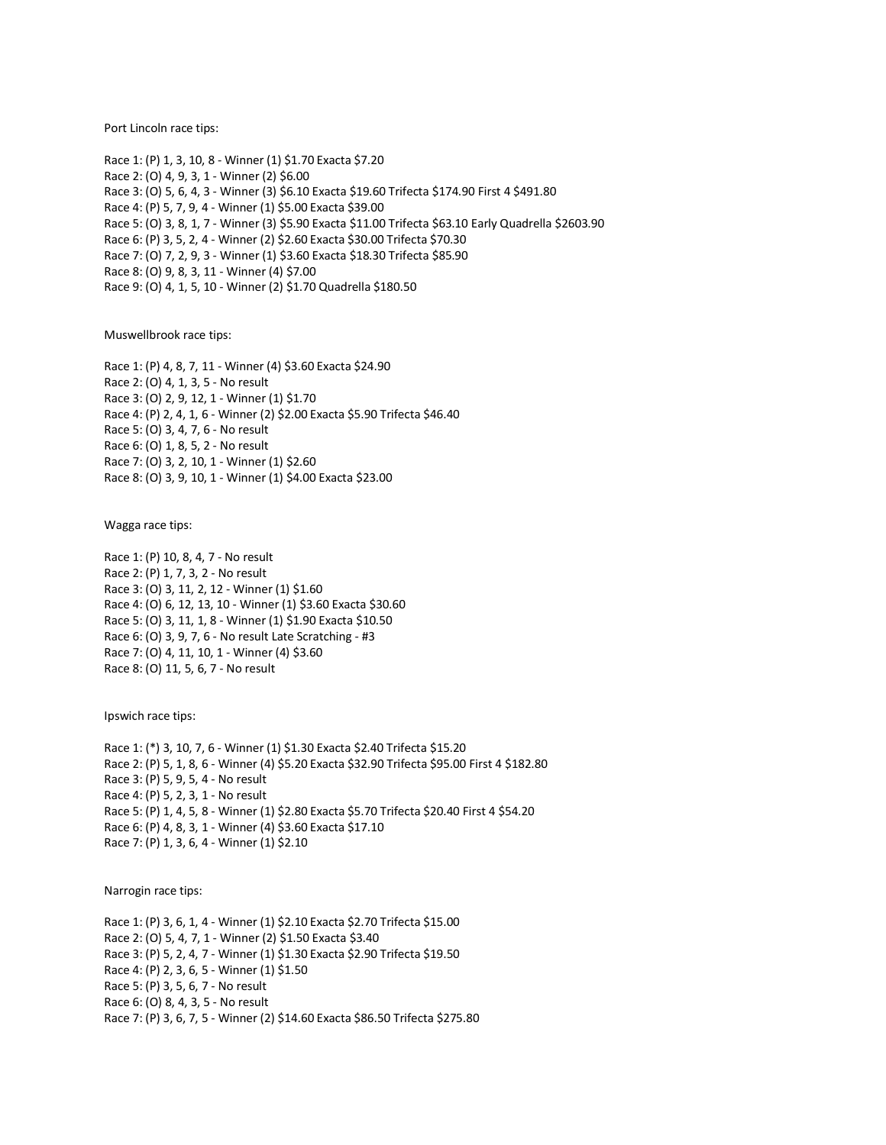Port Lincoln race tips:

Race 1: (P) 1, 3, 10, 8 - Winner (1) \$1.70 Exacta \$7.20 Race 2: (O) 4, 9, 3, 1 - Winner (2) \$6.00 Race 3: (O) 5, 6, 4, 3 - Winner (3) \$6.10 Exacta \$19.60 Trifecta \$174.90 First 4 \$491.80 Race 4: (P) 5, 7, 9, 4 - Winner (1) \$5.00 Exacta \$39.00 Race 5: (O) 3, 8, 1, 7 - Winner (3) \$5.90 Exacta \$11.00 Trifecta \$63.10 Early Quadrella \$2603.90 Race 6: (P) 3, 5, 2, 4 - Winner (2) \$2.60 Exacta \$30.00 Trifecta \$70.30 Race 7: (O) 7, 2, 9, 3 - Winner (1) \$3.60 Exacta \$18.30 Trifecta \$85.90 Race 8: (O) 9, 8, 3, 11 - Winner (4) \$7.00 Race 9: (O) 4, 1, 5, 10 - Winner (2) \$1.70 Quadrella \$180.50

Muswellbrook race tips:

Race 1: (P) 4, 8, 7, 11 - Winner (4) \$3.60 Exacta \$24.90 Race 2: (O) 4, 1, 3, 5 - No result Race 3: (O) 2, 9, 12, 1 - Winner (1) \$1.70 Race 4: (P) 2, 4, 1, 6 - Winner (2) \$2.00 Exacta \$5.90 Trifecta \$46.40 Race 5: (O) 3, 4, 7, 6 - No result Race 6: (O) 1, 8, 5, 2 - No result Race 7: (O) 3, 2, 10, 1 - Winner (1) \$2.60 Race 8: (O) 3, 9, 10, 1 - Winner (1) \$4.00 Exacta \$23.00

Wagga race tips:

Race 1: (P) 10, 8, 4, 7 - No result Race 2: (P) 1, 7, 3, 2 - No result Race 3: (O) 3, 11, 2, 12 - Winner (1) \$1.60 Race 4: (O) 6, 12, 13, 10 - Winner (1) \$3.60 Exacta \$30.60 Race 5: (O) 3, 11, 1, 8 - Winner (1) \$1.90 Exacta \$10.50 Race 6: (O) 3, 9, 7, 6 - No result Late Scratching - #3 Race 7: (O) 4, 11, 10, 1 - Winner (4) \$3.60 Race 8: (O) 11, 5, 6, 7 - No result

Ipswich race tips:

Race 1: (\*) 3, 10, 7, 6 - Winner (1) \$1.30 Exacta \$2.40 Trifecta \$15.20 Race 2: (P) 5, 1, 8, 6 - Winner (4) \$5.20 Exacta \$32.90 Trifecta \$95.00 First 4 \$182.80 Race 3: (P) 5, 9, 5, 4 - No result Race 4: (P) 5, 2, 3, 1 - No result Race 5: (P) 1, 4, 5, 8 - Winner (1) \$2.80 Exacta \$5.70 Trifecta \$20.40 First 4 \$54.20 Race 6: (P) 4, 8, 3, 1 - Winner (4) \$3.60 Exacta \$17.10 Race 7: (P) 1, 3, 6, 4 - Winner (1) \$2.10

Narrogin race tips:

Race 1: (P) 3, 6, 1, 4 - Winner (1) \$2.10 Exacta \$2.70 Trifecta \$15.00 Race 2: (O) 5, 4, 7, 1 - Winner (2) \$1.50 Exacta \$3.40 Race 3: (P) 5, 2, 4, 7 - Winner (1) \$1.30 Exacta \$2.90 Trifecta \$19.50 Race 4: (P) 2, 3, 6, 5 - Winner (1) \$1.50 Race 5: (P) 3, 5, 6, 7 - No result Race 6: (O) 8, 4, 3, 5 - No result Race 7: (P) 3, 6, 7, 5 - Winner (2) \$14.60 Exacta \$86.50 Trifecta \$275.80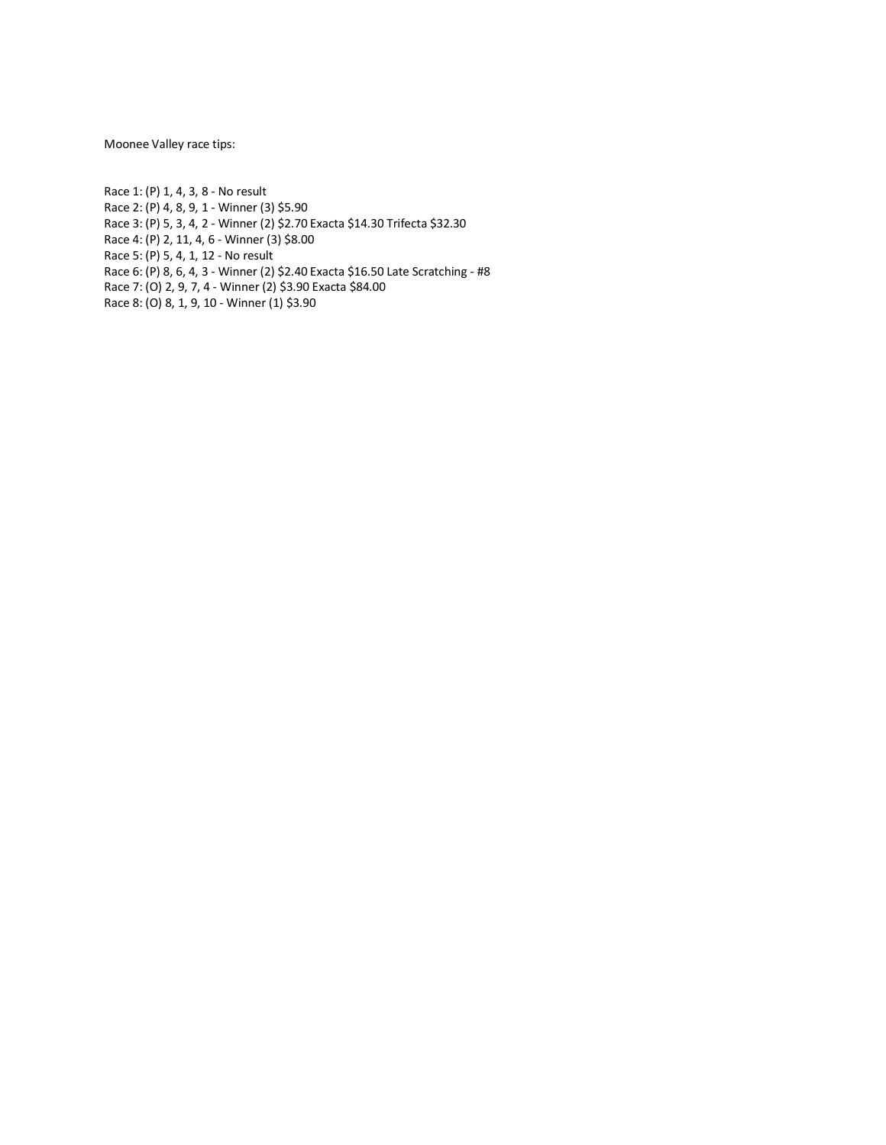Moonee Valley race tips:

Race 1: (P) 1, 4, 3, 8 - No result Race 2: (P) 4, 8, 9, 1 - Winner (3) \$5.90 Race 3: (P) 5, 3, 4, 2 - Winner (2) \$2.70 Exacta \$14.30 Trifecta \$32.30 Race 4: (P) 2, 11, 4, 6 - Winner (3) \$8.00 Race 5: (P) 5, 4, 1, 12 - No result Race 6: (P) 8, 6, 4, 3 - Winner (2) \$2.40 Exacta \$16.50 Late Scratching - #8 Race 7: (O) 2, 9, 7, 4 - Winner (2) \$3.90 Exacta \$84.00 Race 8: (O) 8, 1, 9, 10 - Winner (1) \$3.90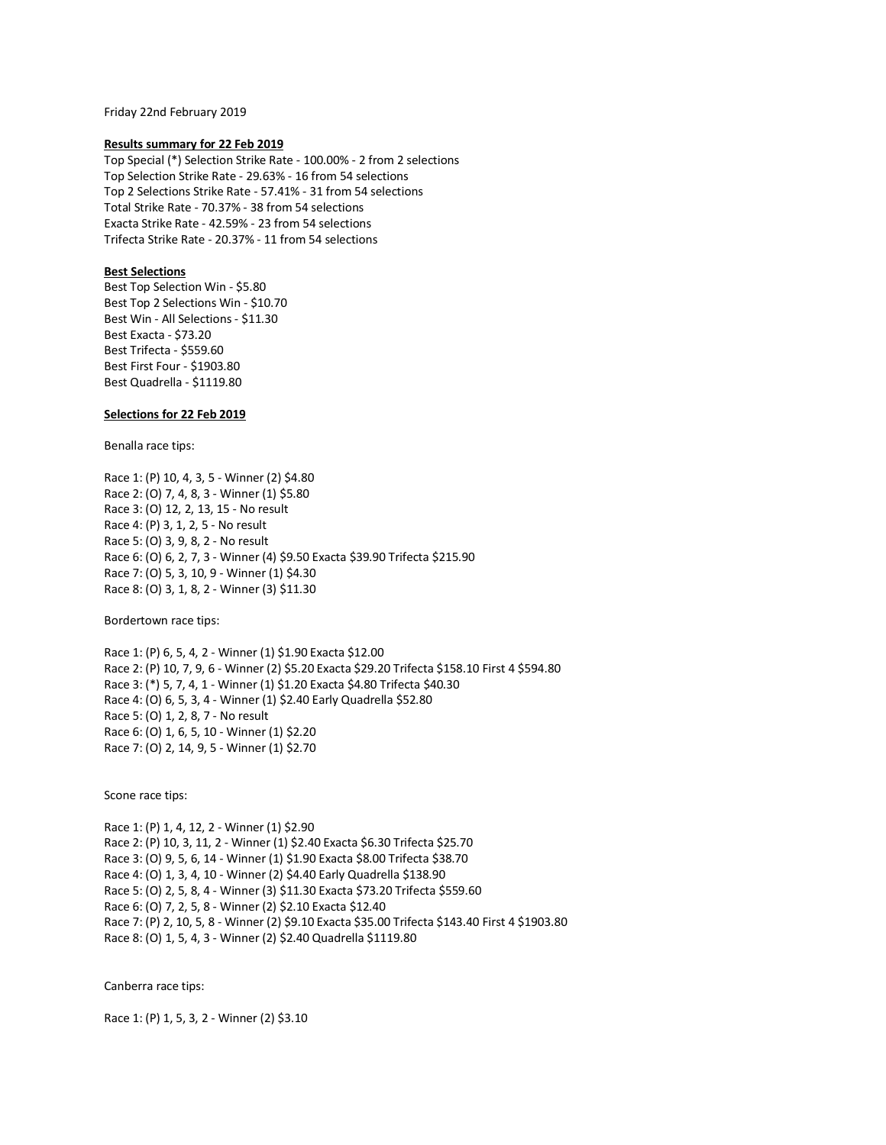Friday 22nd February 2019

#### **Results summary for 22 Feb 2019**

Top Special (\*) Selection Strike Rate - 100.00% - 2 from 2 selections Top Selection Strike Rate - 29.63% - 16 from 54 selections Top 2 Selections Strike Rate - 57.41% - 31 from 54 selections Total Strike Rate - 70.37% - 38 from 54 selections Exacta Strike Rate - 42.59% - 23 from 54 selections Trifecta Strike Rate - 20.37% - 11 from 54 selections

# **Best Selections**

Best Top Selection Win - \$5.80 Best Top 2 Selections Win - \$10.70 Best Win - All Selections - \$11.30 Best Exacta - \$73.20 Best Trifecta - \$559.60 Best First Four - \$1903.80 Best Quadrella - \$1119.80

# **Selections for 22 Feb 2019**

Benalla race tips:

Race 1: (P) 10, 4, 3, 5 - Winner (2) \$4.80 Race 2: (O) 7, 4, 8, 3 - Winner (1) \$5.80 Race 3: (O) 12, 2, 13, 15 - No result Race 4: (P) 3, 1, 2, 5 - No result Race 5: (O) 3, 9, 8, 2 - No result Race 6: (O) 6, 2, 7, 3 - Winner (4) \$9.50 Exacta \$39.90 Trifecta \$215.90 Race 7: (O) 5, 3, 10, 9 - Winner (1) \$4.30 Race 8: (O) 3, 1, 8, 2 - Winner (3) \$11.30

Bordertown race tips:

Race 1: (P) 6, 5, 4, 2 - Winner (1) \$1.90 Exacta \$12.00 Race 2: (P) 10, 7, 9, 6 - Winner (2) \$5.20 Exacta \$29.20 Trifecta \$158.10 First 4 \$594.80 Race 3: (\*) 5, 7, 4, 1 - Winner (1) \$1.20 Exacta \$4.80 Trifecta \$40.30 Race 4: (O) 6, 5, 3, 4 - Winner (1) \$2.40 Early Quadrella \$52.80 Race 5: (O) 1, 2, 8, 7 - No result Race 6: (O) 1, 6, 5, 10 - Winner (1) \$2.20 Race 7: (O) 2, 14, 9, 5 - Winner (1) \$2.70

Scone race tips:

Race 1: (P) 1, 4, 12, 2 - Winner (1) \$2.90 Race 2: (P) 10, 3, 11, 2 - Winner (1) \$2.40 Exacta \$6.30 Trifecta \$25.70 Race 3: (O) 9, 5, 6, 14 - Winner (1) \$1.90 Exacta \$8.00 Trifecta \$38.70 Race 4: (O) 1, 3, 4, 10 - Winner (2) \$4.40 Early Quadrella \$138.90 Race 5: (O) 2, 5, 8, 4 - Winner (3) \$11.30 Exacta \$73.20 Trifecta \$559.60 Race 6: (O) 7, 2, 5, 8 - Winner (2) \$2.10 Exacta \$12.40 Race 7: (P) 2, 10, 5, 8 - Winner (2) \$9.10 Exacta \$35.00 Trifecta \$143.40 First 4 \$1903.80 Race 8: (O) 1, 5, 4, 3 - Winner (2) \$2.40 Quadrella \$1119.80

Canberra race tips:

Race 1: (P) 1, 5, 3, 2 - Winner (2) \$3.10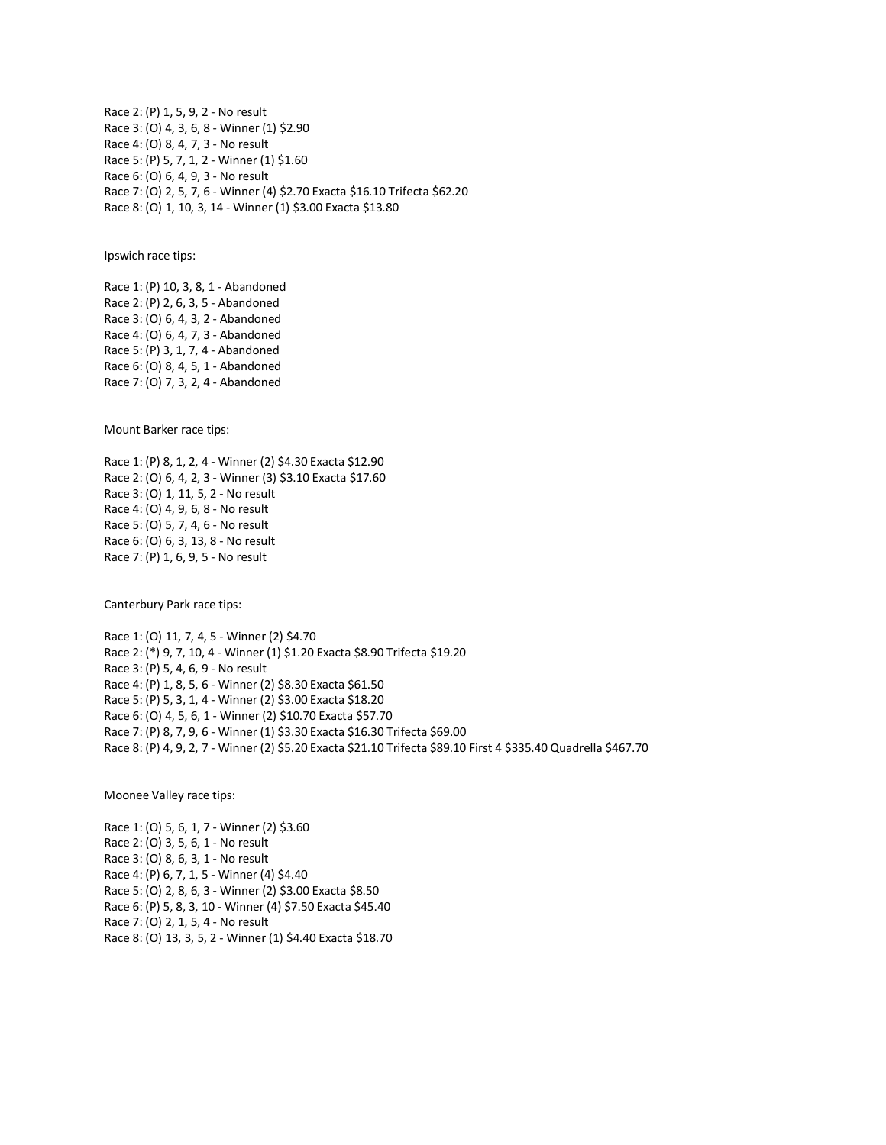Race 2: (P) 1, 5, 9, 2 - No result Race 3: (O) 4, 3, 6, 8 - Winner (1) \$2.90 Race 4: (O) 8, 4, 7, 3 - No result Race 5: (P) 5, 7, 1, 2 - Winner (1) \$1.60 Race 6: (O) 6, 4, 9, 3 - No result Race 7: (O) 2, 5, 7, 6 - Winner (4) \$2.70 Exacta \$16.10 Trifecta \$62.20 Race 8: (O) 1, 10, 3, 14 - Winner (1) \$3.00 Exacta \$13.80

Ipswich race tips:

Race 1: (P) 10, 3, 8, 1 - Abandoned Race 2: (P) 2, 6, 3, 5 - Abandoned Race 3: (O) 6, 4, 3, 2 - Abandoned Race 4: (O) 6, 4, 7, 3 - Abandoned Race 5: (P) 3, 1, 7, 4 - Abandoned Race 6: (O) 8, 4, 5, 1 - Abandoned Race 7: (O) 7, 3, 2, 4 - Abandoned

Mount Barker race tips:

Race 1: (P) 8, 1, 2, 4 - Winner (2) \$4.30 Exacta \$12.90 Race 2: (O) 6, 4, 2, 3 - Winner (3) \$3.10 Exacta \$17.60 Race 3: (O) 1, 11, 5, 2 - No result Race 4: (O) 4, 9, 6, 8 - No result Race 5: (O) 5, 7, 4, 6 - No result Race 6: (O) 6, 3, 13, 8 - No result Race 7: (P) 1, 6, 9, 5 - No result

Canterbury Park race tips:

Race 1: (O) 11, 7, 4, 5 - Winner (2) \$4.70 Race 2: (\*) 9, 7, 10, 4 - Winner (1) \$1.20 Exacta \$8.90 Trifecta \$19.20 Race 3: (P) 5, 4, 6, 9 - No result Race 4: (P) 1, 8, 5, 6 - Winner (2) \$8.30 Exacta \$61.50 Race 5: (P) 5, 3, 1, 4 - Winner (2) \$3.00 Exacta \$18.20 Race 6: (O) 4, 5, 6, 1 - Winner (2) \$10.70 Exacta \$57.70 Race 7: (P) 8, 7, 9, 6 - Winner (1) \$3.30 Exacta \$16.30 Trifecta \$69.00 Race 8: (P) 4, 9, 2, 7 - Winner (2) \$5.20 Exacta \$21.10 Trifecta \$89.10 First 4 \$335.40 Quadrella \$467.70

Moonee Valley race tips:

Race 1: (O) 5, 6, 1, 7 - Winner (2) \$3.60 Race 2: (O) 3, 5, 6, 1 - No result Race 3: (O) 8, 6, 3, 1 - No result Race 4: (P) 6, 7, 1, 5 - Winner (4) \$4.40 Race 5: (O) 2, 8, 6, 3 - Winner (2) \$3.00 Exacta \$8.50 Race 6: (P) 5, 8, 3, 10 - Winner (4) \$7.50 Exacta \$45.40 Race 7: (O) 2, 1, 5, 4 - No result Race 8: (O) 13, 3, 5, 2 - Winner (1) \$4.40 Exacta \$18.70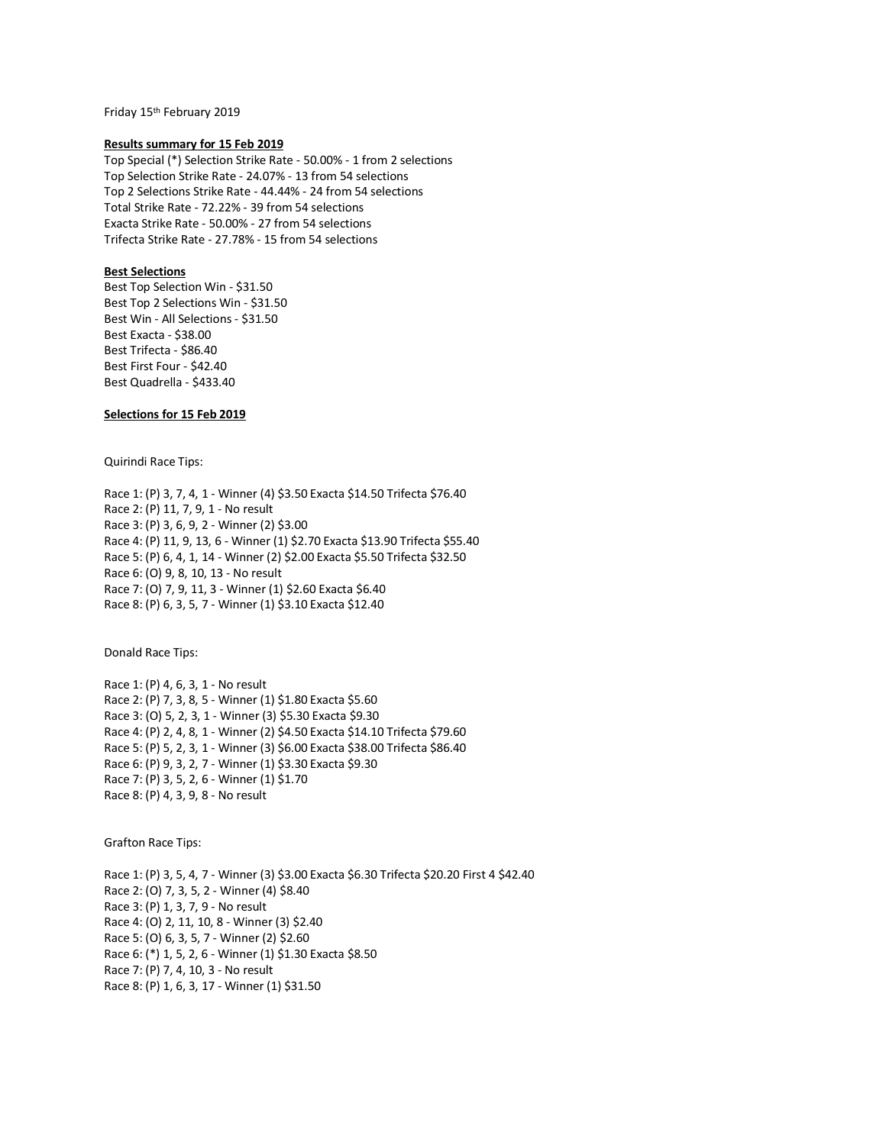Friday 15th February 2019

#### **Results summary for 15 Feb 2019**

Top Special (\*) Selection Strike Rate - 50.00% - 1 from 2 selections Top Selection Strike Rate - 24.07% - 13 from 54 selections Top 2 Selections Strike Rate - 44.44% - 24 from 54 selections Total Strike Rate - 72.22% - 39 from 54 selections Exacta Strike Rate - 50.00% - 27 from 54 selections Trifecta Strike Rate - 27.78% - 15 from 54 selections

## **Best Selections**

Best Top Selection Win - \$31.50 Best Top 2 Selections Win - \$31.50 Best Win - All Selections - \$31.50 Best Exacta - \$38.00 Best Trifecta - \$86.40 Best First Four - \$42.40 Best Quadrella - \$433.40

# **Selections for 15 Feb 2019**

Quirindi Race Tips:

Race 1: (P) 3, 7, 4, 1 - Winner (4) \$3.50 Exacta \$14.50 Trifecta \$76.40 Race 2: (P) 11, 7, 9, 1 - No result Race 3: (P) 3, 6, 9, 2 - Winner (2) \$3.00 Race 4: (P) 11, 9, 13, 6 - Winner (1) \$2.70 Exacta \$13.90 Trifecta \$55.40 Race 5: (P) 6, 4, 1, 14 - Winner (2) \$2.00 Exacta \$5.50 Trifecta \$32.50 Race 6: (O) 9, 8, 10, 13 - No result Race 7: (O) 7, 9, 11, 3 - Winner (1) \$2.60 Exacta \$6.40 Race 8: (P) 6, 3, 5, 7 - Winner (1) \$3.10 Exacta \$12.40

Donald Race Tips:

Race 1: (P) 4, 6, 3, 1 - No result Race 2: (P) 7, 3, 8, 5 - Winner (1) \$1.80 Exacta \$5.60 Race 3: (O) 5, 2, 3, 1 - Winner (3) \$5.30 Exacta \$9.30 Race 4: (P) 2, 4, 8, 1 - Winner (2) \$4.50 Exacta \$14.10 Trifecta \$79.60 Race 5: (P) 5, 2, 3, 1 - Winner (3) \$6.00 Exacta \$38.00 Trifecta \$86.40 Race 6: (P) 9, 3, 2, 7 - Winner (1) \$3.30 Exacta \$9.30 Race 7: (P) 3, 5, 2, 6 - Winner (1) \$1.70 Race 8: (P) 4, 3, 9, 8 - No result

Grafton Race Tips:

Race 1: (P) 3, 5, 4, 7 - Winner (3) \$3.00 Exacta \$6.30 Trifecta \$20.20 First 4 \$42.40 Race 2: (O) 7, 3, 5, 2 - Winner (4) \$8.40 Race 3: (P) 1, 3, 7, 9 - No result Race 4: (O) 2, 11, 10, 8 - Winner (3) \$2.40 Race 5: (O) 6, 3, 5, 7 - Winner (2) \$2.60 Race 6: (\*) 1, 5, 2, 6 - Winner (1) \$1.30 Exacta \$8.50 Race 7: (P) 7, 4, 10, 3 - No result Race 8: (P) 1, 6, 3, 17 - Winner (1) \$31.50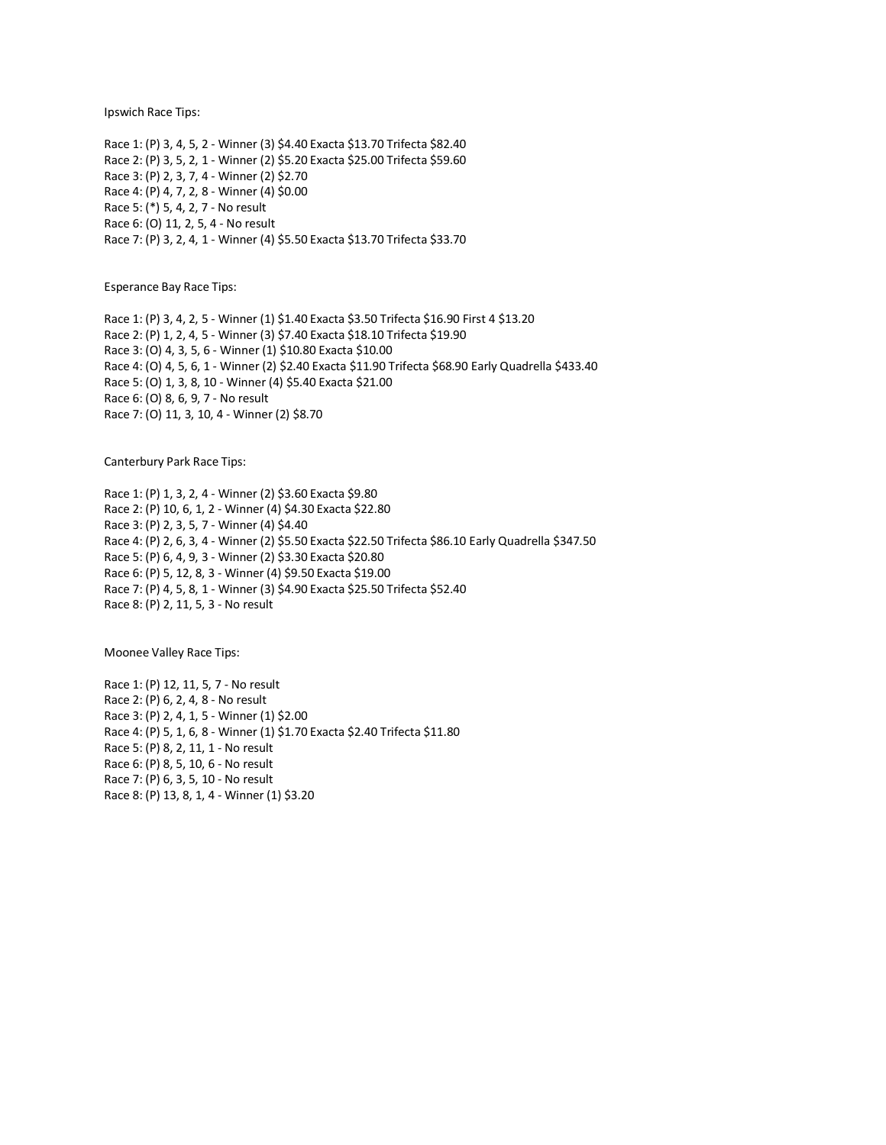Ipswich Race Tips:

Race 1: (P) 3, 4, 5, 2 - Winner (3) \$4.40 Exacta \$13.70 Trifecta \$82.40 Race 2: (P) 3, 5, 2, 1 - Winner (2) \$5.20 Exacta \$25.00 Trifecta \$59.60 Race 3: (P) 2, 3, 7, 4 - Winner (2) \$2.70 Race 4: (P) 4, 7, 2, 8 - Winner (4) \$0.00 Race 5: (\*) 5, 4, 2, 7 - No result Race 6: (O) 11, 2, 5, 4 - No result Race 7: (P) 3, 2, 4, 1 - Winner (4) \$5.50 Exacta \$13.70 Trifecta \$33.70

Esperance Bay Race Tips:

Race 1: (P) 3, 4, 2, 5 - Winner (1) \$1.40 Exacta \$3.50 Trifecta \$16.90 First 4 \$13.20 Race 2: (P) 1, 2, 4, 5 - Winner (3) \$7.40 Exacta \$18.10 Trifecta \$19.90 Race 3: (O) 4, 3, 5, 6 - Winner (1) \$10.80 Exacta \$10.00 Race 4: (O) 4, 5, 6, 1 - Winner (2) \$2.40 Exacta \$11.90 Trifecta \$68.90 Early Quadrella \$433.40 Race 5: (O) 1, 3, 8, 10 - Winner (4) \$5.40 Exacta \$21.00 Race 6: (O) 8, 6, 9, 7 - No result Race 7: (O) 11, 3, 10, 4 - Winner (2) \$8.70

Canterbury Park Race Tips:

Race 1: (P) 1, 3, 2, 4 - Winner (2) \$3.60 Exacta \$9.80 Race 2: (P) 10, 6, 1, 2 - Winner (4) \$4.30 Exacta \$22.80 Race 3: (P) 2, 3, 5, 7 - Winner (4) \$4.40 Race 4: (P) 2, 6, 3, 4 - Winner (2) \$5.50 Exacta \$22.50 Trifecta \$86.10 Early Quadrella \$347.50 Race 5: (P) 6, 4, 9, 3 - Winner (2) \$3.30 Exacta \$20.80 Race 6: (P) 5, 12, 8, 3 - Winner (4) \$9.50 Exacta \$19.00 Race 7: (P) 4, 5, 8, 1 - Winner (3) \$4.90 Exacta \$25.50 Trifecta \$52.40 Race 8: (P) 2, 11, 5, 3 - No result

Moonee Valley Race Tips:

Race 1: (P) 12, 11, 5, 7 - No result Race 2: (P) 6, 2, 4, 8 - No result Race 3: (P) 2, 4, 1, 5 - Winner (1) \$2.00 Race 4: (P) 5, 1, 6, 8 - Winner (1) \$1.70 Exacta \$2.40 Trifecta \$11.80 Race 5: (P) 8, 2, 11, 1 - No result Race 6: (P) 8, 5, 10, 6 - No result Race 7: (P) 6, 3, 5, 10 - No result Race 8: (P) 13, 8, 1, 4 - Winner (1) \$3.20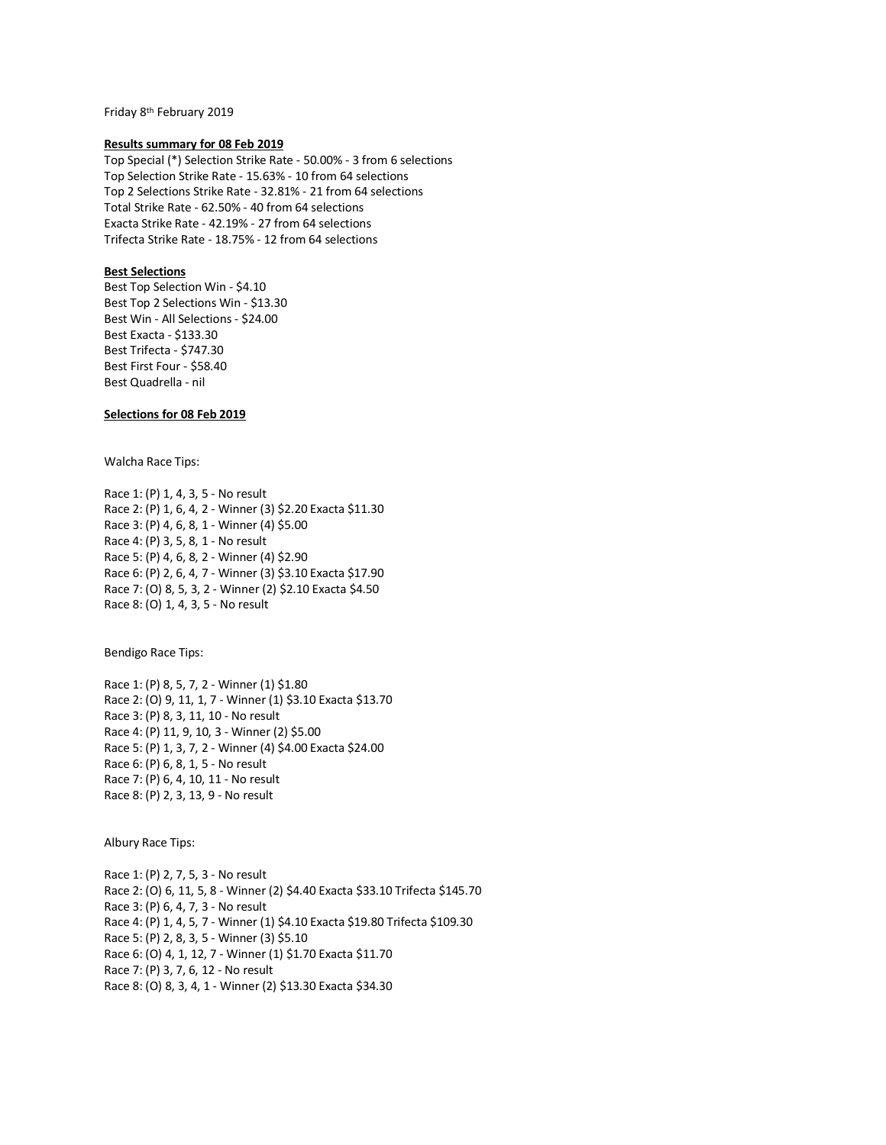Friday 8th February 2019

#### **Results summary for 08 Feb 2019**

Top Special (\*) Selection Strike Rate - 50.00% - 3 from 6 selections Top Selection Strike Rate - 15.63% - 10 from 64 selections Top 2 Selections Strike Rate - 32.81% - 21 from 64 selections Total Strike Rate - 62.50% - 40 from 64 selections Exacta Strike Rate - 42.19% - 27 from 64 selections Trifecta Strike Rate - 18.75% - 12 from 64 selections

# **Best Selections**

Best Top Selection Win - \$4.10 Best Top 2 Selections Win - \$13.30 Best Win - All Selections - \$24.00 Best Exacta - \$133.30 Best Trifecta - \$747.30 Best First Four - \$58.40 Best Quadrella - nil

# **Selections for 08 Feb 2019**

Walcha Race Tips:

Race 1: (P) 1, 4, 3, 5 - No result Race 2: (P) 1, 6, 4, 2 - Winner (3) \$2.20 Exacta \$11.30 Race 3: (P) 4, 6, 8, 1 - Winner (4) \$5.00 Race 4: (P) 3, 5, 8, 1 - No result Race 5: (P) 4, 6, 8, 2 - Winner (4) \$2.90 Race 6: (P) 2, 6, 4, 7 - Winner (3) \$3.10 Exacta \$17.90 Race 7: (O) 8, 5, 3, 2 - Winner (2) \$2.10 Exacta \$4.50 Race 8: (O) 1, 4, 3, 5 - No result

Bendigo Race Tips:

Race 1: (P) 8, 5, 7, 2 - Winner (1) \$1.80 Race 2: (O) 9, 11, 1, 7 - Winner (1) \$3.10 Exacta \$13.70 Race 3: (P) 8, 3, 11, 10 - No result Race 4: (P) 11, 9, 10, 3 - Winner (2) \$5.00 Race 5: (P) 1, 3, 7, 2 - Winner (4) \$4.00 Exacta \$24.00 Race 6: (P) 6, 8, 1, 5 - No result Race 7: (P) 6, 4, 10, 11 - No result Race 8: (P) 2, 3, 13, 9 - No result

Albury Race Tips:

Race 1: (P) 2, 7, 5, 3 - No result Race 2: (O) 6, 11, 5, 8 - Winner (2) \$4.40 Exacta \$33.10 Trifecta \$145.70 Race 3: (P) 6, 4, 7, 3 - No result Race 4: (P) 1, 4, 5, 7 - Winner (1) \$4.10 Exacta \$19.80 Trifecta \$109.30 Race 5: (P) 2, 8, 3, 5 - Winner (3) \$5.10 Race 6: (O) 4, 1, 12, 7 - Winner (1) \$1.70 Exacta \$11.70 Race 7: (P) 3, 7, 6, 12 - No result Race 8: (O) 8, 3, 4, 1 - Winner (2) \$13.30 Exacta \$34.30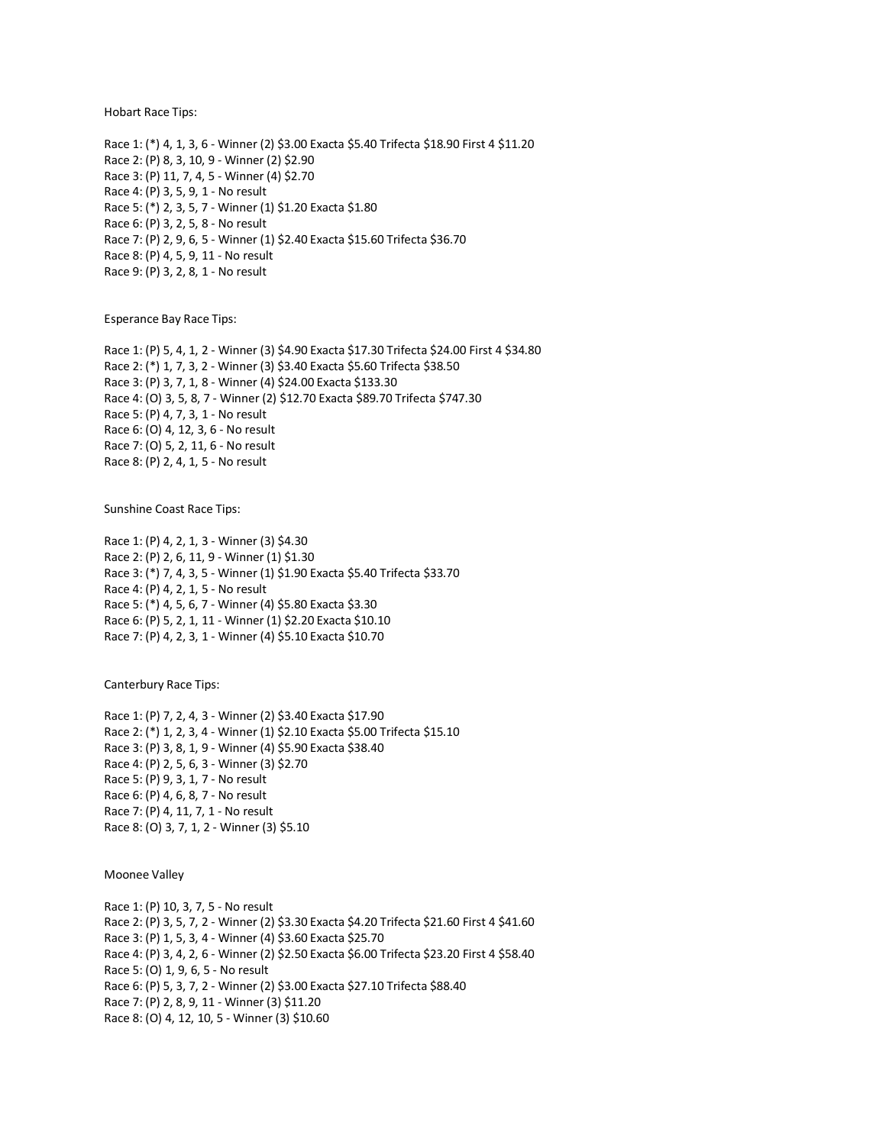Hobart Race Tips:

Race 1: (\*) 4, 1, 3, 6 - Winner (2) \$3.00 Exacta \$5.40 Trifecta \$18.90 First 4 \$11.20 Race 2: (P) 8, 3, 10, 9 - Winner (2) \$2.90 Race 3: (P) 11, 7, 4, 5 - Winner (4) \$2.70 Race 4: (P) 3, 5, 9, 1 - No result Race 5: (\*) 2, 3, 5, 7 - Winner (1) \$1.20 Exacta \$1.80 Race 6: (P) 3, 2, 5, 8 - No result Race 7: (P) 2, 9, 6, 5 - Winner (1) \$2.40 Exacta \$15.60 Trifecta \$36.70 Race 8: (P) 4, 5, 9, 11 - No result Race 9: (P) 3, 2, 8, 1 - No result

Esperance Bay Race Tips:

Race 1: (P) 5, 4, 1, 2 - Winner (3) \$4.90 Exacta \$17.30 Trifecta \$24.00 First 4 \$34.80 Race 2: (\*) 1, 7, 3, 2 - Winner (3) \$3.40 Exacta \$5.60 Trifecta \$38.50 Race 3: (P) 3, 7, 1, 8 - Winner (4) \$24.00 Exacta \$133.30 Race 4: (O) 3, 5, 8, 7 - Winner (2) \$12.70 Exacta \$89.70 Trifecta \$747.30 Race 5: (P) 4, 7, 3, 1 - No result Race 6: (O) 4, 12, 3, 6 - No result Race 7: (O) 5, 2, 11, 6 - No result Race 8: (P) 2, 4, 1, 5 - No result

Sunshine Coast Race Tips:

Race 1: (P) 4, 2, 1, 3 - Winner (3) \$4.30 Race 2: (P) 2, 6, 11, 9 - Winner (1) \$1.30 Race 3: (\*) 7, 4, 3, 5 - Winner (1) \$1.90 Exacta \$5.40 Trifecta \$33.70 Race 4: (P) 4, 2, 1, 5 - No result Race 5: (\*) 4, 5, 6, 7 - Winner (4) \$5.80 Exacta \$3.30 Race 6: (P) 5, 2, 1, 11 - Winner (1) \$2.20 Exacta \$10.10 Race 7: (P) 4, 2, 3, 1 - Winner (4) \$5.10 Exacta \$10.70

Canterbury Race Tips:

Race 1: (P) 7, 2, 4, 3 - Winner (2) \$3.40 Exacta \$17.90 Race 2: (\*) 1, 2, 3, 4 - Winner (1) \$2.10 Exacta \$5.00 Trifecta \$15.10 Race 3: (P) 3, 8, 1, 9 - Winner (4) \$5.90 Exacta \$38.40 Race 4: (P) 2, 5, 6, 3 - Winner (3) \$2.70 Race 5: (P) 9, 3, 1, 7 - No result Race 6: (P) 4, 6, 8, 7 - No result Race 7: (P) 4, 11, 7, 1 - No result Race 8: (O) 3, 7, 1, 2 - Winner (3) \$5.10

Moonee Valley

Race 1: (P) 10, 3, 7, 5 - No result Race 2: (P) 3, 5, 7, 2 - Winner (2) \$3.30 Exacta \$4.20 Trifecta \$21.60 First 4 \$41.60 Race 3: (P) 1, 5, 3, 4 - Winner (4) \$3.60 Exacta \$25.70 Race 4: (P) 3, 4, 2, 6 - Winner (2) \$2.50 Exacta \$6.00 Trifecta \$23.20 First 4 \$58.40 Race 5: (O) 1, 9, 6, 5 - No result Race 6: (P) 5, 3, 7, 2 - Winner (2) \$3.00 Exacta \$27.10 Trifecta \$88.40 Race 7: (P) 2, 8, 9, 11 - Winner (3) \$11.20 Race 8: (O) 4, 12, 10, 5 - Winner (3) \$10.60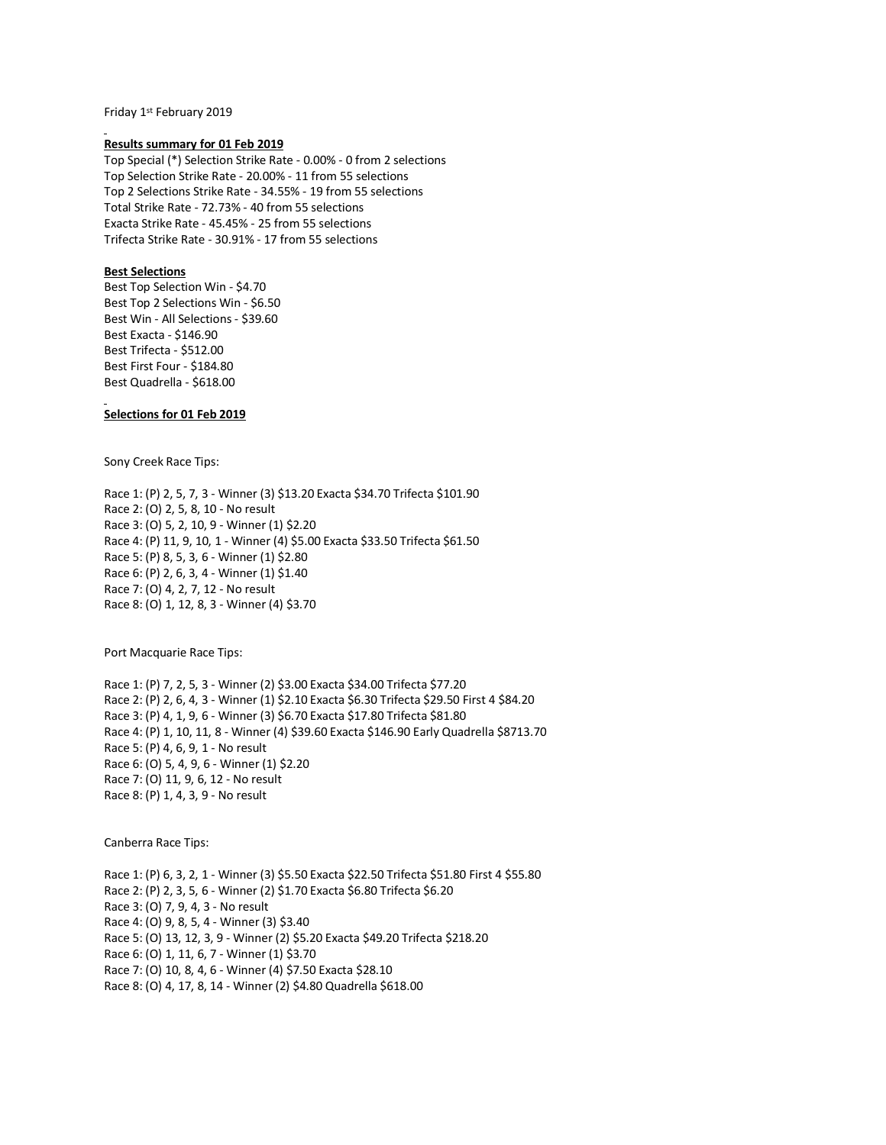Friday 1st February 2019

#### **Results summary for 01 Feb 2019**

Top Special (\*) Selection Strike Rate - 0.00% - 0 from 2 selections Top Selection Strike Rate - 20.00% - 11 from 55 selections Top 2 Selections Strike Rate - 34.55% - 19 from 55 selections Total Strike Rate - 72.73% - 40 from 55 selections Exacta Strike Rate - 45.45% - 25 from 55 selections Trifecta Strike Rate - 30.91% - 17 from 55 selections

# **Best Selections**

Best Top Selection Win - \$4.70 Best Top 2 Selections Win - \$6.50 Best Win - All Selections - \$39.60 Best Exacta - \$146.90 Best Trifecta - \$512.00 Best First Four - \$184.80 Best Quadrella - \$618.00

# **Selections for 01 Feb 2019**

Sony Creek Race Tips:

Race 1: (P) 2, 5, 7, 3 - Winner (3) \$13.20 Exacta \$34.70 Trifecta \$101.90 Race 2: (O) 2, 5, 8, 10 - No result Race 3: (O) 5, 2, 10, 9 - Winner (1) \$2.20 Race 4: (P) 11, 9, 10, 1 - Winner (4) \$5.00 Exacta \$33.50 Trifecta \$61.50 Race 5: (P) 8, 5, 3, 6 - Winner (1) \$2.80 Race 6: (P) 2, 6, 3, 4 - Winner (1) \$1.40 Race 7: (O) 4, 2, 7, 12 - No result Race 8: (O) 1, 12, 8, 3 - Winner (4) \$3.70

Port Macquarie Race Tips:

Race 1: (P) 7, 2, 5, 3 - Winner (2) \$3.00 Exacta \$34.00 Trifecta \$77.20 Race 2: (P) 2, 6, 4, 3 - Winner (1) \$2.10 Exacta \$6.30 Trifecta \$29.50 First 4 \$84.20 Race 3: (P) 4, 1, 9, 6 - Winner (3) \$6.70 Exacta \$17.80 Trifecta \$81.80 Race 4: (P) 1, 10, 11, 8 - Winner (4) \$39.60 Exacta \$146.90 Early Quadrella \$8713.70 Race 5: (P) 4, 6, 9, 1 - No result Race 6: (O) 5, 4, 9, 6 - Winner (1) \$2.20 Race 7: (O) 11, 9, 6, 12 - No result Race 8: (P) 1, 4, 3, 9 - No result

Canberra Race Tips:

Race 1: (P) 6, 3, 2, 1 - Winner (3) \$5.50 Exacta \$22.50 Trifecta \$51.80 First 4 \$55.80 Race 2: (P) 2, 3, 5, 6 - Winner (2) \$1.70 Exacta \$6.80 Trifecta \$6.20 Race 3: (O) 7, 9, 4, 3 - No result Race 4: (O) 9, 8, 5, 4 - Winner (3) \$3.40 Race 5: (O) 13, 12, 3, 9 - Winner (2) \$5.20 Exacta \$49.20 Trifecta \$218.20 Race 6: (O) 1, 11, 6, 7 - Winner (1) \$3.70 Race 7: (O) 10, 8, 4, 6 - Winner (4) \$7.50 Exacta \$28.10 Race 8: (O) 4, 17, 8, 14 - Winner (2) \$4.80 Quadrella \$618.00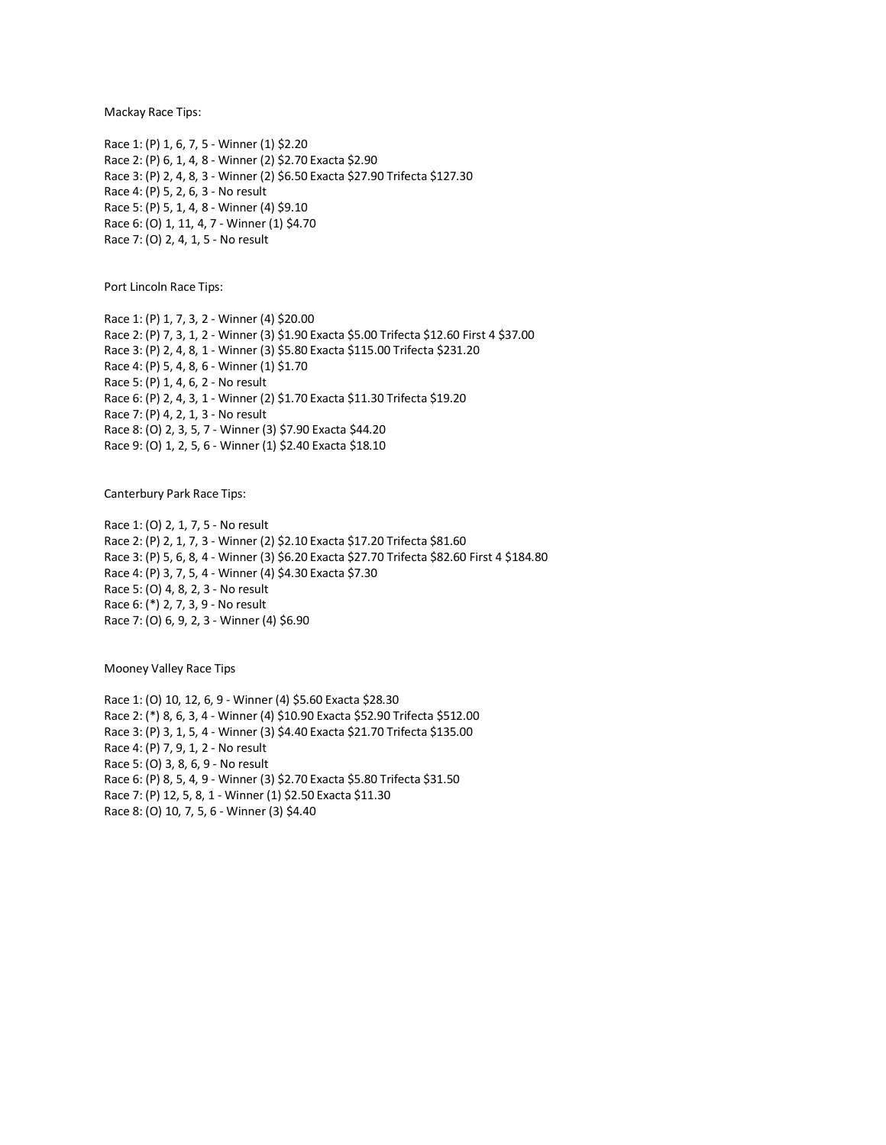Mackay Race Tips:

Race 1: (P) 1, 6, 7, 5 - Winner (1) \$2.20 Race 2: (P) 6, 1, 4, 8 - Winner (2) \$2.70 Exacta \$2.90 Race 3: (P) 2, 4, 8, 3 - Winner (2) \$6.50 Exacta \$27.90 Trifecta \$127.30 Race 4: (P) 5, 2, 6, 3 - No result Race 5: (P) 5, 1, 4, 8 - Winner (4) \$9.10 Race 6: (O) 1, 11, 4, 7 - Winner (1) \$4.70 Race 7: (O) 2, 4, 1, 5 - No result

Port Lincoln Race Tips:

Race 1: (P) 1, 7, 3, 2 - Winner (4) \$20.00 Race 2: (P) 7, 3, 1, 2 - Winner (3) \$1.90 Exacta \$5.00 Trifecta \$12.60 First 4 \$37.00 Race 3: (P) 2, 4, 8, 1 - Winner (3) \$5.80 Exacta \$115.00 Trifecta \$231.20 Race 4: (P) 5, 4, 8, 6 - Winner (1) \$1.70 Race 5: (P) 1, 4, 6, 2 - No result Race 6: (P) 2, 4, 3, 1 - Winner (2) \$1.70 Exacta \$11.30 Trifecta \$19.20 Race 7: (P) 4, 2, 1, 3 - No result Race 8: (O) 2, 3, 5, 7 - Winner (3) \$7.90 Exacta \$44.20 Race 9: (O) 1, 2, 5, 6 - Winner (1) \$2.40 Exacta \$18.10

Canterbury Park Race Tips:

Race 1: (O) 2, 1, 7, 5 - No result Race 2: (P) 2, 1, 7, 3 - Winner (2) \$2.10 Exacta \$17.20 Trifecta \$81.60 Race 3: (P) 5, 6, 8, 4 - Winner (3) \$6.20 Exacta \$27.70 Trifecta \$82.60 First 4 \$184.80 Race 4: (P) 3, 7, 5, 4 - Winner (4) \$4.30 Exacta \$7.30 Race 5: (O) 4, 8, 2, 3 - No result Race 6: (\*) 2, 7, 3, 9 - No result Race 7: (O) 6, 9, 2, 3 - Winner (4) \$6.90

Mooney Valley Race Tips

Race 1: (O) 10, 12, 6, 9 - Winner (4) \$5.60 Exacta \$28.30 Race 2: (\*) 8, 6, 3, 4 - Winner (4) \$10.90 Exacta \$52.90 Trifecta \$512.00 Race 3: (P) 3, 1, 5, 4 - Winner (3) \$4.40 Exacta \$21.70 Trifecta \$135.00 Race 4: (P) 7, 9, 1, 2 - No result Race 5: (O) 3, 8, 6, 9 - No result Race 6: (P) 8, 5, 4, 9 - Winner (3) \$2.70 Exacta \$5.80 Trifecta \$31.50 Race 7: (P) 12, 5, 8, 1 - Winner (1) \$2.50 Exacta \$11.30 Race 8: (O) 10, 7, 5, 6 - Winner (3) \$4.40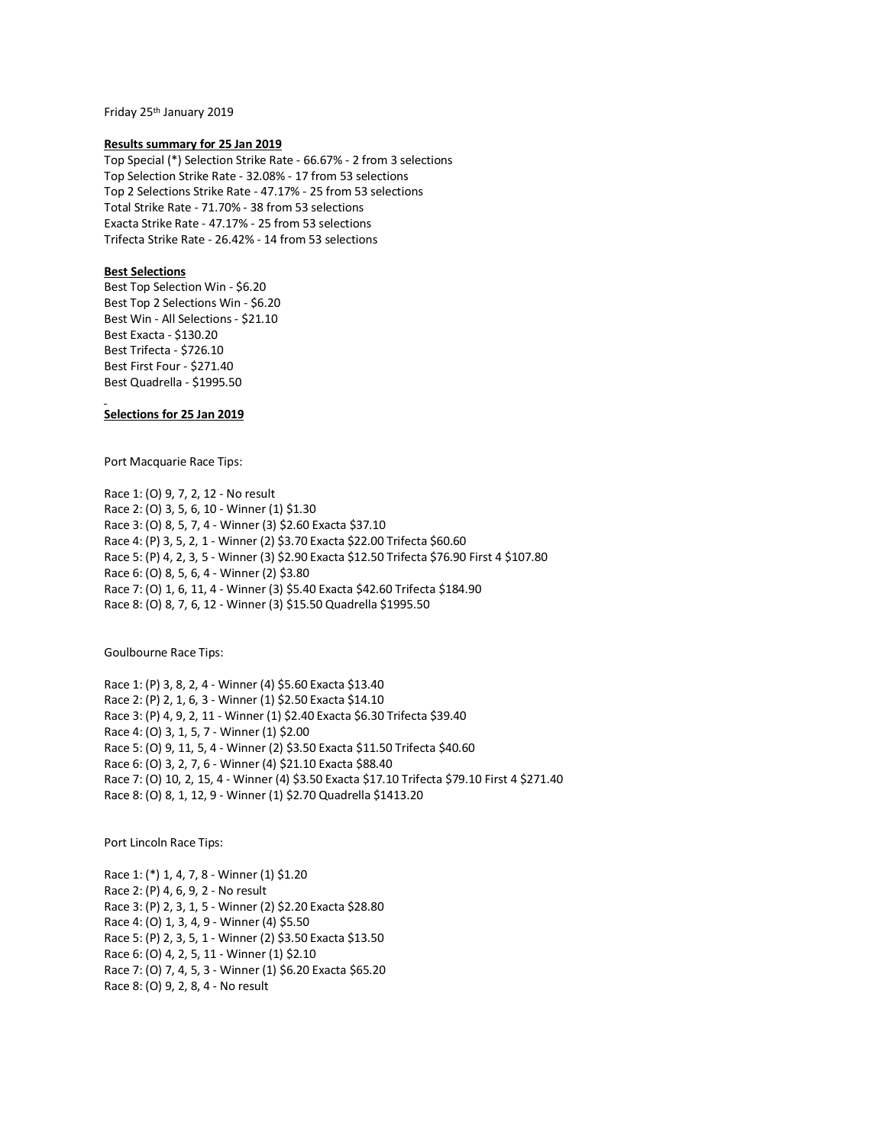Friday 25th January 2019

#### **Results summary for 25 Jan 2019**

Top Special (\*) Selection Strike Rate - 66.67% - 2 from 3 selections Top Selection Strike Rate - 32.08% - 17 from 53 selections Top 2 Selections Strike Rate - 47.17% - 25 from 53 selections Total Strike Rate - 71.70% - 38 from 53 selections Exacta Strike Rate - 47.17% - 25 from 53 selections Trifecta Strike Rate - 26.42% - 14 from 53 selections

# **Best Selections**

Best Top Selection Win - \$6.20 Best Top 2 Selections Win - \$6.20 Best Win - All Selections - \$21.10 Best Exacta - \$130.20 Best Trifecta - \$726.10 Best First Four - \$271.40 Best Quadrella - \$1995.50

# **Selections for 25 Jan 2019**

Port Macquarie Race Tips:

Race 1: (O) 9, 7, 2, 12 - No result Race 2: (O) 3, 5, 6, 10 - Winner (1) \$1.30 Race 3: (O) 8, 5, 7, 4 - Winner (3) \$2.60 Exacta \$37.10 Race 4: (P) 3, 5, 2, 1 - Winner (2) \$3.70 Exacta \$22.00 Trifecta \$60.60 Race 5: (P) 4, 2, 3, 5 - Winner (3) \$2.90 Exacta \$12.50 Trifecta \$76.90 First 4 \$107.80 Race 6: (O) 8, 5, 6, 4 - Winner (2) \$3.80 Race 7: (O) 1, 6, 11, 4 - Winner (3) \$5.40 Exacta \$42.60 Trifecta \$184.90 Race 8: (O) 8, 7, 6, 12 - Winner (3) \$15.50 Quadrella \$1995.50

Goulbourne Race Tips:

Race 1: (P) 3, 8, 2, 4 - Winner (4) \$5.60 Exacta \$13.40 Race 2: (P) 2, 1, 6, 3 - Winner (1) \$2.50 Exacta \$14.10 Race 3: (P) 4, 9, 2, 11 - Winner (1) \$2.40 Exacta \$6.30 Trifecta \$39.40 Race 4: (O) 3, 1, 5, 7 - Winner (1) \$2.00 Race 5: (O) 9, 11, 5, 4 - Winner (2) \$3.50 Exacta \$11.50 Trifecta \$40.60 Race 6: (O) 3, 2, 7, 6 - Winner (4) \$21.10 Exacta \$88.40 Race 7: (O) 10, 2, 15, 4 - Winner (4) \$3.50 Exacta \$17.10 Trifecta \$79.10 First 4 \$271.40 Race 8: (O) 8, 1, 12, 9 - Winner (1) \$2.70 Quadrella \$1413.20

Port Lincoln Race Tips:

Race 1: (\*) 1, 4, 7, 8 - Winner (1) \$1.20 Race 2: (P) 4, 6, 9, 2 - No result Race 3: (P) 2, 3, 1, 5 - Winner (2) \$2.20 Exacta \$28.80 Race 4: (O) 1, 3, 4, 9 - Winner (4) \$5.50 Race 5: (P) 2, 3, 5, 1 - Winner (2) \$3.50 Exacta \$13.50 Race 6: (O) 4, 2, 5, 11 - Winner (1) \$2.10 Race 7: (O) 7, 4, 5, 3 - Winner (1) \$6.20 Exacta \$65.20 Race 8: (O) 9, 2, 8, 4 - No result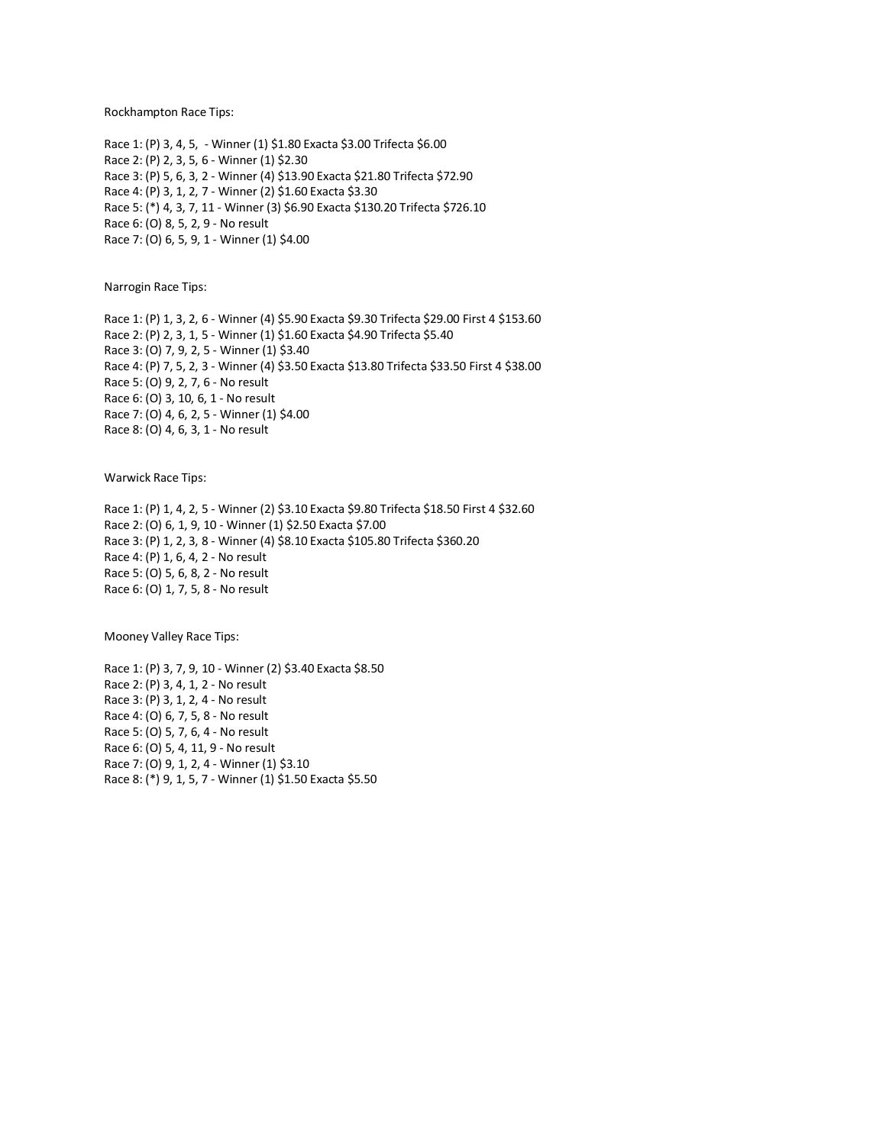Rockhampton Race Tips:

Race 1: (P) 3, 4, 5, - Winner (1) \$1.80 Exacta \$3.00 Trifecta \$6.00 Race 2: (P) 2, 3, 5, 6 - Winner (1) \$2.30 Race 3: (P) 5, 6, 3, 2 - Winner (4) \$13.90 Exacta \$21.80 Trifecta \$72.90 Race 4: (P) 3, 1, 2, 7 - Winner (2) \$1.60 Exacta \$3.30 Race 5: (\*) 4, 3, 7, 11 - Winner (3) \$6.90 Exacta \$130.20 Trifecta \$726.10 Race 6: (O) 8, 5, 2, 9 - No result Race 7: (O) 6, 5, 9, 1 - Winner (1) \$4.00

Narrogin Race Tips:

Race 1: (P) 1, 3, 2, 6 - Winner (4) \$5.90 Exacta \$9.30 Trifecta \$29.00 First 4 \$153.60 Race 2: (P) 2, 3, 1, 5 - Winner (1) \$1.60 Exacta \$4.90 Trifecta \$5.40 Race 3: (O) 7, 9, 2, 5 - Winner (1) \$3.40 Race 4: (P) 7, 5, 2, 3 - Winner (4) \$3.50 Exacta \$13.80 Trifecta \$33.50 First 4 \$38.00 Race 5: (O) 9, 2, 7, 6 - No result Race 6: (O) 3, 10, 6, 1 - No result Race 7: (O) 4, 6, 2, 5 - Winner (1) \$4.00 Race 8: (O) 4, 6, 3, 1 - No result

Warwick Race Tips:

Race 1: (P) 1, 4, 2, 5 - Winner (2) \$3.10 Exacta \$9.80 Trifecta \$18.50 First 4 \$32.60 Race 2: (O) 6, 1, 9, 10 - Winner (1) \$2.50 Exacta \$7.00 Race 3: (P) 1, 2, 3, 8 - Winner (4) \$8.10 Exacta \$105.80 Trifecta \$360.20 Race 4: (P) 1, 6, 4, 2 - No result Race 5: (O) 5, 6, 8, 2 - No result Race 6: (O) 1, 7, 5, 8 - No result

Mooney Valley Race Tips:

Race 1: (P) 3, 7, 9, 10 - Winner (2) \$3.40 Exacta \$8.50 Race 2: (P) 3, 4, 1, 2 - No result Race 3: (P) 3, 1, 2, 4 - No result Race 4: (O) 6, 7, 5, 8 - No result Race 5: (O) 5, 7, 6, 4 - No result Race 6: (O) 5, 4, 11, 9 - No result Race 7: (O) 9, 1, 2, 4 - Winner (1) \$3.10 Race 8: (\*) 9, 1, 5, 7 - Winner (1) \$1.50 Exacta \$5.50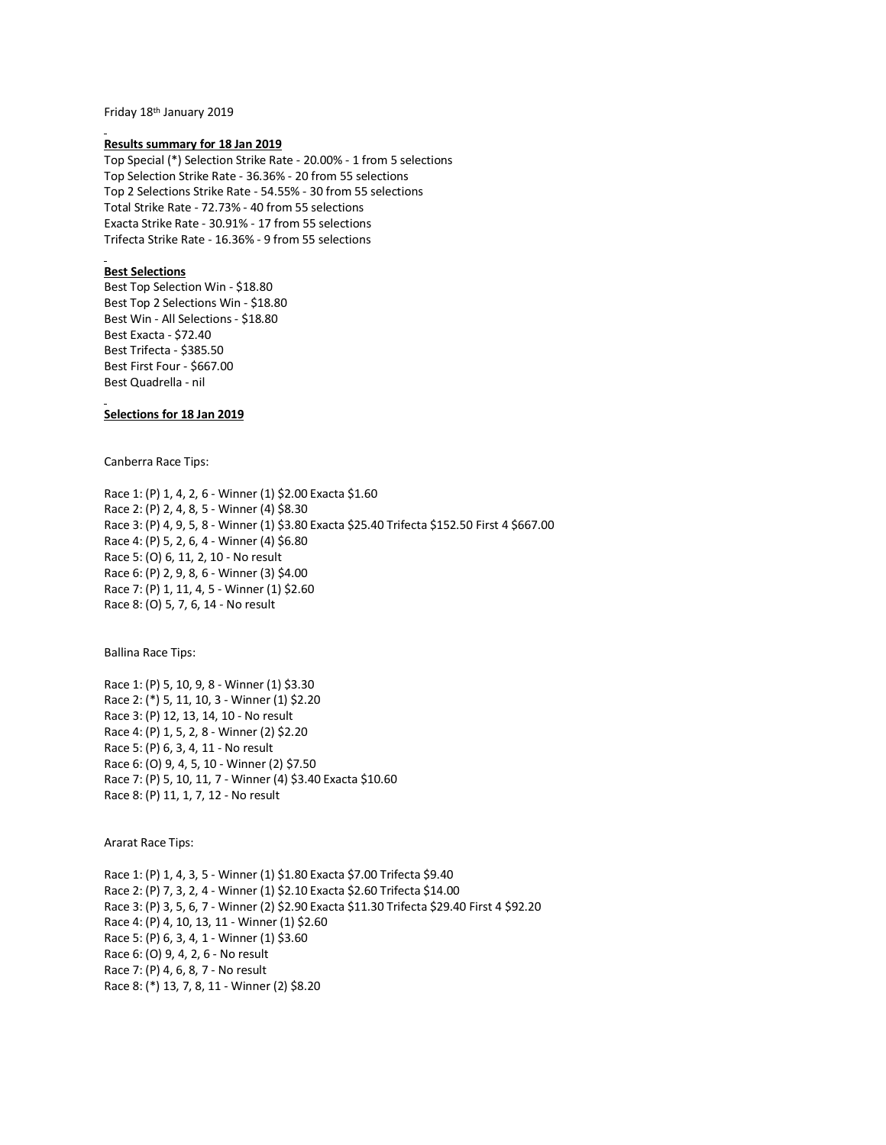Friday 18th January 2019

#### **Results summary for 18 Jan 2019**

Top Special (\*) Selection Strike Rate - 20.00% - 1 from 5 selections Top Selection Strike Rate - 36.36% - 20 from 55 selections Top 2 Selections Strike Rate - 54.55% - 30 from 55 selections Total Strike Rate - 72.73% - 40 from 55 selections Exacta Strike Rate - 30.91% - 17 from 55 selections Trifecta Strike Rate - 16.36% - 9 from 55 selections

# **Best Selections**

Best Top Selection Win - \$18.80 Best Top 2 Selections Win - \$18.80 Best Win - All Selections - \$18.80 Best Exacta - \$72.40 Best Trifecta - \$385.50 Best First Four - \$667.00 Best Quadrella - nil

# **Selections for 18 Jan 2019**

Canberra Race Tips:

Race 1: (P) 1, 4, 2, 6 - Winner (1) \$2.00 Exacta \$1.60 Race 2: (P) 2, 4, 8, 5 - Winner (4) \$8.30 Race 3: (P) 4, 9, 5, 8 - Winner (1) \$3.80 Exacta \$25.40 Trifecta \$152.50 First 4 \$667.00 Race 4: (P) 5, 2, 6, 4 - Winner (4) \$6.80 Race 5: (O) 6, 11, 2, 10 - No result Race 6: (P) 2, 9, 8, 6 - Winner (3) \$4.00 Race 7: (P) 1, 11, 4, 5 - Winner (1) \$2.60 Race 8: (O) 5, 7, 6, 14 - No result

Ballina Race Tips:

Race 1: (P) 5, 10, 9, 8 - Winner (1) \$3.30 Race 2: (\*) 5, 11, 10, 3 - Winner (1) \$2.20 Race 3: (P) 12, 13, 14, 10 - No result Race 4: (P) 1, 5, 2, 8 - Winner (2) \$2.20 Race 5: (P) 6, 3, 4, 11 - No result Race 6: (O) 9, 4, 5, 10 - Winner (2) \$7.50 Race 7: (P) 5, 10, 11, 7 - Winner (4) \$3.40 Exacta \$10.60 Race 8: (P) 11, 1, 7, 12 - No result

Ararat Race Tips:

Race 1: (P) 1, 4, 3, 5 - Winner (1) \$1.80 Exacta \$7.00 Trifecta \$9.40 Race 2: (P) 7, 3, 2, 4 - Winner (1) \$2.10 Exacta \$2.60 Trifecta \$14.00 Race 3: (P) 3, 5, 6, 7 - Winner (2) \$2.90 Exacta \$11.30 Trifecta \$29.40 First 4 \$92.20 Race 4: (P) 4, 10, 13, 11 - Winner (1) \$2.60 Race 5: (P) 6, 3, 4, 1 - Winner (1) \$3.60 Race 6: (O) 9, 4, 2, 6 - No result Race 7: (P) 4, 6, 8, 7 - No result Race 8: (\*) 13, 7, 8, 11 - Winner (2) \$8.20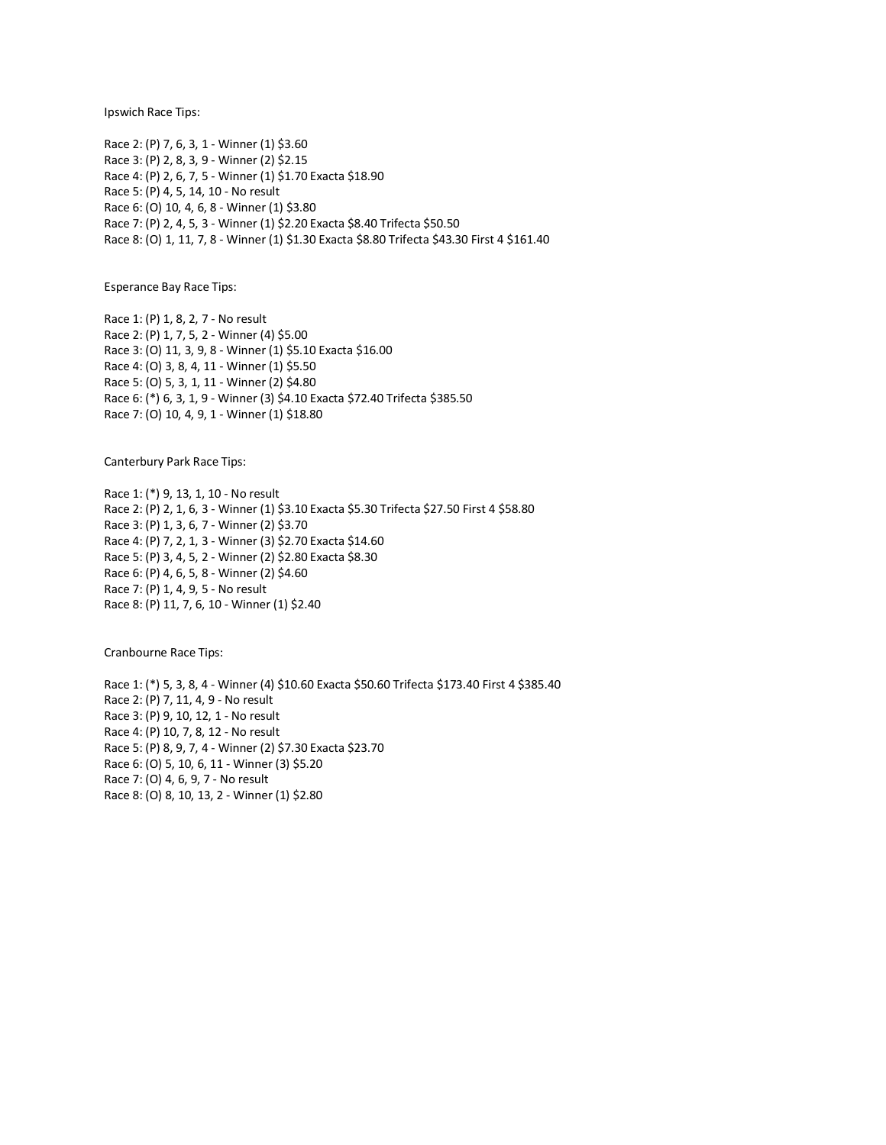Ipswich Race Tips:

Race 2: (P) 7, 6, 3, 1 - Winner (1) \$3.60 Race 3: (P) 2, 8, 3, 9 - Winner (2) \$2.15 Race 4: (P) 2, 6, 7, 5 - Winner (1) \$1.70 Exacta \$18.90 Race 5: (P) 4, 5, 14, 10 - No result Race 6: (O) 10, 4, 6, 8 - Winner (1) \$3.80 Race 7: (P) 2, 4, 5, 3 - Winner (1) \$2.20 Exacta \$8.40 Trifecta \$50.50 Race 8: (O) 1, 11, 7, 8 - Winner (1) \$1.30 Exacta \$8.80 Trifecta \$43.30 First 4 \$161.40

Esperance Bay Race Tips:

Race 1: (P) 1, 8, 2, 7 - No result Race 2: (P) 1, 7, 5, 2 - Winner (4) \$5.00 Race 3: (O) 11, 3, 9, 8 - Winner (1) \$5.10 Exacta \$16.00 Race 4: (O) 3, 8, 4, 11 - Winner (1) \$5.50 Race 5: (O) 5, 3, 1, 11 - Winner (2) \$4.80 Race 6: (\*) 6, 3, 1, 9 - Winner (3) \$4.10 Exacta \$72.40 Trifecta \$385.50 Race 7: (O) 10, 4, 9, 1 - Winner (1) \$18.80

Canterbury Park Race Tips:

Race 1: (\*) 9, 13, 1, 10 - No result Race 2: (P) 2, 1, 6, 3 - Winner (1) \$3.10 Exacta \$5.30 Trifecta \$27.50 First 4 \$58.80 Race 3: (P) 1, 3, 6, 7 - Winner (2) \$3.70 Race 4: (P) 7, 2, 1, 3 - Winner (3) \$2.70 Exacta \$14.60 Race 5: (P) 3, 4, 5, 2 - Winner (2) \$2.80 Exacta \$8.30 Race 6: (P) 4, 6, 5, 8 - Winner (2) \$4.60 Race 7: (P) 1, 4, 9, 5 - No result Race 8: (P) 11, 7, 6, 10 - Winner (1) \$2.40

Cranbourne Race Tips:

Race 1: (\*) 5, 3, 8, 4 - Winner (4) \$10.60 Exacta \$50.60 Trifecta \$173.40 First 4 \$385.40 Race 2: (P) 7, 11, 4, 9 - No result Race 3: (P) 9, 10, 12, 1 - No result Race 4: (P) 10, 7, 8, 12 - No result Race 5: (P) 8, 9, 7, 4 - Winner (2) \$7.30 Exacta \$23.70 Race 6: (O) 5, 10, 6, 11 - Winner (3) \$5.20 Race 7: (O) 4, 6, 9, 7 - No result Race 8: (O) 8, 10, 13, 2 - Winner (1) \$2.80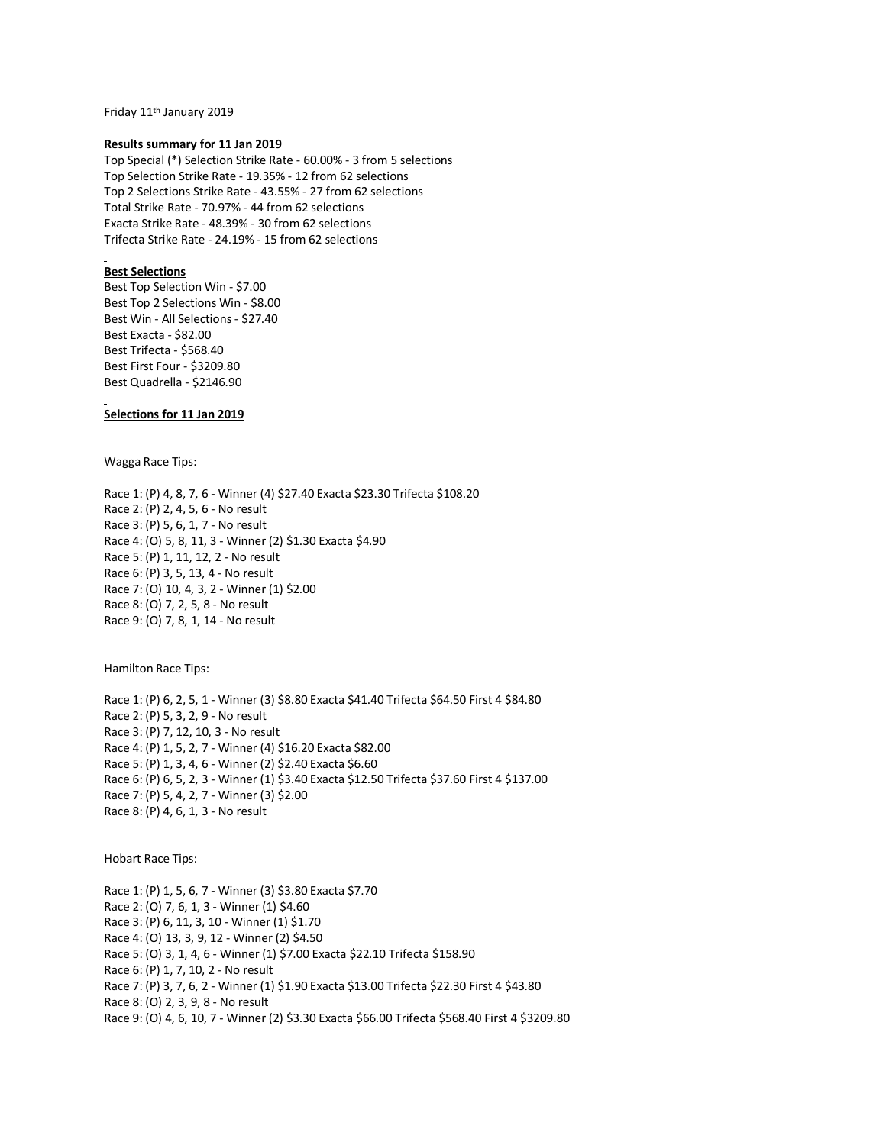Friday 11th January 2019

#### **Results summary for 11 Jan 2019**

Top Special (\*) Selection Strike Rate - 60.00% - 3 from 5 selections Top Selection Strike Rate - 19.35% - 12 from 62 selections Top 2 Selections Strike Rate - 43.55% - 27 from 62 selections Total Strike Rate - 70.97% - 44 from 62 selections Exacta Strike Rate - 48.39% - 30 from 62 selections Trifecta Strike Rate - 24.19% - 15 from 62 selections

#### **Best Selections**

Best Top Selection Win - \$7.00 Best Top 2 Selections Win - \$8.00 Best Win - All Selections - \$27.40 Best Exacta - \$82.00 Best Trifecta - \$568.40 Best First Four - \$3209.80 Best Quadrella - \$2146.90

# **Selections for 11 Jan 2019**

Wagga Race Tips:

Race 1: (P) 4, 8, 7, 6 - Winner (4) \$27.40 Exacta \$23.30 Trifecta \$108.20 Race 2: (P) 2, 4, 5, 6 - No result Race 3: (P) 5, 6, 1, 7 - No result Race 4: (O) 5, 8, 11, 3 - Winner (2) \$1.30 Exacta \$4.90 Race 5: (P) 1, 11, 12, 2 - No result Race 6: (P) 3, 5, 13, 4 - No result Race 7: (O) 10, 4, 3, 2 - Winner (1) \$2.00 Race 8: (O) 7, 2, 5, 8 - No result Race 9: (O) 7, 8, 1, 14 - No result

Hamilton Race Tips:

Race 1: (P) 6, 2, 5, 1 - Winner (3) \$8.80 Exacta \$41.40 Trifecta \$64.50 First 4 \$84.80 Race 2: (P) 5, 3, 2, 9 - No result Race 3: (P) 7, 12, 10, 3 - No result Race 4: (P) 1, 5, 2, 7 - Winner (4) \$16.20 Exacta \$82.00 Race 5: (P) 1, 3, 4, 6 - Winner (2) \$2.40 Exacta \$6.60 Race 6: (P) 6, 5, 2, 3 - Winner (1) \$3.40 Exacta \$12.50 Trifecta \$37.60 First 4 \$137.00 Race 7: (P) 5, 4, 2, 7 - Winner (3) \$2.00 Race 8: (P) 4, 6, 1, 3 - No result

Hobart Race Tips:

Race 1: (P) 1, 5, 6, 7 - Winner (3) \$3.80 Exacta \$7.70 Race 2: (O) 7, 6, 1, 3 - Winner (1) \$4.60 Race 3: (P) 6, 11, 3, 10 - Winner (1) \$1.70 Race 4: (O) 13, 3, 9, 12 - Winner (2) \$4.50 Race 5: (O) 3, 1, 4, 6 - Winner (1) \$7.00 Exacta \$22.10 Trifecta \$158.90 Race 6: (P) 1, 7, 10, 2 - No result Race 7: (P) 3, 7, 6, 2 - Winner (1) \$1.90 Exacta \$13.00 Trifecta \$22.30 First 4 \$43.80 Race 8: (O) 2, 3, 9, 8 - No result Race 9: (O) 4, 6, 10, 7 - Winner (2) \$3.30 Exacta \$66.00 Trifecta \$568.40 First 4 \$3209.80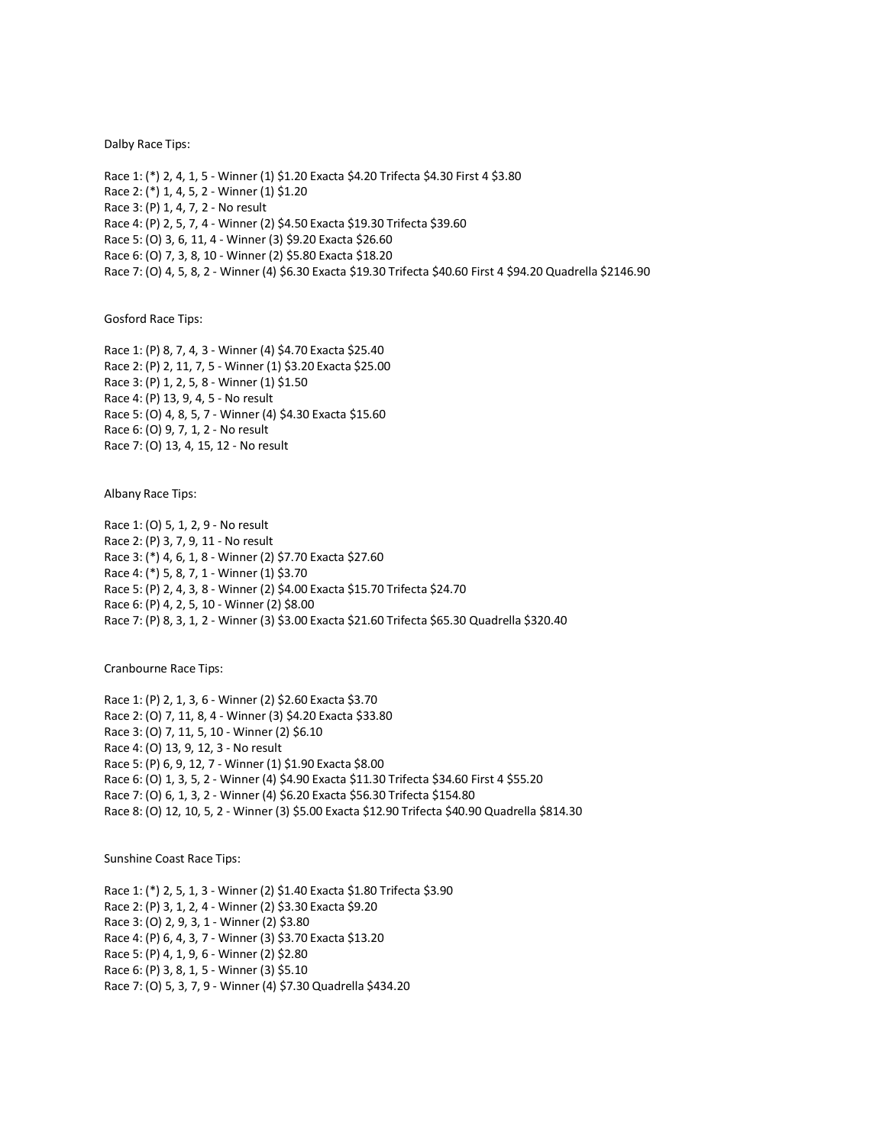#### Dalby Race Tips:

Race 1: (\*) 2, 4, 1, 5 - Winner (1) \$1.20 Exacta \$4.20 Trifecta \$4.30 First 4 \$3.80 Race 2: (\*) 1, 4, 5, 2 - Winner (1) \$1.20 Race 3: (P) 1, 4, 7, 2 - No result Race 4: (P) 2, 5, 7, 4 - Winner (2) \$4.50 Exacta \$19.30 Trifecta \$39.60 Race 5: (O) 3, 6, 11, 4 - Winner (3) \$9.20 Exacta \$26.60 Race 6: (O) 7, 3, 8, 10 - Winner (2) \$5.80 Exacta \$18.20 Race 7: (O) 4, 5, 8, 2 - Winner (4) \$6.30 Exacta \$19.30 Trifecta \$40.60 First 4 \$94.20 Quadrella \$2146.90

Gosford Race Tips:

Race 1: (P) 8, 7, 4, 3 - Winner (4) \$4.70 Exacta \$25.40 Race 2: (P) 2, 11, 7, 5 - Winner (1) \$3.20 Exacta \$25.00 Race 3: (P) 1, 2, 5, 8 - Winner (1) \$1.50 Race 4: (P) 13, 9, 4, 5 - No result Race 5: (O) 4, 8, 5, 7 - Winner (4) \$4.30 Exacta \$15.60 Race 6: (O) 9, 7, 1, 2 - No result Race 7: (O) 13, 4, 15, 12 - No result

Albany Race Tips:

Race 1: (O) 5, 1, 2, 9 - No result Race 2: (P) 3, 7, 9, 11 - No result Race 3: (\*) 4, 6, 1, 8 - Winner (2) \$7.70 Exacta \$27.60 Race 4: (\*) 5, 8, 7, 1 - Winner (1) \$3.70 Race 5: (P) 2, 4, 3, 8 - Winner (2) \$4.00 Exacta \$15.70 Trifecta \$24.70 Race 6: (P) 4, 2, 5, 10 - Winner (2) \$8.00 Race 7: (P) 8, 3, 1, 2 - Winner (3) \$3.00 Exacta \$21.60 Trifecta \$65.30 Quadrella \$320.40

Cranbourne Race Tips:

Race 1: (P) 2, 1, 3, 6 - Winner (2) \$2.60 Exacta \$3.70 Race 2: (O) 7, 11, 8, 4 - Winner (3) \$4.20 Exacta \$33.80 Race 3: (O) 7, 11, 5, 10 - Winner (2) \$6.10 Race 4: (O) 13, 9, 12, 3 - No result Race 5: (P) 6, 9, 12, 7 - Winner (1) \$1.90 Exacta \$8.00 Race 6: (O) 1, 3, 5, 2 - Winner (4) \$4.90 Exacta \$11.30 Trifecta \$34.60 First 4 \$55.20 Race 7: (O) 6, 1, 3, 2 - Winner (4) \$6.20 Exacta \$56.30 Trifecta \$154.80 Race 8: (O) 12, 10, 5, 2 - Winner (3) \$5.00 Exacta \$12.90 Trifecta \$40.90 Quadrella \$814.30

Sunshine Coast Race Tips:

Race 1: (\*) 2, 5, 1, 3 - Winner (2) \$1.40 Exacta \$1.80 Trifecta \$3.90 Race 2: (P) 3, 1, 2, 4 - Winner (2) \$3.30 Exacta \$9.20 Race 3: (O) 2, 9, 3, 1 - Winner (2) \$3.80 Race 4: (P) 6, 4, 3, 7 - Winner (3) \$3.70 Exacta \$13.20 Race 5: (P) 4, 1, 9, 6 - Winner (2) \$2.80 Race 6: (P) 3, 8, 1, 5 - Winner (3) \$5.10 Race 7: (O) 5, 3, 7, 9 - Winner (4) \$7.30 Quadrella \$434.20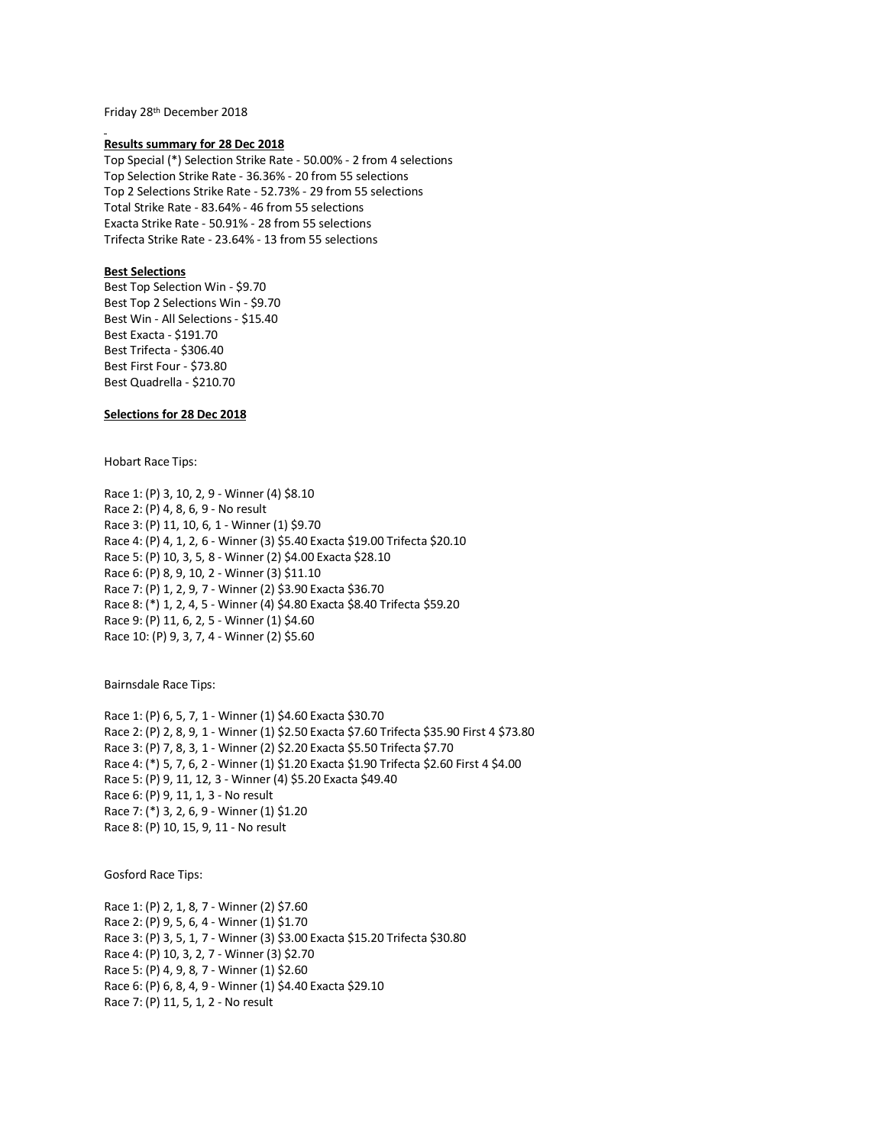Friday 28th December 2018

#### **Results summary for 28 Dec 2018**

Top Special (\*) Selection Strike Rate - 50.00% - 2 from 4 selections Top Selection Strike Rate - 36.36% - 20 from 55 selections Top 2 Selections Strike Rate - 52.73% - 29 from 55 selections Total Strike Rate - 83.64% - 46 from 55 selections Exacta Strike Rate - 50.91% - 28 from 55 selections Trifecta Strike Rate - 23.64% - 13 from 55 selections

# **Best Selections**

Best Top Selection Win - \$9.70 Best Top 2 Selections Win - \$9.70 Best Win - All Selections - \$15.40 Best Exacta - \$191.70 Best Trifecta - \$306.40 Best First Four - \$73.80 Best Quadrella - \$210.70

# **Selections for 28 Dec 2018**

Hobart Race Tips:

Race 1: (P) 3, 10, 2, 9 - Winner (4) \$8.10 Race 2: (P) 4, 8, 6, 9 - No result Race 3: (P) 11, 10, 6, 1 - Winner (1) \$9.70 Race 4: (P) 4, 1, 2, 6 - Winner (3) \$5.40 Exacta \$19.00 Trifecta \$20.10 Race 5: (P) 10, 3, 5, 8 - Winner (2) \$4.00 Exacta \$28.10 Race 6: (P) 8, 9, 10, 2 - Winner (3) \$11.10 Race 7: (P) 1, 2, 9, 7 - Winner (2) \$3.90 Exacta \$36.70 Race 8: (\*) 1, 2, 4, 5 - Winner (4) \$4.80 Exacta \$8.40 Trifecta \$59.20 Race 9: (P) 11, 6, 2, 5 - Winner (1) \$4.60 Race 10: (P) 9, 3, 7, 4 - Winner (2) \$5.60

Bairnsdale Race Tips:

Race 1: (P) 6, 5, 7, 1 - Winner (1) \$4.60 Exacta \$30.70 Race 2: (P) 2, 8, 9, 1 - Winner (1) \$2.50 Exacta \$7.60 Trifecta \$35.90 First 4 \$73.80 Race 3: (P) 7, 8, 3, 1 - Winner (2) \$2.20 Exacta \$5.50 Trifecta \$7.70 Race 4: (\*) 5, 7, 6, 2 - Winner (1) \$1.20 Exacta \$1.90 Trifecta \$2.60 First 4 \$4.00 Race 5: (P) 9, 11, 12, 3 - Winner (4) \$5.20 Exacta \$49.40 Race 6: (P) 9, 11, 1, 3 - No result Race 7: (\*) 3, 2, 6, 9 - Winner (1) \$1.20 Race 8: (P) 10, 15, 9, 11 - No result

Gosford Race Tips:

Race 1: (P) 2, 1, 8, 7 - Winner (2) \$7.60 Race 2: (P) 9, 5, 6, 4 - Winner (1) \$1.70 Race 3: (P) 3, 5, 1, 7 - Winner (3) \$3.00 Exacta \$15.20 Trifecta \$30.80 Race 4: (P) 10, 3, 2, 7 - Winner (3) \$2.70 Race 5: (P) 4, 9, 8, 7 - Winner (1) \$2.60 Race 6: (P) 6, 8, 4, 9 - Winner (1) \$4.40 Exacta \$29.10 Race 7: (P) 11, 5, 1, 2 - No result